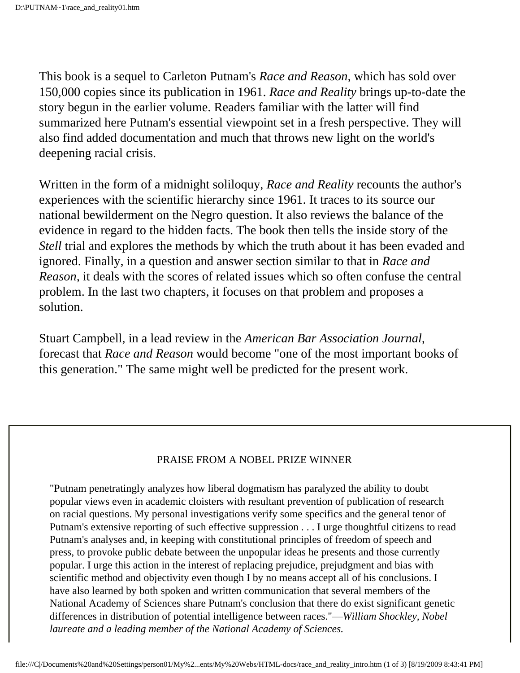This book is a sequel to Carleton Putnam's *Race and Reason,* which has sold over 150,000 copies since its publication in 1961. *Race and Reality* brings up-to-date the story begun in the earlier volume. Readers familiar with the latter will find summarized here Putnam's essential viewpoint set in a fresh perspective. They will also find added documentation and much that throws new light on the world's deepening racial crisis.

Written in the form of a midnight soliloquy, *Race and Reality* recounts the author's experiences with the scientific hierarchy since 1961. It traces to its source our national bewilderment on the Negro question. It also reviews the balance of the evidence in regard to the hidden facts. The book then tells the inside story of the *Stell* trial and explores the methods by which the truth about it has been evaded and ignored. Finally, in a question and answer section similar to that in *Race and Reason,* it deals with the scores of related issues which so often confuse the central problem. In the last two chapters, it focuses on that problem and proposes a solution.

Stuart Campbell, in a lead review in the *American Bar Association Journal,*  forecast that *Race and Reason* would become "one of the most important books of this generation." The same might well be predicted for the present work.

#### PRAISE FROM A NOBEL PRIZE WINNER

"Putnam penetratingly analyzes how liberal dogmatism has paralyzed the ability to doubt popular views even in academic cloisters with resultant prevention of publication of research on racial questions. My personal investigations verify some specifics and the general tenor of Putnam's extensive reporting of such effective suppression . . . I urge thoughtful citizens to read Putnam's analyses and, in keeping with constitutional principles of freedom of speech and press, to provoke public debate between the unpopular ideas he presents and those currently popular. I urge this action in the interest of replacing prejudice, prejudgment and bias with scientific method and objectivity even though I by no means accept all of his conclusions. I have also learned by both spoken and written communication that several members of the National Academy of Sciences share Putnam's conclusion that there do exist significant genetic differences in distribution of potential intelligence between races."—*William Shockley, Nobel laureate and a leading member of the National Academy of Sciences.*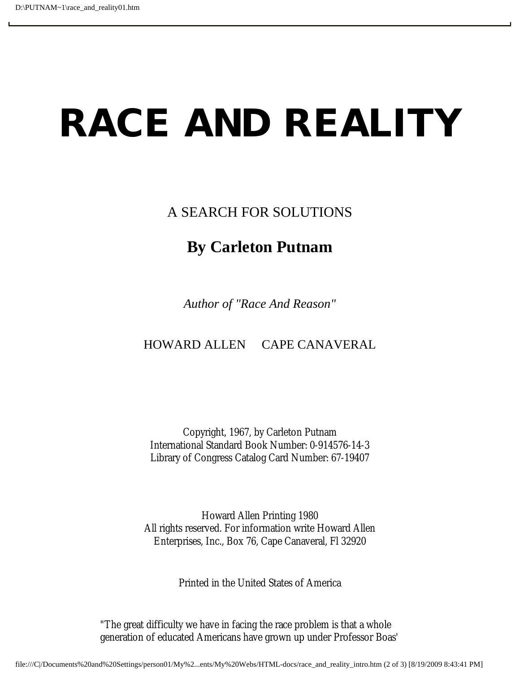# **RACE AND REALITY**

A SEARCH FOR SOLUTIONS

# **By Carleton Putnam**

*Author of "Race And Reason"*

HOWARD ALLEN CAPE CANAVERAL

Copyright, 1967, by Carleton Putnam International Standard Book Number: 0-914576-14-3 Library of Congress Catalog Card Number: 67-19407

Howard Allen Printing 1980 All rights reserved. For information write Howard Allen Enterprises, Inc., Box 76, Cape Canaveral, Fl 32920

Printed in the United States of America

"The great difficulty we have in facing the race problem is that a whole generation of educated Americans have grown up under Professor Boas'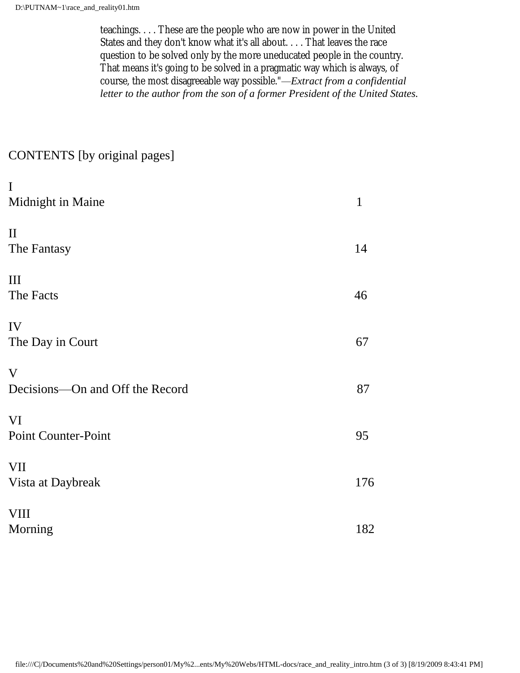teachings. . . . These are the people who are now in power in the United States and they don't know what it's all about. . . . That leaves the race question to be solved only by the more uneducated people in the country. That means it's going to be solved in a pragmatic way which is always, of course, the most disagreeable way possible."*—Extract from a confidential letter to the author from the son of a former President of the United States.*

# CONTENTS [by original pages]

| Midnight in Maine<br>$\mathbf{1}$    |     |
|--------------------------------------|-----|
| $\rm II$<br>The Fantasy              | 14  |
| III<br>The Facts                     | 46  |
| IV<br>The Day in Court               | 67  |
| V<br>Decisions-On and Off the Record | 87  |
| VI<br>Point Counter-Point            | 95  |
| <b>VII</b><br>Vista at Daybreak      | 176 |
| <b>VIII</b><br>Morning               | 182 |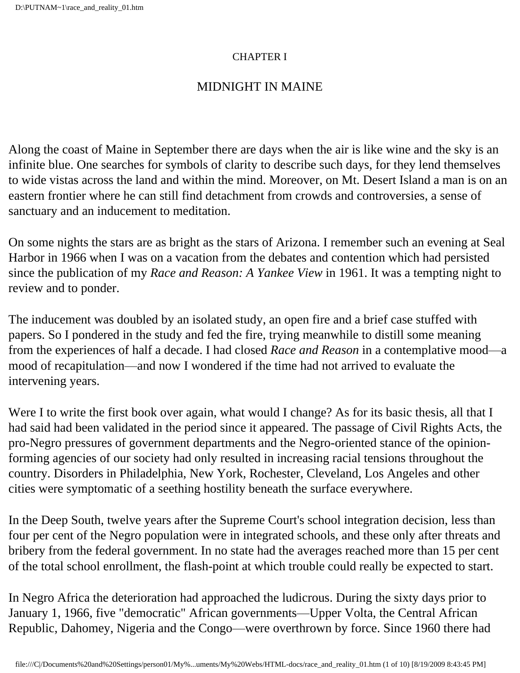#### CHAPTER I

#### MIDNIGHT IN MAINE

Along the coast of Maine in September there are days when the air is like wine and the sky is an infinite blue. One searches for symbols of clarity to describe such days, for they lend themselves to wide vistas across the land and within the mind. Moreover, on Mt. Desert Island a man is on an eastern frontier where he can still find detachment from crowds and controversies, a sense of sanctuary and an inducement to meditation.

On some nights the stars are as bright as the stars of Arizona. I remember such an evening at Seal Harbor in 1966 when I was on a vacation from the debates and contention which had persisted since the publication of my *Race and Reason: A Yankee View* in 1961. It was a tempting night to review and to ponder.

The inducement was doubled by an isolated study, an open fire and a brief case stuffed with papers. So I pondered in the study and fed the fire, trying meanwhile to distill some meaning from the experiences of half a decade. I had closed *Race and Reason* in a contemplative mood—a mood of recapitulation—and now I wondered if the time had not arrived to evaluate the intervening years.

Were I to write the first book over again, what would I change? As for its basic thesis, all that I had said had been validated in the period since it appeared. The passage of Civil Rights Acts, the pro-Negro pressures of government departments and the Negro-oriented stance of the opinionforming agencies of our society had only resulted in increasing racial tensions throughout the country. Disorders in Philadelphia, New York, Rochester, Cleveland, Los Angeles and other cities were symptomatic of a seething hostility beneath the surface everywhere.

In the Deep South, twelve years after the Supreme Court's school integration decision, less than four per cent of the Negro population were in integrated schools, and these only after threats and bribery from the federal government. In no state had the averages reached more than 15 per cent of the total school enrollment, the flash-point at which trouble could really be expected to start.

In Negro Africa the deterioration had approached the ludicrous. During the sixty days prior to January 1, 1966, five "democratic" African governments—Upper Volta, the Central African Republic, Dahomey, Nigeria and the Congo—were overthrown by force. Since 1960 there had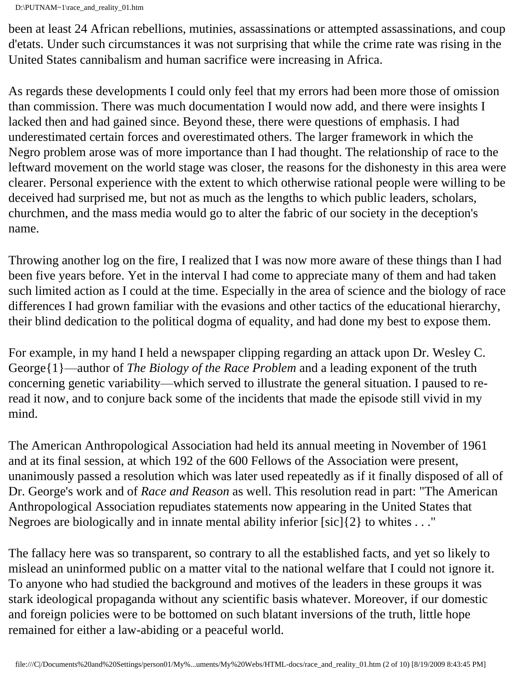been at least 24 African rebellions, mutinies, assassinations or attempted assassinations, and coup d'etats. Under such circumstances it was not surprising that while the crime rate was rising in the United States cannibalism and human sacrifice were increasing in Africa.

As regards these developments I could only feel that my errors had been more those of omission than commission. There was much documentation I would now add, and there were insights I lacked then and had gained since. Beyond these, there were questions of emphasis. I had underestimated certain forces and overestimated others. The larger framework in which the Negro problem arose was of more importance than I had thought. The relationship of race to the leftward movement on the world stage was closer, the reasons for the dishonesty in this area were clearer. Personal experience with the extent to which otherwise rational people were willing to be deceived had surprised me, but not as much as the lengths to which public leaders, scholars, churchmen, and the mass media would go to alter the fabric of our society in the deception's name.

Throwing another log on the fire, I realized that I was now more aware of these things than I had been five years before. Yet in the interval I had come to appreciate many of them and had taken such limited action as I could at the time. Especially in the area of science and the biology of race differences I had grown familiar with the evasions and other tactics of the educational hierarchy, their blind dedication to the political dogma of equality, and had done my best to expose them.

For example, in my hand I held a newspaper clipping regarding an attack upon Dr. Wesley C. George{1}—author of *The Biology of the Race Problem* and a leading exponent of the truth concerning genetic variability—which served to illustrate the general situation. I paused to reread it now, and to conjure back some of the incidents that made the episode still vivid in my mind.

The American Anthropological Association had held its annual meeting in November of 1961 and at its final session, at which 192 of the 600 Fellows of the Association were present, unanimously passed a resolution which was later used repeatedly as if it finally disposed of all of Dr. George's work and of *Race and Reason* as well. This resolution read in part: "The American Anthropological Association repudiates statements now appearing in the United States that Negroes are biologically and in innate mental ability inferior [sic]{2} to whites . . ."

The fallacy here was so transparent, so contrary to all the established facts, and yet so likely to mislead an uninformed public on a matter vital to the national welfare that I could not ignore it. To anyone who had studied the background and motives of the leaders in these groups it was stark ideological propaganda without any scientific basis whatever. Moreover, if our domestic and foreign policies were to be bottomed on such blatant inversions of the truth, little hope remained for either a law-abiding or a peaceful world.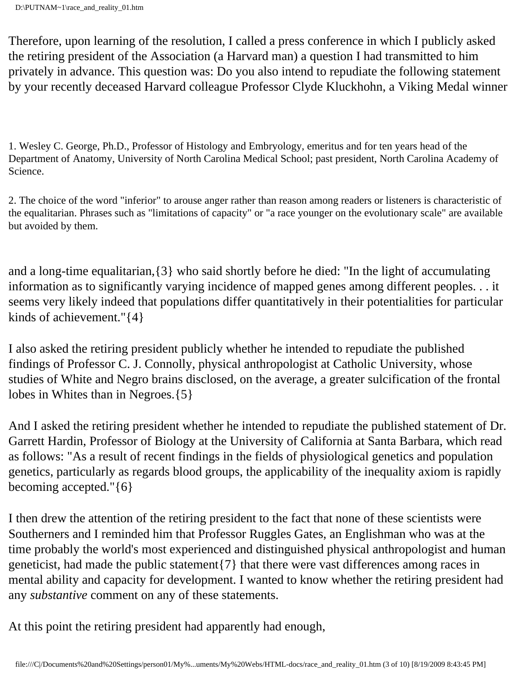Therefore, upon learning of the resolution, I called a press conference in which I publicly asked the retiring president of the Association (a Harvard man) a question I had transmitted to him privately in advance. This question was: Do you also intend to repudiate the following statement by your recently deceased Harvard colleague Professor Clyde Kluckhohn, a Viking Medal winner

1. Wesley C. George, Ph.D., Professor of Histology and Embryology, emeritus and for ten years head of the Department of Anatomy, University of North Carolina Medical School; past president, North Carolina Academy of Science.

2. The choice of the word "inferior" to arouse anger rather than reason among readers or listeners is characteristic of the equalitarian. Phrases such as "limitations of capacity" or "a race younger on the evolutionary scale" are available but avoided by them.

and a long-time equalitarian,{3} who said shortly before he died: "In the light of accumulating information as to significantly varying incidence of mapped genes among different peoples. . . it seems very likely indeed that populations differ quantitatively in their potentialities for particular kinds of achievement."{4}

I also asked the retiring president publicly whether he intended to repudiate the published findings of Professor C. J. Connolly, physical anthropologist at Catholic University, whose studies of White and Negro brains disclosed, on the average, a greater sulcification of the frontal lobes in Whites than in Negroes.{5}

And I asked the retiring president whether he intended to repudiate the published statement of Dr. Garrett Hardin, Professor of Biology at the University of California at Santa Barbara, which read as follows: "As a result of recent findings in the fields of physiological genetics and population genetics, particularly as regards blood groups, the applicability of the inequality axiom is rapidly becoming accepted."{6}

I then drew the attention of the retiring president to the fact that none of these scientists were Southerners and I reminded him that Professor Ruggles Gates, an Englishman who was at the time probably the world's most experienced and distinguished physical anthropologist and human geneticist, had made the public statement{7} that there were vast differences among races in mental ability and capacity for development. I wanted to know whether the retiring president had any *substantive* comment on any of these statements.

At this point the retiring president had apparently had enough,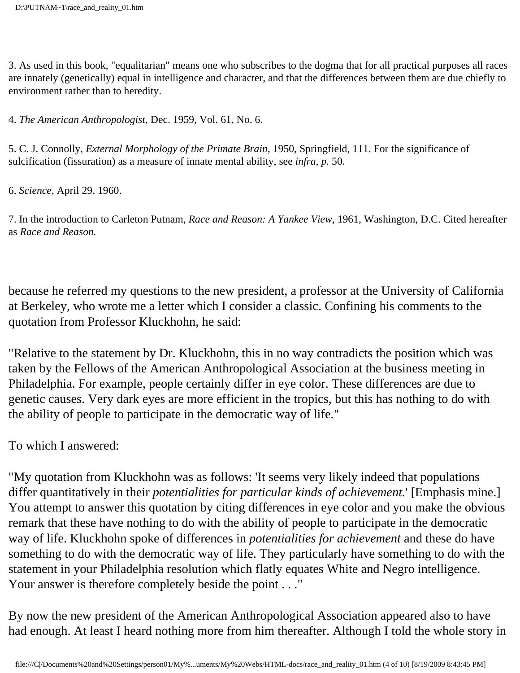3. As used in this book, "equalitarian" means one who subscribes to the dogma that for all practical purposes all races are innately (genetically) equal in intelligence and character, and that the differences between them are due chiefly to environment rather than to heredity.

4. *The American Anthropologist,* Dec. 1959, Vol. 61, No. 6.

5. C. J. Connolly, *External Morphology of the Primate Brain,* 1950, Springfield, 111. For the significance of sulcification (fissuration) as a measure of innate mental ability, see *infra, p.* 50.

6. *Science,* April 29, 1960.

7. In the introduction to Carleton Putnam, *Race and Reason: A Yankee View,* 1961, Washington, D.C. Cited hereafter as *Race and Reason.*

because he referred my questions to the new president, a professor at the University of California at Berkeley, who wrote me a letter which I consider a classic. Confining his comments to the quotation from Professor Kluckhohn, he said:

"Relative to the statement by Dr. Kluckhohn, this in no way contradicts the position which was taken by the Fellows of the American Anthropological Association at the business meeting in Philadelphia. For example, people certainly differ in eye color. These differences are due to genetic causes. Very dark eyes are more efficient in the tropics, but this has nothing to do with the ability of people to participate in the democratic way of life."

To which I answered:

"My quotation from Kluckhohn was as follows: 'It seems very likely indeed that populations differ quantitatively in their *potentialities for particular kinds of achievement.*' [Emphasis mine.] You attempt to answer this quotation by citing differences in eye color and you make the obvious remark that these have nothing to do with the ability of people to participate in the democratic way of life. Kluckhohn spoke of differences in *potentialities for achievement* and these do have something to do with the democratic way of life. They particularly have something to do with the statement in your Philadelphia resolution which flatly equates White and Negro intelligence. Your answer is therefore completely beside the point . . ."

By now the new president of the American Anthropological Association appeared also to have had enough. At least I heard nothing more from him thereafter. Although I told the whole story in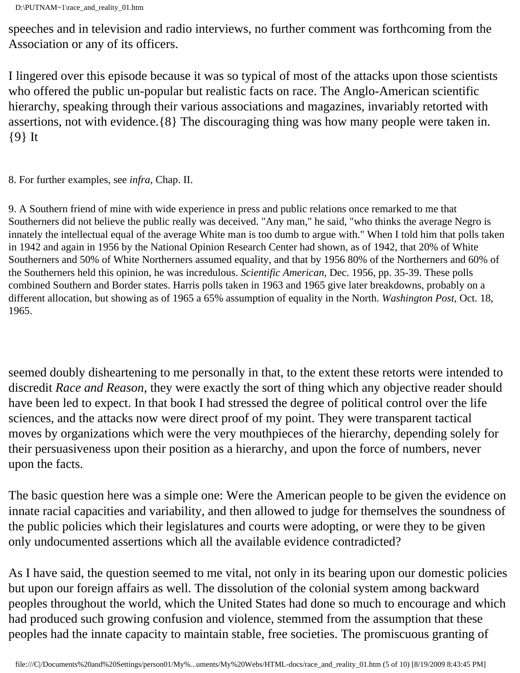speeches and in television and radio interviews, no further comment was forthcoming from the Association or any of its officers.

I lingered over this episode because it was so typical of most of the attacks upon those scientists who offered the public un-popular but realistic facts on race. The Anglo-American scientific hierarchy, speaking through their various associations and magazines, invariably retorted with assertions, not with evidence.{8} The discouraging thing was how many people were taken in. {9} It

8. For further examples, see *infra,* Chap. II.

9. A Southern friend of mine with wide experience in press and public relations once remarked to me that Southerners did not believe the public really was deceived. "Any man," he said, "who thinks the average Negro is innately the intellectual equal of the average White man is too dumb to argue with." When I told him that polls taken in 1942 and again in 1956 by the National Opinion Research Center had shown, as of 1942, that 20% of White Southerners and 50% of White Northerners assumed equality, and that by 1956 80% of the Northerners and 60% of the Southerners held this opinion, he was incredulous. *Scientific American,* Dec. 1956, pp. 35-39. These polls combined Southern and Border states. Harris polls taken in 1963 and 1965 give later breakdowns, probably on a different allocation, but showing as of 1965 a 65% assumption of equality in the North. *Washington Post*, Oct. 18, 1965.

seemed doubly disheartening to me personally in that, to the extent these retorts were intended to discredit *Race and Reason,* they were exactly the sort of thing which any objective reader should have been led to expect. In that book I had stressed the degree of political control over the life sciences, and the attacks now were direct proof of my point. They were transparent tactical moves by organizations which were the very mouthpieces of the hierarchy, depending solely for their persuasiveness upon their position as a hierarchy, and upon the force of numbers, never upon the facts.

The basic question here was a simple one: Were the American people to be given the evidence on innate racial capacities and variability, and then allowed to judge for themselves the soundness of the public policies which their legislatures and courts were adopting, or were they to be given only undocumented assertions which all the available evidence contradicted?

As I have said, the question seemed to me vital, not only in its bearing upon our domestic policies but upon our foreign affairs as well. The dissolution of the colonial system among backward peoples throughout the world, which the United States had done so much to encourage and which had produced such growing confusion and violence, stemmed from the assumption that these peoples had the innate capacity to maintain stable, free societies. The promiscuous granting of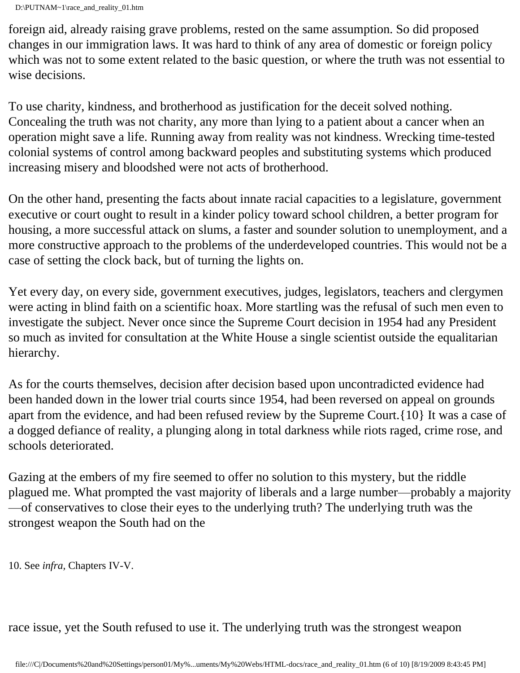foreign aid, already raising grave problems, rested on the same assumption. So did proposed changes in our immigration laws. It was hard to think of any area of domestic or foreign policy which was not to some extent related to the basic question, or where the truth was not essential to wise decisions.

To use charity, kindness, and brotherhood as justification for the deceit solved nothing. Concealing the truth was not charity, any more than lying to a patient about a cancer when an operation might save a life. Running away from reality was not kindness. Wrecking time-tested colonial systems of control among backward peoples and substituting systems which produced increasing misery and bloodshed were not acts of brotherhood.

On the other hand, presenting the facts about innate racial capacities to a legislature, government executive or court ought to result in a kinder policy toward school children, a better program for housing, a more successful attack on slums, a faster and sounder solution to unemployment, and a more constructive approach to the problems of the underdeveloped countries. This would not be a case of setting the clock back, but of turning the lights on.

Yet every day, on every side, government executives, judges, legislators, teachers and clergymen were acting in blind faith on a scientific hoax. More startling was the refusal of such men even to investigate the subject. Never once since the Supreme Court decision in 1954 had any President so much as invited for consultation at the White House a single scientist outside the equalitarian hierarchy.

As for the courts themselves, decision after decision based upon uncontradicted evidence had been handed down in the lower trial courts since 1954, had been reversed on appeal on grounds apart from the evidence, and had been refused review by the Supreme Court.{10} It was a case of a dogged defiance of reality, a plunging along in total darkness while riots raged, crime rose, and schools deteriorated.

Gazing at the embers of my fire seemed to offer no solution to this mystery, but the riddle plagued me. What prompted the vast majority of liberals and a large number—probably a majority —of conservatives to close their eyes to the underlying truth? The underlying truth was the strongest weapon the South had on the

10. See *infra,* Chapters IV-V.

race issue, yet the South refused to use it. The underlying truth was the strongest weapon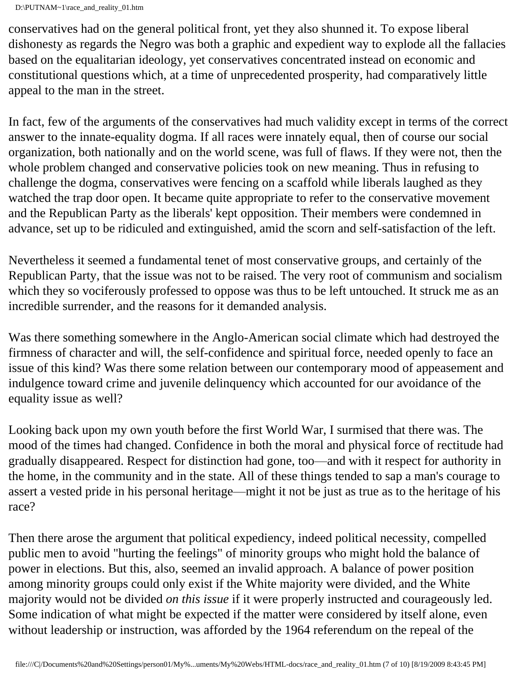conservatives had on the general political front, yet they also shunned it. To expose liberal dishonesty as regards the Negro was both a graphic and expedient way to explode all the fallacies based on the equalitarian ideology, yet conservatives concentrated instead on economic and constitutional questions which, at a time of unprecedented prosperity, had comparatively little appeal to the man in the street.

In fact, few of the arguments of the conservatives had much validity except in terms of the correct answer to the innate-equality dogma. If all races were innately equal, then of course our social organization, both nationally and on the world scene, was full of flaws. If they were not, then the whole problem changed and conservative policies took on new meaning. Thus in refusing to challenge the dogma, conservatives were fencing on a scaffold while liberals laughed as they watched the trap door open. It became quite appropriate to refer to the conservative movement and the Republican Party as the liberals' kept opposition. Their members were condemned in advance, set up to be ridiculed and extinguished, amid the scorn and self-satisfaction of the left.

Nevertheless it seemed a fundamental tenet of most conservative groups, and certainly of the Republican Party, that the issue was not to be raised. The very root of communism and socialism which they so vociferously professed to oppose was thus to be left untouched. It struck me as an incredible surrender, and the reasons for it demanded analysis.

Was there something somewhere in the Anglo-American social climate which had destroyed the firmness of character and will, the self-confidence and spiritual force, needed openly to face an issue of this kind? Was there some relation between our contemporary mood of appeasement and indulgence toward crime and juvenile delinquency which accounted for our avoidance of the equality issue as well?

Looking back upon my own youth before the first World War, I surmised that there was. The mood of the times had changed. Confidence in both the moral and physical force of rectitude had gradually disappeared. Respect for distinction had gone, too—and with it respect for authority in the home, in the community and in the state. All of these things tended to sap a man's courage to assert a vested pride in his personal heritage—might it not be just as true as to the heritage of his race?

Then there arose the argument that political expediency, indeed political necessity, compelled public men to avoid "hurting the feelings" of minority groups who might hold the balance of power in elections. But this, also, seemed an invalid approach. A balance of power position among minority groups could only exist if the White majority were divided, and the White majority would not be divided *on this issue* if it were properly instructed and courageously led. Some indication of what might be expected if the matter were considered by itself alone, even without leadership or instruction, was afforded by the 1964 referendum on the repeal of the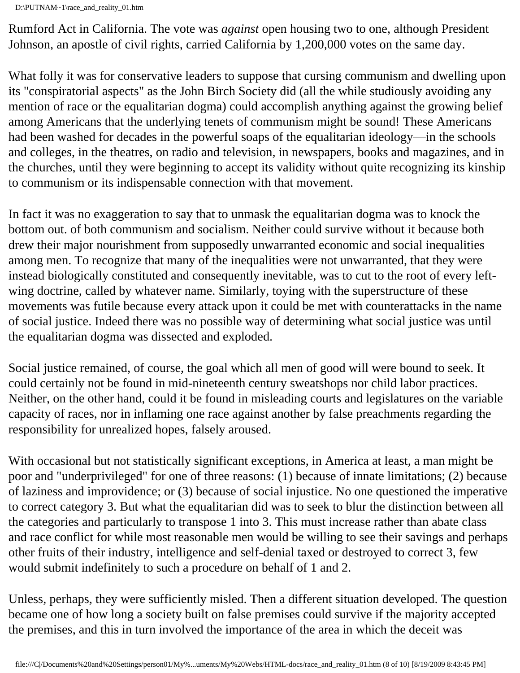Rumford Act in California. The vote was *against* open housing two to one, although President Johnson, an apostle of civil rights, carried California by 1,200,000 votes on the same day.

What folly it was for conservative leaders to suppose that cursing communism and dwelling upon its "conspiratorial aspects" as the John Birch Society did (all the while studiously avoiding any mention of race or the equalitarian dogma) could accomplish anything against the growing belief among Americans that the underlying tenets of communism might be sound! These Americans had been washed for decades in the powerful soaps of the equalitarian ideology—in the schools and colleges, in the theatres, on radio and television, in newspapers, books and magazines, and in the churches, until they were beginning to accept its validity without quite recognizing its kinship to communism or its indispensable connection with that movement.

In fact it was no exaggeration to say that to unmask the equalitarian dogma was to knock the bottom out. of both communism and socialism. Neither could survive without it because both drew their major nourishment from supposedly unwarranted economic and social inequalities among men. To recognize that many of the inequalities were not unwarranted, that they were instead biologically constituted and consequently inevitable, was to cut to the root of every leftwing doctrine, called by whatever name. Similarly, toying with the superstructure of these movements was futile because every attack upon it could be met with counterattacks in the name of social justice. Indeed there was no possible way of determining what social justice was until the equalitarian dogma was dissected and exploded.

Social justice remained, of course, the goal which all men of good will were bound to seek. It could certainly not be found in mid-nineteenth century sweatshops nor child labor practices. Neither, on the other hand, could it be found in misleading courts and legislatures on the variable capacity of races, nor in inflaming one race against another by false preachments regarding the responsibility for unrealized hopes, falsely aroused.

With occasional but not statistically significant exceptions, in America at least, a man might be poor and "underprivileged" for one of three reasons: (1) because of innate limitations; (2) because of laziness and improvidence; or (3) because of social injustice. No one questioned the imperative to correct category 3. But what the equalitarian did was to seek to blur the distinction between all the categories and particularly to transpose 1 into 3. This must increase rather than abate class and race conflict for while most reasonable men would be willing to see their savings and perhaps other fruits of their industry, intelligence and self-denial taxed or destroyed to correct 3, few would submit indefinitely to such a procedure on behalf of 1 and 2.

Unless, perhaps, they were sufficiently misled. Then a different situation developed. The question became one of how long a society built on false premises could survive if the majority accepted the premises, and this in turn involved the importance of the area in which the deceit was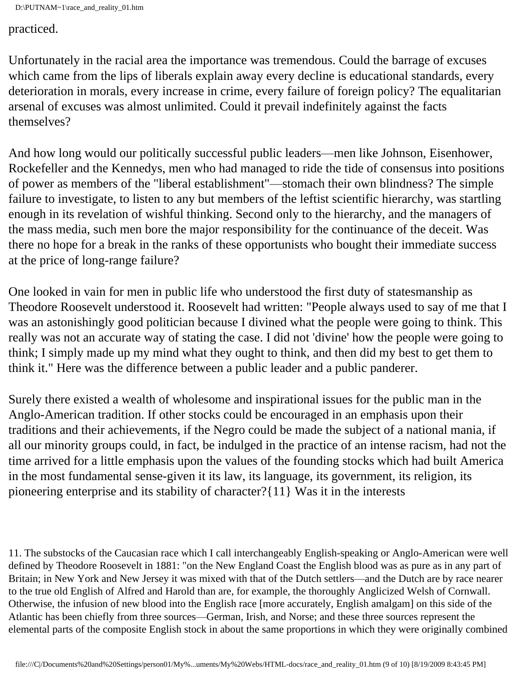practiced.

Unfortunately in the racial area the importance was tremendous. Could the barrage of excuses which came from the lips of liberals explain away every decline is educational standards, every deterioration in morals, every increase in crime, every failure of foreign policy? The equalitarian arsenal of excuses was almost unlimited. Could it prevail indefinitely against the facts themselves?

And how long would our politically successful public leaders—men like Johnson, Eisenhower, Rockefeller and the Kennedys, men who had managed to ride the tide of consensus into positions of power as members of the "liberal establishment"—stomach their own blindness? The simple failure to investigate, to listen to any but members of the leftist scientific hierarchy, was startling enough in its revelation of wishful thinking. Second only to the hierarchy, and the managers of the mass media, such men bore the major responsibility for the continuance of the deceit. Was there no hope for a break in the ranks of these opportunists who bought their immediate success at the price of long-range failure?

One looked in vain for men in public life who understood the first duty of statesmanship as Theodore Roosevelt understood it. Roosevelt had written: "People always used to say of me that I was an astonishingly good politician because I divined what the people were going to think. This really was not an accurate way of stating the case. I did not 'divine' how the people were going to think; I simply made up my mind what they ought to think, and then did my best to get them to think it." Here was the difference between a public leader and a public panderer.

Surely there existed a wealth of wholesome and inspirational issues for the public man in the Anglo-American tradition. If other stocks could be encouraged in an emphasis upon their traditions and their achievements, if the Negro could be made the subject of a national mania, if all our minority groups could, in fact, be indulged in the practice of an intense racism, had not the time arrived for a little emphasis upon the values of the founding stocks which had built America in the most fundamental sense-given it its law, its language, its government, its religion, its pioneering enterprise and its stability of character?{11} Was it in the interests

11. The substocks of the Caucasian race which I call interchangeably English-speaking or Anglo-American were well defined by Theodore Roosevelt in 1881: "on the New England Coast the English blood was as pure as in any part of Britain; in New York and New Jersey it was mixed with that of the Dutch settlers—and the Dutch are by race nearer to the true old English of Alfred and Harold than are, for example, the thoroughly Anglicized Welsh of Cornwall. Otherwise, the infusion of new blood into the English race [more accurately, English amalgam] on this side of the Atlantic has been chiefly from three sources—German, Irish, and Norse; and these three sources represent the elemental parts of the composite English stock in about the same proportions in which they were originally combined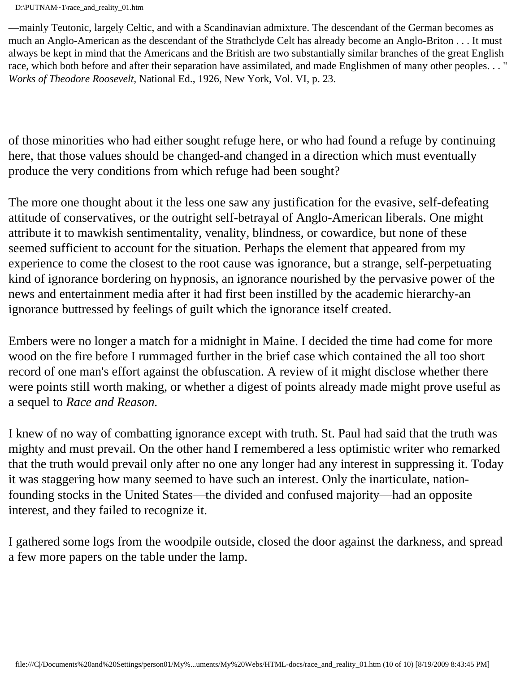—mainly Teutonic, largely Celtic, and with a Scandinavian admixture. The descendant of the German becomes as much an Anglo-American as the descendant of the Strathclyde Celt has already become an Anglo-Briton . . . It must always be kept in mind that the Americans and the British are two substantially similar branches of the great English race, which both before and after their separation have assimilated, and made Englishmen of many other peoples. . . " *Works of Theodore Roosevelt,* National Ed., 1926, New York, Vol. VI, p. 23.

of those minorities who had either sought refuge here, or who had found a refuge by continuing here, that those values should be changed-and changed in a direction which must eventually produce the very conditions from which refuge had been sought?

The more one thought about it the less one saw any justification for the evasive, self-defeating attitude of conservatives, or the outright self-betrayal of Anglo-American liberals. One might attribute it to mawkish sentimentality, venality, blindness, or cowardice, but none of these seemed sufficient to account for the situation. Perhaps the element that appeared from my experience to come the closest to the root cause was ignorance, but a strange, self-perpetuating kind of ignorance bordering on hypnosis, an ignorance nourished by the pervasive power of the news and entertainment media after it had first been instilled by the academic hierarchy-an ignorance buttressed by feelings of guilt which the ignorance itself created.

Embers were no longer a match for a midnight in Maine. I decided the time had come for more wood on the fire before I rummaged further in the brief case which contained the all too short record of one man's effort against the obfuscation. A review of it might disclose whether there were points still worth making, or whether a digest of points already made might prove useful as a sequel to *Race and Reason.*

I knew of no way of combatting ignorance except with truth. St. Paul had said that the truth was mighty and must prevail. On the other hand I remembered a less optimistic writer who remarked that the truth would prevail only after no one any longer had any interest in suppressing it. Today it was staggering how many seemed to have such an interest. Only the inarticulate, nationfounding stocks in the United States—the divided and confused majority—had an opposite interest, and they failed to recognize it.

I gathered some logs from the woodpile outside, closed the door against the darkness, and spread a few more papers on the table under the lamp.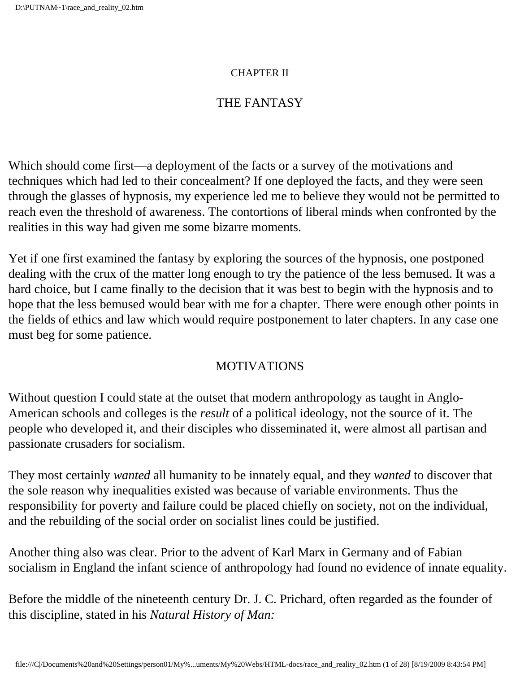#### CHAPTER II

## THE FANTASY

Which should come first—a deployment of the facts or a survey of the motivations and techniques which had led to their concealment? If one deployed the facts, and they were seen through the glasses of hypnosis, my experience led me to believe they would not be permitted to reach even the threshold of awareness. The contortions of liberal minds when confronted by the realities in this way had given me some bizarre moments.

Yet if one first examined the fantasy by exploring the sources of the hypnosis, one postponed dealing with the crux of the matter long enough to try the patience of the less bemused. It was a hard choice, but I came finally to the decision that it was best to begin with the hypnosis and to hope that the less bemused would bear with me for a chapter. There were enough other points in the fields of ethics and law which would require postponement to later chapters. In any case one must beg for some patience.

## MOTIVATIONS

Without question I could state at the outset that modern anthropology as taught in Anglo-American schools and colleges is the *result* of a political ideology, not the source of it. The people who developed it, and their disciples who disseminated it, were almost all partisan and passionate crusaders for socialism.

They most certainly *wanted* all humanity to be innately equal, and they *wanted* to discover that the sole reason why inequalities existed was because of variable environments. Thus the responsibility for poverty and failure could be placed chiefly on society, not on the individual, and the rebuilding of the social order on socialist lines could be justified.

Another thing also was clear. Prior to the advent of Karl Marx in Germany and of Fabian socialism in England the infant science of anthropology had found no evidence of innate equality.

Before the middle of the nineteenth century Dr. J. C. Prichard, often regarded as the founder of this discipline, stated in his *Natural History of Man:*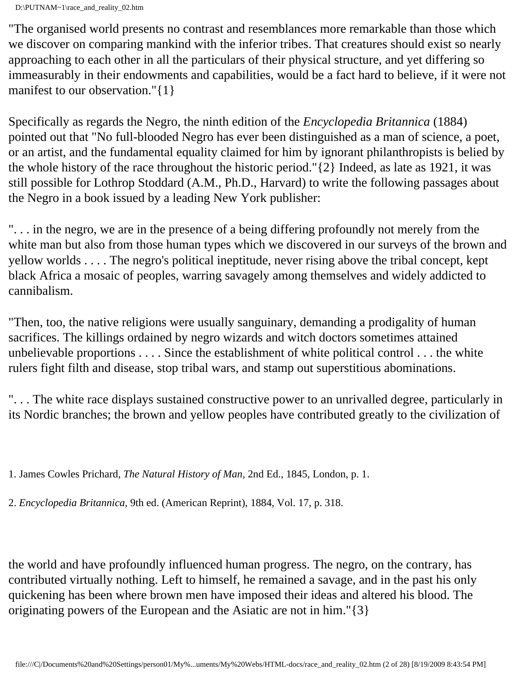"The organised world presents no contrast and resemblances more remarkable than those which we discover on comparing mankind with the inferior tribes. That creatures should exist so nearly approaching to each other in all the particulars of their physical structure, and yet differing so immeasurably in their endowments and capabilities, would be a fact hard to believe, if it were not manifest to our observation."{1}

Specifically as regards the Negro, the ninth edition of the *Encyclopedia Britannica* (1884) pointed out that "No full-blooded Negro has ever been distinguished as a man of science, a poet, or an artist, and the fundamental equality claimed for him by ignorant philanthropists is belied by the whole history of the race throughout the historic period."{2} Indeed, as late as 1921, it was still possible for Lothrop Stoddard (A.M., Ph.D., Harvard) to write the following passages about the Negro in a book issued by a leading New York publisher:

". . . in the negro, we are in the presence of a being differing profoundly not merely from the white man but also from those human types which we discovered in our surveys of the brown and yellow worlds . . . . The negro's political ineptitude, never rising above the tribal concept, kept black Africa a mosaic of peoples, warring savagely among themselves and widely addicted to cannibalism.

"Then, too, the native religions were usually sanguinary, demanding a prodigality of human sacrifices. The killings ordained by negro wizards and witch doctors sometimes attained unbelievable proportions . . . . Since the establishment of white political control . . . the white rulers fight filth and disease, stop tribal wars, and stamp out superstitious abominations.

". . . The white race displays sustained constructive power to an unrivalled degree, particularly in its Nordic branches; the brown and yellow peoples have contributed greatly to the civilization of

1. James Cowles Prichard, *The Natural History of Man,* 2nd Ed., 1845, London, p. 1.

2. *Encyclopedia Britannica,* 9th ed. (American Reprint), 1884, Vol. 17, p. 318.

the world and have profoundly influenced human progress. The negro, on the contrary, has contributed virtually nothing. Left to himself, he remained a savage, and in the past his only quickening has been where brown men have imposed their ideas and altered his blood. The originating powers of the European and the Asiatic are not in him."{3}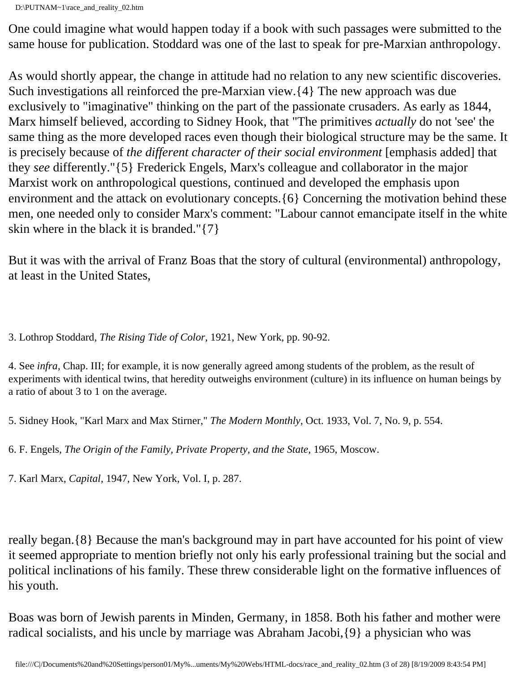One could imagine what would happen today if a book with such passages were submitted to the same house for publication. Stoddard was one of the last to speak for pre-Marxian anthropology.

As would shortly appear, the change in attitude had no relation to any new scientific discoveries. Such investigations all reinforced the pre-Marxian view.{4} The new approach was due exclusively to "imaginative" thinking on the part of the passionate crusaders. As early as 1844, Marx himself believed, according to Sidney Hook, that "The primitives *actually* do not 'see' the same thing as the more developed races even though their biological structure may be the same. It is precisely because of *the different character of their social environment* [emphasis added] that they *see* differently."{5} Frederick Engels, Marx's colleague and collaborator in the major Marxist work on anthropological questions, continued and developed the emphasis upon environment and the attack on evolutionary concepts.{6} Concerning the motivation behind these men, one needed only to consider Marx's comment: "Labour cannot emancipate itself in the white skin where in the black it is branded."{7}

But it was with the arrival of Franz Boas that the story of cultural (environmental) anthropology, at least in the United States,

3. Lothrop Stoddard, *The Rising Tide of Color*, 1921, New York, pp. 90-92.

4. See *infra,* Chap. III; for example, it is now generally agreed among students of the problem, as the result of experiments with identical twins, that heredity outweighs environment (culture) in its influence on human beings by a ratio of about 3 to 1 on the average.

5. Sidney Hook, "Karl Marx and Max Stirner," *The Modern Monthly,* Oct. 1933, Vol. 7, No. 9, p. 554.

6. F. Engels, *The Origin of the Family, Private Property, and the State,* 1965, Moscow.

7. Karl Marx, *Capital,* 1947, New York, Vol. I, p. 287.

really began.{8} Because the man's background may in part have accounted for his point of view it seemed appropriate to mention briefly not only his early professional training but the social and political inclinations of his family. These threw considerable light on the formative influences of his youth.

Boas was born of Jewish parents in Minden, Germany, in 1858. Both his father and mother were radical socialists, and his uncle by marriage was Abraham Jacobi,{9} a physician who was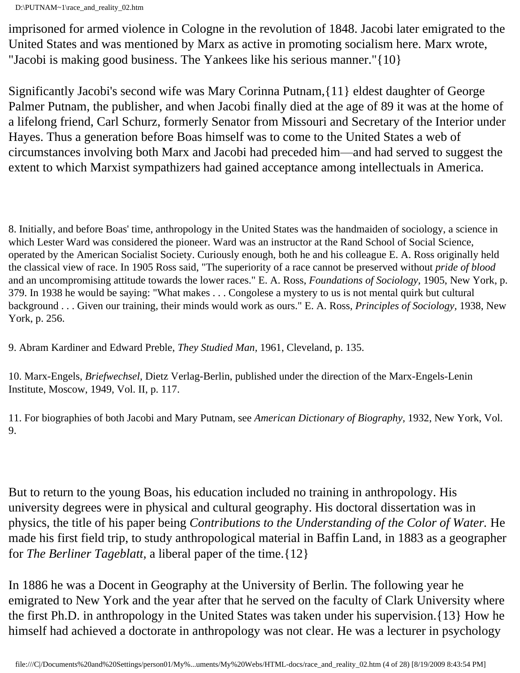imprisoned for armed violence in Cologne in the revolution of 1848. Jacobi later emigrated to the United States and was mentioned by Marx as active in promoting socialism here. Marx wrote, "Jacobi is making good business. The Yankees like his serious manner."{10}

Significantly Jacobi's second wife was Mary Corinna Putnam,{11} eldest daughter of George Palmer Putnam, the publisher, and when Jacobi finally died at the age of 89 it was at the home of a lifelong friend, Carl Schurz, formerly Senator from Missouri and Secretary of the Interior under Hayes. Thus a generation before Boas himself was to come to the United States a web of circumstances involving both Marx and Jacobi had preceded him—and had served to suggest the extent to which Marxist sympathizers had gained acceptance among intellectuals in America.

8. Initially, and before Boas' time, anthropology in the United States was the handmaiden of sociology, a science in which Lester Ward was considered the pioneer. Ward was an instructor at the Rand School of Social Science, operated by the American Socialist Society. Curiously enough, both he and his colleague E. A. Ross originally held the classical view of race. In 1905 Ross said, "The superiority of a race cannot be preserved without *pride of blood*  and an uncompromising attitude towards the lower races." E. A. Ross, *Foundations of Sociology,* 1905, New York, p. 379. In 1938 he would be saying: "What makes . . . Congolese a mystery to us is not mental quirk but cultural background . . . Given our training, their minds would work as ours." E. A. Ross, *Principles of Sociology,* 1938, New York, p. 256.

9. Abram Kardiner and Edward Preble, *They Studied Man,* 1961, Cleveland, p. 135.

10. Marx-Engels, *Briefwechsel,* Dietz Verlag-Berlin, published under the direction of the Marx-Engels-Lenin Institute, Moscow, 1949, Vol. II, p. 117.

11. For biographies of both Jacobi and Mary Putnam, see *American Dictionary of Biography,* 1932, New York, Vol. 9.

But to return to the young Boas, his education included no training in anthropology. His university degrees were in physical and cultural geography. His doctoral dissertation was in physics, the title of his paper being *Contributions to the Understanding of the Color of Water.* He made his first field trip, to study anthropological material in Baffin Land, in 1883 as a geographer for *The Berliner Tageblatt,* a liberal paper of the time.{12}

In 1886 he was a Docent in Geography at the University of Berlin. The following year he emigrated to New York and the year after that he served on the faculty of Clark University where the first Ph.D. in anthropology in the United States was taken under his supervision.{13} How he himself had achieved a doctorate in anthropology was not clear. He was a lecturer in psychology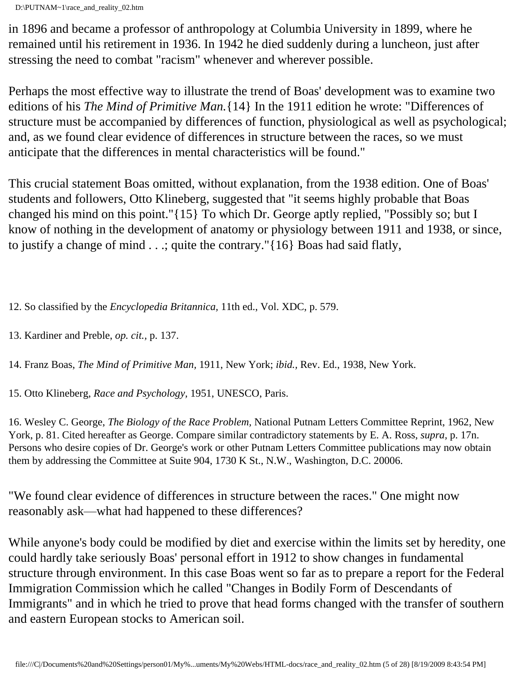in 1896 and became a professor of anthropology at Columbia University in 1899, where he remained until his retirement in 1936. In 1942 he died suddenly during a luncheon, just after stressing the need to combat "racism" whenever and wherever possible.

Perhaps the most effective way to illustrate the trend of Boas' development was to examine two editions of his *The Mind of Primitive Man.*{14} In the 1911 edition he wrote: "Differences of structure must be accompanied by differences of function, physiological as well as psychological; and, as we found clear evidence of differences in structure between the races, so we must anticipate that the differences in mental characteristics will be found."

This crucial statement Boas omitted, without explanation, from the 1938 edition. One of Boas' students and followers, Otto Klineberg, suggested that "it seems highly probable that Boas changed his mind on this point."{15} To which Dr. George aptly replied, "Possibly so; but I know of nothing in the development of anatomy or physiology between 1911 and 1938, or since, to justify a change of mind . . .; quite the contrary."{16} Boas had said flatly,

12. So classified by the *Encyclopedia Britannica,* 11th ed., Vol. XDC, p. 579.

13. Kardiner and Preble, *op. cit.,* p. 137.

14. Franz Boas, *The Mind of Primitive Man,* 1911, New York; *ibid.,* Rev. Ed., 1938, New York.

15. Otto Klineberg, *Race and Psychology,* 1951, UNESCO, Paris.

16. Wesley C. George, *The Biology of the Race Problem,* National Putnam Letters Committee Reprint, 1962, New York, p. 81. Cited hereafter as George. Compare similar contradictory statements by E. A. Ross, *supra,* p. 17n. Persons who desire copies of Dr. George's work or other Putnam Letters Committee publications may now obtain them by addressing the Committee at Suite 904, 1730 K St., N.W., Washington, D.C. 20006.

"We found clear evidence of differences in structure between the races." One might now reasonably ask—what had happened to these differences?

While anyone's body could be modified by diet and exercise within the limits set by heredity, one could hardly take seriously Boas' personal effort in 1912 to show changes in fundamental structure through environment. In this case Boas went so far as to prepare a report for the Federal Immigration Commission which he called "Changes in Bodily Form of Descendants of Immigrants" and in which he tried to prove that head forms changed with the transfer of southern and eastern European stocks to American soil.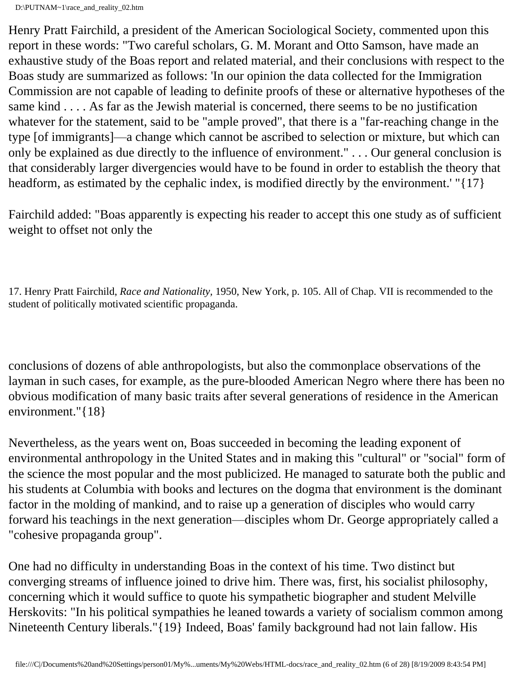Henry Pratt Fairchild, a president of the American Sociological Society, commented upon this report in these words: "Two careful scholars, G. M. Morant and Otto Samson, have made an exhaustive study of the Boas report and related material, and their conclusions with respect to the Boas study are summarized as follows: 'In our opinion the data collected for the Immigration Commission are not capable of leading to definite proofs of these or alternative hypotheses of the same kind . . . . As far as the Jewish material is concerned, there seems to be no justification whatever for the statement, said to be "ample proved", that there is a "far-reaching change in the type [of immigrants]—a change which cannot be ascribed to selection or mixture, but which can only be explained as due directly to the influence of environment." . . . Our general conclusion is that considerably larger divergencies would have to be found in order to establish the theory that headform, as estimated by the cephalic index, is modified directly by the environment.' "{17}

Fairchild added: "Boas apparently is expecting his reader to accept this one study as of sufficient weight to offset not only the

17. Henry Pratt Fairchild, *Race and Nationality,* 1950, New York, p. 105. All of Chap. VII is recommended to the student of politically motivated scientific propaganda.

conclusions of dozens of able anthropologists, but also the commonplace observations of the layman in such cases, for example, as the pure-blooded American Negro where there has been no obvious modification of many basic traits after several generations of residence in the American environment."{18}

Nevertheless, as the years went on, Boas succeeded in becoming the leading exponent of environmental anthropology in the United States and in making this "cultural" or "social" form of the science the most popular and the most publicized. He managed to saturate both the public and his students at Columbia with books and lectures on the dogma that environment is the dominant factor in the molding of mankind, and to raise up a generation of disciples who would carry forward his teachings in the next generation—disciples whom Dr. George appropriately called a "cohesive propaganda group".

One had no difficulty in understanding Boas in the context of his time. Two distinct but converging streams of influence joined to drive him. There was, first, his socialist philosophy, concerning which it would suffice to quote his sympathetic biographer and student Melville Herskovits: "In his political sympathies he leaned towards a variety of socialism common among Nineteenth Century liberals."{19} Indeed, Boas' family background had not lain fallow. His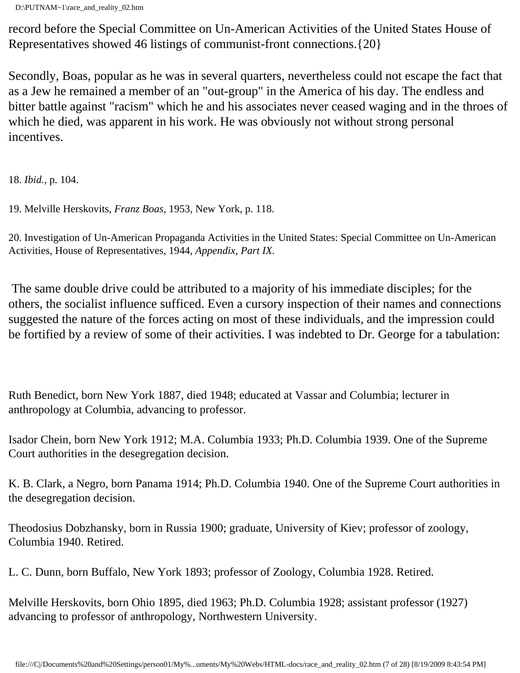record before the Special Committee on Un-American Activities of the United States House of Representatives showed 46 listings of communist-front connections.{20}

Secondly, Boas, popular as he was in several quarters, nevertheless could not escape the fact that as a Jew he remained a member of an "out-group" in the America of his day. The endless and bitter battle against "racism" which he and his associates never ceased waging and in the throes of which he died, was apparent in his work. He was obviously not without strong personal incentives.

18. *Ibid.,* p. 104.

19. Melville Herskovits, *Franz Boas,* 1953, New York, p. 118.

20. Investigation of Un-American Propaganda Activities in the United States: Special Committee on Un-American Activities, House of Representatives, 1944, *Appendix, Part IX.*

 The same double drive could be attributed to a majority of his immediate disciples; for the others, the socialist influence sufficed. Even a cursory inspection of their names and connections suggested the nature of the forces acting on most of these individuals, and the impression could be fortified by a review of some of their activities. I was indebted to Dr. George for a tabulation:

Ruth Benedict, born New York 1887, died 1948; educated at Vassar and Columbia; lecturer in anthropology at Columbia, advancing to professor.

Isador Chein, born New York 1912; M.A. Columbia 1933; Ph.D. Columbia 1939. One of the Supreme Court authorities in the desegregation decision.

K. B. Clark, a Negro, born Panama 1914; Ph.D. Columbia 1940. One of the Supreme Court authorities in the desegregation decision.

Theodosius Dobzhansky, born in Russia 1900; graduate, University of Kiev; professor of zoology, Columbia 1940. Retired.

L. C. Dunn, born Buffalo, New York 1893; professor of Zoology, Columbia 1928. Retired.

Melville Herskovits, born Ohio 1895, died 1963; Ph.D. Columbia 1928; assistant professor (1927) advancing to professor of anthropology, Northwestern University.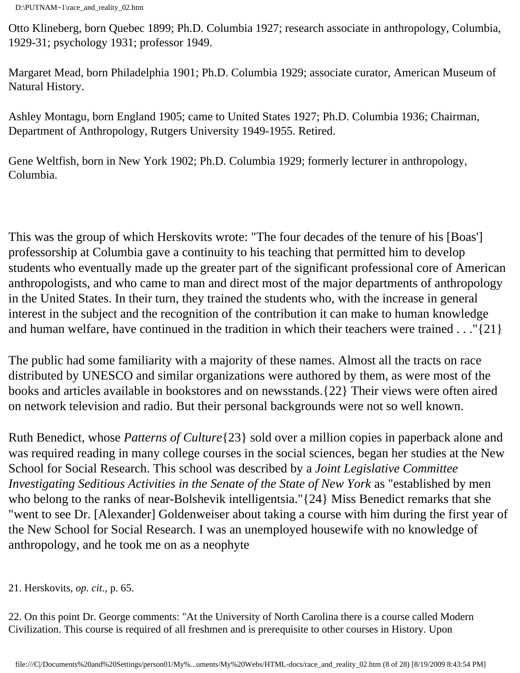Otto Klineberg, born Quebec 1899; Ph.D. Columbia 1927; research associate in anthropology, Columbia, 1929-31; psychology 1931; professor 1949.

Margaret Mead, born Philadelphia 1901; Ph.D. Columbia 1929; associate curator, American Museum of Natural History.

Ashley Montagu, born England 1905; came to United States 1927; Ph.D. Columbia 1936; Chairman, Department of Anthropology, Rutgers University 1949-1955. Retired.

Gene Weltfish, born in New York 1902; Ph.D. Columbia 1929; formerly lecturer in anthropology, Columbia.

This was the group of which Herskovits wrote: "The four decades of the tenure of his [Boas'] professorship at Columbia gave a continuity to his teaching that permitted him to develop students who eventually made up the greater part of the significant professional core of American anthropologists, and who came to man and direct most of the major departments of anthropology in the United States. In their turn, they trained the students who, with the increase in general interest in the subject and the recognition of the contribution it can make to human knowledge and human welfare, have continued in the tradition in which their teachers were trained . . ."{21}

The public had some familiarity with a majority of these names. Almost all the tracts on race distributed by UNESCO and similar organizations were authored by them, as were most of the books and articles available in bookstores and on newsstands.{22} Their views were often aired on network television and radio. But their personal backgrounds were not so well known.

Ruth Benedict, whose *Patterns of Culture*{23} sold over a million copies in paperback alone and was required reading in many college courses in the social sciences, began her studies at the New School for Social Research. This school was described by a *Joint Legislative Committee Investigating Seditious Activities in the Senate of the State of New York* as "established by men who belong to the ranks of near-Bolshevik intelligentsia."{24} Miss Benedict remarks that she "went to see Dr. [Alexander] Goldenweiser about taking a course with him during the first year of the New School for Social Research. I was an unemployed housewife with no knowledge of anthropology, and he took me on as a neophyte

21. Herskovits, *op. cit.,* p. 65.

22. On this point Dr. George comments: "At the University of North Carolina there is a course called Modern Civilization. This course is required of all freshmen and is prerequisite to other courses in History. Upon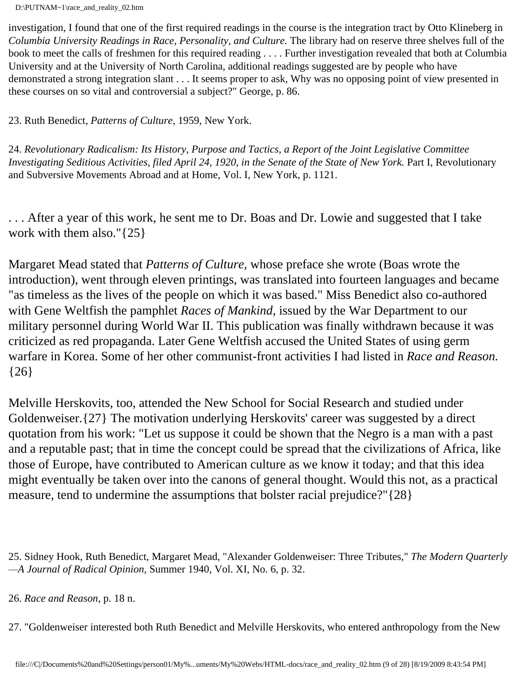investigation, I found that one of the first required readings in the course is the integration tract by Otto Klineberg in *Columbia University Readings in Race, Personality, and Culture.* The library had on reserve three shelves full of the book to meet the calls of freshmen for this required reading . . . . Further investigation revealed that both at Columbia University and at the University of North Carolina, additional readings suggested are by people who have demonstrated a strong integration slant . . . It seems proper to ask, Why was no opposing point of view presented in these courses on so vital and controversial a subject?" George, p. 86.

23. Ruth Benedict, *Patterns of Culture,* 1959, New York.

24. *Revolutionary Radicalism: Its History, Purpose and Tactics, a Report of the Joint Legislative Committee Investigating Seditious Activities, filed April 24, 1920, in the Senate of the State of New York.* Part I, Revolutionary and Subversive Movements Abroad and at Home, Vol. I, New York, p. 1121.

. . . After a year of this work, he sent me to Dr. Boas and Dr. Lowie and suggested that I take work with them also."{25}

Margaret Mead stated that *Patterns of Culture,* whose preface she wrote (Boas wrote the introduction), went through eleven printings, was translated into fourteen languages and became "as timeless as the lives of the people on which it was based." Miss Benedict also co-authored with Gene Weltfish the pamphlet *Races of Mankind,* issued by the War Department to our military personnel during World War II. This publication was finally withdrawn because it was criticized as red propaganda. Later Gene Weltfish accused the United States of using germ warfare in Korea. Some of her other communist-front activities I had listed in *Race and Reason.*  ${26}$ 

Melville Herskovits, too, attended the New School for Social Research and studied under Goldenweiser.{27} The motivation underlying Herskovits' career was suggested by a direct quotation from his work: "Let us suppose it could be shown that the Negro is a man with a past and a reputable past; that in time the concept could be spread that the civilizations of Africa, like those of Europe, have contributed to American culture as we know it today; and that this idea might eventually be taken over into the canons of general thought. Would this not, as a practical measure, tend to undermine the assumptions that bolster racial prejudice?"{28}

25. Sidney Hook, Ruth Benedict, Margaret Mead, "Alexander Goldenweiser: Three Tributes," *The Modern Quarterly —A Journal of Radical Opinion,* Summer 1940, Vol. XI, No. 6, p. 32.

26. *Race and Reason,* p. 18 n.

27. "Goldenweiser interested both Ruth Benedict and Melville Herskovits, who entered anthropology from the New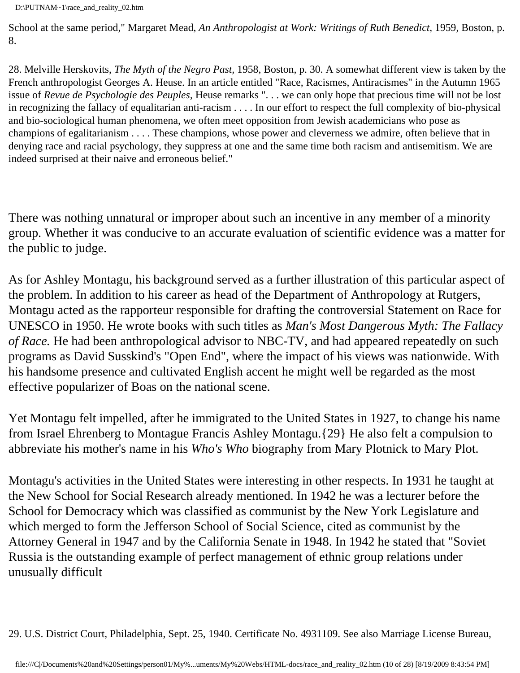School at the same period," Margaret Mead, *An Anthropologist at Work: Writings of Ruth Benedict*, 1959, Boston, p. 8.

28. Melville Herskovits, *The Myth of the Negro Past,* 1958, Boston, p. 30. A somewhat different view is taken by the French anthropologist Georges A. Heuse. In an article entitled "Race, Racismes, Antiracismes" in the Autumn 1965 issue of *Revue de Psychologie des Peuples,* Heuse remarks ". . . we can only hope that precious time will not be lost in recognizing the fallacy of equalitarian anti-racism . . . . In our effort to respect the full complexity of bio-physical and bio-sociological human phenomena, we often meet opposition from Jewish academicians who pose as champions of egalitarianism . . . . These champions, whose power and cleverness we admire, often believe that in denying race and racial psychology, they suppress at one and the same time both racism and antisemitism. We are indeed surprised at their naive and erroneous belief."

There was nothing unnatural or improper about such an incentive in any member of a minority group. Whether it was conducive to an accurate evaluation of scientific evidence was a matter for the public to judge.

As for Ashley Montagu, his background served as a further illustration of this particular aspect of the problem. In addition to his career as head of the Department of Anthropology at Rutgers, Montagu acted as the rapporteur responsible for drafting the controversial Statement on Race for UNESCO in 1950. He wrote books with such titles as *Man's Most Dangerous Myth: The Fallacy of Race.* He had been anthropological advisor to NBC-TV, and had appeared repeatedly on such programs as David Susskind's "Open End", where the impact of his views was nationwide. With his handsome presence and cultivated English accent he might well be regarded as the most effective popularizer of Boas on the national scene.

Yet Montagu felt impelled, after he immigrated to the United States in 1927, to change his name from Israel Ehrenberg to Montague Francis Ashley Montagu.{29} He also felt a compulsion to abbreviate his mother's name in his *Who's Who* biography from Mary Plotnick to Mary Plot.

Montagu's activities in the United States were interesting in other respects. In 1931 he taught at the New School for Social Research already mentioned. In 1942 he was a lecturer before the School for Democracy which was classified as communist by the New York Legislature and which merged to form the Jefferson School of Social Science, cited as communist by the Attorney General in 1947 and by the California Senate in 1948. In 1942 he stated that "Soviet Russia is the outstanding example of perfect management of ethnic group relations under unusually difficult

29. U.S. District Court, Philadelphia, Sept. 25, 1940. Certificate No. 4931109. See also Marriage License Bureau,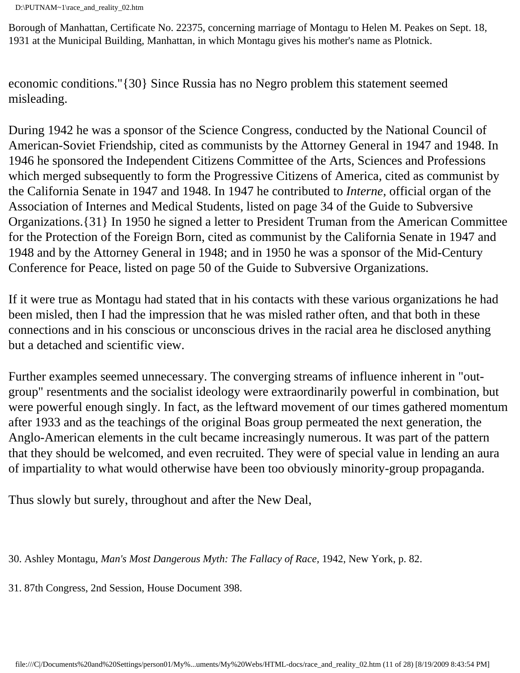Borough of Manhattan, Certificate No. 22375, concerning marriage of Montagu to Helen M. Peakes on Sept. 18, 1931 at the Municipal Building, Manhattan, in which Montagu gives his mother's name as Plotnick.

economic conditions."{30} Since Russia has no Negro problem this statement seemed misleading.

During 1942 he was a sponsor of the Science Congress, conducted by the National Council of American-Soviet Friendship, cited as communists by the Attorney General in 1947 and 1948. In 1946 he sponsored the Independent Citizens Committee of the Arts, Sciences and Professions which merged subsequently to form the Progressive Citizens of America, cited as communist by the California Senate in 1947 and 1948. In 1947 he contributed to *Interne,* official organ of the Association of Internes and Medical Students, listed on page 34 of the Guide to Subversive Organizations.{31} In 1950 he signed a letter to President Truman from the American Committee for the Protection of the Foreign Born, cited as communist by the California Senate in 1947 and 1948 and by the Attorney General in 1948; and in 1950 he was a sponsor of the Mid-Century Conference for Peace, listed on page 50 of the Guide to Subversive Organizations.

If it were true as Montagu had stated that in his contacts with these various organizations he had been misled, then I had the impression that he was misled rather often, and that both in these connections and in his conscious or unconscious drives in the racial area he disclosed anything but a detached and scientific view.

Further examples seemed unnecessary. The converging streams of influence inherent in "outgroup" resentments and the socialist ideology were extraordinarily powerful in combination, but were powerful enough singly. In fact, as the leftward movement of our times gathered momentum after 1933 and as the teachings of the original Boas group permeated the next generation, the Anglo-American elements in the cult became increasingly numerous. It was part of the pattern that they should be welcomed, and even recruited. They were of special value in lending an aura of impartiality to what would otherwise have been too obviously minority-group propaganda.

Thus slowly but surely, throughout and after the New Deal,

30. Ashley Montagu, *Man's Most Dangerous Myth: The Fallacy of Race,* 1942, New York, p. 82.

31. 87th Congress, 2nd Session, House Document 398.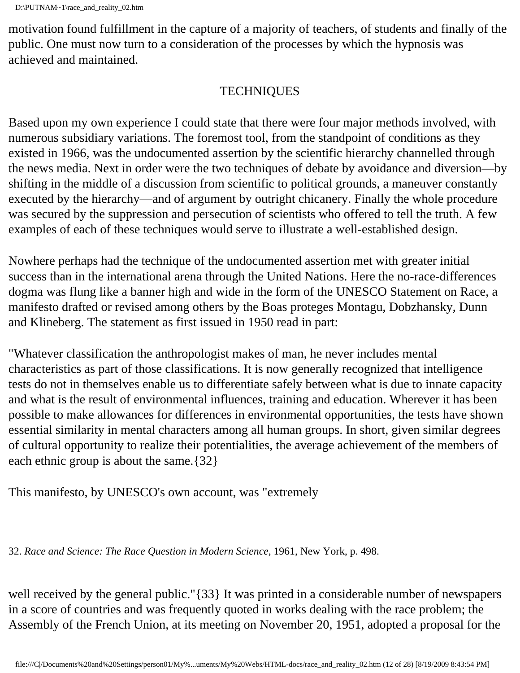motivation found fulfillment in the capture of a majority of teachers, of students and finally of the public. One must now turn to a consideration of the processes by which the hypnosis was achieved and maintained.

#### **TECHNIQUES**

Based upon my own experience I could state that there were four major methods involved, with numerous subsidiary variations. The foremost tool, from the standpoint of conditions as they existed in 1966, was the undocumented assertion by the scientific hierarchy channelled through the news media. Next in order were the two techniques of debate by avoidance and diversion—by shifting in the middle of a discussion from scientific to political grounds, a maneuver constantly executed by the hierarchy—and of argument by outright chicanery. Finally the whole procedure was secured by the suppression and persecution of scientists who offered to tell the truth. A few examples of each of these techniques would serve to illustrate a well-established design.

Nowhere perhaps had the technique of the undocumented assertion met with greater initial success than in the international arena through the United Nations. Here the no-race-differences dogma was flung like a banner high and wide in the form of the UNESCO Statement on Race, a manifesto drafted or revised among others by the Boas proteges Montagu, Dobzhansky, Dunn and Klineberg. The statement as first issued in 1950 read in part:

"Whatever classification the anthropologist makes of man, he never includes mental characteristics as part of those classifications. It is now generally recognized that intelligence tests do not in themselves enable us to differentiate safely between what is due to innate capacity and what is the result of environmental influences, training and education. Wherever it has been possible to make allowances for differences in environmental opportunities, the tests have shown essential similarity in mental characters among all human groups. In short, given similar degrees of cultural opportunity to realize their potentialities, the average achievement of the members of each ethnic group is about the same.{32}

This manifesto, by UNESCO's own account, was "extremely

32. *Race and Science: The Race Question in Modern Science,* 1961, New York, p. 498.

well received by the general public."{33} It was printed in a considerable number of newspapers in a score of countries and was frequently quoted in works dealing with the race problem; the Assembly of the French Union, at its meeting on November 20, 1951, adopted a proposal for the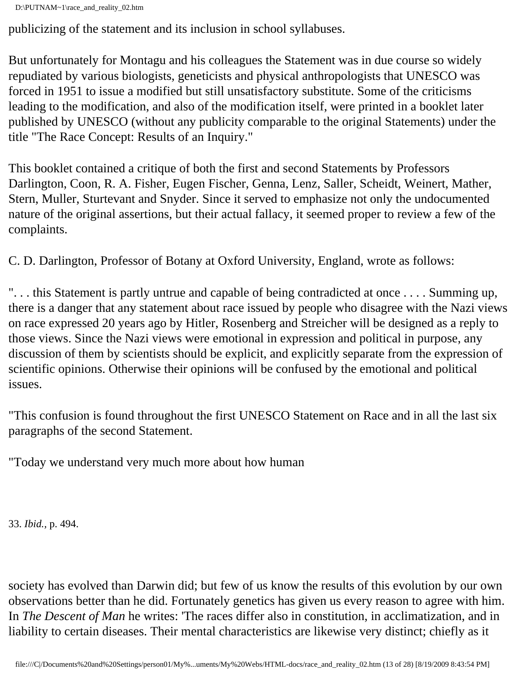publicizing of the statement and its inclusion in school syllabuses.

But unfortunately for Montagu and his colleagues the Statement was in due course so widely repudiated by various biologists, geneticists and physical anthropologists that UNESCO was forced in 1951 to issue a modified but still unsatisfactory substitute. Some of the criticisms leading to the modification, and also of the modification itself, were printed in a booklet later published by UNESCO (without any publicity comparable to the original Statements) under the title "The Race Concept: Results of an Inquiry."

This booklet contained a critique of both the first and second Statements by Professors Darlington, Coon, R. A. Fisher, Eugen Fischer, Genna, Lenz, Saller, Scheidt, Weinert, Mather, Stern, Muller, Sturtevant and Snyder. Since it served to emphasize not only the undocumented nature of the original assertions, but their actual fallacy, it seemed proper to review a few of the complaints.

C. D. Darlington, Professor of Botany at Oxford University, England, wrote as follows:

". . . this Statement is partly untrue and capable of being contradicted at once . . . . Summing up, there is a danger that any statement about race issued by people who disagree with the Nazi views on race expressed 20 years ago by Hitler, Rosenberg and Streicher will be designed as a reply to those views. Since the Nazi views were emotional in expression and political in purpose, any discussion of them by scientists should be explicit, and explicitly separate from the expression of scientific opinions. Otherwise their opinions will be confused by the emotional and political issues.

"This confusion is found throughout the first UNESCO Statement on Race and in all the last six paragraphs of the second Statement.

"Today we understand very much more about how human

33. *Ibid.,* p. 494.

society has evolved than Darwin did; but few of us know the results of this evolution by our own observations better than he did. Fortunately genetics has given us every reason to agree with him. In *The Descent of Man* he writes: 'The races differ also in constitution, in acclimatization, and in liability to certain diseases. Their mental characteristics are likewise very distinct; chiefly as it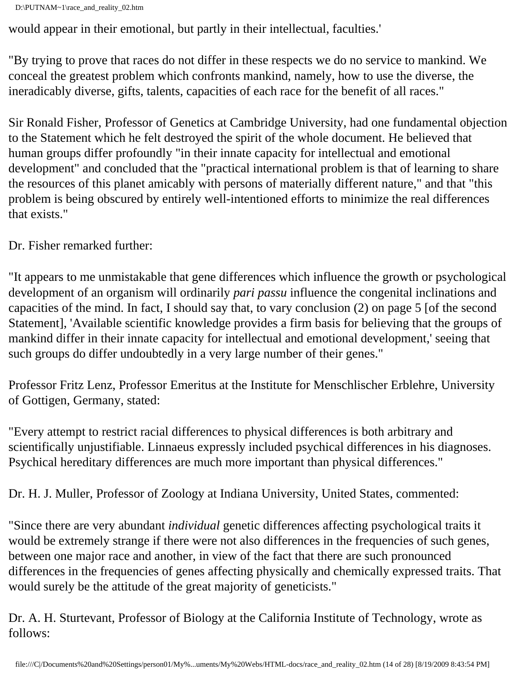would appear in their emotional, but partly in their intellectual, faculties.'

"By trying to prove that races do not differ in these respects we do no service to mankind. We conceal the greatest problem which confronts mankind, namely, how to use the diverse, the ineradicably diverse, gifts, talents, capacities of each race for the benefit of all races."

Sir Ronald Fisher, Professor of Genetics at Cambridge University, had one fundamental objection to the Statement which he felt destroyed the spirit of the whole document. He believed that human groups differ profoundly "in their innate capacity for intellectual and emotional development" and concluded that the "practical international problem is that of learning to share the resources of this planet amicably with persons of materially different nature," and that "this problem is being obscured by entirely well-intentioned efforts to minimize the real differences that exists."

Dr. Fisher remarked further:

"It appears to me unmistakable that gene differences which influence the growth or psychological development of an organism will ordinarily *pari passu* influence the congenital inclinations and capacities of the mind. In fact, I should say that, to vary conclusion (2) on page 5 [of the second Statement], 'Available scientific knowledge provides a firm basis for believing that the groups of mankind differ in their innate capacity for intellectual and emotional development,' seeing that such groups do differ undoubtedly in a very large number of their genes."

Professor Fritz Lenz, Professor Emeritus at the Institute for Menschlischer Erblehre, University of Gottigen, Germany, stated:

"Every attempt to restrict racial differences to physical differences is both arbitrary and scientifically unjustifiable. Linnaeus expressly included psychical differences in his diagnoses. Psychical hereditary differences are much more important than physical differences."

Dr. H. J. Muller, Professor of Zoology at Indiana University, United States, commented:

"Since there are very abundant *individual* genetic differences affecting psychological traits it would be extremely strange if there were not also differences in the frequencies of such genes, between one major race and another, in view of the fact that there are such pronounced differences in the frequencies of genes affecting physically and chemically expressed traits. That would surely be the attitude of the great majority of geneticists."

Dr. A. H. Sturtevant, Professor of Biology at the California Institute of Technology, wrote as follows: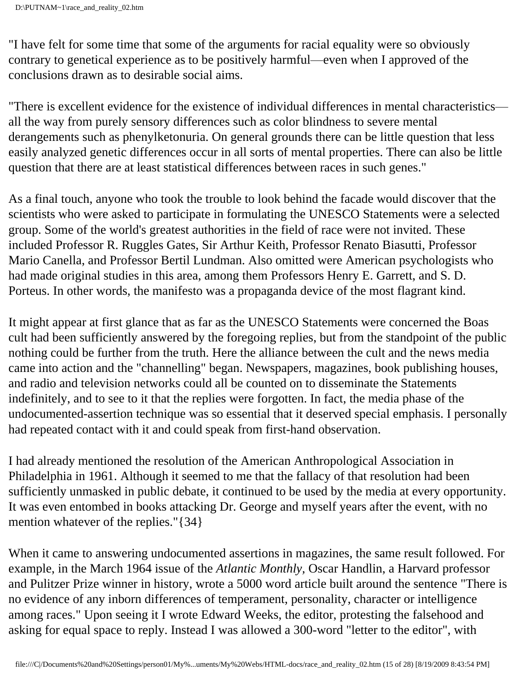"I have felt for some time that some of the arguments for racial equality were so obviously contrary to genetical experience as to be positively harmful—even when I approved of the conclusions drawn as to desirable social aims.

"There is excellent evidence for the existence of individual differences in mental characteristics all the way from purely sensory differences such as color blindness to severe mental derangements such as phenylketonuria. On general grounds there can be little question that less easily analyzed genetic differences occur in all sorts of mental properties. There can also be little question that there are at least statistical differences between races in such genes."

As a final touch, anyone who took the trouble to look behind the facade would discover that the scientists who were asked to participate in formulating the UNESCO Statements were a selected group. Some of the world's greatest authorities in the field of race were not invited. These included Professor R. Ruggles Gates, Sir Arthur Keith, Professor Renato Biasutti, Professor Mario Canella, and Professor Bertil Lundman. Also omitted were American psychologists who had made original studies in this area, among them Professors Henry E. Garrett, and S. D. Porteus. In other words, the manifesto was a propaganda device of the most flagrant kind.

It might appear at first glance that as far as the UNESCO Statements were concerned the Boas cult had been sufficiently answered by the foregoing replies, but from the standpoint of the public nothing could be further from the truth. Here the alliance between the cult and the news media came into action and the "channelling" began. Newspapers, magazines, book publishing houses, and radio and television networks could all be counted on to disseminate the Statements indefinitely, and to see to it that the replies were forgotten. In fact, the media phase of the undocumented-assertion technique was so essential that it deserved special emphasis. I personally had repeated contact with it and could speak from first-hand observation.

I had already mentioned the resolution of the American Anthropological Association in Philadelphia in 1961. Although it seemed to me that the fallacy of that resolution had been sufficiently unmasked in public debate, it continued to be used by the media at every opportunity. It was even entombed in books attacking Dr. George and myself years after the event, with no mention whatever of the replies."{34}

When it came to answering undocumented assertions in magazines, the same result followed. For example, in the March 1964 issue of the *Atlantic Monthly,* Oscar Handlin, a Harvard professor and Pulitzer Prize winner in history, wrote a 5000 word article built around the sentence "There is no evidence of any inborn differences of temperament, personality, character or intelligence among races." Upon seeing it I wrote Edward Weeks, the editor, protesting the falsehood and asking for equal space to reply. Instead I was allowed a 300-word "letter to the editor", with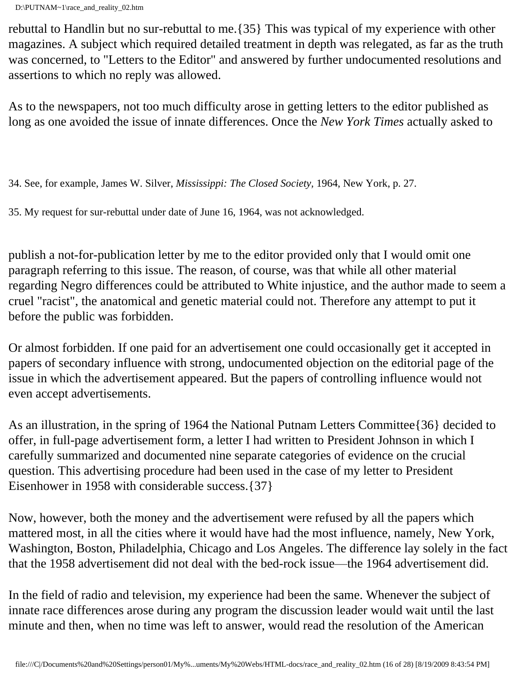rebuttal to Handlin but no sur-rebuttal to me.{35} This was typical of my experience with other magazines. A subject which required detailed treatment in depth was relegated, as far as the truth was concerned, to "Letters to the Editor" and answered by further undocumented resolutions and assertions to which no reply was allowed.

As to the newspapers, not too much difficulty arose in getting letters to the editor published as long as one avoided the issue of innate differences. Once the *New York Times* actually asked to

34. See, for example, James W. Silver, *Mississippi: The Closed Society,* 1964, New York, p. 27.

35. My request for sur-rebuttal under date of June 16, 1964, was not acknowledged.

publish a not-for-publication letter by me to the editor provided only that I would omit one paragraph referring to this issue. The reason, of course, was that while all other material regarding Negro differences could be attributed to White injustice, and the author made to seem a cruel "racist", the anatomical and genetic material could not. Therefore any attempt to put it before the public was forbidden.

Or almost forbidden. If one paid for an advertisement one could occasionally get it accepted in papers of secondary influence with strong, undocumented objection on the editorial page of the issue in which the advertisement appeared. But the papers of controlling influence would not even accept advertisements.

As an illustration, in the spring of 1964 the National Putnam Letters Committee{36} decided to offer, in full-page advertisement form, a letter I had written to President Johnson in which I carefully summarized and documented nine separate categories of evidence on the crucial question. This advertising procedure had been used in the case of my letter to President Eisenhower in 1958 with considerable success.{37}

Now, however, both the money and the advertisement were refused by all the papers which mattered most, in all the cities where it would have had the most influence, namely, New York, Washington, Boston, Philadelphia, Chicago and Los Angeles. The difference lay solely in the fact that the 1958 advertisement did not deal with the bed-rock issue—the 1964 advertisement did.

In the field of radio and television, my experience had been the same. Whenever the subject of innate race differences arose during any program the discussion leader would wait until the last minute and then, when no time was left to answer, would read the resolution of the American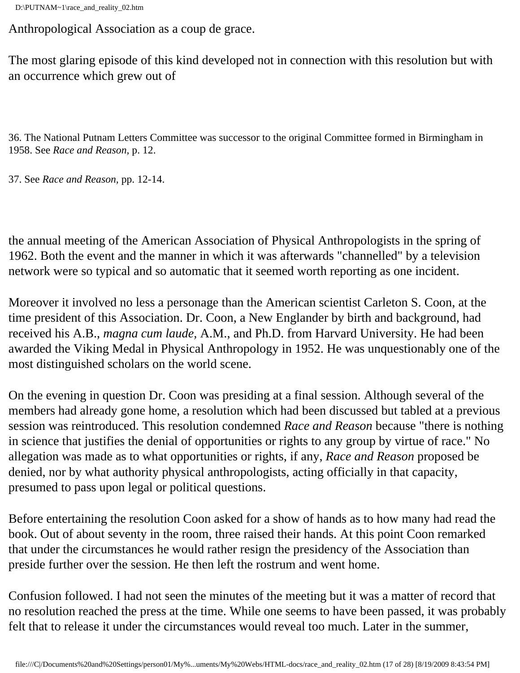Anthropological Association as a coup de grace.

The most glaring episode of this kind developed not in connection with this resolution but with an occurrence which grew out of

36. The National Putnam Letters Committee was successor to the original Committee formed in Birmingham in 1958. See *Race and Reason,* p. 12.

37. See *Race and Reason,* pp. 12-14.

the annual meeting of the American Association of Physical Anthropologists in the spring of 1962. Both the event and the manner in which it was afterwards "channelled" by a television network were so typical and so automatic that it seemed worth reporting as one incident.

Moreover it involved no less a personage than the American scientist Carleton S. Coon, at the time president of this Association. Dr. Coon, a New Englander by birth and background, had received his A.B., *magna cum laude,* A.M., and Ph.D. from Harvard University. He had been awarded the Viking Medal in Physical Anthropology in 1952. He was unquestionably one of the most distinguished scholars on the world scene.

On the evening in question Dr. Coon was presiding at a final session. Although several of the members had already gone home, a resolution which had been discussed but tabled at a previous session was reintroduced. This resolution condemned *Race and Reason* because "there is nothing in science that justifies the denial of opportunities or rights to any group by virtue of race." No allegation was made as to what opportunities or rights, if any, *Race and Reason* proposed be denied, nor by what authority physical anthropologists, acting officially in that capacity, presumed to pass upon legal or political questions.

Before entertaining the resolution Coon asked for a show of hands as to how many had read the book. Out of about seventy in the room, three raised their hands. At this point Coon remarked that under the circumstances he would rather resign the presidency of the Association than preside further over the session. He then left the rostrum and went home.

Confusion followed. I had not seen the minutes of the meeting but it was a matter of record that no resolution reached the press at the time. While one seems to have been passed, it was probably felt that to release it under the circumstances would reveal too much. Later in the summer,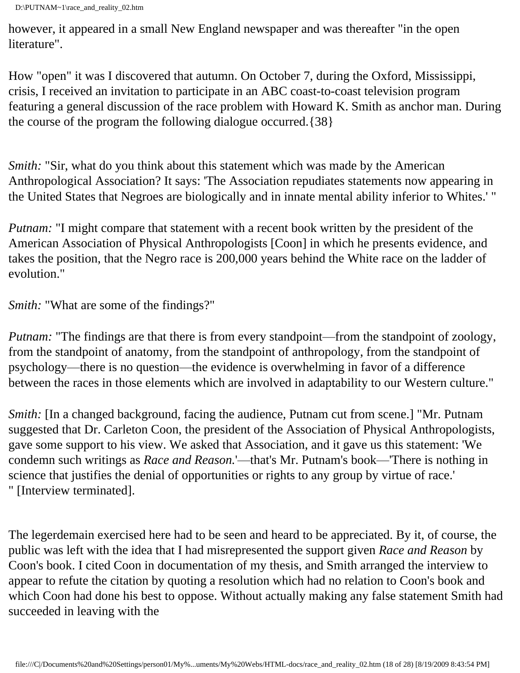however, it appeared in a small New England newspaper and was thereafter "in the open literature".

How "open" it was I discovered that autumn. On October 7, during the Oxford, Mississippi, crisis, I received an invitation to participate in an ABC coast-to-coast television program featuring a general discussion of the race problem with Howard K. Smith as anchor man. During the course of the program the following dialogue occurred.{38}

*Smith:* "Sir, what do you think about this statement which was made by the American Anthropological Association? It says: 'The Association repudiates statements now appearing in the United States that Negroes are biologically and in innate mental ability inferior to Whites.' "

*Putnam:* "I might compare that statement with a recent book written by the president of the American Association of Physical Anthropologists [Coon] in which he presents evidence, and takes the position, that the Negro race is 200,000 years behind the White race on the ladder of evolution."

*Smith:* "What are some of the findings?"

*Putnam:* "The findings are that there is from every standpoint—from the standpoint of zoology, from the standpoint of anatomy, from the standpoint of anthropology, from the standpoint of psychology—there is no question—the evidence is overwhelming in favor of a difference between the races in those elements which are involved in adaptability to our Western culture."

*Smith:* [In a changed background, facing the audience, Putnam cut from scene.] "Mr. Putnam suggested that Dr. Carleton Coon, the president of the Association of Physical Anthropologists, gave some support to his view. We asked that Association, and it gave us this statement: 'We condemn such writings as *Race and Reason.*'—that's Mr. Putnam's book—'There is nothing in science that justifies the denial of opportunities or rights to any group by virtue of race.' " [Interview terminated].

The legerdemain exercised here had to be seen and heard to be appreciated. By it, of course, the public was left with the idea that I had misrepresented the support given *Race and Reason* by Coon's book. I cited Coon in documentation of my thesis, and Smith arranged the interview to appear to refute the citation by quoting a resolution which had no relation to Coon's book and which Coon had done his best to oppose. Without actually making any false statement Smith had succeeded in leaving with the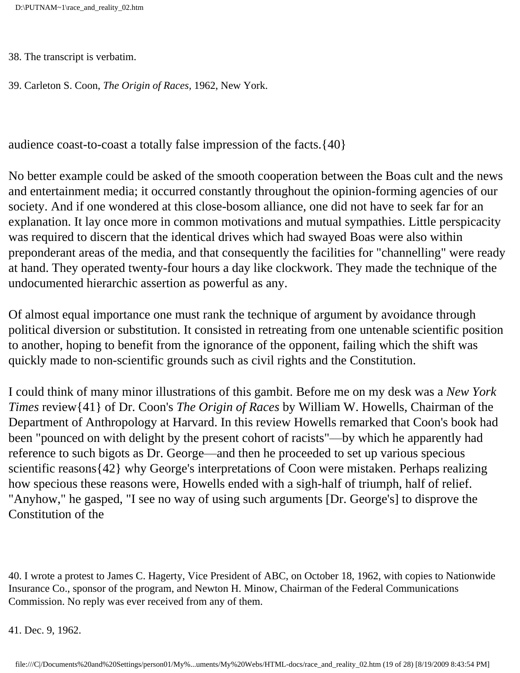38. The transcript is verbatim.

39. Carleton S. Coon, *The Origin of Races,* 1962, New York.

audience coast-to-coast a totally false impression of the facts.{40}

No better example could be asked of the smooth cooperation between the Boas cult and the news and entertainment media; it occurred constantly throughout the opinion-forming agencies of our society. And if one wondered at this close-bosom alliance, one did not have to seek far for an explanation. It lay once more in common motivations and mutual sympathies. Little perspicacity was required to discern that the identical drives which had swayed Boas were also within preponderant areas of the media, and that consequently the facilities for "channelling" were ready at hand. They operated twenty-four hours a day like clockwork. They made the technique of the undocumented hierarchic assertion as powerful as any.

Of almost equal importance one must rank the technique of argument by avoidance through political diversion or substitution. It consisted in retreating from one untenable scientific position to another, hoping to benefit from the ignorance of the opponent, failing which the shift was quickly made to non-scientific grounds such as civil rights and the Constitution.

I could think of many minor illustrations of this gambit. Before me on my desk was a *New York Times* review{41} of Dr. Coon's *The Origin of Races* by William W. Howells, Chairman of the Department of Anthropology at Harvard. In this review Howells remarked that Coon's book had been "pounced on with delight by the present cohort of racists"—by which he apparently had reference to such bigots as Dr. George—and then he proceeded to set up various specious scientific reasons{42} why George's interpretations of Coon were mistaken. Perhaps realizing how specious these reasons were, Howells ended with a sigh-half of triumph, half of relief. "Anyhow," he gasped, "I see no way of using such arguments [Dr. George's] to disprove the Constitution of the

40. I wrote a protest to James C. Hagerty, Vice President of ABC, on October 18, 1962, with copies to Nationwide Insurance Co., sponsor of the program, and Newton H. Minow, Chairman of the Federal Communications Commission. No reply was ever received from any of them.

41. Dec. 9, 1962.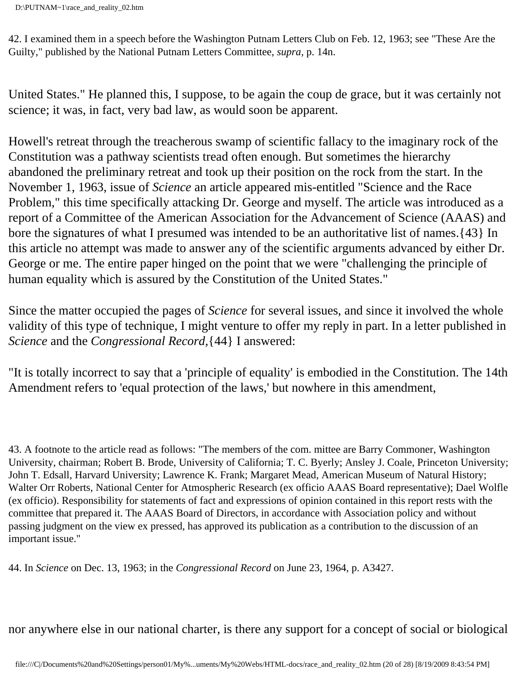42. I examined them in a speech before the Washington Putnam Letters Club on Feb. 12, 1963; see "These Are the Guilty," published by the National Putnam Letters Committee, *supra,* p. 14n.

United States." He planned this, I suppose, to be again the coup de grace, but it was certainly not science; it was, in fact, very bad law, as would soon be apparent.

Howell's retreat through the treacherous swamp of scientific fallacy to the imaginary rock of the Constitution was a pathway scientists tread often enough. But sometimes the hierarchy abandoned the preliminary retreat and took up their position on the rock from the start. In the November 1, 1963, issue of *Science* an article appeared mis-entitled "Science and the Race Problem," this time specifically attacking Dr. George and myself. The article was introduced as a report of a Committee of the American Association for the Advancement of Science (AAAS) and bore the signatures of what I presumed was intended to be an authoritative list of names.{43} In this article no attempt was made to answer any of the scientific arguments advanced by either Dr. George or me. The entire paper hinged on the point that we were "challenging the principle of human equality which is assured by the Constitution of the United States."

Since the matter occupied the pages of *Science* for several issues, and since it involved the whole validity of this type of technique, I might venture to offer my reply in part. In a letter published in *Science* and the *Congressional Record,*{44} I answered:

"It is totally incorrect to say that a 'principle of equality' is embodied in the Constitution. The 14th Amendment refers to 'equal protection of the laws,' but nowhere in this amendment,

43. A footnote to the article read as follows: "The members of the com. mittee are Barry Commoner, Washington University, chairman; Robert B. Brode, University of California; T. C. Byerly; Ansley J. Coale, Princeton University; John T. Edsall, Harvard University; Lawrence K. Frank; Margaret Mead, American Museum of Natural History; Walter Orr Roberts, National Center for Atmospheric Research (ex officio AAAS Board representative); Dael Wolfle (ex officio). Responsibility for statements of fact and expressions of opinion contained in this report rests with the committee that prepared it. The AAAS Board of Directors, in accordance with Association policy and without passing judgment on the view ex pressed, has approved its publication as a contribution to the discussion of an important issue."

44. In *Science* on Dec. 13, 1963; in the *Congressional Record* on June 23, 1964, p. A3427.

nor anywhere else in our national charter, is there any support for a concept of social or biological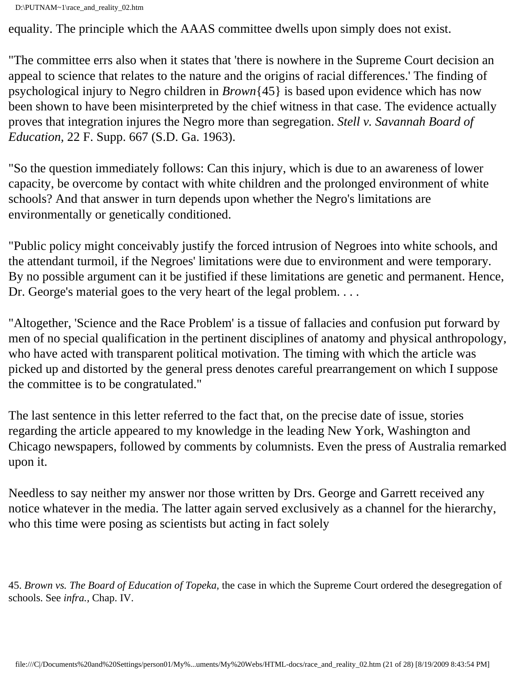equality. The principle which the AAAS committee dwells upon simply does not exist.

"The committee errs also when it states that 'there is nowhere in the Supreme Court decision an appeal to science that relates to the nature and the origins of racial differences.' The finding of psychological injury to Negro children in *Brown*{45} is based upon evidence which has now been shown to have been misinterpreted by the chief witness in that case. The evidence actually proves that integration injures the Negro more than segregation. *Stell v. Savannah Board of Education,* 22 F. Supp. 667 (S.D. Ga. 1963).

"So the question immediately follows: Can this injury, which is due to an awareness of lower capacity, be overcome by contact with white children and the prolonged environment of white schools? And that answer in turn depends upon whether the Negro's limitations are environmentally or genetically conditioned.

"Public policy might conceivably justify the forced intrusion of Negroes into white schools, and the attendant turmoil, if the Negroes' limitations were due to environment and were temporary. By no possible argument can it be justified if these limitations are genetic and permanent. Hence, Dr. George's material goes to the very heart of the legal problem. . . .

"Altogether, 'Science and the Race Problem' is a tissue of fallacies and confusion put forward by men of no special qualification in the pertinent disciplines of anatomy and physical anthropology, who have acted with transparent political motivation. The timing with which the article was picked up and distorted by the general press denotes careful prearrangement on which I suppose the committee is to be congratulated."

The last sentence in this letter referred to the fact that, on the precise date of issue, stories regarding the article appeared to my knowledge in the leading New York, Washington and Chicago newspapers, followed by comments by columnists. Even the press of Australia remarked upon it.

Needless to say neither my answer nor those written by Drs. George and Garrett received any notice whatever in the media. The latter again served exclusively as a channel for the hierarchy, who this time were posing as scientists but acting in fact solely

45. *Brown vs. The Board of Education of Topeka,* the case in which the Supreme Court ordered the desegregation of schools. See *infra.,* Chap. IV.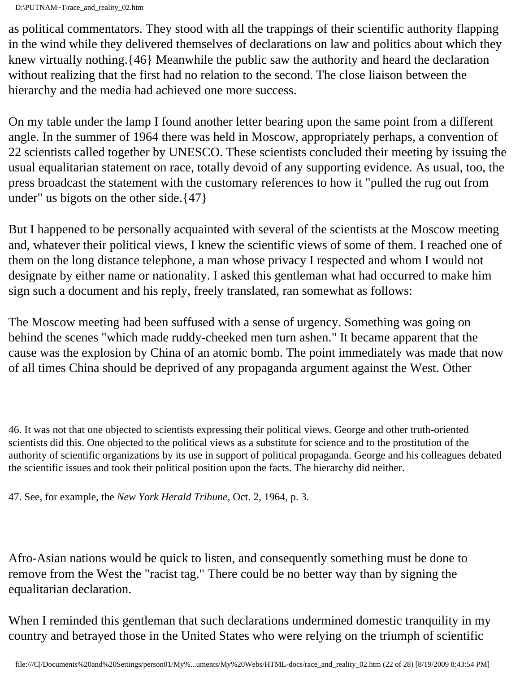as political commentators. They stood with all the trappings of their scientific authority flapping in the wind while they delivered themselves of declarations on law and politics about which they knew virtually nothing.{46} Meanwhile the public saw the authority and heard the declaration without realizing that the first had no relation to the second. The close liaison between the hierarchy and the media had achieved one more success.

On my table under the lamp I found another letter bearing upon the same point from a different angle. In the summer of 1964 there was held in Moscow, appropriately perhaps, a convention of 22 scientists called together by UNESCO. These scientists concluded their meeting by issuing the usual equalitarian statement on race, totally devoid of any supporting evidence. As usual, too, the press broadcast the statement with the customary references to how it "pulled the rug out from under" us bigots on the other side.{47}

But I happened to be personally acquainted with several of the scientists at the Moscow meeting and, whatever their political views, I knew the scientific views of some of them. I reached one of them on the long distance telephone, a man whose privacy I respected and whom I would not designate by either name or nationality. I asked this gentleman what had occurred to make him sign such a document and his reply, freely translated, ran somewhat as follows:

The Moscow meeting had been suffused with a sense of urgency. Something was going on behind the scenes "which made ruddy-cheeked men turn ashen." It became apparent that the cause was the explosion by China of an atomic bomb. The point immediately was made that now of all times China should be deprived of any propaganda argument against the West. Other

46. It was not that one objected to scientists expressing their political views. George and other truth-oriented scientists did this. One objected to the political views as a substitute for science and to the prostitution of the authority of scientific organizations by its use in support of political propaganda. George and his colleagues debated the scientific issues and took their political position upon the facts. The hierarchy did neither.

47. See, for example, the *New York Herald Tribune,* Oct. 2, 1964, p. 3.

Afro-Asian nations would be quick to listen, and consequently something must be done to remove from the West the "racist tag." There could be no better way than by signing the equalitarian declaration.

When I reminded this gentleman that such declarations undermined domestic tranquility in my country and betrayed those in the United States who were relying on the triumph of scientific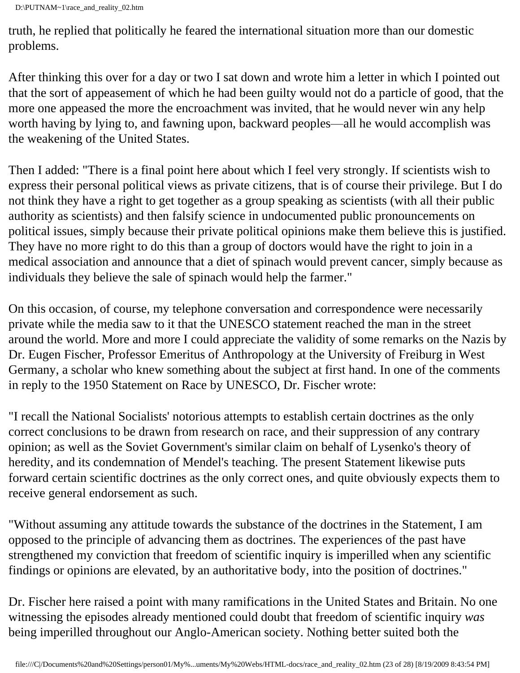truth, he replied that politically he feared the international situation more than our domestic problems.

After thinking this over for a day or two I sat down and wrote him a letter in which I pointed out that the sort of appeasement of which he had been guilty would not do a particle of good, that the more one appeased the more the encroachment was invited, that he would never win any help worth having by lying to, and fawning upon, backward peoples—all he would accomplish was the weakening of the United States.

Then I added: "There is a final point here about which I feel very strongly. If scientists wish to express their personal political views as private citizens, that is of course their privilege. But I do not think they have a right to get together as a group speaking as scientists (with all their public authority as scientists) and then falsify science in undocumented public pronouncements on political issues, simply because their private political opinions make them believe this is justified. They have no more right to do this than a group of doctors would have the right to join in a medical association and announce that a diet of spinach would prevent cancer, simply because as individuals they believe the sale of spinach would help the farmer."

On this occasion, of course, my telephone conversation and correspondence were necessarily private while the media saw to it that the UNESCO statement reached the man in the street around the world. More and more I could appreciate the validity of some remarks on the Nazis by Dr. Eugen Fischer, Professor Emeritus of Anthropology at the University of Freiburg in West Germany, a scholar who knew something about the subject at first hand. In one of the comments in reply to the 1950 Statement on Race by UNESCO, Dr. Fischer wrote:

"I recall the National Socialists' notorious attempts to establish certain doctrines as the only correct conclusions to be drawn from research on race, and their suppression of any contrary opinion; as well as the Soviet Government's similar claim on behalf of Lysenko's theory of heredity, and its condemnation of Mendel's teaching. The present Statement likewise puts forward certain scientific doctrines as the only correct ones, and quite obviously expects them to receive general endorsement as such.

"Without assuming any attitude towards the substance of the doctrines in the Statement, I am opposed to the principle of advancing them as doctrines. The experiences of the past have strengthened my conviction that freedom of scientific inquiry is imperilled when any scientific findings or opinions are elevated, by an authoritative body, into the position of doctrines."

Dr. Fischer here raised a point with many ramifications in the United States and Britain. No one witnessing the episodes already mentioned could doubt that freedom of scientific inquiry *was* being imperilled throughout our Anglo-American society. Nothing better suited both the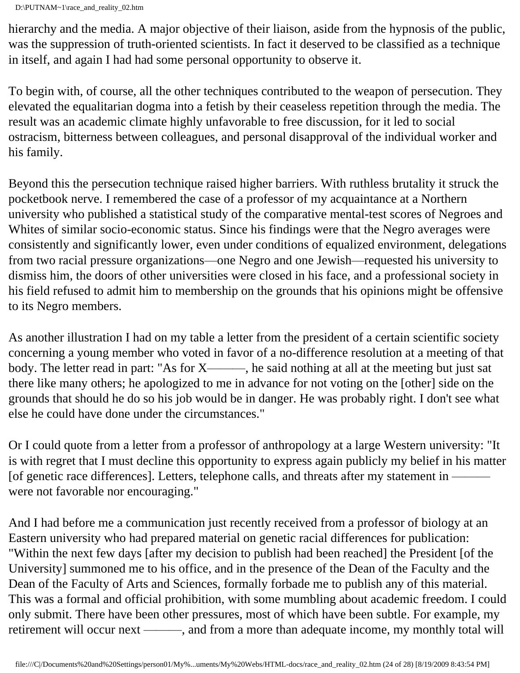hierarchy and the media. A major objective of their liaison, aside from the hypnosis of the public, was the suppression of truth-oriented scientists. In fact it deserved to be classified as a technique in itself, and again I had had some personal opportunity to observe it.

To begin with, of course, all the other techniques contributed to the weapon of persecution. They elevated the equalitarian dogma into a fetish by their ceaseless repetition through the media. The result was an academic climate highly unfavorable to free discussion, for it led to social ostracism, bitterness between colleagues, and personal disapproval of the individual worker and his family.

Beyond this the persecution technique raised higher barriers. With ruthless brutality it struck the pocketbook nerve. I remembered the case of a professor of my acquaintance at a Northern university who published a statistical study of the comparative mental-test scores of Negroes and Whites of similar socio-economic status. Since his findings were that the Negro averages were consistently and significantly lower, even under conditions of equalized environment, delegations from two racial pressure organizations—one Negro and one Jewish—requested his university to dismiss him, the doors of other universities were closed in his face, and a professional society in his field refused to admit him to membership on the grounds that his opinions might be offensive to its Negro members.

As another illustration I had on my table a letter from the president of a certain scientific society concerning a young member who voted in favor of a no-difference resolution at a meeting of that body. The letter read in part: "As for X——, he said nothing at all at the meeting but just sat there like many others; he apologized to me in advance for not voting on the [other] side on the grounds that should he do so his job would be in danger. He was probably right. I don't see what else he could have done under the circumstances."

Or I could quote from a letter from a professor of anthropology at a large Western university: "It is with regret that I must decline this opportunity to express again publicly my belief in his matter [of genetic race differences]. Letters, telephone calls, and threats after my statement in were not favorable nor encouraging."

And I had before me a communication just recently received from a professor of biology at an Eastern university who had prepared material on genetic racial differences for publication: "Within the next few days [after my decision to publish had been reached] the President [of the University] summoned me to his office, and in the presence of the Dean of the Faculty and the Dean of the Faculty of Arts and Sciences, formally forbade me to publish any of this material. This was a formal and official prohibition, with some mumbling about academic freedom. I could only submit. There have been other pressures, most of which have been subtle. For example, my retirement will occur next ———, and from a more than adequate income, my monthly total will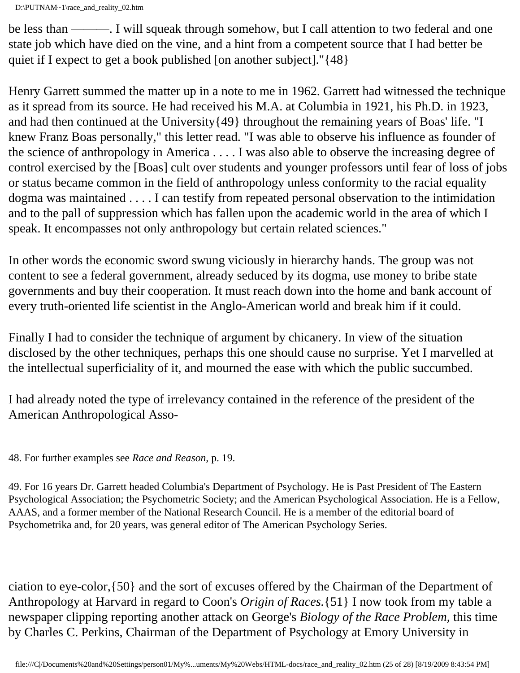be less than ———. I will squeak through somehow, but I call attention to two federal and one state job which have died on the vine, and a hint from a competent source that I had better be quiet if I expect to get a book published [on another subject]."{48}

Henry Garrett summed the matter up in a note to me in 1962. Garrett had witnessed the technique as it spread from its source. He had received his M.A. at Columbia in 1921, his Ph.D. in 1923, and had then continued at the University{49} throughout the remaining years of Boas' life. "I knew Franz Boas personally," this letter read. "I was able to observe his influence as founder of the science of anthropology in America . . . . I was also able to observe the increasing degree of control exercised by the [Boas] cult over students and younger professors until fear of loss of jobs or status became common in the field of anthropology unless conformity to the racial equality dogma was maintained . . . . I can testify from repeated personal observation to the intimidation and to the pall of suppression which has fallen upon the academic world in the area of which I speak. It encompasses not only anthropology but certain related sciences."

In other words the economic sword swung viciously in hierarchy hands. The group was not content to see a federal government, already seduced by its dogma, use money to bribe state governments and buy their cooperation. It must reach down into the home and bank account of every truth-oriented life scientist in the Anglo-American world and break him if it could.

Finally I had to consider the technique of argument by chicanery. In view of the situation disclosed by the other techniques, perhaps this one should cause no surprise. Yet I marvelled at the intellectual superficiality of it, and mourned the ease with which the public succumbed.

I had already noted the type of irrelevancy contained in the reference of the president of the American Anthropological Asso-

48. For further examples see *Race and Reason,* p. 19.

49. For 16 years Dr. Garrett headed Columbia's Department of Psychology. He is Past President of The Eastern Psychological Association; the Psychometric Society; and the American Psychological Association. He is a Fellow, AAAS, and a former member of the National Research Council. He is a member of the editorial board of Psychometrika and, for 20 years, was general editor of The American Psychology Series.

ciation to eye-color,{50} and the sort of excuses offered by the Chairman of the Department of Anthropology at Harvard in regard to Coon's *Origin of Races.*{51} I now took from my table a newspaper clipping reporting another attack on George's *Biology of the Race Problem,* this time by Charles C. Perkins, Chairman of the Department of Psychology at Emory University in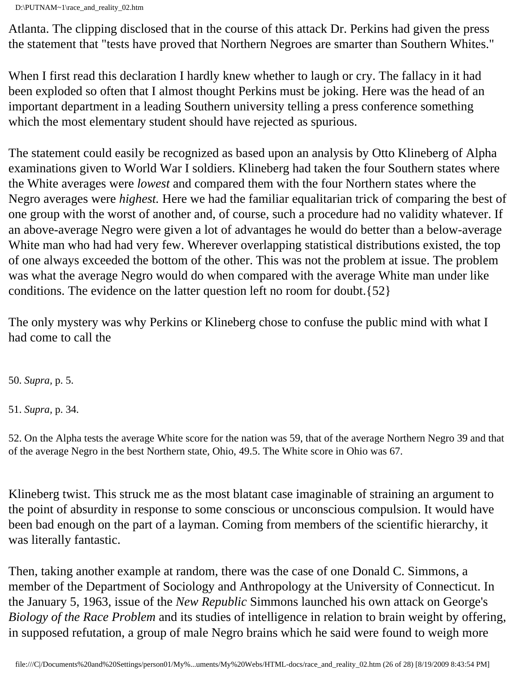Atlanta. The clipping disclosed that in the course of this attack Dr. Perkins had given the press the statement that "tests have proved that Northern Negroes are smarter than Southern Whites."

When I first read this declaration I hardly knew whether to laugh or cry. The fallacy in it had been exploded so often that I almost thought Perkins must be joking. Here was the head of an important department in a leading Southern university telling a press conference something which the most elementary student should have rejected as spurious.

The statement could easily be recognized as based upon an analysis by Otto Klineberg of Alpha examinations given to World War I soldiers. Klineberg had taken the four Southern states where the White averages were *lowest* and compared them with the four Northern states where the Negro averages were *highest.* Here we had the familiar equalitarian trick of comparing the best of one group with the worst of another and, of course, such a procedure had no validity whatever. If an above-average Negro were given a lot of advantages he would do better than a below-average White man who had had very few. Wherever overlapping statistical distributions existed, the top of one always exceeded the bottom of the other. This was not the problem at issue. The problem was what the average Negro would do when compared with the average White man under like conditions. The evidence on the latter question left no room for doubt.{52}

The only mystery was why Perkins or Klineberg chose to confuse the public mind with what I had come to call the

50. *Supra,* p. 5.

51. *Supra,* p. 34.

52. On the Alpha tests the average White score for the nation was 59, that of the average Northern Negro 39 and that of the average Negro in the best Northern state, Ohio, 49.5. The White score in Ohio was 67.

Klineberg twist. This struck me as the most blatant case imaginable of straining an argument to the point of absurdity in response to some conscious or unconscious compulsion. It would have been bad enough on the part of a layman. Coming from members of the scientific hierarchy, it was literally fantastic.

Then, taking another example at random, there was the case of one Donald C. Simmons, a member of the Department of Sociology and Anthropology at the University of Connecticut. In the January 5, 1963, issue of the *New Republic* Simmons launched his own attack on George's *Biology of the Race Problem* and its studies of intelligence in relation to brain weight by offering, in supposed refutation, a group of male Negro brains which he said were found to weigh more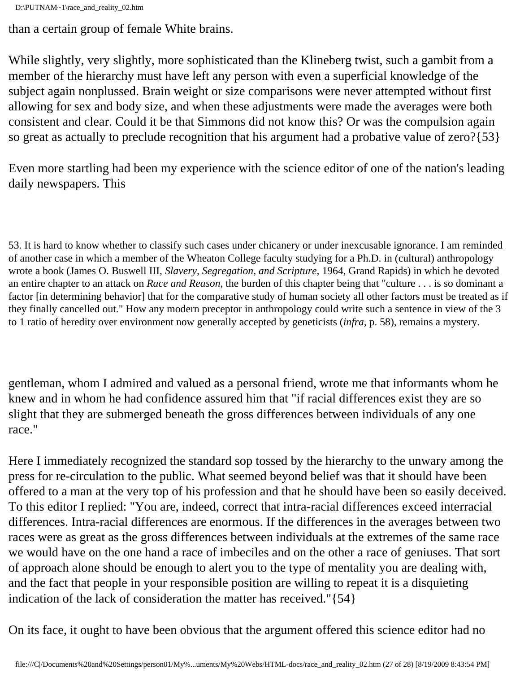than a certain group of female White brains.

While slightly, very slightly, more sophisticated than the Klineberg twist, such a gambit from a member of the hierarchy must have left any person with even a superficial knowledge of the subject again nonplussed. Brain weight or size comparisons were never attempted without first allowing for sex and body size, and when these adjustments were made the averages were both consistent and clear. Could it be that Simmons did not know this? Or was the compulsion again so great as actually to preclude recognition that his argument had a probative value of zero?{53}

Even more startling had been my experience with the science editor of one of the nation's leading daily newspapers. This

53. It is hard to know whether to classify such cases under chicanery or under inexcusable ignorance. I am reminded of another case in which a member of the Wheaton College faculty studying for a Ph.D. in (cultural) anthropology wrote a book (James O. Buswell III, *Slavery, Segregation, and Scripture,* 1964, Grand Rapids) in which he devoted an entire chapter to an attack on *Race and Reason,* the burden of this chapter being that "culture . . . is so dominant a factor [in determining behavior] that for the comparative study of human society all other factors must be treated as if they finally cancelled out." How any modern preceptor in anthropology could write such a sentence in view of the 3 to 1 ratio of heredity over environment now generally accepted by geneticists (*infra,* p. 58), remains a mystery.

gentleman, whom I admired and valued as a personal friend, wrote me that informants whom he knew and in whom he had confidence assured him that "if racial differences exist they are so slight that they are submerged beneath the gross differences between individuals of any one race."

Here I immediately recognized the standard sop tossed by the hierarchy to the unwary among the press for re-circulation to the public. What seemed beyond belief was that it should have been offered to a man at the very top of his profession and that he should have been so easily deceived. To this editor I replied: "You are, indeed, correct that intra-racial differences exceed interracial differences. Intra-racial differences are enormous. If the differences in the averages between two races were as great as the gross differences between individuals at the extremes of the same race we would have on the one hand a race of imbeciles and on the other a race of geniuses. That sort of approach alone should be enough to alert you to the type of mentality you are dealing with, and the fact that people in your responsible position are willing to repeat it is a disquieting indication of the lack of consideration the matter has received."{54}

On its face, it ought to have been obvious that the argument offered this science editor had no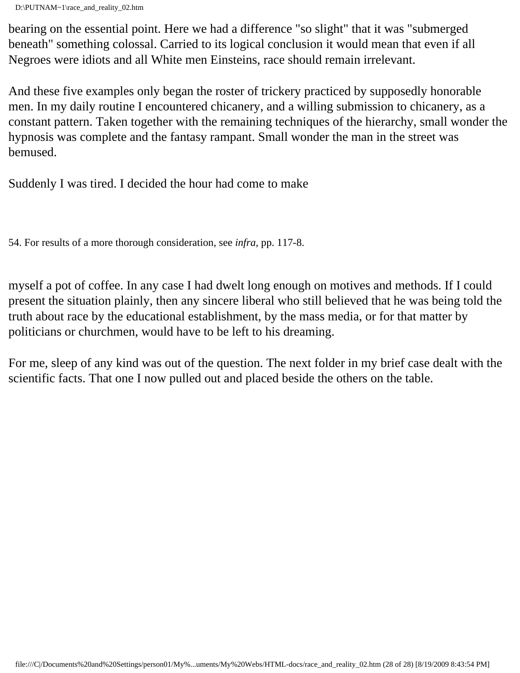bearing on the essential point. Here we had a difference "so slight" that it was "submerged beneath" something colossal. Carried to its logical conclusion it would mean that even if all Negroes were idiots and all White men Einsteins, race should remain irrelevant.

And these five examples only began the roster of trickery practiced by supposedly honorable men. In my daily routine I encountered chicanery, and a willing submission to chicanery, as a constant pattern. Taken together with the remaining techniques of the hierarchy, small wonder the hypnosis was complete and the fantasy rampant. Small wonder the man in the street was bemused.

Suddenly I was tired. I decided the hour had come to make

54. For results of a more thorough consideration, see *infra,* pp. 117-8.

myself a pot of coffee. In any case I had dwelt long enough on motives and methods. If I could present the situation plainly, then any sincere liberal who still believed that he was being told the truth about race by the educational establishment, by the mass media, or for that matter by politicians or churchmen, would have to be left to his dreaming.

For me, sleep of any kind was out of the question. The next folder in my brief case dealt with the scientific facts. That one I now pulled out and placed beside the others on the table.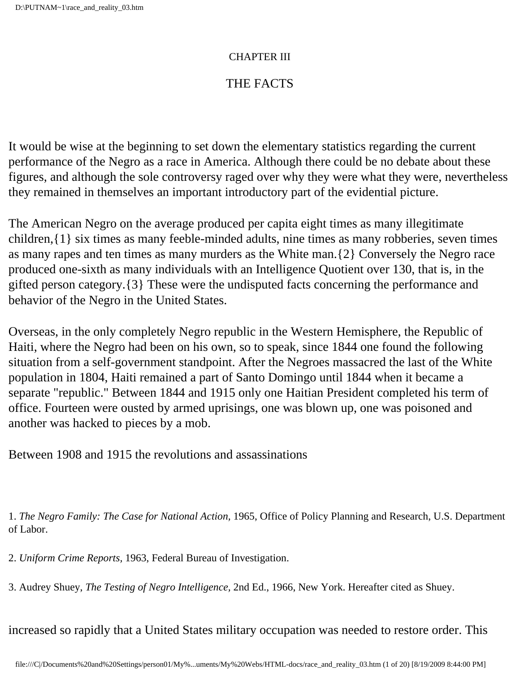## CHAPTER III

## THE FACTS

It would be wise at the beginning to set down the elementary statistics regarding the current performance of the Negro as a race in America. Although there could be no debate about these figures, and although the sole controversy raged over why they were what they were, nevertheless they remained in themselves an important introductory part of the evidential picture.

The American Negro on the average produced per capita eight times as many illegitimate children,{1} six times as many feeble-minded adults, nine times as many robberies, seven times as many rapes and ten times as many murders as the White man.{2} Conversely the Negro race produced one-sixth as many individuals with an Intelligence Quotient over 130, that is, in the gifted person category.{3} These were the undisputed facts concerning the performance and behavior of the Negro in the United States.

Overseas, in the only completely Negro republic in the Western Hemisphere, the Republic of Haiti, where the Negro had been on his own, so to speak, since 1844 one found the following situation from a self-government standpoint. After the Negroes massacred the last of the White population in 1804, Haiti remained a part of Santo Domingo until 1844 when it became a separate "republic." Between 1844 and 1915 only one Haitian President completed his term of office. Fourteen were ousted by armed uprisings, one was blown up, one was poisoned and another was hacked to pieces by a mob.

Between 1908 and 1915 the revolutions and assassinations

1. *The Negro Family: The Case for National Action,* 1965, Office of Policy Planning and Research, U.S. Department of Labor.

2. *Uniform Crime Reports,* 1963, Federal Bureau of Investigation.

3. Audrey Shuey, *The Testing of Negro Intelligence,* 2nd Ed., 1966, New York. Hereafter cited as Shuey.

increased so rapidly that a United States military occupation was needed to restore order. This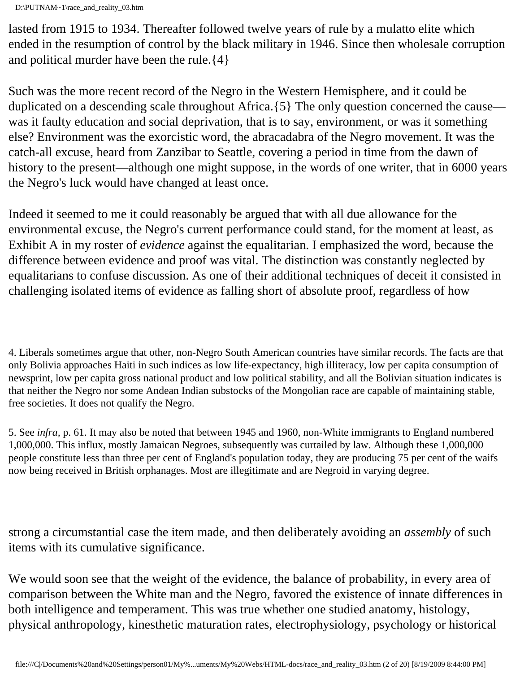lasted from 1915 to 1934. Thereafter followed twelve years of rule by a mulatto elite which ended in the resumption of control by the black military in 1946. Since then wholesale corruption and political murder have been the rule.{4}

Such was the more recent record of the Negro in the Western Hemisphere, and it could be duplicated on a descending scale throughout Africa.  $\{5\}$  The only question concerned the cause was it faulty education and social deprivation, that is to say, environment, or was it something else? Environment was the exorcistic word, the abracadabra of the Negro movement. It was the catch-all excuse, heard from Zanzibar to Seattle, covering a period in time from the dawn of history to the present—although one might suppose, in the words of one writer, that in 6000 years the Negro's luck would have changed at least once.

Indeed it seemed to me it could reasonably be argued that with all due allowance for the environmental excuse, the Negro's current performance could stand, for the moment at least, as Exhibit A in my roster of *evidence* against the equalitarian. I emphasized the word, because the difference between evidence and proof was vital. The distinction was constantly neglected by equalitarians to confuse discussion. As one of their additional techniques of deceit it consisted in challenging isolated items of evidence as falling short of absolute proof, regardless of how

4. Liberals sometimes argue that other, non-Negro South American countries have similar records. The facts are that only Bolivia approaches Haiti in such indices as low life-expectancy, high illiteracy, low per capita consumption of newsprint, low per capita gross national product and low political stability, and all the Bolivian situation indicates is that neither the Negro nor some Andean Indian substocks of the Mongolian race are capable of maintaining stable, free societies. It does not qualify the Negro.

5. See *infra,* p. 61. It may also be noted that between 1945 and 1960, non-White immigrants to England numbered 1,000,000. This influx, mostly Jamaican Negroes, subsequently was curtailed by law. Although these 1,000,000 people constitute less than three per cent of England's population today, they are producing 75 per cent of the waifs now being received in British orphanages. Most are illegitimate and are Negroid in varying degree.

strong a circumstantial case the item made, and then deliberately avoiding an *assembly* of such items with its cumulative significance.

We would soon see that the weight of the evidence, the balance of probability, in every area of comparison between the White man and the Negro, favored the existence of innate differences in both intelligence and temperament. This was true whether one studied anatomy, histology, physical anthropology, kinesthetic maturation rates, electrophysiology, psychology or historical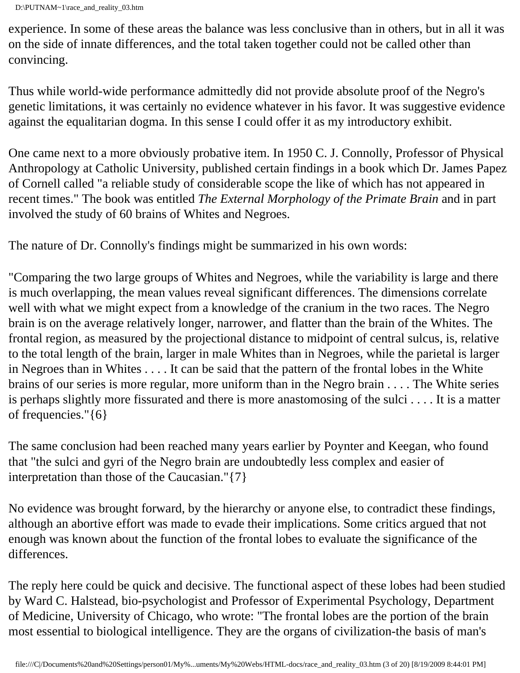experience. In some of these areas the balance was less conclusive than in others, but in all it was on the side of innate differences, and the total taken together could not be called other than convincing.

Thus while world-wide performance admittedly did not provide absolute proof of the Negro's genetic limitations, it was certainly no evidence whatever in his favor. It was suggestive evidence against the equalitarian dogma. In this sense I could offer it as my introductory exhibit.

One came next to a more obviously probative item. In 1950 C. J. Connolly, Professor of Physical Anthropology at Catholic University, published certain findings in a book which Dr. James Papez of Cornell called "a reliable study of considerable scope the like of which has not appeared in recent times." The book was entitled *The External Morphology of the Primate Brain* and in part involved the study of 60 brains of Whites and Negroes.

The nature of Dr. Connolly's findings might be summarized in his own words:

"Comparing the two large groups of Whites and Negroes, while the variability is large and there is much overlapping, the mean values reveal significant differences. The dimensions correlate well with what we might expect from a knowledge of the cranium in the two races. The Negro brain is on the average relatively longer, narrower, and flatter than the brain of the Whites. The frontal region, as measured by the projectional distance to midpoint of central sulcus, is, relative to the total length of the brain, larger in male Whites than in Negroes, while the parietal is larger in Negroes than in Whites . . . . It can be said that the pattern of the frontal lobes in the White brains of our series is more regular, more uniform than in the Negro brain . . . . The White series is perhaps slightly more fissurated and there is more anastomosing of the sulci . . . . It is a matter of frequencies."{6}

The same conclusion had been reached many years earlier by Poynter and Keegan, who found that "the sulci and gyri of the Negro brain are undoubtedly less complex and easier of interpretation than those of the Caucasian."{7}

No evidence was brought forward, by the hierarchy or anyone else, to contradict these findings, although an abortive effort was made to evade their implications. Some critics argued that not enough was known about the function of the frontal lobes to evaluate the significance of the differences.

The reply here could be quick and decisive. The functional aspect of these lobes had been studied by Ward C. Halstead, bio-psychologist and Professor of Experimental Psychology, Department of Medicine, University of Chicago, who wrote: "The frontal lobes are the portion of the brain most essential to biological intelligence. They are the organs of civilization-the basis of man's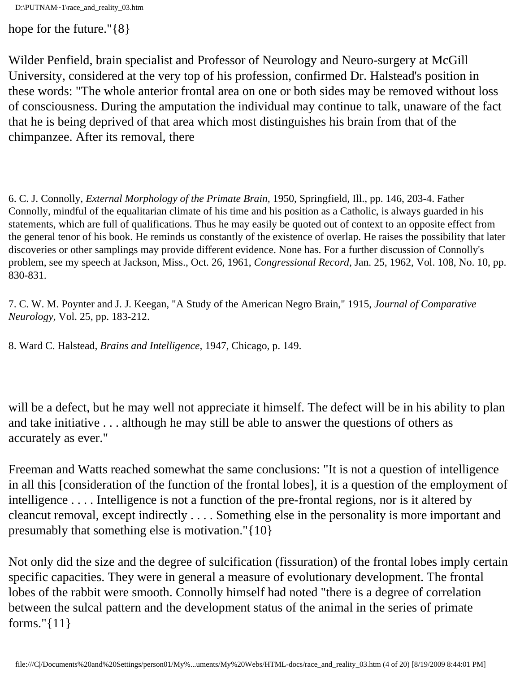hope for the future." ${8}$ 

Wilder Penfield, brain specialist and Professor of Neurology and Neuro-surgery at McGill University, considered at the very top of his profession, confirmed Dr. Halstead's position in these words: "The whole anterior frontal area on one or both sides may be removed without loss of consciousness. During the amputation the individual may continue to talk, unaware of the fact that he is being deprived of that area which most distinguishes his brain from that of the chimpanzee. After its removal, there

6. C. J. Connolly, *External Morphology of the Primate Brain,* 1950, Springfield, Ill., pp. 146, 203-4. Father Connolly, mindful of the equalitarian climate of his time and his position as a Catholic, is always guarded in his statements, which are full of qualifications. Thus he may easily be quoted out of context to an opposite effect from the general tenor of his book. He reminds us constantly of the existence of overlap. He raises the possibility that later discoveries or other samplings may provide different evidence. None has. For a further discussion of Connolly's problem, see my speech at Jackson, Miss., Oct. 26, 1961, *Congressional Record,* Jan. 25, 1962, Vol. 108, No. 10, pp. 830-831.

7. C. W. M. Poynter and J. J. Keegan, "A Study of the American Negro Brain," 1915, *Journal of Comparative Neurology,* Vol. 25, pp. 183-212.

8. Ward C. Halstead, *Brains and Intelligence,* 1947, Chicago, p. 149.

will be a defect, but he may well not appreciate it himself. The defect will be in his ability to plan and take initiative . . . although he may still be able to answer the questions of others as accurately as ever."

Freeman and Watts reached somewhat the same conclusions: "It is not a question of intelligence in all this [consideration of the function of the frontal lobes], it is a question of the employment of intelligence . . . . Intelligence is not a function of the pre-frontal regions, nor is it altered by cleancut removal, except indirectly . . . . Something else in the personality is more important and presumably that something else is motivation."{10}

Not only did the size and the degree of sulcification (fissuration) of the frontal lobes imply certain specific capacities. They were in general a measure of evolutionary development. The frontal lobes of the rabbit were smooth. Connolly himself had noted "there is a degree of correlation between the sulcal pattern and the development status of the animal in the series of primate forms."{11}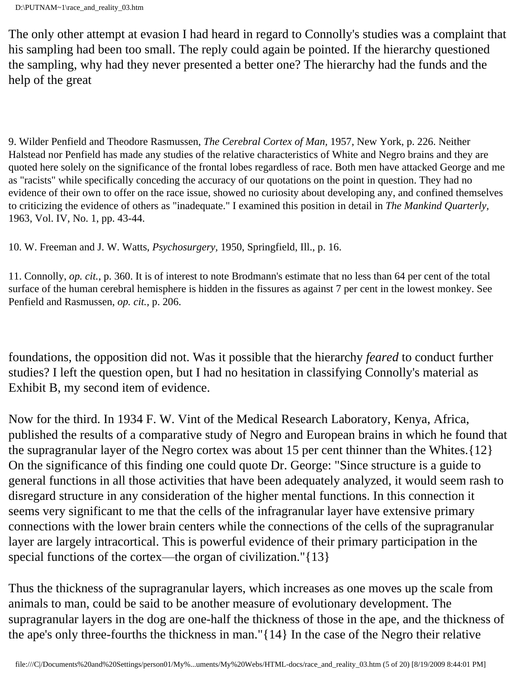The only other attempt at evasion I had heard in regard to Connolly's studies was a complaint that his sampling had been too small. The reply could again be pointed. If the hierarchy questioned the sampling, why had they never presented a better one? The hierarchy had the funds and the help of the great

9. Wilder Penfield and Theodore Rasmussen, *The Cerebral Cortex of Man,* 1957, New York, p. 226. Neither Halstead nor Penfield has made any studies of the relative characteristics of White and Negro brains and they are quoted here solely on the significance of the frontal lobes regardless of race. Both men have attacked George and me as "racists" while specifically conceding the accuracy of our quotations on the point in question. They had no evidence of their own to offer on the race issue, showed no curiosity about developing any, and confined themselves to criticizing the evidence of others as "inadequate." I examined this position in detail in *The Mankind Quarterly,*  1963, Vol. IV, No. 1, pp. 43-44.

10. W. Freeman and J. W. Watts, *Psychosurgery,* 1950, Springfield, Ill., p. 16.

11. Connolly, *op. cit.,* p. 360. It is of interest to note Brodmann's estimate that no less than 64 per cent of the total surface of the human cerebral hemisphere is hidden in the fissures as against 7 per cent in the lowest monkey. See Penfield and Rasmussen, *op. cit.,* p. 206.

foundations, the opposition did not. Was it possible that the hierarchy *feared* to conduct further studies? I left the question open, but I had no hesitation in classifying Connolly's material as Exhibit B, my second item of evidence.

Now for the third. In 1934 F. W. Vint of the Medical Research Laboratory, Kenya, Africa, published the results of a comparative study of Negro and European brains in which he found that the supragranular layer of the Negro cortex was about 15 per cent thinner than the Whites.{12} On the significance of this finding one could quote Dr. George: "Since structure is a guide to general functions in all those activities that have been adequately analyzed, it would seem rash to disregard structure in any consideration of the higher mental functions. In this connection it seems very significant to me that the cells of the infragranular layer have extensive primary connections with the lower brain centers while the connections of the cells of the supragranular layer are largely intracortical. This is powerful evidence of their primary participation in the special functions of the cortex—the organ of civilization."{13}

Thus the thickness of the supragranular layers, which increases as one moves up the scale from animals to man, could be said to be another measure of evolutionary development. The supragranular layers in the dog are one-half the thickness of those in the ape, and the thickness of the ape's only three-fourths the thickness in man."{14} In the case of the Negro their relative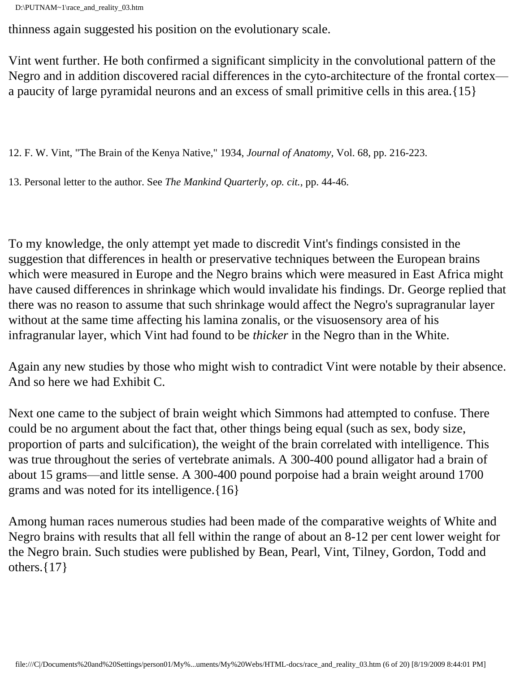thinness again suggested his position on the evolutionary scale.

Vint went further. He both confirmed a significant simplicity in the convolutional pattern of the Negro and in addition discovered racial differences in the cyto-architecture of the frontal cortex a paucity of large pyramidal neurons and an excess of small primitive cells in this area.{15}

12. F. W. Vint, "The Brain of the Kenya Native," 1934, *Journal of Anatomy,* Vol. 68, pp. 216-223.

13. Personal letter to the author. See *The Mankind Quarterly, op. cit.,* pp. 44-46.

To my knowledge, the only attempt yet made to discredit Vint's findings consisted in the suggestion that differences in health or preservative techniques between the European brains which were measured in Europe and the Negro brains which were measured in East Africa might have caused differences in shrinkage which would invalidate his findings. Dr. George replied that there was no reason to assume that such shrinkage would affect the Negro's supragranular layer without at the same time affecting his lamina zonalis, or the visuosensory area of his infragranular layer, which Vint had found to be *thicker* in the Negro than in the White.

Again any new studies by those who might wish to contradict Vint were notable by their absence. And so here we had Exhibit C.

Next one came to the subject of brain weight which Simmons had attempted to confuse. There could be no argument about the fact that, other things being equal (such as sex, body size, proportion of parts and sulcification), the weight of the brain correlated with intelligence. This was true throughout the series of vertebrate animals. A 300-400 pound alligator had a brain of about 15 grams—and little sense. A 300-400 pound porpoise had a brain weight around 1700 grams and was noted for its intelligence.{16}

Among human races numerous studies had been made of the comparative weights of White and Negro brains with results that all fell within the range of about an 8-12 per cent lower weight for the Negro brain. Such studies were published by Bean, Pearl, Vint, Tilney, Gordon, Todd and others. ${17}$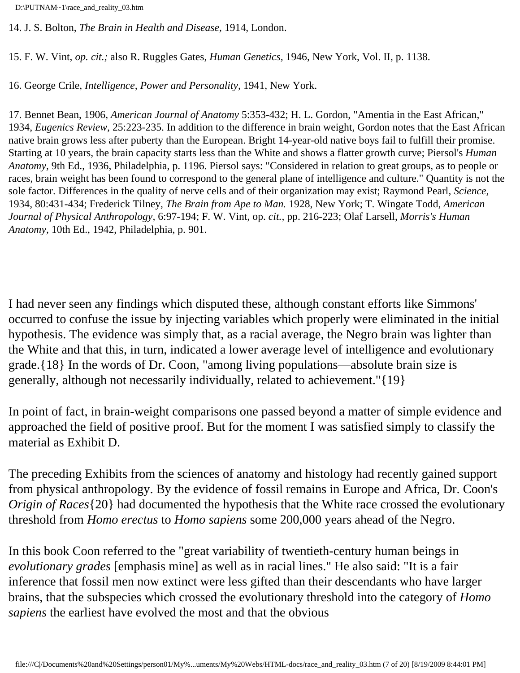14. J. S. Bolton, *The Brain in Health and Disease,* 1914, London.

15. F. W. Vint, *op. cit.;* also R. Ruggles Gates, *Human Genetics,* 1946, New York, Vol. II, p. 1138.

16. George Crile, *Intelligence, Power and Personality,* 1941, New York.

17. Bennet Bean, 1906, *American Journal of Anatomy* 5:353-432; H. L. Gordon, "Amentia in the East African," 1934, *Eugenics Review,* 25:223-235. In addition to the difference in brain weight, Gordon notes that the East African native brain grows less after puberty than the European. Bright 14-year-old native boys fail to fulfill their promise. Starting at 10 years, the brain capacity starts less than the White and shows a flatter growth curve; Piersol's *Human Anatomy,* 9th Ed., 1936, Philadelphia, p. 1196. Piersol says: "Considered in relation to great groups, as to people or races, brain weight has been found to correspond to the general plane of intelligence and culture." Quantity is not the sole factor. Differences in the quality of nerve cells and of their organization may exist; Raymond Pearl, *Science,*  1934, 80:431-434; Frederick Tilney, *The Brain from Ape to Man.* 1928, New York; T. Wingate Todd, *American Journal of Physical Anthropology,* 6:97-194; F. W. Vint, op. *cit.,* pp. 216-223; Olaf Larsell, *Morris's Human Anatomy,* 10th Ed., 1942, Philadelphia, p. 901.

I had never seen any findings which disputed these, although constant efforts like Simmons' occurred to confuse the issue by injecting variables which properly were eliminated in the initial hypothesis. The evidence was simply that, as a racial average, the Negro brain was lighter than the White and that this, in turn, indicated a lower average level of intelligence and evolutionary grade.{18} In the words of Dr. Coon, "among living populations—absolute brain size is generally, although not necessarily individually, related to achievement."{19}

In point of fact, in brain-weight comparisons one passed beyond a matter of simple evidence and approached the field of positive proof. But for the moment I was satisfied simply to classify the material as Exhibit D.

The preceding Exhibits from the sciences of anatomy and histology had recently gained support from physical anthropology. By the evidence of fossil remains in Europe and Africa, Dr. Coon's *Origin of Races*{20} had documented the hypothesis that the White race crossed the evolutionary threshold from *Homo erectus* to *Homo sapiens* some 200,000 years ahead of the Negro.

In this book Coon referred to the "great variability of twentieth-century human beings in *evolutionary grades* [emphasis mine] as well as in racial lines." He also said: "It is a fair inference that fossil men now extinct were less gifted than their descendants who have larger brains, that the subspecies which crossed the evolutionary threshold into the category of *Homo sapiens* the earliest have evolved the most and that the obvious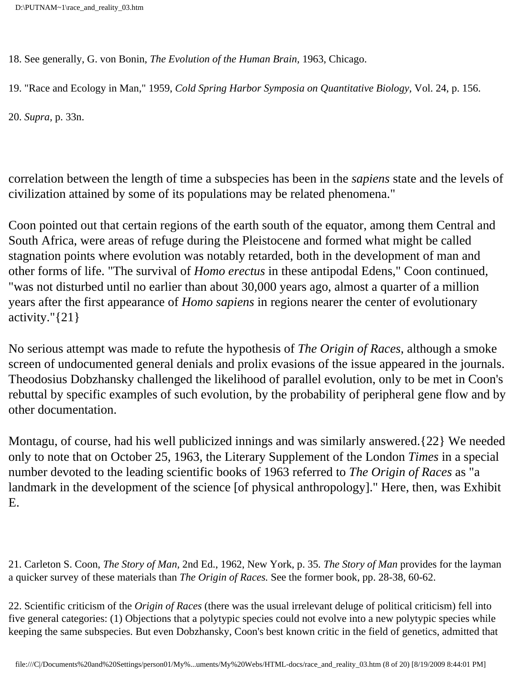18. See generally, G. von Bonin, *The Evolution of the Human Brain,* 1963, Chicago.

19. "Race and Ecology in Man," 1959, *Cold Spring Harbor Symposia on Quantitative Biology,* Vol. 24, p. 156.

20. *Supra,* p. 33n.

correlation between the length of time a subspecies has been in the *sapiens* state and the levels of civilization attained by some of its populations may be related phenomena."

Coon pointed out that certain regions of the earth south of the equator, among them Central and South Africa, were areas of refuge during the Pleistocene and formed what might be called stagnation points where evolution was notably retarded, both in the development of man and other forms of life. "The survival of *Homo erectus* in these antipodal Edens," Coon continued, "was not disturbed until no earlier than about 30,000 years ago, almost a quarter of a million years after the first appearance of *Homo sapiens* in regions nearer the center of evolutionary activity."{21}

No serious attempt was made to refute the hypothesis of *The Origin of Races,* although a smoke screen of undocumented general denials and prolix evasions of the issue appeared in the journals. Theodosius Dobzhansky challenged the likelihood of parallel evolution, only to be met in Coon's rebuttal by specific examples of such evolution, by the probability of peripheral gene flow and by other documentation.

Montagu, of course, had his well publicized innings and was similarly answered.{22} We needed only to note that on October 25, 1963, the Literary Supplement of the London *Times* in a special number devoted to the leading scientific books of 1963 referred to *The Origin of Races* as "a landmark in the development of the science [of physical anthropology]." Here, then, was Exhibit E.

21. Carleton S. Coon, *The Story of Man,* 2nd Ed., 1962, New York, p. 35*. The Story of Man* provides for the layman a quicker survey of these materials than *The Origin of Races.* See the former book, pp. 28-38, 60-62.

22. Scientific criticism of the *Origin of Races* (there was the usual irrelevant deluge of political criticism) fell into five general categories: (1) Objections that a polytypic species could not evolve into a new polytypic species while keeping the same subspecies. But even Dobzhansky, Coon's best known critic in the field of genetics, admitted that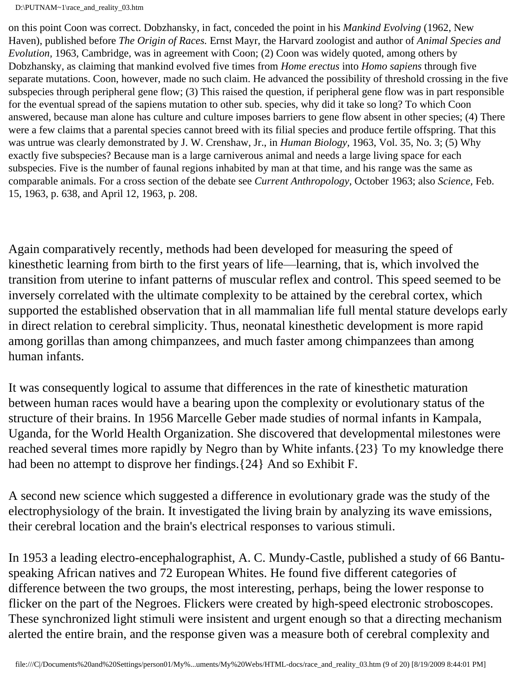on this point Coon was correct. Dobzhansky, in fact, conceded the point in his *Mankind Evolving* (1962, New Haven), published before *The Origin of Races.* Ernst Mayr, the Harvard zoologist and author of *Animal Species and Evolution,* 1963, Cambridge, was in agreement with Coon; (2) Coon was widely quoted, among others by Dobzhansky, as claiming that mankind evolved five times from *Home erectus* into *Homo sapiens* through five separate mutations. Coon, however, made no such claim. He advanced the possibility of threshold crossing in the five subspecies through peripheral gene flow; (3) This raised the question, if peripheral gene flow was in part responsible for the eventual spread of the sapiens mutation to other sub. species, why did it take so long? To which Coon answered, because man alone has culture and culture imposes barriers to gene flow absent in other species; (4) There were a few claims that a parental species cannot breed with its filial species and produce fertile offspring. That this was untrue was clearly demonstrated by J. W. Crenshaw, Jr., in *Human Biology,* 1963, Vol. 35, No. 3; (5) Why exactly five subspecies? Because man is a large carniverous animal and needs a large living space for each subspecies. Five is the number of faunal regions inhabited by man at that time, and his range was the same as comparable animals. For a cross section of the debate see *Current Anthropology,* October 1963; also *Science,* Feb. 15, 1963, p. 638, and April 12, 1963, p. 208.

Again comparatively recently, methods had been developed for measuring the speed of kinesthetic learning from birth to the first years of life—learning, that is, which involved the transition from uterine to infant patterns of muscular reflex and control. This speed seemed to be inversely correlated with the ultimate complexity to be attained by the cerebral cortex, which supported the established observation that in all mammalian life full mental stature develops early in direct relation to cerebral simplicity. Thus, neonatal kinesthetic development is more rapid among gorillas than among chimpanzees, and much faster among chimpanzees than among human infants.

It was consequently logical to assume that differences in the rate of kinesthetic maturation between human races would have a bearing upon the complexity or evolutionary status of the structure of their brains. In 1956 Marcelle Geber made studies of normal infants in Kampala, Uganda, for the World Health Organization. She discovered that developmental milestones were reached several times more rapidly by Negro than by White infants.{23} To my knowledge there had been no attempt to disprove her findings.{24} And so Exhibit F.

A second new science which suggested a difference in evolutionary grade was the study of the electrophysiology of the brain. It investigated the living brain by analyzing its wave emissions, their cerebral location and the brain's electrical responses to various stimuli.

In 1953 a leading electro-encephalographist, A. C. Mundy-Castle, published a study of 66 Bantuspeaking African natives and 72 European Whites. He found five different categories of difference between the two groups, the most interesting, perhaps, being the lower response to flicker on the part of the Negroes. Flickers were created by high-speed electronic stroboscopes. These synchronized light stimuli were insistent and urgent enough so that a directing mechanism alerted the entire brain, and the response given was a measure both of cerebral complexity and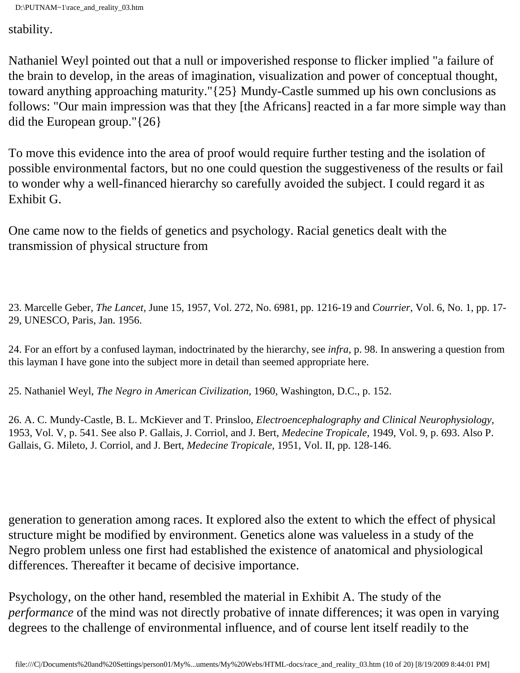stability.

Nathaniel Weyl pointed out that a null or impoverished response to flicker implied "a failure of the brain to develop, in the areas of imagination, visualization and power of conceptual thought, toward anything approaching maturity."{25} Mundy-Castle summed up his own conclusions as follows: "Our main impression was that they [the Africans] reacted in a far more simple way than did the European group."{26}

To move this evidence into the area of proof would require further testing and the isolation of possible environmental factors, but no one could question the suggestiveness of the results or fail to wonder why a well-financed hierarchy so carefully avoided the subject. I could regard it as Exhibit G.

One came now to the fields of genetics and psychology. Racial genetics dealt with the transmission of physical structure from

23. Marcelle Geber, *The Lancet,* June 15, 1957, Vol. 272, No. 6981, pp. 1216-19 and *Courrier,* Vol. 6, No. 1, pp. 17- 29, UNESCO, Paris, Jan. 1956.

24. For an effort by a confused layman, indoctrinated by the hierarchy, see *infra,* p. 98. In answering a question from this layman I have gone into the subject more in detail than seemed appropriate here.

25. Nathaniel Weyl, *The Negro in American Civilization,* 1960, Washington, D.C., p. 152.

26. A. C. Mundy-Castle, B. L. McKiever and T. Prinsloo, *Electroencephalography and Clinical Neurophysiology,*  1953, Vol. V, p. 541. See also P. Gallais, J. Corriol, and J. Bert, *Medecine Tropicale,* 1949, Vol. 9, p. 693. Also P. Gallais, G. Mileto, J. Corriol, and J. Bert, *Medecine Tropicale,* 1951, Vol. II, pp. 128-146.

generation to generation among races. It explored also the extent to which the effect of physical structure might be modified by environment. Genetics alone was valueless in a study of the Negro problem unless one first had established the existence of anatomical and physiological differences. Thereafter it became of decisive importance.

Psychology, on the other hand, resembled the material in Exhibit A. The study of the *performance* of the mind was not directly probative of innate differences; it was open in varying degrees to the challenge of environmental influence, and of course lent itself readily to the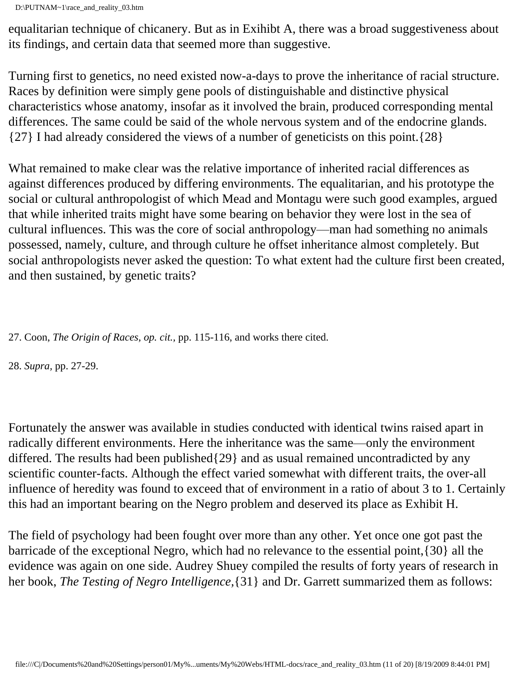equalitarian technique of chicanery. But as in Exihibt A, there was a broad suggestiveness about its findings, and certain data that seemed more than suggestive.

Turning first to genetics, no need existed now-a-days to prove the inheritance of racial structure. Races by definition were simply gene pools of distinguishable and distinctive physical characteristics whose anatomy, insofar as it involved the brain, produced corresponding mental differences. The same could be said of the whole nervous system and of the endocrine glands. {27} I had already considered the views of a number of geneticists on this point.{28}

What remained to make clear was the relative importance of inherited racial differences as against differences produced by differing environments. The equalitarian, and his prototype the social or cultural anthropologist of which Mead and Montagu were such good examples, argued that while inherited traits might have some bearing on behavior they were lost in the sea of cultural influences. This was the core of social anthropology—man had something no animals possessed, namely, culture, and through culture he offset inheritance almost completely. But social anthropologists never asked the question: To what extent had the culture first been created, and then sustained, by genetic traits?

27. Coon, *The Origin of Races, op. cit.,* pp. 115-116, and works there cited.

28. *Supra,* pp. 27-29.

Fortunately the answer was available in studies conducted with identical twins raised apart in radically different environments. Here the inheritance was the same—only the environment differed. The results had been published {29} and as usual remained uncontradicted by any scientific counter-facts. Although the effect varied somewhat with different traits, the over-all influence of heredity was found to exceed that of environment in a ratio of about 3 to 1. Certainly this had an important bearing on the Negro problem and deserved its place as Exhibit H.

The field of psychology had been fought over more than any other. Yet once one got past the barricade of the exceptional Negro, which had no relevance to the essential point,{30} all the evidence was again on one side. Audrey Shuey compiled the results of forty years of research in her book, *The Testing of Negro Intelligence,*{31} and Dr. Garrett summarized them as follows: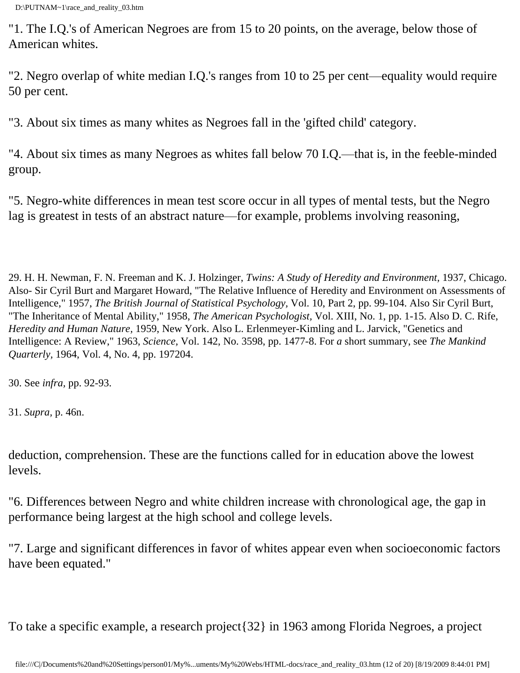"1. The I.Q.'s of American Negroes are from 15 to 20 points, on the average, below those of American whites.

"2. Negro overlap of white median I.Q.'s ranges from 10 to 25 per cent—equality would require 50 per cent.

"3. About six times as many whites as Negroes fall in the 'gifted child' category.

"4. About six times as many Negroes as whites fall below 70 I.Q.—that is, in the feeble-minded group.

"5. Negro-white differences in mean test score occur in all types of mental tests, but the Negro lag is greatest in tests of an abstract nature—for example, problems involving reasoning,

29. H. H. Newman, F. N. Freeman and K. J. Holzinger, *Twins: A Study of Heredity and Environment,* 1937, Chicago. Also- Sir Cyril Burt and Margaret Howard, "The Relative Influence of Heredity and Environment on Assessments of Intelligence," 1957, *The British Journal of Statistical Psychology,* Vol. 10, Part 2, pp. 99-104. Also Sir Cyril Burt, "The Inheritance of Mental Ability," 1958, *The American Psychologist,* Vol. XIII, No. 1, pp. 1-15. Also D. C. Rife, *Heredity and Human Nature,* 1959, New York. Also L. Erlenmeyer-Kimling and L. Jarvick, "Genetics and Intelligence: A Review," 1963, *Science,* Vol. 142, No. 3598, pp. 1477-8. For *a* short summary, see *The Mankind Quarterly,* 1964, Vol. 4, No. 4, pp. 197204.

30. See *infra,* pp. 92-93.

31. *Supra,* p. 46n.

deduction, comprehension. These are the functions called for in education above the lowest levels.

"6. Differences between Negro and white children increase with chronological age, the gap in performance being largest at the high school and college levels.

"7. Large and significant differences in favor of whites appear even when socioeconomic factors have been equated."

To take a specific example, a research project{32} in 1963 among Florida Negroes, a project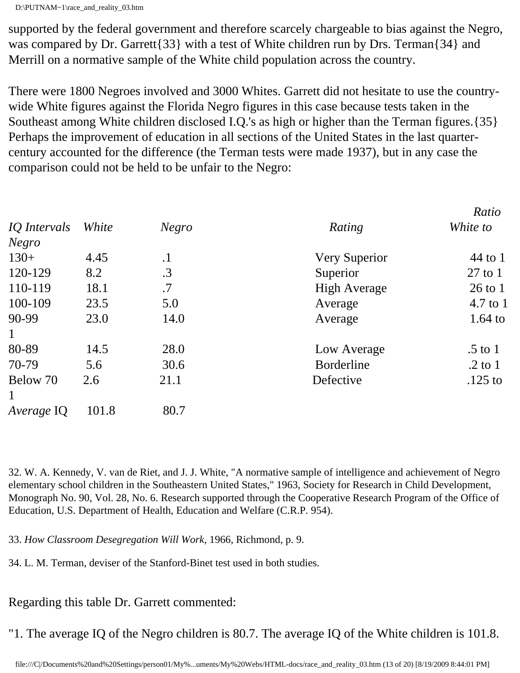supported by the federal government and therefore scarcely chargeable to bias against the Negro, was compared by Dr. Garrett {33} with a test of White children run by Drs. Terman {34} and Merrill on a normative sample of the White child population across the country.

There were 1800 Negroes involved and 3000 Whites. Garrett did not hesitate to use the countrywide White figures against the Florida Negro figures in this case because tests taken in the Southeast among White children disclosed I.Q.'s as high or higher than the Terman figures.{35} Perhaps the improvement of education in all sections of the United States in the last quartercentury accounted for the difference (the Terman tests were made 1937), but in any case the comparison could not be held to be unfair to the Negro:

|                     |       |              |                      | Ratio          |
|---------------------|-------|--------------|----------------------|----------------|
| <i>IQ Intervals</i> | White | <b>Negro</b> | Rating               | White to       |
| <b>Negro</b>        |       |              |                      |                |
| $130+$              | 4.45  | $\cdot$      | <b>Very Superior</b> | 44 to 1        |
| 120-129             | 8.2   | $\cdot$ 3    | Superior             | $27$ to 1      |
| 110-119             | 18.1  | .7           | <b>High Average</b>  | $26$ to $1$    |
| 100-109             | 23.5  | 5.0          | Average              | 4.7 to $1$     |
| 90-99               | 23.0  | 14.0         | Average              | $1.64$ to      |
| 1                   |       |              |                      |                |
| 80-89               | 14.5  | 28.0         | Low Average          | $\cdot$ 5 to 1 |
| 70-79               | 5.6   | 30.6         | <b>Borderline</b>    | $.2$ to 1      |
| Below 70            | 2.6   | 21.1         | Defective            | $.125$ to      |
|                     |       |              |                      |                |
| <i>Average IQ</i>   | 101.8 | 80.7         |                      |                |

32. W. A. Kennedy, V. van de Riet, and J. J. White, "A normative sample of intelligence and achievement of Negro elementary school children in the Southeastern United States," 1963, Society for Research in Child Development, Monograph No. 90, Vol. 28, No. 6. Research supported through the Cooperative Research Program of the Office of Education, U.S. Department of Health, Education and Welfare (C.R.P. 954).

33. *How Classroom Desegregation Will Work,* 1966, Richmond, p. 9.

34. L. M. Terman, deviser of the Stanford-Binet test used in both studies.

Regarding this table Dr. Garrett commented:

"1. The average IQ of the Negro children is 80.7. The average IQ of the White children is 101.8.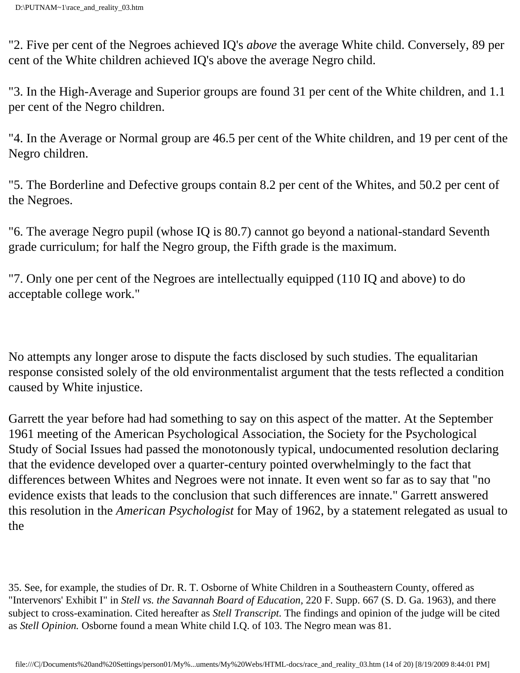"2. Five per cent of the Negroes achieved IQ's *above* the average White child. Conversely, 89 per cent of the White children achieved IQ's above the average Negro child.

"3. In the High-Average and Superior groups are found 31 per cent of the White children, and 1.1 per cent of the Negro children.

"4. In the Average or Normal group are 46.5 per cent of the White children, and 19 per cent of the Negro children.

"5. The Borderline and Defective groups contain 8.2 per cent of the Whites, and 50.2 per cent of the Negroes.

"6. The average Negro pupil (whose IQ is 80.7) cannot go beyond a national-standard Seventh grade curriculum; for half the Negro group, the Fifth grade is the maximum.

"7. Only one per cent of the Negroes are intellectually equipped (110 IQ and above) to do acceptable college work."

No attempts any longer arose to dispute the facts disclosed by such studies. The equalitarian response consisted solely of the old environmentalist argument that the tests reflected a condition caused by White injustice.

Garrett the year before had had something to say on this aspect of the matter. At the September 1961 meeting of the American Psychological Association, the Society for the Psychological Study of Social Issues had passed the monotonously typical, undocumented resolution declaring that the evidence developed over a quarter-century pointed overwhelmingly to the fact that differences between Whites and Negroes were not innate. It even went so far as to say that "no evidence exists that leads to the conclusion that such differences are innate." Garrett answered this resolution in the *American Psychologist* for May of 1962, by a statement relegated as usual to the

35. See, for example, the studies of Dr. R. T. Osborne of White Children in a Southeastern County, offered as "Intervenors' Exhibit I" in *Stell vs. the Savannah Board of Education,* 220 F. Supp. 667 (S. D. Ga. 1963), and there subject to cross-examination. Cited hereafter as *Stell Transcript.* The findings and opinion of the judge will be cited as *Stell Opinion.* Osborne found a mean White child I.Q. of 103. The Negro mean was 81.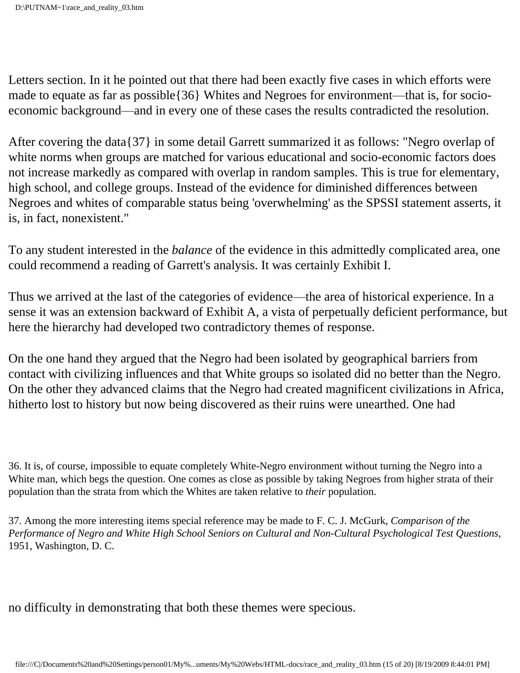Letters section. In it he pointed out that there had been exactly five cases in which efforts were made to equate as far as possible{36} Whites and Negroes for environment—that is, for socioeconomic background—and in every one of these cases the results contradicted the resolution.

After covering the data{37} in some detail Garrett summarized it as follows: "Negro overlap of white norms when groups are matched for various educational and socio-economic factors does not increase markedly as compared with overlap in random samples. This is true for elementary, high school, and college groups. Instead of the evidence for diminished differences between Negroes and whites of comparable status being 'overwhelming' as the SPSSI statement asserts, it is, in fact, nonexistent."

To any student interested in the *balance* of the evidence in this admittedly complicated area, one could recommend a reading of Garrett's analysis. It was certainly Exhibit I.

Thus we arrived at the last of the categories of evidence—the area of historical experience. In a sense it was an extension backward of Exhibit A, a vista of perpetually deficient performance, but here the hierarchy had developed two contradictory themes of response.

On the one hand they argued that the Negro had been isolated by geographical barriers from contact with civilizing influences and that White groups so isolated did no better than the Negro. On the other they advanced claims that the Negro had created magnificent civilizations in Africa, hitherto lost to history but now being discovered as their ruins were unearthed. One had

36. It is, of course, impossible to equate completely White-Negro environment without turning the Negro into a White man, which begs the question. One comes as close as possible by taking Negroes from higher strata of their population than the strata from which the Whites are taken relative to *their* population.

37. Among the more interesting items special reference may be made to F. C. J. McGurk, *Comparison of the Performance of Negro and White High School Seniors on Cultural and Non-Cultural Psychological Test Questions,*  1951, Washington, D. C.

no difficulty in demonstrating that both these themes were specious.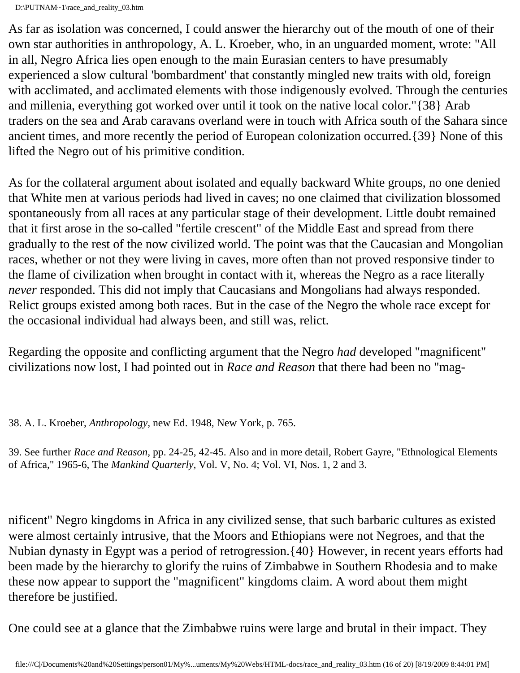As far as isolation was concerned, I could answer the hierarchy out of the mouth of one of their own star authorities in anthropology, A. L. Kroeber, who, in an unguarded moment, wrote: "All in all, Negro Africa lies open enough to the main Eurasian centers to have presumably experienced a slow cultural 'bombardment' that constantly mingled new traits with old, foreign with acclimated, and acclimated elements with those indigenously evolved. Through the centuries and millenia, everything got worked over until it took on the native local color."{38} Arab traders on the sea and Arab caravans overland were in touch with Africa south of the Sahara since ancient times, and more recently the period of European colonization occurred.{39} None of this lifted the Negro out of his primitive condition.

As for the collateral argument about isolated and equally backward White groups, no one denied that White men at various periods had lived in caves; no one claimed that civilization blossomed spontaneously from all races at any particular stage of their development. Little doubt remained that it first arose in the so-called "fertile crescent" of the Middle East and spread from there gradually to the rest of the now civilized world. The point was that the Caucasian and Mongolian races, whether or not they were living in caves, more often than not proved responsive tinder to the flame of civilization when brought in contact with it, whereas the Negro as a race literally *never* responded. This did not imply that Caucasians and Mongolians had always responded. Relict groups existed among both races. But in the case of the Negro the whole race except for the occasional individual had always been, and still was, relict.

Regarding the opposite and conflicting argument that the Negro *had* developed "magnificent" civilizations now lost, I had pointed out in *Race and Reason* that there had been no "mag-

38. A. L. Kroeber, *Anthropology,* new Ed. 1948, New York, p. 765.

39. See further *Race and Reason,* pp. 24-25, 42-45. Also and in more detail, Robert Gayre, "Ethnological Elements of Africa," 1965-6, The *Mankind Quarterly,* Vol. V, No. 4; Vol. VI, Nos. 1, 2 and 3.

nificent" Negro kingdoms in Africa in any civilized sense, that such barbaric cultures as existed were almost certainly intrusive, that the Moors and Ethiopians were not Negroes, and that the Nubian dynasty in Egypt was a period of retrogression.{40} However, in recent years efforts had been made by the hierarchy to glorify the ruins of Zimbabwe in Southern Rhodesia and to make these now appear to support the "magnificent" kingdoms claim. A word about them might therefore be justified.

One could see at a glance that the Zimbabwe ruins were large and brutal in their impact. They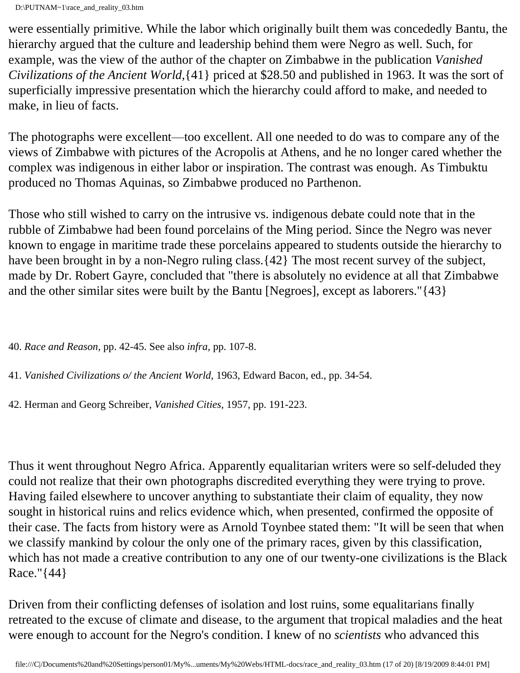were essentially primitive. While the labor which originally built them was concededly Bantu, the hierarchy argued that the culture and leadership behind them were Negro as well. Such, for example, was the view of the author of the chapter on Zimbabwe in the publication *Vanished Civilizations of the Ancient World,*{41} priced at \$28.50 and published in 1963. It was the sort of superficially impressive presentation which the hierarchy could afford to make, and needed to make, in lieu of facts.

The photographs were excellent—too excellent. All one needed to do was to compare any of the views of Zimbabwe with pictures of the Acropolis at Athens, and he no longer cared whether the complex was indigenous in either labor or inspiration. The contrast was enough. As Timbuktu produced no Thomas Aquinas, so Zimbabwe produced no Parthenon.

Those who still wished to carry on the intrusive vs. indigenous debate could note that in the rubble of Zimbabwe had been found porcelains of the Ming period. Since the Negro was never known to engage in maritime trade these porcelains appeared to students outside the hierarchy to have been brought in by a non-Negro ruling class.{42} The most recent survey of the subject, made by Dr. Robert Gayre, concluded that "there is absolutely no evidence at all that Zimbabwe and the other similar sites were built by the Bantu [Negroes], except as laborers."{43}

40. *Race and Reason,* pp. 42-45. See also *infra,* pp. 107-8.

41. *Vanished Civilizations o/ the Ancient World,* 1963, Edward Bacon, ed., pp. 34-54.

42. Herman and Georg Schreiber, *Vanished Cities,* 1957, pp. 191-223.

Thus it went throughout Negro Africa. Apparently equalitarian writers were so self-deluded they could not realize that their own photographs discredited everything they were trying to prove. Having failed elsewhere to uncover anything to substantiate their claim of equality, they now sought in historical ruins and relics evidence which, when presented, confirmed the opposite of their case. The facts from history were as Arnold Toynbee stated them: "It will be seen that when we classify mankind by colour the only one of the primary races, given by this classification, which has not made a creative contribution to any one of our twenty-one civilizations is the Black Race."{44}

Driven from their conflicting defenses of isolation and lost ruins, some equalitarians finally retreated to the excuse of climate and disease, to the argument that tropical maladies and the heat were enough to account for the Negro's condition. I knew of no *scientists* who advanced this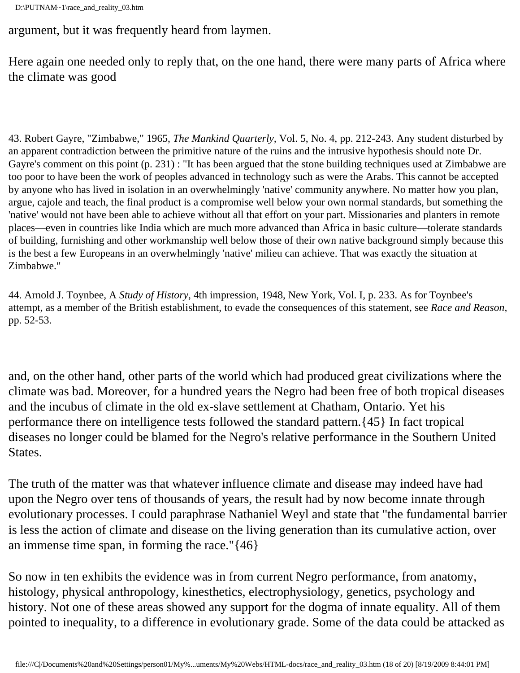argument, but it was frequently heard from laymen.

Here again one needed only to reply that, on the one hand, there were many parts of Africa where the climate was good

43. Robert Gayre, "Zimbabwe," 1965, *The Mankind Quarterly,* Vol. 5, No. 4, pp. 212-243. Any student disturbed by an apparent contradiction between the primitive nature of the ruins and the intrusive hypothesis should note Dr. Gayre's comment on this point (p. 231) : "It has been argued that the stone building techniques used at Zimbabwe are too poor to have been the work of peoples advanced in technology such as were the Arabs. This cannot be accepted by anyone who has lived in isolation in an overwhelmingly 'native' community anywhere. No matter how you plan, argue, cajole and teach, the final product is a compromise well below your own normal standards, but something the 'native' would not have been able to achieve without all that effort on your part. Missionaries and planters in remote places—even in countries like India which are much more advanced than Africa in basic culture—tolerate standards of building, furnishing and other workmanship well below those of their own native background simply because this is the best a few Europeans in an overwhelmingly 'native' milieu can achieve. That was exactly the situation at Zimbabwe."

44. Arnold J. Toynbee, A *Study of History,* 4th impression, 1948, New York, Vol. I, p. 233. As for Toynbee's attempt, as a member of the British establishment, to evade the consequences of this statement, see *Race and Reason,*  pp. 52-53.

and, on the other hand, other parts of the world which had produced great civilizations where the climate was bad. Moreover, for a hundred years the Negro had been free of both tropical diseases and the incubus of climate in the old ex-slave settlement at Chatham, Ontario. Yet his performance there on intelligence tests followed the standard pattern.{45} In fact tropical diseases no longer could be blamed for the Negro's relative performance in the Southern United States.

The truth of the matter was that whatever influence climate and disease may indeed have had upon the Negro over tens of thousands of years, the result had by now become innate through evolutionary processes. I could paraphrase Nathaniel Weyl and state that "the fundamental barrier is less the action of climate and disease on the living generation than its cumulative action, over an immense time span, in forming the race."{46}

So now in ten exhibits the evidence was in from current Negro performance, from anatomy, histology, physical anthropology, kinesthetics, electrophysiology, genetics, psychology and history. Not one of these areas showed any support for the dogma of innate equality. All of them pointed to inequality, to a difference in evolutionary grade. Some of the data could be attacked as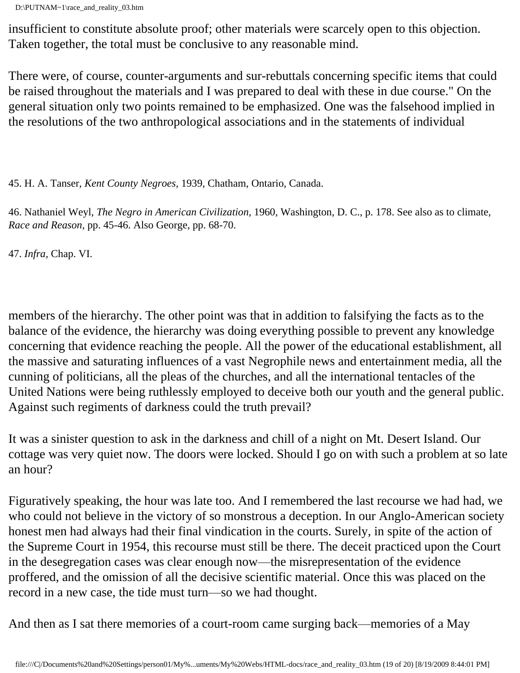insufficient to constitute absolute proof; other materials were scarcely open to this objection. Taken together, the total must be conclusive to any reasonable mind.

There were, of course, counter-arguments and sur-rebuttals concerning specific items that could be raised throughout the materials and I was prepared to deal with these in due course." On the general situation only two points remained to be emphasized. One was the falsehood implied in the resolutions of the two anthropological associations and in the statements of individual

45. H. A. Tanser, *Kent County Negroes,* 1939, Chatham, Ontario, Canada.

46. Nathaniel Weyl, *The Negro in American Civilization,* 1960, Washington, D. C., p. 178. See also as to climate, *Race and Reason,* pp. 45-46. Also George, pp. 68-70.

47. *Infra,* Chap. VI.

members of the hierarchy. The other point was that in addition to falsifying the facts as to the balance of the evidence, the hierarchy was doing everything possible to prevent any knowledge concerning that evidence reaching the people. All the power of the educational establishment, all the massive and saturating influences of a vast Negrophile news and entertainment media, all the cunning of politicians, all the pleas of the churches, and all the international tentacles of the United Nations were being ruthlessly employed to deceive both our youth and the general public. Against such regiments of darkness could the truth prevail?

It was a sinister question to ask in the darkness and chill of a night on Mt. Desert Island. Our cottage was very quiet now. The doors were locked. Should I go on with such a problem at so late an hour?

Figuratively speaking, the hour was late too. And I remembered the last recourse we had had, we who could not believe in the victory of so monstrous a deception. In our Anglo-American society honest men had always had their final vindication in the courts. Surely, in spite of the action of the Supreme Court in 1954, this recourse must still be there. The deceit practiced upon the Court in the desegregation cases was clear enough now—the misrepresentation of the evidence proffered, and the omission of all the decisive scientific material. Once this was placed on the record in a new case, the tide must turn—so we had thought.

And then as I sat there memories of a court-room came surging back—memories of a May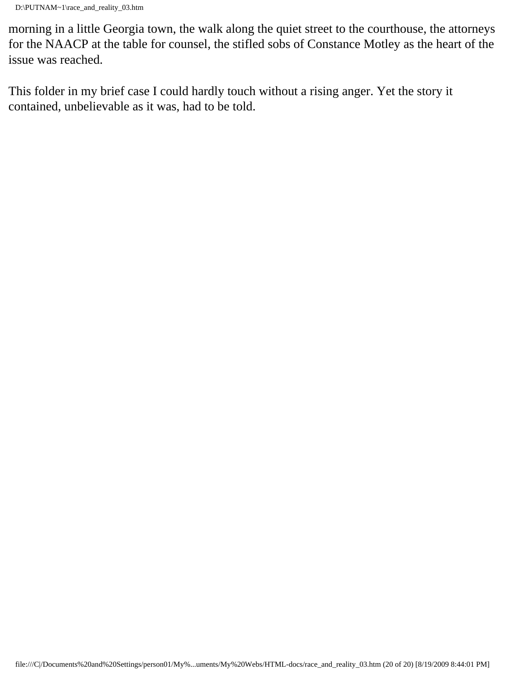morning in a little Georgia town, the walk along the quiet street to the courthouse, the attorneys for the NAACP at the table for counsel, the stifled sobs of Constance Motley as the heart of the issue was reached.

This folder in my brief case I could hardly touch without a rising anger. Yet the story it contained, unbelievable as it was, had to be told.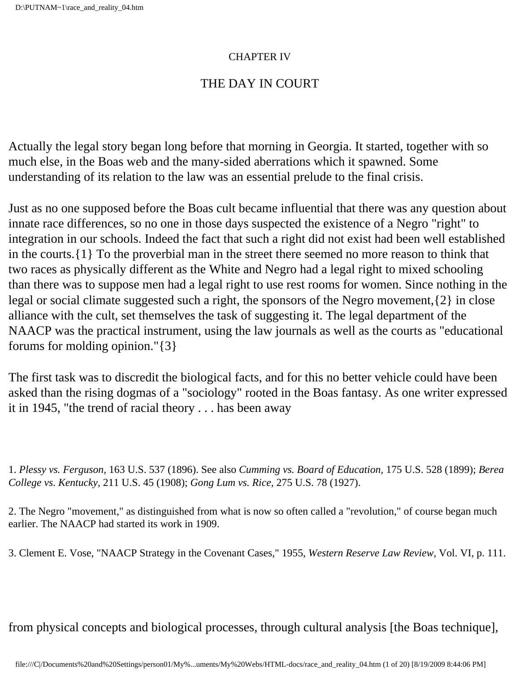## CHAPTER IV

## THE DAY IN COURT

Actually the legal story began long before that morning in Georgia. It started, together with so much else, in the Boas web and the many-sided aberrations which it spawned. Some understanding of its relation to the law was an essential prelude to the final crisis.

Just as no one supposed before the Boas cult became influential that there was any question about innate race differences, so no one in those days suspected the existence of a Negro "right" to integration in our schools. Indeed the fact that such a right did not exist had been well established in the courts.{1} To the proverbial man in the street there seemed no more reason to think that two races as physically different as the White and Negro had a legal right to mixed schooling than there was to suppose men had a legal right to use rest rooms for women. Since nothing in the legal or social climate suggested such a right, the sponsors of the Negro movement,{2} in close alliance with the cult, set themselves the task of suggesting it. The legal department of the NAACP was the practical instrument, using the law journals as well as the courts as "educational forums for molding opinion."{3}

The first task was to discredit the biological facts, and for this no better vehicle could have been asked than the rising dogmas of a "sociology" rooted in the Boas fantasy. As one writer expressed it in 1945, "the trend of racial theory . . . has been away

1. *Plessy vs. Ferguson,* 163 U.S. 537 (1896). See also *Cumming vs. Board of Education,* 175 U.S. 528 (1899); *Berea College vs*. *Kentucky,* 211 U.S. 45 (1908); *Gong Lum vs. Rice,* 275 U.S. 78 (1927).

2. The Negro "movement," as distinguished from what is now so often called a "revolution," of course began much earlier. The NAACP had started its work in 1909.

3. Clement E. Vose, "NAACP Strategy in the Covenant Cases," 1955, *Western Reserve Law Review,* Vol. VI, p. 111.

from physical concepts and biological processes, through cultural analysis [the Boas technique],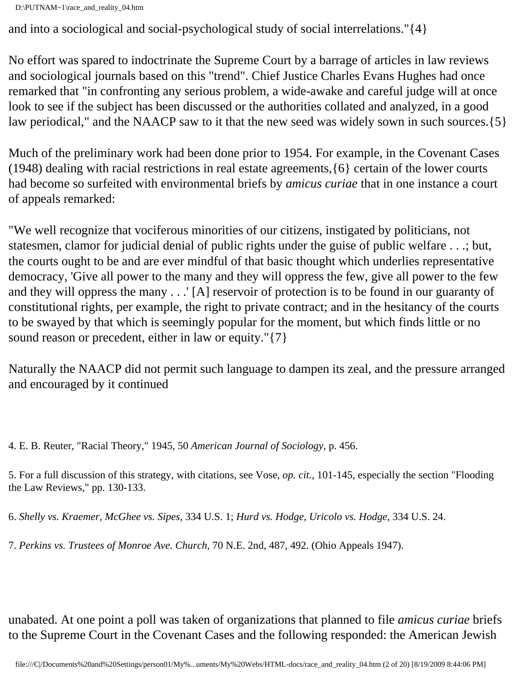and into a sociological and social-psychological study of social interrelations."{4}

No effort was spared to indoctrinate the Supreme Court by a barrage of articles in law reviews and sociological journals based on this "trend". Chief Justice Charles Evans Hughes had once remarked that "in confronting any serious problem, a wide-awake and careful judge will at once look to see if the subject has been discussed or the authorities collated and analyzed, in a good law periodical," and the NAACP saw to it that the new seed was widely sown in such sources.  $\{5\}$ 

Much of the preliminary work had been done prior to 1954. For example, in the Covenant Cases (1948) dealing with racial restrictions in real estate agreements,{6} certain of the lower courts had become so surfeited with environmental briefs by *amicus curiae* that in one instance a court of appeals remarked:

"We well recognize that vociferous minorities of our citizens, instigated by politicians, not statesmen, clamor for judicial denial of public rights under the guise of public welfare . . .; but, the courts ought to be and are ever mindful of that basic thought which underlies representative democracy, 'Give all power to the many and they will oppress the few, give all power to the few and they will oppress the many . . .' [A] reservoir of protection is to be found in our guaranty of constitutional rights, per example, the right to private contract; and in the hesitancy of the courts to be swayed by that which is seemingly popular for the moment, but which finds little or no sound reason or precedent, either in law or equity." $\{7\}$ 

Naturally the NAACP did not permit such language to dampen its zeal, and the pressure arranged and encouraged by it continued

4. E. B. Reuter, "Racial Theory," 1945, 50 *American Journal of Sociology,* p. 456.

5. For a full discussion of this strategy, with citations, see Vose, *op. cit.,* 101-145, especially the section "Flooding the Law Reviews," pp. 130-133.

6. *Shelly vs. Kraemer, McGhee vs. Sipes,* 334 U.S. 1; *Hurd vs. Hodge, Uricolo vs. Hodge,* 334 U.S. 24.

7. *Perkins vs. Trustees of Monroe Ave. Church,* 70 N.E. 2nd, 487, 492. (Ohio Appeals 1947).

unabated. At one point a poll was taken of organizations that planned to file *amicus curiae* briefs to the Supreme Court in the Covenant Cases and the following responded: the American Jewish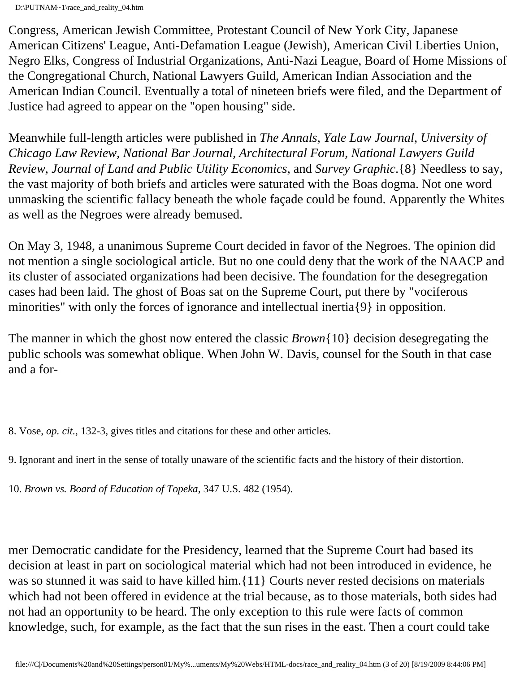Congress, American Jewish Committee, Protestant Council of New York City, Japanese American Citizens' League, Anti-Defamation League (Jewish), American Civil Liberties Union, Negro Elks, Congress of Industrial Organizations, Anti-Nazi League, Board of Home Missions of the Congregational Church, National Lawyers Guild, American Indian Association and the American Indian Council. Eventually a total of nineteen briefs were filed, and the Department of Justice had agreed to appear on the "open housing" side.

Meanwhile full-length articles were published in *The Annals, Yale Law Journal, University of Chicago Law Review, National Bar Journal, Architectural Forum, National Lawyers Guild Review, Journal of Land and Public Utility Economics,* and *Survey Graphic*.{8} Needless to say, the vast majority of both briefs and articles were saturated with the Boas dogma. Not one word unmasking the scientific fallacy beneath the whole façade could be found. Apparently the Whites as well as the Negroes were already bemused.

On May 3, 1948, a unanimous Supreme Court decided in favor of the Negroes. The opinion did not mention a single sociological article. But no one could deny that the work of the NAACP and its cluster of associated organizations had been decisive. The foundation for the desegregation cases had been laid. The ghost of Boas sat on the Supreme Court, put there by "vociferous minorities" with only the forces of ignorance and intellectual inertia{9} in opposition.

The manner in which the ghost now entered the classic *Brown*{10} decision desegregating the public schools was somewhat oblique. When John W. Davis, counsel for the South in that case and a for-

8. Vose, *op. cit.,* 132-3, gives titles and citations for these and other articles.

9. Ignorant and inert in the sense of totally unaware of the scientific facts and the history of their distortion.

10. *Brown vs. Board of Education of Topeka,* 347 U.S. 482 (1954).

mer Democratic candidate for the Presidency, learned that the Supreme Court had based its decision at least in part on sociological material which had not been introduced in evidence, he was so stunned it was said to have killed him.{11} Courts never rested decisions on materials which had not been offered in evidence at the trial because, as to those materials, both sides had not had an opportunity to be heard. The only exception to this rule were facts of common knowledge, such, for example, as the fact that the sun rises in the east. Then a court could take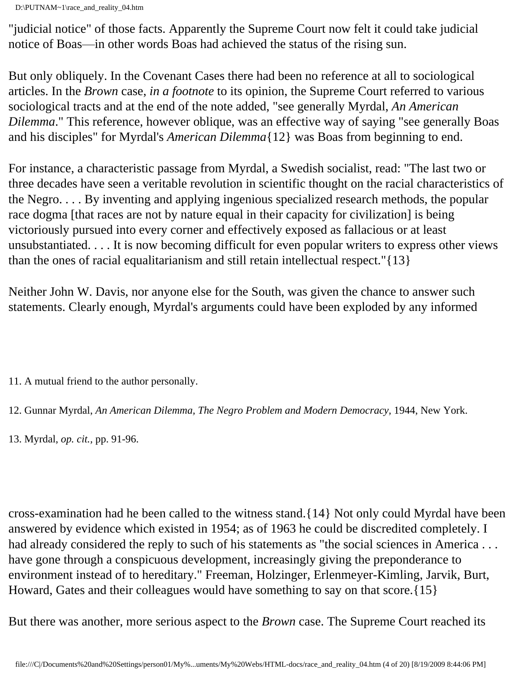"judicial notice" of those facts. Apparently the Supreme Court now felt it could take judicial notice of Boas—in other words Boas had achieved the status of the rising sun.

But only obliquely. In the Covenant Cases there had been no reference at all to sociological articles. In the *Brown* case, *in a footnote* to its opinion, the Supreme Court referred to various sociological tracts and at the end of the note added, "see generally Myrdal, *An American Dilemma*." This reference, however oblique, was an effective way of saying "see generally Boas and his disciples" for Myrdal's *American Dilemma*{12} was Boas from beginning to end.

For instance, a characteristic passage from Myrdal, a Swedish socialist, read: "The last two or three decades have seen a veritable revolution in scientific thought on the racial characteristics of the Negro. . . . By inventing and applying ingenious specialized research methods, the popular race dogma [that races are not by nature equal in their capacity for civilization] is being victoriously pursued into every corner and effectively exposed as fallacious or at least unsubstantiated. . . . It is now becoming difficult for even popular writers to express other views than the ones of racial equalitarianism and still retain intellectual respect."{13}

Neither John W. Davis, nor anyone else for the South, was given the chance to answer such statements. Clearly enough, Myrdal's arguments could have been exploded by any informed

- 11. A mutual friend to the author personally.
- 12. Gunnar Myrdal, *An American Dilemma, The Negro Problem and Modern Democracy*, 1944, New York.
- 13. Myrdal, *op. cit.,* pp. 91-96.

cross-examination had he been called to the witness stand.{14} Not only could Myrdal have been answered by evidence which existed in 1954; as of 1963 he could be discredited completely. I had already considered the reply to such of his statements as "the social sciences in America . . . have gone through a conspicuous development, increasingly giving the preponderance to environment instead of to hereditary." Freeman, Holzinger, Erlenmeyer-Kimling, Jarvik, Burt, Howard, Gates and their colleagues would have something to say on that score.{15}

But there was another, more serious aspect to the *Brown* case. The Supreme Court reached its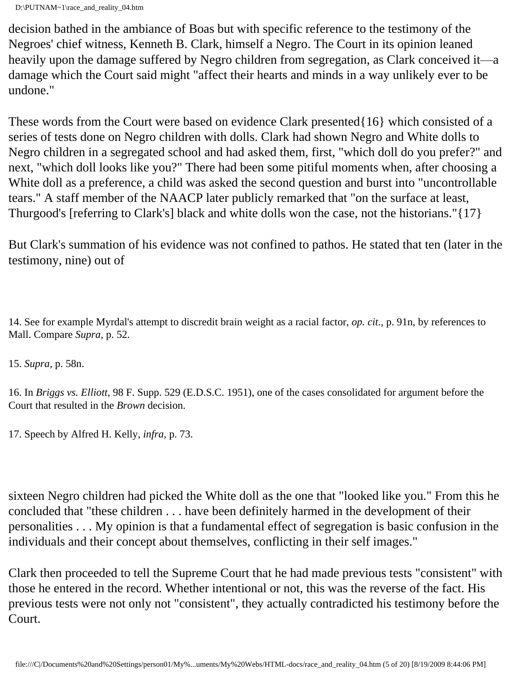decision bathed in the ambiance of Boas but with specific reference to the testimony of the Negroes' chief witness, Kenneth B. Clark, himself a Negro. The Court in its opinion leaned heavily upon the damage suffered by Negro children from segregation, as Clark conceived it—a damage which the Court said might "affect their hearts and minds in a way unlikely ever to be undone."

These words from the Court were based on evidence Clark presented{16} which consisted of a series of tests done on Negro children with dolls. Clark had shown Negro and White dolls to Negro children in a segregated school and had asked them, first, "which doll do you prefer?" and next, "which doll looks like you?" There had been some pitiful moments when, after choosing a White doll as a preference, a child was asked the second question and burst into "uncontrollable tears." A staff member of the NAACP later publicly remarked that "on the surface at least, Thurgood's [referring to Clark's] black and white dolls won the case, not the historians."{17}

But Clark's summation of his evidence was not confined to pathos. He stated that ten (later in the testimony, nine) out of

14. See for example Myrdal's attempt to discredit brain weight as a racial factor, *op. cit.,* p. 91n, by references to Mall. Compare *Supra,* p. 52.

15. *Supra,* p. 58n.

16. In *Briggs vs. Elliott,* 98 F. Supp. 529 (E.D.S.C. 1951), one of the cases consolidated for argument before the Court that resulted in the *Brown* decision.

17. Speech by Alfred H. Kelly, *infra,* p. 73.

sixteen Negro children had picked the White doll as the one that "looked like you." From this he concluded that "these children . . . have been definitely harmed in the development of their personalities . . . My opinion is that a fundamental effect of segregation is basic confusion in the individuals and their concept about themselves, conflicting in their self images."

Clark then proceeded to tell the Supreme Court that he had made previous tests "consistent" with those he entered in the record. Whether intentional or not, this was the reverse of the fact. His previous tests were not only not "consistent", they actually contradicted his testimony before the Court.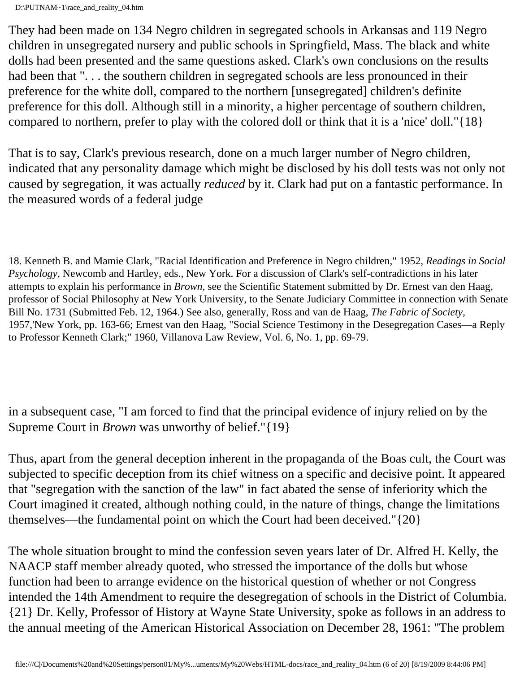They had been made on 134 Negro children in segregated schools in Arkansas and 119 Negro children in unsegregated nursery and public schools in Springfield, Mass. The black and white dolls had been presented and the same questions asked. Clark's own conclusions on the results had been that "... the southern children in segregated schools are less pronounced in their preference for the white doll, compared to the northern [unsegregated] children's definite preference for this doll. Although still in a minority, a higher percentage of southern children, compared to northern, prefer to play with the colored doll or think that it is a 'nice' doll."{18}

That is to say, Clark's previous research, done on a much larger number of Negro children, indicated that any personality damage which might be disclosed by his doll tests was not only not caused by segregation, it was actually *reduced* by it. Clark had put on a fantastic performance. In the measured words of a federal judge

18. Kenneth B. and Mamie Clark, "Racial Identification and Preference in Negro children," 1952, *Readings in Social Psychology,* Newcomb and Hartley, eds., New York. For a discussion of Clark's self-contradictions in his later attempts to explain his performance in *Brown,* see the Scientific Statement submitted by Dr. Ernest van den Haag, professor of Social Philosophy at New York University, to the Senate Judiciary Committee in connection with Senate Bill No. 1731 (Submitted Feb. 12, 1964.) See also, generally, Ross and van de Haag, *The Fabric of Society,*  1957,'New York, pp. 163-66; Ernest van den Haag, "Social Science Testimony in the Desegregation Cases—a Reply to Professor Kenneth Clark;" 1960, Villanova Law Review, Vol. 6, No. 1, pp. 69-79.

in a subsequent case, "I am forced to find that the principal evidence of injury relied on by the Supreme Court in *Brown* was unworthy of belief."{19}

Thus, apart from the general deception inherent in the propaganda of the Boas cult, the Court was subjected to specific deception from its chief witness on a specific and decisive point. It appeared that "segregation with the sanction of the law" in fact abated the sense of inferiority which the Court imagined it created, although nothing could, in the nature of things, change the limitations themselves—the fundamental point on which the Court had been deceived."{20}

The whole situation brought to mind the confession seven years later of Dr. Alfred H. Kelly, the NAACP staff member already quoted, who stressed the importance of the dolls but whose function had been to arrange evidence on the historical question of whether or not Congress intended the 14th Amendment to require the desegregation of schools in the District of Columbia. {21} Dr. Kelly, Professor of History at Wayne State University, spoke as follows in an address to the annual meeting of the American Historical Association on December 28, 1961: "The problem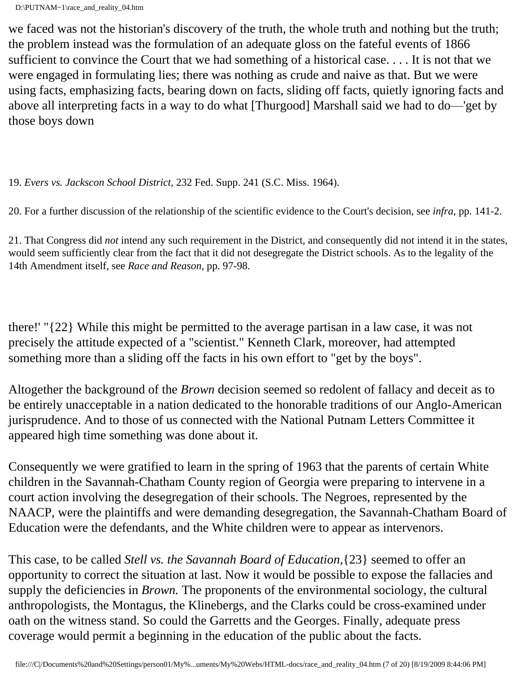we faced was not the historian's discovery of the truth, the whole truth and nothing but the truth; the problem instead was the formulation of an adequate gloss on the fateful events of 1866 sufficient to convince the Court that we had something of a historical case. . . . It is not that we were engaged in formulating lies; there was nothing as crude and naive as that. But we were using facts, emphasizing facts, bearing down on facts, sliding off facts, quietly ignoring facts and above all interpreting facts in a way to do what [Thurgood] Marshall said we had to do—'get by those boys down

19. *Evers vs. Jackscon School District,* 232 Fed. Supp. 241 (S.C. Miss. 1964).

20. For a further discussion of the relationship of the scientific evidence to the Court's decision, see *infra,* pp. 141-2.

21. That Congress did *not* intend any such requirement in the District, and consequently did not intend it in the states, would seem sufficiently clear from the fact that it did not desegregate the District schools. As to the legality of the 14th Amendment itself, see *Race and Reason,* pp. 97-98.

there!' "{22} While this might be permitted to the average partisan in a law case, it was not precisely the attitude expected of a "scientist." Kenneth Clark, moreover, had attempted something more than a sliding off the facts in his own effort to "get by the boys".

Altogether the background of the *Brown* decision seemed so redolent of fallacy and deceit as to be entirely unacceptable in a nation dedicated to the honorable traditions of our Anglo-American jurisprudence. And to those of us connected with the National Putnam Letters Committee it appeared high time something was done about it.

Consequently we were gratified to learn in the spring of 1963 that the parents of certain White children in the Savannah-Chatham County region of Georgia were preparing to intervene in a court action involving the desegregation of their schools. The Negroes, represented by the NAACP, were the plaintiffs and were demanding desegregation, the Savannah-Chatham Board of Education were the defendants, and the White children were to appear as intervenors.

This case, to be called *Stell vs. the Savannah Board of Education,*{23} seemed to offer an opportunity to correct the situation at last. Now it would be possible to expose the fallacies and supply the deficiencies in *Brown*. The proponents of the environmental sociology, the cultural anthropologists, the Montagus, the Klinebergs, and the Clarks could be cross-examined under oath on the witness stand. So could the Garretts and the Georges. Finally, adequate press coverage would permit a beginning in the education of the public about the facts.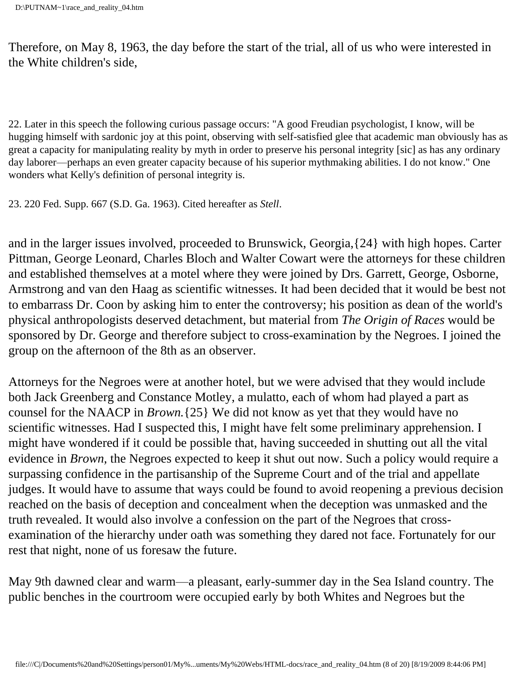Therefore, on May 8, 1963, the day before the start of the trial, all of us who were interested in the White children's side,

22. Later in this speech the following curious passage occurs: "A good Freudian psychologist, I know, will be hugging himself with sardonic joy at this point, observing with self-satisfied glee that academic man obviously has as great a capacity for manipulating reality by myth in order to preserve his personal integrity [sic] as has any ordinary day laborer—perhaps an even greater capacity because of his superior mythmaking abilities. I do not know." One wonders what Kelly's definition of personal integrity is.

23. 220 Fed. Supp. 667 (S.D. Ga. 1963). Cited hereafter as *Stell*.

and in the larger issues involved, proceeded to Brunswick, Georgia,{24} with high hopes. Carter Pittman, George Leonard, Charles Bloch and Walter Cowart were the attorneys for these children and established themselves at a motel where they were joined by Drs. Garrett, George, Osborne, Armstrong and van den Haag as scientific witnesses. It had been decided that it would be best not to embarrass Dr. Coon by asking him to enter the controversy; his position as dean of the world's physical anthropologists deserved detachment, but material from *The Origin of Races* would be sponsored by Dr. George and therefore subject to cross-examination by the Negroes. I joined the group on the afternoon of the 8th as an observer.

Attorneys for the Negroes were at another hotel, but we were advised that they would include both Jack Greenberg and Constance Motley, a mulatto, each of whom had played a part as counsel for the NAACP in *Brown.*{25} We did not know as yet that they would have no scientific witnesses. Had I suspected this, I might have felt some preliminary apprehension. I might have wondered if it could be possible that, having succeeded in shutting out all the vital evidence in *Brown,* the Negroes expected to keep it shut out now. Such a policy would require a surpassing confidence in the partisanship of the Supreme Court and of the trial and appellate judges. It would have to assume that ways could be found to avoid reopening a previous decision reached on the basis of deception and concealment when the deception was unmasked and the truth revealed. It would also involve a confession on the part of the Negroes that crossexamination of the hierarchy under oath was something they dared not face. Fortunately for our rest that night, none of us foresaw the future.

May 9th dawned clear and warm—a pleasant, early-summer day in the Sea Island country. The public benches in the courtroom were occupied early by both Whites and Negroes but the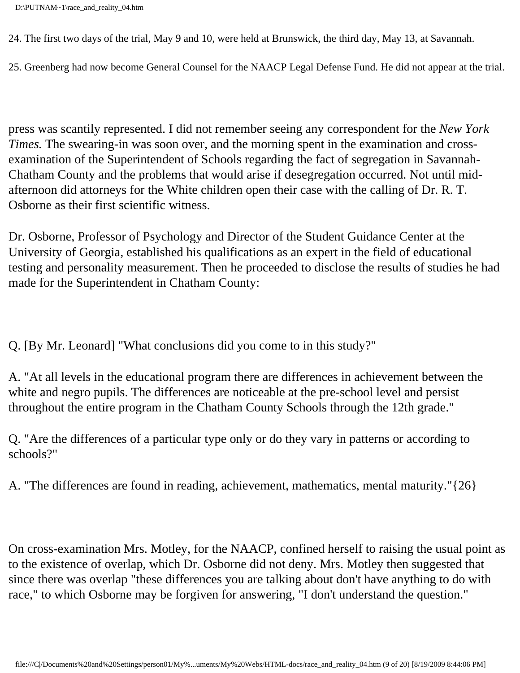- 24. The first two days of the trial, May 9 and 10, were held at Brunswick, the third day, May 13, at Savannah.
- 25. Greenberg had now become General Counsel for the NAACP Legal Defense Fund. He did not appear at the trial.

press was scantily represented. I did not remember seeing any correspondent for the *New York Times.* The swearing-in was soon over, and the morning spent in the examination and crossexamination of the Superintendent of Schools regarding the fact of segregation in Savannah-Chatham County and the problems that would arise if desegregation occurred. Not until midafternoon did attorneys for the White children open their case with the calling of Dr. R. T. Osborne as their first scientific witness.

Dr. Osborne, Professor of Psychology and Director of the Student Guidance Center at the University of Georgia, established his qualifications as an expert in the field of educational testing and personality measurement. Then he proceeded to disclose the results of studies he had made for the Superintendent in Chatham County:

Q. [By Mr. Leonard] "What conclusions did you come to in this study?"

A. "At all levels in the educational program there are differences in achievement between the white and negro pupils. The differences are noticeable at the pre-school level and persist throughout the entire program in the Chatham County Schools through the 12th grade."

Q. "Are the differences of a particular type only or do they vary in patterns or according to schools?"

A. "The differences are found in reading, achievement, mathematics, mental maturity."{26}

On cross-examination Mrs. Motley, for the NAACP, confined herself to raising the usual point as to the existence of overlap, which Dr. Osborne did not deny. Mrs. Motley then suggested that since there was overlap "these differences you are talking about don't have anything to do with race," to which Osborne may be forgiven for answering, "I don't understand the question."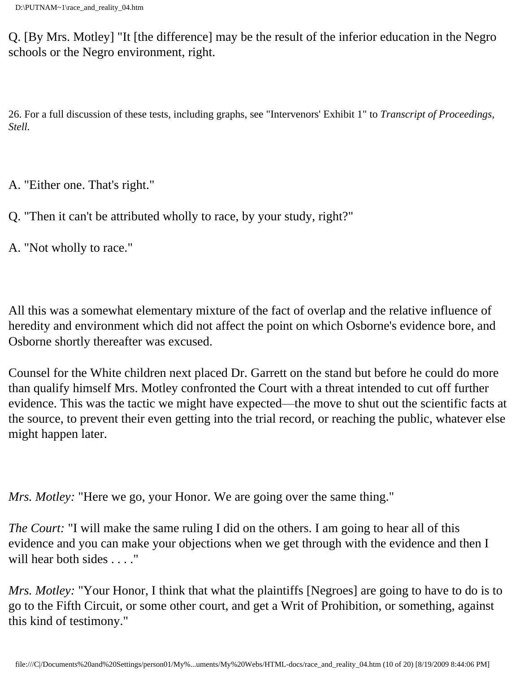Q. [By Mrs. Motley] "It [the difference] may be the result of the inferior education in the Negro schools or the Negro environment, right.

26. For a full discussion of these tests, including graphs, see "Intervenors' Exhibit 1" to *Transcript of Proceedings, Stell.*

A. "Either one. That's right."

Q. "Then it can't be attributed wholly to race, by your study, right?"

A. "Not wholly to race."

All this was a somewhat elementary mixture of the fact of overlap and the relative influence of heredity and environment which did not affect the point on which Osborne's evidence bore, and Osborne shortly thereafter was excused.

Counsel for the White children next placed Dr. Garrett on the stand but before he could do more than qualify himself Mrs. Motley confronted the Court with a threat intended to cut off further evidence. This was the tactic we might have expected—the move to shut out the scientific facts at the source, to prevent their even getting into the trial record, or reaching the public, whatever else might happen later.

*Mrs. Motley:* "Here we go, your Honor. We are going over the same thing."

*The Court:* "I will make the same ruling I did on the others. I am going to hear all of this evidence and you can make your objections when we get through with the evidence and then I will hear both sides . . . ."

*Mrs. Motley:* "Your Honor, I think that what the plaintiffs [Negroes] are going to have to do is to go to the Fifth Circuit, or some other court, and get a Writ of Prohibition, or something, against this kind of testimony."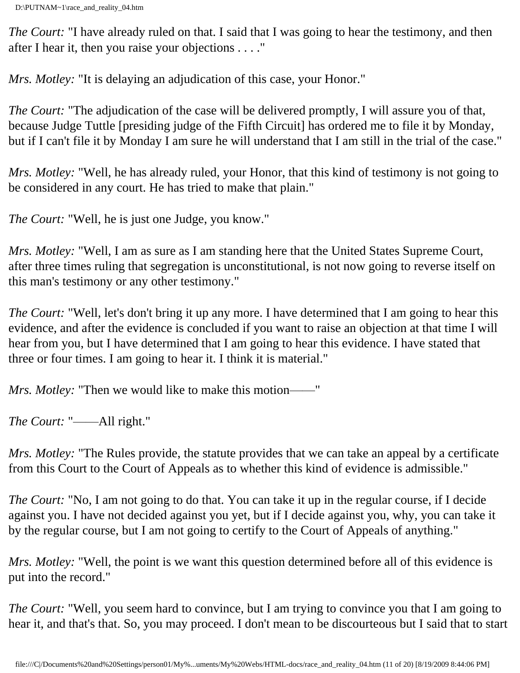*The Court:* "I have already ruled on that. I said that I was going to hear the testimony, and then after I hear it, then you raise your objections . . . ."

*Mrs. Motley:* "It is delaying an adjudication of this case, your Honor."

*The Court:* "The adjudication of the case will be delivered promptly, I will assure you of that, because Judge Tuttle [presiding judge of the Fifth Circuit] has ordered me to file it by Monday, but if I can't file it by Monday I am sure he will understand that I am still in the trial of the case."

*Mrs. Motley:* "Well, he has already ruled, your Honor, that this kind of testimony is not going to be considered in any court. He has tried to make that plain."

*The Court:* "Well, he is just one Judge, you know."

*Mrs. Motley:* "Well, I am as sure as I am standing here that the United States Supreme Court, after three times ruling that segregation is unconstitutional, is not now going to reverse itself on this man's testimony or any other testimony."

*The Court:* "Well, let's don't bring it up any more. I have determined that I am going to hear this evidence, and after the evidence is concluded if you want to raise an objection at that time I will hear from you, but I have determined that I am going to hear this evidence. I have stated that three or four times. I am going to hear it. I think it is material."

*Mrs. Motley:* "Then we would like to make this motion——"

*The Court:* "——All right."

*Mrs. Motley:* "The Rules provide, the statute provides that we can take an appeal by a certificate from this Court to the Court of Appeals as to whether this kind of evidence is admissible."

*The Court:* "No, I am not going to do that. You can take it up in the regular course, if I decide against you. I have not decided against you yet, but if I decide against you, why, you can take it by the regular course, but I am not going to certify to the Court of Appeals of anything."

*Mrs. Motley:* "Well, the point is we want this question determined before all of this evidence is put into the record."

*The Court:* "Well, you seem hard to convince, but I am trying to convince you that I am going to hear it, and that's that. So, you may proceed. I don't mean to be discourteous but I said that to start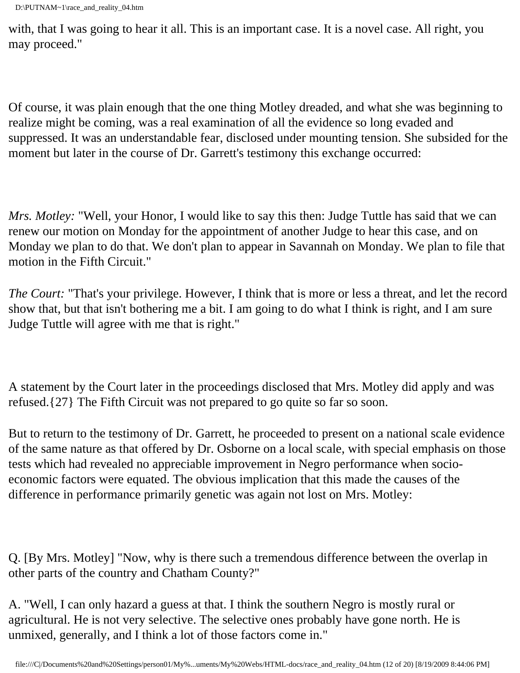with, that I was going to hear it all. This is an important case. It is a novel case. All right, you may proceed."

Of course, it was plain enough that the one thing Motley dreaded, and what she was beginning to realize might be coming, was a real examination of all the evidence so long evaded and suppressed. It was an understandable fear, disclosed under mounting tension. She subsided for the moment but later in the course of Dr. Garrett's testimony this exchange occurred:

*Mrs. Motley:* "Well, your Honor, I would like to say this then: Judge Tuttle has said that we can renew our motion on Monday for the appointment of another Judge to hear this case, and on Monday we plan to do that. We don't plan to appear in Savannah on Monday. We plan to file that motion in the Fifth Circuit."

*The Court:* "That's your privilege. However, I think that is more or less a threat, and let the record show that, but that isn't bothering me a bit. I am going to do what I think is right, and I am sure Judge Tuttle will agree with me that is right."

A statement by the Court later in the proceedings disclosed that Mrs. Motley did apply and was refused.{27} The Fifth Circuit was not prepared to go quite so far so soon.

But to return to the testimony of Dr. Garrett, he proceeded to present on a national scale evidence of the same nature as that offered by Dr. Osborne on a local scale, with special emphasis on those tests which had revealed no appreciable improvement in Negro performance when socioeconomic factors were equated. The obvious implication that this made the causes of the difference in performance primarily genetic was again not lost on Mrs. Motley:

Q. [By Mrs. Motley] "Now, why is there such a tremendous difference between the overlap in other parts of the country and Chatham County?"

A. "Well, I can only hazard a guess at that. I think the southern Negro is mostly rural or agricultural. He is not very selective. The selective ones probably have gone north. He is unmixed, generally, and I think a lot of those factors come in."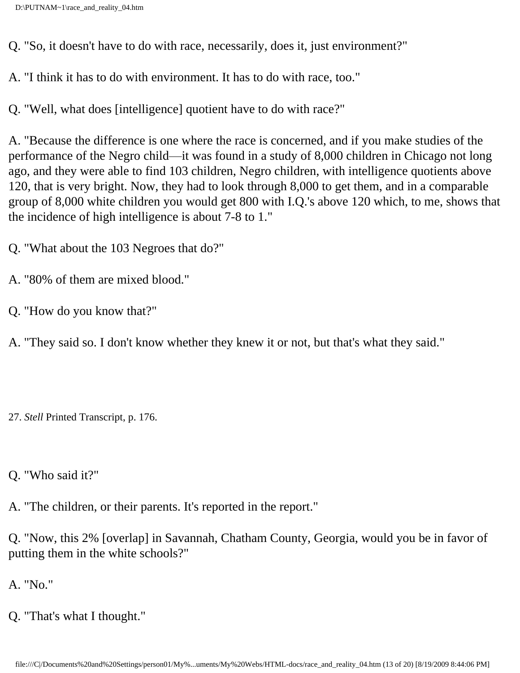Q. "So, it doesn't have to do with race, necessarily, does it, just environment?"

A. "I think it has to do with environment. It has to do with race, too."

Q. "Well, what does [intelligence] quotient have to do with race?"

A. "Because the difference is one where the race is concerned, and if you make studies of the performance of the Negro child—it was found in a study of 8,000 children in Chicago not long ago, and they were able to find 103 children, Negro children, with intelligence quotients above 120, that is very bright. Now, they had to look through 8,000 to get them, and in a comparable group of 8,000 white children you would get 800 with I.Q.'s above 120 which, to me, shows that the incidence of high intelligence is about 7-8 to 1."

Q. "What about the 103 Negroes that do?"

- A. "80% of them are mixed blood."
- Q. "How do you know that?"
- A. "They said so. I don't know whether they knew it or not, but that's what they said."

27. *Stell* Printed Transcript, p. 176.

Q. "Who said it?"

A. "The children, or their parents. It's reported in the report."

Q. "Now, this 2% [overlap] in Savannah, Chatham County, Georgia, would you be in favor of putting them in the white schools?"

A. "No."

Q. "That's what I thought."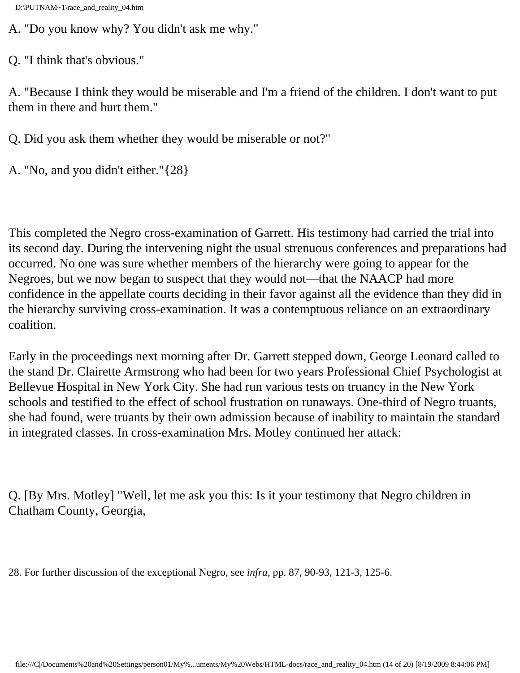A. "Do you know why? You didn't ask me why."

Q. "I think that's obvious."

A. "Because I think they would be miserable and I'm a friend of the children. I don't want to put them in there and hurt them."

Q. Did you ask them whether they would be miserable or not?"

A. "No, and you didn't either."{28}

This completed the Negro cross-examination of Garrett. His testimony had carried the trial into its second day. During the intervening night the usual strenuous conferences and preparations had occurred. No one was sure whether members of the hierarchy were going to appear for the Negroes, but we now began to suspect that they would not—that the NAACP had more confidence in the appellate courts deciding in their favor against all the evidence than they did in the hierarchy surviving cross-examination. It was a contemptuous reliance on an extraordinary coalition.

Early in the proceedings next morning after Dr. Garrett stepped down, George Leonard called to the stand Dr. Clairette Armstrong who had been for two years Professional Chief Psychologist at Bellevue Hospital in New York City. She had run various tests on truancy in the New York schools and testified to the effect of school frustration on runaways. One-third of Negro truants, she had found, were truants by their own admission because of inability to maintain the standard in integrated classes. In cross-examination Mrs. Motley continued her attack:

Q. [By Mrs. Motley] "Well, let me ask you this: Is it your testimony that Negro children in Chatham County, Georgia,

28. For further discussion of the exceptional Negro, see *infra,* pp. 87, 90-93, 121-3, 125-6.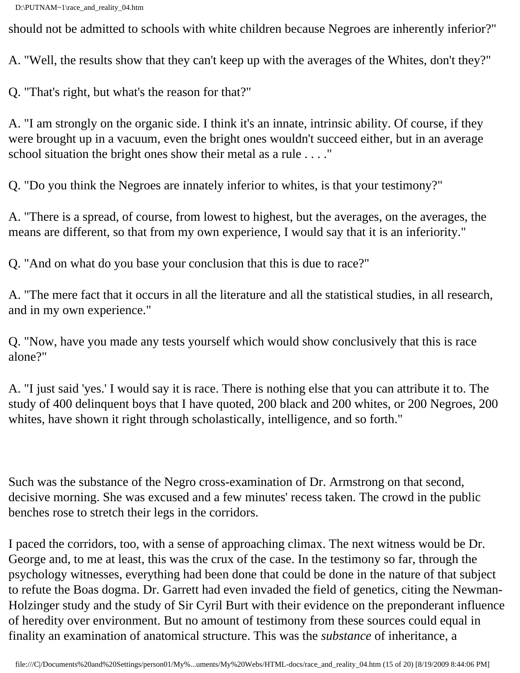should not be admitted to schools with white children because Negroes are inherently inferior?"

A. "Well, the results show that they can't keep up with the averages of the Whites, don't they?"

Q. "That's right, but what's the reason for that?"

A. "I am strongly on the organic side. I think it's an innate, intrinsic ability. Of course, if they were brought up in a vacuum, even the bright ones wouldn't succeed either, but in an average school situation the bright ones show their metal as a rule . . . ."

Q. "Do you think the Negroes are innately inferior to whites, is that your testimony?"

A. "There is a spread, of course, from lowest to highest, but the averages, on the averages, the means are different, so that from my own experience, I would say that it is an inferiority."

Q. "And on what do you base your conclusion that this is due to race?"

A. "The mere fact that it occurs in all the literature and all the statistical studies, in all research, and in my own experience."

Q. "Now, have you made any tests yourself which would show conclusively that this is race alone?"

A. "I just said 'yes.' I would say it is race. There is nothing else that you can attribute it to. The study of 400 delinquent boys that I have quoted, 200 black and 200 whites, or 200 Negroes, 200 whites, have shown it right through scholastically, intelligence, and so forth."

Such was the substance of the Negro cross-examination of Dr. Armstrong on that second, decisive morning. She was excused and a few minutes' recess taken. The crowd in the public benches rose to stretch their legs in the corridors.

I paced the corridors, too, with a sense of approaching climax. The next witness would be Dr. George and, to me at least, this was the crux of the case. In the testimony so far, through the psychology witnesses, everything had been done that could be done in the nature of that subject to refute the Boas dogma. Dr. Garrett had even invaded the field of genetics, citing the Newman-Holzinger study and the study of Sir Cyril Burt with their evidence on the preponderant influence of heredity over environment. But no amount of testimony from these sources could equal in finality an examination of anatomical structure. This was the *substance* of inheritance, a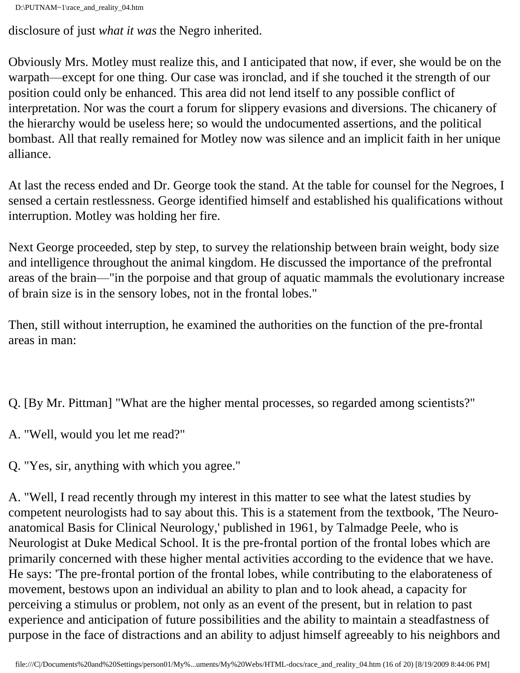D:\PUTNAM~1\race\_and\_reality\_04.htm

disclosure of just *what it was* the Negro inherited.

Obviously Mrs. Motley must realize this, and I anticipated that now, if ever, she would be on the warpath—except for one thing. Our case was ironclad, and if she touched it the strength of our position could only be enhanced. This area did not lend itself to any possible conflict of interpretation. Nor was the court a forum for slippery evasions and diversions. The chicanery of the hierarchy would be useless here; so would the undocumented assertions, and the political bombast. All that really remained for Motley now was silence and an implicit faith in her unique alliance.

At last the recess ended and Dr. George took the stand. At the table for counsel for the Negroes, I sensed a certain restlessness. George identified himself and established his qualifications without interruption. Motley was holding her fire.

Next George proceeded, step by step, to survey the relationship between brain weight, body size and intelligence throughout the animal kingdom. He discussed the importance of the prefrontal areas of the brain—"in the porpoise and that group of aquatic mammals the evolutionary increase of brain size is in the sensory lobes, not in the frontal lobes."

Then, still without interruption, he examined the authorities on the function of the pre-frontal areas in man:

Q. [By Mr. Pittman] "What are the higher mental processes, so regarded among scientists?"

- A. "Well, would you let me read?"
- Q. "Yes, sir, anything with which you agree."

A. "Well, I read recently through my interest in this matter to see what the latest studies by competent neurologists had to say about this. This is a statement from the textbook, 'The Neuroanatomical Basis for Clinical Neurology,' published in 1961, by Talmadge Peele, who is Neurologist at Duke Medical School. It is the pre-frontal portion of the frontal lobes which are primarily concerned with these higher mental activities according to the evidence that we have. He says: 'The pre-frontal portion of the frontal lobes, while contributing to the elaborateness of movement, bestows upon an individual an ability to plan and to look ahead, a capacity for perceiving a stimulus or problem, not only as an event of the present, but in relation to past experience and anticipation of future possibilities and the ability to maintain a steadfastness of purpose in the face of distractions and an ability to adjust himself agreeably to his neighbors and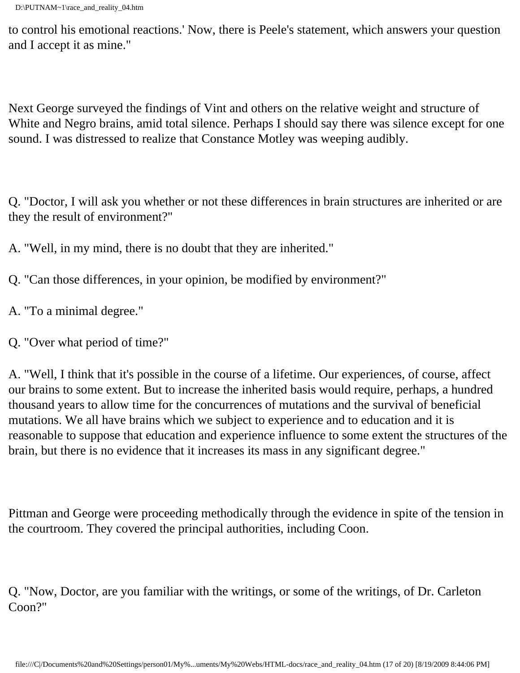to control his emotional reactions.' Now, there is Peele's statement, which answers your question and I accept it as mine."

Next George surveyed the findings of Vint and others on the relative weight and structure of White and Negro brains, amid total silence. Perhaps I should say there was silence except for one sound. I was distressed to realize that Constance Motley was weeping audibly.

Q. "Doctor, I will ask you whether or not these differences in brain structures are inherited or are they the result of environment?"

- A. "Well, in my mind, there is no doubt that they are inherited."
- Q. "Can those differences, in your opinion, be modified by environment?"
- A. "To a minimal degree."
- Q. "Over what period of time?"

A. "Well, I think that it's possible in the course of a lifetime. Our experiences, of course, affect our brains to some extent. But to increase the inherited basis would require, perhaps, a hundred thousand years to allow time for the concurrences of mutations and the survival of beneficial mutations. We all have brains which we subject to experience and to education and it is reasonable to suppose that education and experience influence to some extent the structures of the brain, but there is no evidence that it increases its mass in any significant degree."

Pittman and George were proceeding methodically through the evidence in spite of the tension in the courtroom. They covered the principal authorities, including Coon.

Q. "Now, Doctor, are you familiar with the writings, or some of the writings, of Dr. Carleton Coon?"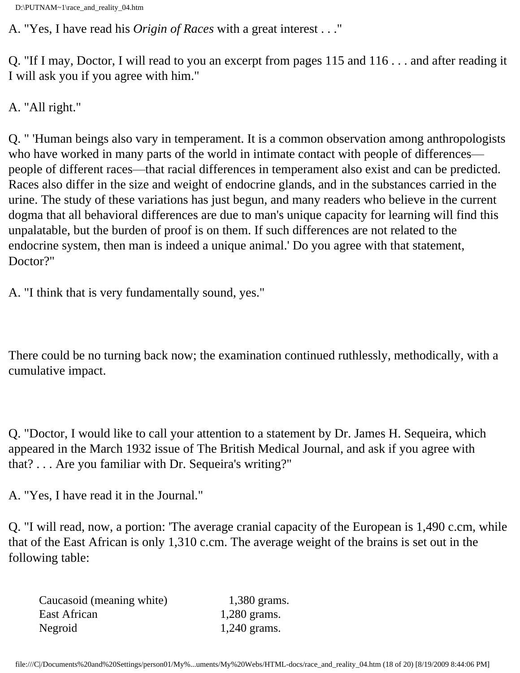A. "Yes, I have read his *Origin of Races* with a great interest . . ."

Q. "If I may, Doctor, I will read to you an excerpt from pages 115 and 116 . . . and after reading it I will ask you if you agree with him."

A. "All right."

Q. " 'Human beings also vary in temperament. It is a common observation among anthropologists who have worked in many parts of the world in intimate contact with people of differences people of different races—that racial differences in temperament also exist and can be predicted. Races also differ in the size and weight of endocrine glands, and in the substances carried in the urine. The study of these variations has just begun, and many readers who believe in the current dogma that all behavioral differences are due to man's unique capacity for learning will find this unpalatable, but the burden of proof is on them. If such differences are not related to the endocrine system, then man is indeed a unique animal.' Do you agree with that statement, Doctor?"

A. "I think that is very fundamentally sound, yes."

There could be no turning back now; the examination continued ruthlessly, methodically, with a cumulative impact.

Q. "Doctor, I would like to call your attention to a statement by Dr. James H. Sequeira, which appeared in the March 1932 issue of The British Medical Journal, and ask if you agree with that? . . . Are you familiar with Dr. Sequeira's writing?"

A. "Yes, I have read it in the Journal."

Q. "I will read, now, a portion: 'The average cranial capacity of the European is 1,490 c.cm, while that of the East African is only 1,310 c.cm. The average weight of the brains is set out in the following table:

| Caucasoid (meaning white) | $1,380$ grams. |
|---------------------------|----------------|
| East African              | $1,280$ grams. |
| Negroid                   | $1,240$ grams. |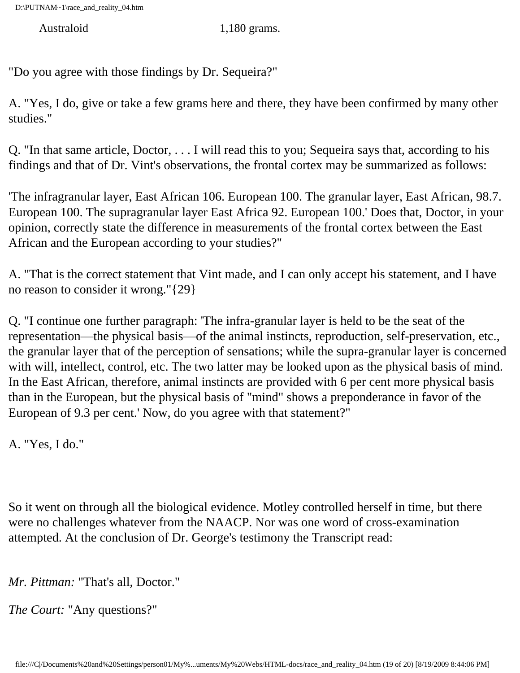"Do you agree with those findings by Dr. Sequeira?"

A. "Yes, I do, give or take a few grams here and there, they have been confirmed by many other studies."

Q. "In that same article, Doctor, . . . I will read this to you; Sequeira says that, according to his findings and that of Dr. Vint's observations, the frontal cortex may be summarized as follows:

'The infragranular layer, East African 106. European 100. The granular layer, East African, 98.7. European 100. The supragranular layer East Africa 92. European 100.' Does that, Doctor, in your opinion, correctly state the difference in measurements of the frontal cortex between the East African and the European according to your studies?"

A. "That is the correct statement that Vint made, and I can only accept his statement, and I have no reason to consider it wrong."{29}

Q. "I continue one further paragraph: 'The infra-granular layer is held to be the seat of the representation—the physical basis—of the animal instincts, reproduction, self-preservation, etc., the granular layer that of the perception of sensations; while the supra-granular layer is concerned with will, intellect, control, etc. The two latter may be looked upon as the physical basis of mind. In the East African, therefore, animal instincts are provided with 6 per cent more physical basis than in the European, but the physical basis of "mind" shows a preponderance in favor of the European of 9.3 per cent.' Now, do you agree with that statement?"

A. "Yes, I do."

So it went on through all the biological evidence. Motley controlled herself in time, but there were no challenges whatever from the NAACP. Nor was one word of cross-examination attempted. At the conclusion of Dr. George's testimony the Transcript read:

*Mr. Pittman:* "That's all, Doctor."

```
The Court: "Any questions?"
```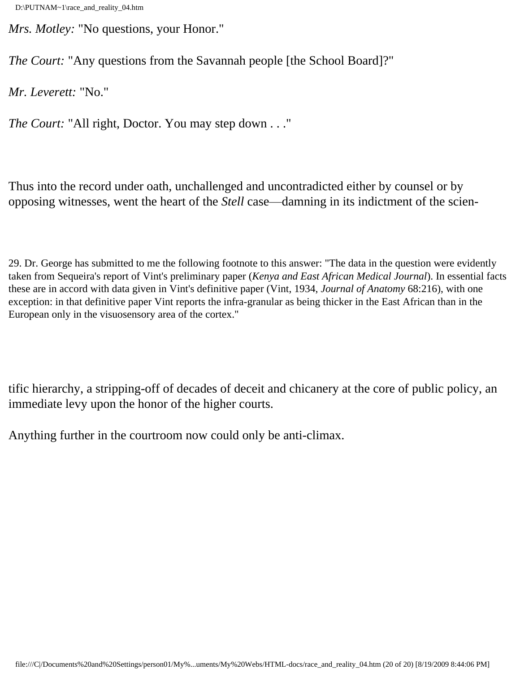*Mrs. Motley:* "No questions, your Honor."

*The Court:* "Any questions from the Savannah people [the School Board]?"

*Mr. Leverett:* "No."

*The Court:* "All right, Doctor. You may step down . . ."

Thus into the record under oath, unchallenged and uncontradicted either by counsel or by opposing witnesses, went the heart of the *Stell* case—damning in its indictment of the scien-

29. Dr. George has submitted to me the following footnote to this answer: "The data in the question were evidently taken from Sequeira's report of Vint's preliminary paper (*Kenya and East African Medical Journal*). In essential facts these are in accord with data given in Vint's definitive paper (Vint, 1934, *Journal of Anatomy* 68:216), with one exception: in that definitive paper Vint reports the infra-granular as being thicker in the East African than in the European only in the visuosensory area of the cortex."

tific hierarchy, a stripping-off of decades of deceit and chicanery at the core of public policy, an immediate levy upon the honor of the higher courts.

Anything further in the courtroom now could only be anti-climax.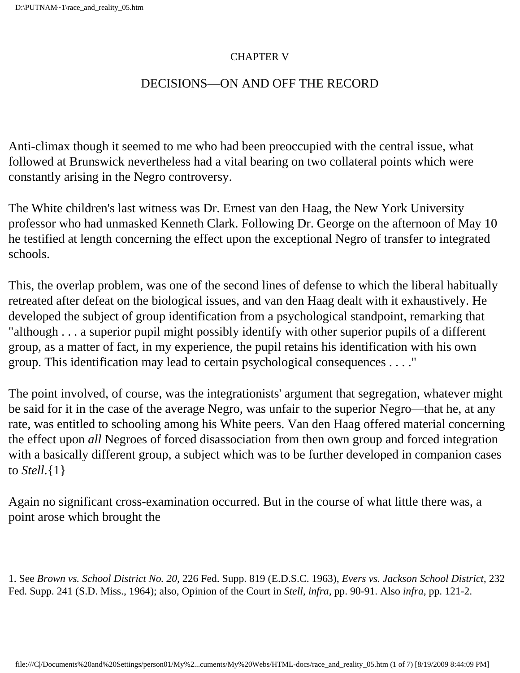#### CHAPTER V

#### DECISIONS—ON AND OFF THE RECORD

Anti-climax though it seemed to me who had been preoccupied with the central issue, what followed at Brunswick nevertheless had a vital bearing on two collateral points which were constantly arising in the Negro controversy.

The White children's last witness was Dr. Ernest van den Haag, the New York University professor who had unmasked Kenneth Clark. Following Dr. George on the afternoon of May 10 he testified at length concerning the effect upon the exceptional Negro of transfer to integrated schools.

This, the overlap problem, was one of the second lines of defense to which the liberal habitually retreated after defeat on the biological issues, and van den Haag dealt with it exhaustively. He developed the subject of group identification from a psychological standpoint, remarking that "although . . . a superior pupil might possibly identify with other superior pupils of a different group, as a matter of fact, in my experience, the pupil retains his identification with his own group. This identification may lead to certain psychological consequences . . . ."

The point involved, of course, was the integrationists' argument that segregation, whatever might be said for it in the case of the average Negro, was unfair to the superior Negro—that he, at any rate, was entitled to schooling among his White peers. Van den Haag offered material concerning the effect upon *all* Negroes of forced disassociation from then own group and forced integration with a basically different group, a subject which was to be further developed in companion cases to *Stell*.{1}

Again no significant cross-examination occurred. But in the course of what little there was, a point arose which brought the

1. See *Brown vs. School District No. 20,* 226 Fed. Supp. 819 (E.D.S.C. 1963), *Evers vs. Jackson School District,* 232 Fed. Supp. 241 (S.D. Miss., 1964); also, Opinion of the Court in *Stell, infra,* pp. 90-91. Also *infra,* pp. 121-2.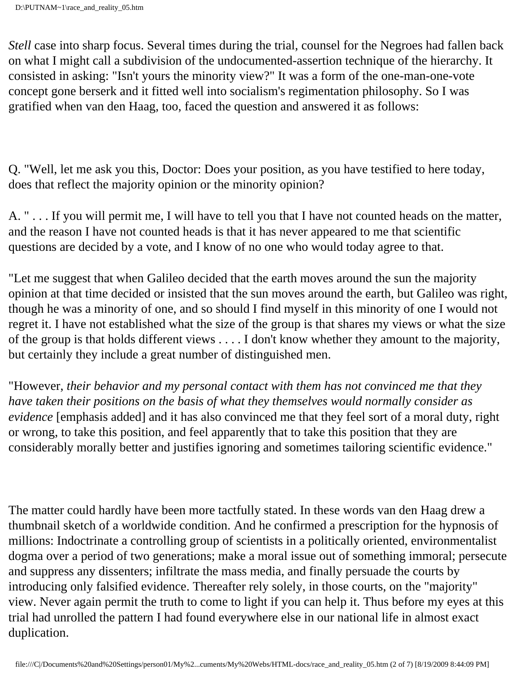*Stell* case into sharp focus. Several times during the trial, counsel for the Negroes had fallen back on what I might call a subdivision of the undocumented-assertion technique of the hierarchy. It consisted in asking: "Isn't yours the minority view?" It was a form of the one-man-one-vote concept gone berserk and it fitted well into socialism's regimentation philosophy. So I was gratified when van den Haag, too, faced the question and answered it as follows:

Q. "Well, let me ask you this, Doctor: Does your position, as you have testified to here today, does that reflect the majority opinion or the minority opinion?

A. " . . . If you will permit me, I will have to tell you that I have not counted heads on the matter, and the reason I have not counted heads is that it has never appeared to me that scientific questions are decided by a vote, and I know of no one who would today agree to that.

"Let me suggest that when Galileo decided that the earth moves around the sun the majority opinion at that time decided or insisted that the sun moves around the earth, but Galileo was right, though he was a minority of one, and so should I find myself in this minority of one I would not regret it. I have not established what the size of the group is that shares my views or what the size of the group is that holds different views . . . . I don't know whether they amount to the majority, but certainly they include a great number of distinguished men.

"However, *their behavior and my personal contact with them has not convinced me that they have taken their positions on the basis of what they themselves would normally consider as evidence* [emphasis added] and it has also convinced me that they feel sort of a moral duty, right or wrong, to take this position, and feel apparently that to take this position that they are considerably morally better and justifies ignoring and sometimes tailoring scientific evidence."

The matter could hardly have been more tactfully stated. In these words van den Haag drew a thumbnail sketch of a worldwide condition. And he confirmed a prescription for the hypnosis of millions: Indoctrinate a controlling group of scientists in a politically oriented, environmentalist dogma over a period of two generations; make a moral issue out of something immoral; persecute and suppress any dissenters; infiltrate the mass media, and finally persuade the courts by introducing only falsified evidence. Thereafter rely solely, in those courts, on the "majority" view. Never again permit the truth to come to light if you can help it. Thus before my eyes at this trial had unrolled the pattern I had found everywhere else in our national life in almost exact duplication.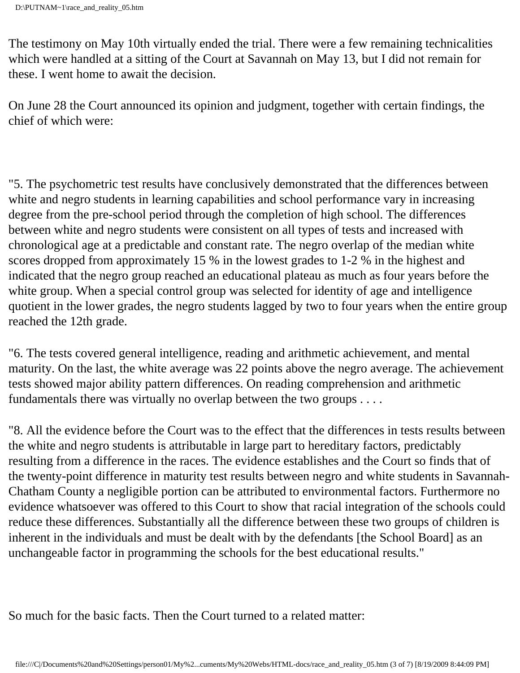The testimony on May 10th virtually ended the trial. There were a few remaining technicalities which were handled at a sitting of the Court at Savannah on May 13, but I did not remain for these. I went home to await the decision.

On June 28 the Court announced its opinion and judgment, together with certain findings, the chief of which were:

"5. The psychometric test results have conclusively demonstrated that the differences between white and negro students in learning capabilities and school performance vary in increasing degree from the pre-school period through the completion of high school. The differences between white and negro students were consistent on all types of tests and increased with chronological age at a predictable and constant rate. The negro overlap of the median white scores dropped from approximately 15 % in the lowest grades to 1-2 % in the highest and indicated that the negro group reached an educational plateau as much as four years before the white group. When a special control group was selected for identity of age and intelligence quotient in the lower grades, the negro students lagged by two to four years when the entire group reached the 12th grade.

"6. The tests covered general intelligence, reading and arithmetic achievement, and mental maturity. On the last, the white average was 22 points above the negro average. The achievement tests showed major ability pattern differences. On reading comprehension and arithmetic fundamentals there was virtually no overlap between the two groups . . . .

"8. All the evidence before the Court was to the effect that the differences in tests results between the white and negro students is attributable in large part to hereditary factors, predictably resulting from a difference in the races. The evidence establishes and the Court so finds that of the twenty-point difference in maturity test results between negro and white students in Savannah-Chatham County a negligible portion can be attributed to environmental factors. Furthermore no evidence whatsoever was offered to this Court to show that racial integration of the schools could reduce these differences. Substantially all the difference between these two groups of children is inherent in the individuals and must be dealt with by the defendants [the School Board] as an unchangeable factor in programming the schools for the best educational results."

So much for the basic facts. Then the Court turned to a related matter: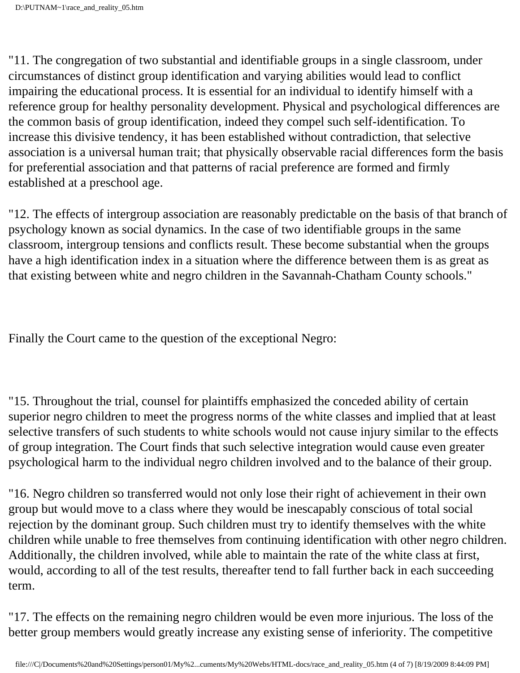"11. The congregation of two substantial and identifiable groups in a single classroom, under circumstances of distinct group identification and varying abilities would lead to conflict impairing the educational process. It is essential for an individual to identify himself with a reference group for healthy personality development. Physical and psychological differences are the common basis of group identification, indeed they compel such self-identification. To increase this divisive tendency, it has been established without contradiction, that selective association is a universal human trait; that physically observable racial differences form the basis for preferential association and that patterns of racial preference are formed and firmly established at a preschool age.

"12. The effects of intergroup association are reasonably predictable on the basis of that branch of psychology known as social dynamics. In the case of two identifiable groups in the same classroom, intergroup tensions and conflicts result. These become substantial when the groups have a high identification index in a situation where the difference between them is as great as that existing between white and negro children in the Savannah-Chatham County schools."

Finally the Court came to the question of the exceptional Negro:

"15. Throughout the trial, counsel for plaintiffs emphasized the conceded ability of certain superior negro children to meet the progress norms of the white classes and implied that at least selective transfers of such students to white schools would not cause injury similar to the effects of group integration. The Court finds that such selective integration would cause even greater psychological harm to the individual negro children involved and to the balance of their group.

"16. Negro children so transferred would not only lose their right of achievement in their own group but would move to a class where they would be inescapably conscious of total social rejection by the dominant group. Such children must try to identify themselves with the white children while unable to free themselves from continuing identification with other negro children. Additionally, the children involved, while able to maintain the rate of the white class at first, would, according to all of the test results, thereafter tend to fall further back in each succeeding term.

"17. The effects on the remaining negro children would be even more injurious. The loss of the better group members would greatly increase any existing sense of inferiority. The competitive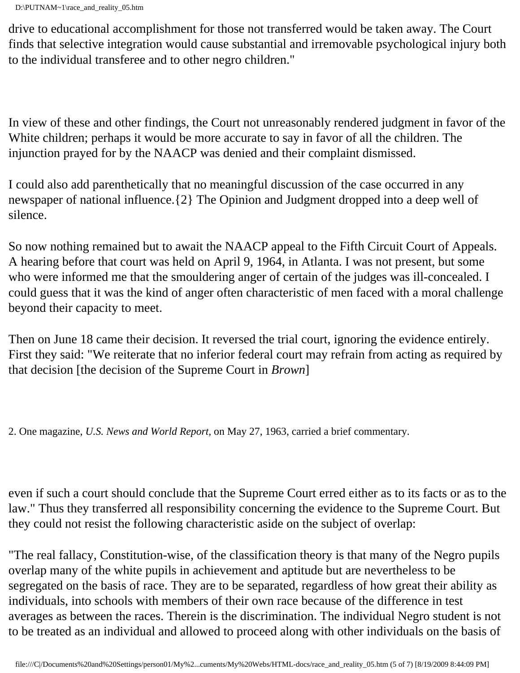drive to educational accomplishment for those not transferred would be taken away. The Court finds that selective integration would cause substantial and irremovable psychological injury both to the individual transferee and to other negro children."

In view of these and other findings, the Court not unreasonably rendered judgment in favor of the White children; perhaps it would be more accurate to say in favor of all the children. The injunction prayed for by the NAACP was denied and their complaint dismissed.

I could also add parenthetically that no meaningful discussion of the case occurred in any newspaper of national influence.{2} The Opinion and Judgment dropped into a deep well of silence.

So now nothing remained but to await the NAACP appeal to the Fifth Circuit Court of Appeals. A hearing before that court was held on April 9, 1964, in Atlanta. I was not present, but some who were informed me that the smouldering anger of certain of the judges was ill-concealed. I could guess that it was the kind of anger often characteristic of men faced with a moral challenge beyond their capacity to meet.

Then on June 18 came their decision. It reversed the trial court, ignoring the evidence entirely. First they said: "We reiterate that no inferior federal court may refrain from acting as required by that decision [the decision of the Supreme Court in *Brown*]

2. One magazine, *U.S. News and World Report,* on May 27, 1963, carried a brief commentary.

even if such a court should conclude that the Supreme Court erred either as to its facts or as to the law." Thus they transferred all responsibility concerning the evidence to the Supreme Court. But they could not resist the following characteristic aside on the subject of overlap:

"The real fallacy, Constitution-wise, of the classification theory is that many of the Negro pupils overlap many of the white pupils in achievement and aptitude but are nevertheless to be segregated on the basis of race. They are to be separated, regardless of how great their ability as individuals, into schools with members of their own race because of the difference in test averages as between the races. Therein is the discrimination. The individual Negro student is not to be treated as an individual and allowed to proceed along with other individuals on the basis of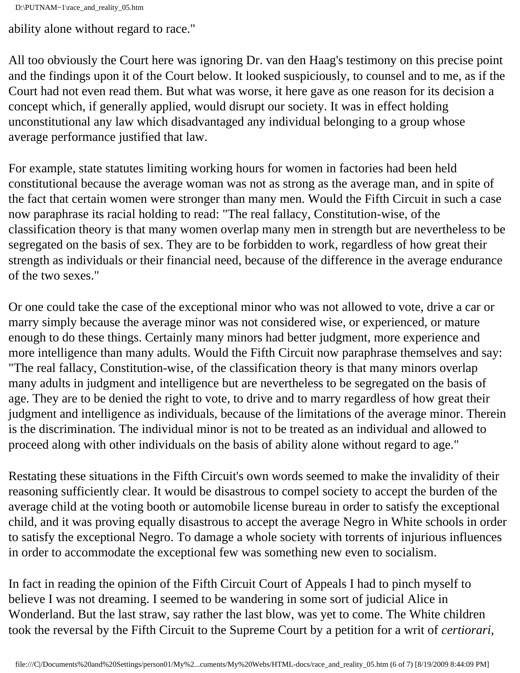D:\PUTNAM~1\race\_and\_reality\_05.htm

ability alone without regard to race."

All too obviously the Court here was ignoring Dr. van den Haag's testimony on this precise point and the findings upon it of the Court below. It looked suspiciously, to counsel and to me, as if the Court had not even read them. But what was worse, it here gave as one reason for its decision a concept which, if generally applied, would disrupt our society. It was in effect holding unconstitutional any law which disadvantaged any individual belonging to a group whose average performance justified that law.

For example, state statutes limiting working hours for women in factories had been held constitutional because the average woman was not as strong as the average man, and in spite of the fact that certain women were stronger than many men. Would the Fifth Circuit in such a case now paraphrase its racial holding to read: "The real fallacy, Constitution-wise, of the classification theory is that many women overlap many men in strength but are nevertheless to be segregated on the basis of sex. They are to be forbidden to work, regardless of how great their strength as individuals or their financial need, because of the difference in the average endurance of the two sexes."

Or one could take the case of the exceptional minor who was not allowed to vote, drive a car or marry simply because the average minor was not considered wise, or experienced, or mature enough to do these things. Certainly many minors had better judgment, more experience and more intelligence than many adults. Would the Fifth Circuit now paraphrase themselves and say: "The real fallacy, Constitution-wise, of the classification theory is that many minors overlap many adults in judgment and intelligence but are nevertheless to be segregated on the basis of age. They are to be denied the right to vote, to drive and to marry regardless of how great their judgment and intelligence as individuals, because of the limitations of the average minor. Therein is the discrimination. The individual minor is not to be treated as an individual and allowed to proceed along with other individuals on the basis of ability alone without regard to age."

Restating these situations in the Fifth Circuit's own words seemed to make the invalidity of their reasoning sufficiently clear. It would be disastrous to compel society to accept the burden of the average child at the voting booth or automobile license bureau in order to satisfy the exceptional child, and it was proving equally disastrous to accept the average Negro in White schools in order to satisfy the exceptional Negro. To damage a whole society with torrents of injurious influences in order to accommodate the exceptional few was something new even to socialism.

In fact in reading the opinion of the Fifth Circuit Court of Appeals I had to pinch myself to believe I was not dreaming. I seemed to be wandering in some sort of judicial Alice in Wonderland. But the last straw, say rather the last blow, was yet to come. The White children took the reversal by the Fifth Circuit to the Supreme Court by a petition for a writ of *certiorari,*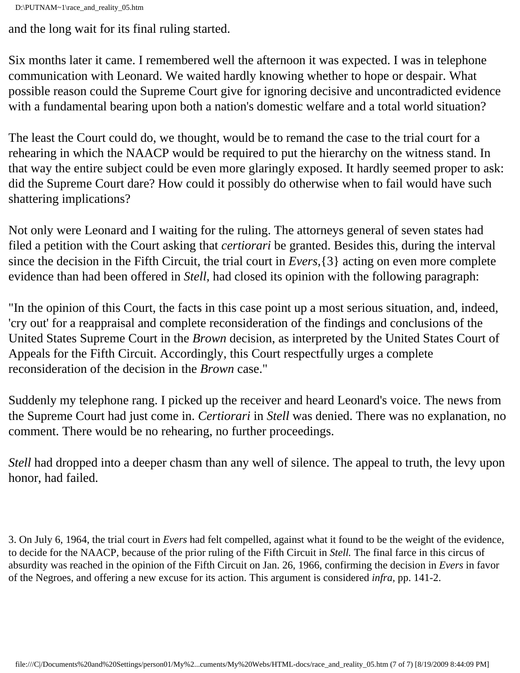and the long wait for its final ruling started.

Six months later it came. I remembered well the afternoon it was expected. I was in telephone communication with Leonard. We waited hardly knowing whether to hope or despair. What possible reason could the Supreme Court give for ignoring decisive and uncontradicted evidence with a fundamental bearing upon both a nation's domestic welfare and a total world situation?

The least the Court could do, we thought, would be to remand the case to the trial court for a rehearing in which the NAACP would be required to put the hierarchy on the witness stand. In that way the entire subject could be even more glaringly exposed. It hardly seemed proper to ask: did the Supreme Court dare? How could it possibly do otherwise when to fail would have such shattering implications?

Not only were Leonard and I waiting for the ruling. The attorneys general of seven states had filed a petition with the Court asking that *certiorari* be granted. Besides this, during the interval since the decision in the Fifth Circuit, the trial court in *Evers,*{3} acting on even more complete evidence than had been offered in *Stell,* had closed its opinion with the following paragraph:

"In the opinion of this Court, the facts in this case point up a most serious situation, and, indeed, 'cry out' for a reappraisal and complete reconsideration of the findings and conclusions of the United States Supreme Court in the *Brown* decision, as interpreted by the United States Court of Appeals for the Fifth Circuit. Accordingly, this Court respectfully urges a complete reconsideration of the decision in the *Brown* case."

Suddenly my telephone rang. I picked up the receiver and heard Leonard's voice. The news from the Supreme Court had just come in. *Certiorari* in *Stell* was denied. There was no explanation, no comment. There would be no rehearing, no further proceedings.

*Stell* had dropped into a deeper chasm than any well of silence. The appeal to truth, the levy upon honor, had failed.

3. On July 6, 1964, the trial court in *Evers* had felt compelled, against what it found to be the weight of the evidence, to decide for the NAACP, because of the prior ruling of the Fifth Circuit in *Stell.* The final farce in this circus of absurdity was reached in the opinion of the Fifth Circuit on Jan. 26, 1966, confirming the decision in *Evers* in favor of the Negroes, and offering a new excuse for its action. This argument is considered *infra,* pp. 141-2.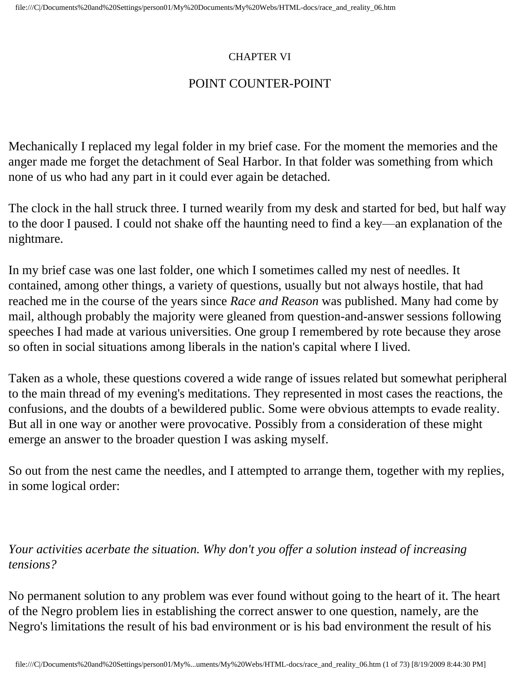#### CHAPTER VI

## POINT COUNTER-POINT

Mechanically I replaced my legal folder in my brief case. For the moment the memories and the anger made me forget the detachment of Seal Harbor. In that folder was something from which none of us who had any part in it could ever again be detached.

The clock in the hall struck three. I turned wearily from my desk and started for bed, but half way to the door I paused. I could not shake off the haunting need to find a key—an explanation of the nightmare.

In my brief case was one last folder, one which I sometimes called my nest of needles. It contained, among other things, a variety of questions, usually but not always hostile, that had reached me in the course of the years since *Race and Reason* was published. Many had come by mail, although probably the majority were gleaned from question-and-answer sessions following speeches I had made at various universities. One group I remembered by rote because they arose so often in social situations among liberals in the nation's capital where I lived.

Taken as a whole, these questions covered a wide range of issues related but somewhat peripheral to the main thread of my evening's meditations. They represented in most cases the reactions, the confusions, and the doubts of a bewildered public. Some were obvious attempts to evade reality. But all in one way or another were provocative. Possibly from a consideration of these might emerge an answer to the broader question I was asking myself.

So out from the nest came the needles, and I attempted to arrange them, together with my replies, in some logical order:

*Your activities acerbate the situation. Why don't you offer a solution instead of increasing tensions?* 

No permanent solution to any problem was ever found without going to the heart of it. The heart of the Negro problem lies in establishing the correct answer to one question, namely, are the Negro's limitations the result of his bad environment or is his bad environment the result of his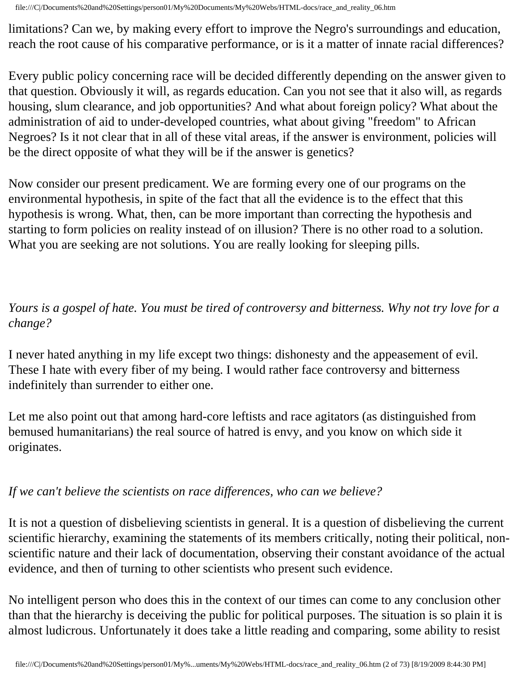limitations? Can we, by making every effort to improve the Negro's surroundings and education, reach the root cause of his comparative performance, or is it a matter of innate racial differences?

Every public policy concerning race will be decided differently depending on the answer given to that question. Obviously it will, as regards education. Can you not see that it also will, as regards housing, slum clearance, and job opportunities? And what about foreign policy? What about the administration of aid to under-developed countries, what about giving "freedom" to African Negroes? Is it not clear that in all of these vital areas, if the answer is environment, policies will be the direct opposite of what they will be if the answer is genetics?

Now consider our present predicament. We are forming every one of our programs on the environmental hypothesis, in spite of the fact that all the evidence is to the effect that this hypothesis is wrong. What, then, can be more important than correcting the hypothesis and starting to form policies on reality instead of on illusion? There is no other road to a solution. What you are seeking are not solutions. You are really looking for sleeping pills.

# *Yours is a gospel of hate. You must be tired of controversy and bitterness. Why not try love for a change?*

I never hated anything in my life except two things: dishonesty and the appeasement of evil. These I hate with every fiber of my being. I would rather face controversy and bitterness indefinitely than surrender to either one.

Let me also point out that among hard-core leftists and race agitators (as distinguished from bemused humanitarians) the real source of hatred is envy, and you know on which side it originates.

## *If we can't believe the scientists on race differences, who can we believe?*

It is not a question of disbelieving scientists in general. It is a question of disbelieving the current scientific hierarchy, examining the statements of its members critically, noting their political, nonscientific nature and their lack of documentation, observing their constant avoidance of the actual evidence, and then of turning to other scientists who present such evidence.

No intelligent person who does this in the context of our times can come to any conclusion other than that the hierarchy is deceiving the public for political purposes. The situation is so plain it is almost ludicrous. Unfortunately it does take a little reading and comparing, some ability to resist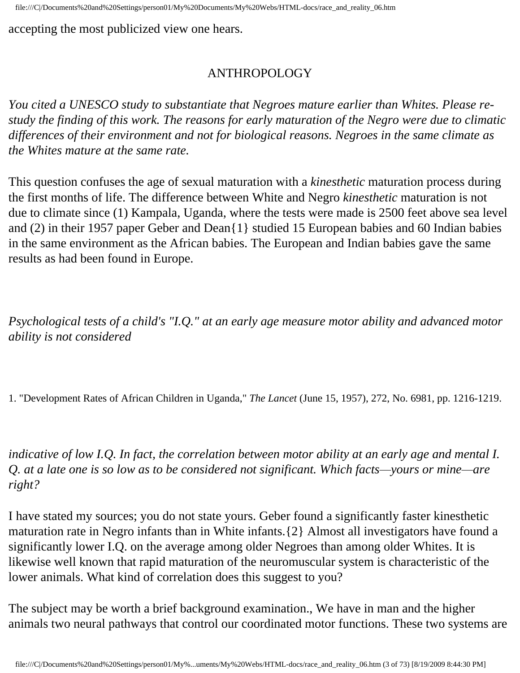accepting the most publicized view one hears.

# ANTHROPOLOGY

*You cited a UNESCO study to substantiate that Negroes mature earlier than Whites. Please restudy the finding of this work. The reasons for early maturation of the Negro were due to climatic differences of their environment and not for biological reasons. Negroes in the same climate as the Whites mature at the same rate.* 

This question confuses the age of sexual maturation with a *kinesthetic* maturation process during the first months of life. The difference between White and Negro *kinesthetic* maturation is not due to climate since (1) Kampala, Uganda, where the tests were made is 2500 feet above sea level and (2) in their 1957 paper Geber and Dean{1} studied 15 European babies and 60 Indian babies in the same environment as the African babies. The European and Indian babies gave the same results as had been found in Europe.

*Psychological tests of a child's "I.Q." at an early age measure motor ability and advanced motor ability is not considered* 

1. "Development Rates of African Children in Uganda," *The Lancet* (June 15, 1957), 272, No. 6981, pp. 1216-1219.

*indicative of low I.Q. In fact, the correlation between motor ability at an early age and mental I. Q. at a late one is so low as to be considered not significant. Which facts—yours or mine—are right?*

I have stated my sources; you do not state yours. Geber found a significantly faster kinesthetic maturation rate in Negro infants than in White infants.{2} Almost all investigators have found a significantly lower I.Q. on the average among older Negroes than among older Whites. It is likewise well known that rapid maturation of the neuromuscular system is characteristic of the lower animals. What kind of correlation does this suggest to you?

The subject may be worth a brief background examination., We have in man and the higher animals two neural pathways that control our coordinated motor functions. These two systems are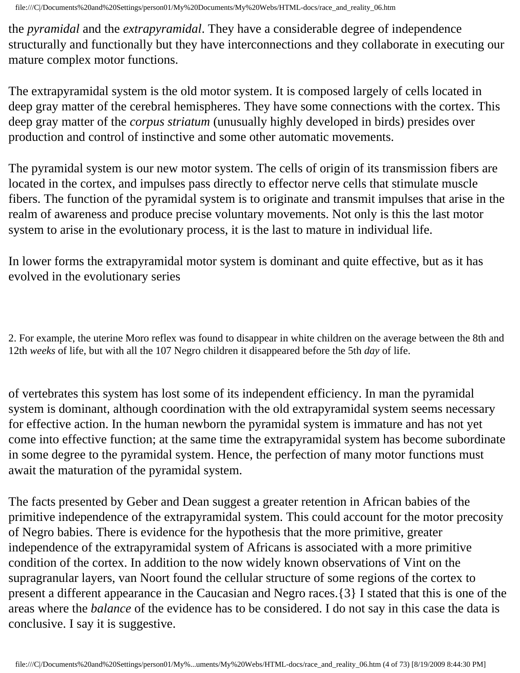the *pyramidal* and the *extrapyramidal*. They have a considerable degree of independence structurally and functionally but they have interconnections and they collaborate in executing our mature complex motor functions.

The extrapyramidal system is the old motor system. It is composed largely of cells located in deep gray matter of the cerebral hemispheres. They have some connections with the cortex. This deep gray matter of the *corpus striatum* (unusually highly developed in birds) presides over production and control of instinctive and some other automatic movements.

The pyramidal system is our new motor system. The cells of origin of its transmission fibers are located in the cortex, and impulses pass directly to effector nerve cells that stimulate muscle fibers. The function of the pyramidal system is to originate and transmit impulses that arise in the realm of awareness and produce precise voluntary movements. Not only is this the last motor system to arise in the evolutionary process, it is the last to mature in individual life.

In lower forms the extrapyramidal motor system is dominant and quite effective, but as it has evolved in the evolutionary series

2. For example, the uterine Moro reflex was found to disappear in white children on the average between the 8th and 12th *weeks* of life, but with all the 107 Negro children it disappeared before the 5th *day* of life.

of vertebrates this system has lost some of its independent efficiency. In man the pyramidal system is dominant, although coordination with the old extrapyramidal system seems necessary for effective action. In the human newborn the pyramidal system is immature and has not yet come into effective function; at the same time the extrapyramidal system has become subordinate in some degree to the pyramidal system. Hence, the perfection of many motor functions must await the maturation of the pyramidal system.

The facts presented by Geber and Dean suggest a greater retention in African babies of the primitive independence of the extrapyramidal system. This could account for the motor precosity of Negro babies. There is evidence for the hypothesis that the more primitive, greater independence of the extrapyramidal system of Africans is associated with a more primitive condition of the cortex. In addition to the now widely known observations of Vint on the supragranular layers, van Noort found the cellular structure of some regions of the cortex to present a different appearance in the Caucasian and Negro races.{3} I stated that this is one of the areas where the *balance* of the evidence has to be considered. I do not say in this case the data is conclusive. I say it is suggestive.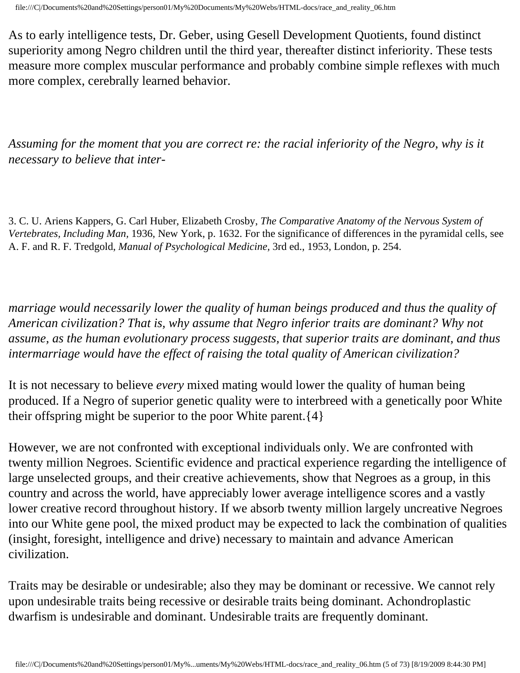As to early intelligence tests, Dr. Geber, using Gesell Development Quotients, found distinct superiority among Negro children until the third year, thereafter distinct inferiority. These tests measure more complex muscular performance and probably combine simple reflexes with much more complex, cerebrally learned behavior.

*Assuming for the moment that you are correct re: the racial inferiority of the Negro, why is it necessary to believe that inter-*

3. C. U. Ariens Kappers, G. Carl Huber, Elizabeth Crosby, *The Comparative Anatomy of the Nervous System of Vertebrates, Including Man,* 1936, New York, p. 1632. For the significance of differences in the pyramidal cells, see A. F. and R. F. Tredgold, *Manual of Psychological Medicine,* 3rd ed., 1953, London, p. 254.

*marriage would necessarily lower the quality of human beings produced and thus the quality of American civilization? That is, why assume that Negro inferior traits are dominant? Why not assume, as the human evolutionary process suggests, that superior traits are dominant, and thus intermarriage would have the effect of raising the total quality of American civilization?* 

It is not necessary to believe *every* mixed mating would lower the quality of human being produced. If a Negro of superior genetic quality were to interbreed with a genetically poor White their offspring might be superior to the poor White parent.{4}

However, we are not confronted with exceptional individuals only. We are confronted with twenty million Negroes. Scientific evidence and practical experience regarding the intelligence of large unselected groups, and their creative achievements, show that Negroes as a group, in this country and across the world, have appreciably lower average intelligence scores and a vastly lower creative record throughout history. If we absorb twenty million largely uncreative Negroes into our White gene pool, the mixed product may be expected to lack the combination of qualities (insight, foresight, intelligence and drive) necessary to maintain and advance American civilization.

Traits may be desirable or undesirable; also they may be dominant or recessive. We cannot rely upon undesirable traits being recessive or desirable traits being dominant. Achondroplastic dwarfism is undesirable and dominant. Undesirable traits are frequently dominant.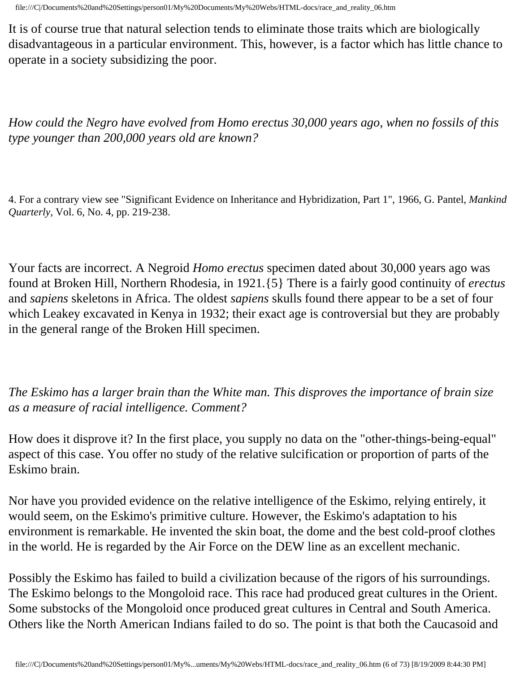It is of course true that natural selection tends to eliminate those traits which are biologically disadvantageous in a particular environment. This, however, is a factor which has little chance to operate in a society subsidizing the poor.

*How could the Negro have evolved from Homo erectus 30,000 years ago, when no fossils of this type younger than 200,000 years old are known?* 

4. For a contrary view see "Significant Evidence on Inheritance and Hybridization, Part 1", 1966, G. Pantel, *Mankind Quarterly,* Vol. 6, No. 4, pp. 219-238.

Your facts are incorrect. A Negroid *Homo erectus* specimen dated about 30,000 years ago was found at Broken Hill, Northern Rhodesia, in 1921.{5} There is a fairly good continuity of *erectus* and *sapiens* skeletons in Africa. The oldest *sapiens* skulls found there appear to be a set of four which Leakey excavated in Kenya in 1932; their exact age is controversial but they are probably in the general range of the Broken Hill specimen.

*The Eskimo has a larger brain than the White man. This disproves the importance of brain size as a measure of racial intelligence. Comment?* 

How does it disprove it? In the first place, you supply no data on the "other-things-being-equal" aspect of this case. You offer no study of the relative sulcification or proportion of parts of the Eskimo brain.

Nor have you provided evidence on the relative intelligence of the Eskimo, relying entirely, it would seem, on the Eskimo's primitive culture. However, the Eskimo's adaptation to his environment is remarkable. He invented the skin boat, the dome and the best cold-proof clothes in the world. He is regarded by the Air Force on the DEW line as an excellent mechanic.

Possibly the Eskimo has failed to build a civilization because of the rigors of his surroundings. The Eskimo belongs to the Mongoloid race. This race had produced great cultures in the Orient. Some substocks of the Mongoloid once produced great cultures in Central and South America. Others like the North American Indians failed to do so. The point is that both the Caucasoid and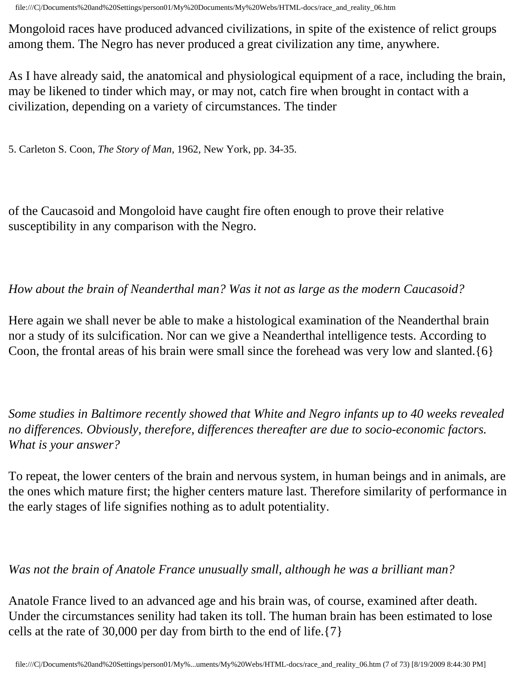Mongoloid races have produced advanced civilizations, in spite of the existence of relict groups among them. The Negro has never produced a great civilization any time, anywhere.

As I have already said, the anatomical and physiological equipment of a race, including the brain, may be likened to tinder which may, or may not, catch fire when brought in contact with a civilization, depending on a variety of circumstances. The tinder

5. Carleton S. Coon, *The Story of Man,* 1962, New York, pp. 34-35.

of the Caucasoid and Mongoloid have caught fire often enough to prove their relative susceptibility in any comparison with the Negro.

## *How about the brain of Neanderthal man? Was it not as large as the modern Caucasoid?*

Here again we shall never be able to make a histological examination of the Neanderthal brain nor a study of its sulcification. Nor can we give a Neanderthal intelligence tests. According to Coon, the frontal areas of his brain were small since the forehead was very low and slanted.{6}

*Some studies in Baltimore recently showed that White and Negro infants up to 40 weeks revealed no differences. Obviously, therefore, differences thereafter are due to socio-economic factors. What is your answer?* 

To repeat, the lower centers of the brain and nervous system, in human beings and in animals, are the ones which mature first; the higher centers mature last. Therefore similarity of performance in the early stages of life signifies nothing as to adult potentiality.

## *Was not the brain of Anatole France unusually small, although he was a brilliant man?*

Anatole France lived to an advanced age and his brain was, of course, examined after death. Under the circumstances senility had taken its toll. The human brain has been estimated to lose cells at the rate of 30,000 per day from birth to the end of life.{7}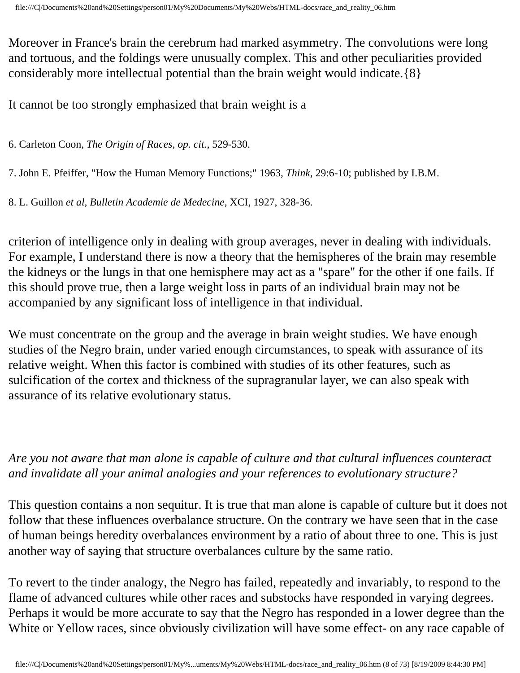Moreover in France's brain the cerebrum had marked asymmetry. The convolutions were long and tortuous, and the foldings were unusually complex. This and other peculiarities provided considerably more intellectual potential than the brain weight would indicate.{8}

It cannot be too strongly emphasized that brain weight is a

6. Carleton Coon, *The Origin of Races, op. cit.,* 529-530.

7. John E. Pfeiffer, "How the Human Memory Functions;" 1963, *Think,* 29:6-10; published by I.B.M.

8. L. Guillon *et al, Bulletin Academie de Medecine,* XCI, 1927, 328-36.

criterion of intelligence only in dealing with group averages, never in dealing with individuals. For example, I understand there is now a theory that the hemispheres of the brain may resemble the kidneys or the lungs in that one hemisphere may act as a "spare" for the other if one fails. If this should prove true, then a large weight loss in parts of an individual brain may not be accompanied by any significant loss of intelligence in that individual.

We must concentrate on the group and the average in brain weight studies. We have enough studies of the Negro brain, under varied enough circumstances, to speak with assurance of its relative weight. When this factor is combined with studies of its other features, such as sulcification of the cortex and thickness of the supragranular layer, we can also speak with assurance of its relative evolutionary status.

*Are you not aware that man alone is capable of culture and that cultural influences counteract and invalidate all your animal analogies and your references to evolutionary structure?* 

This question contains a non sequitur. It is true that man alone is capable of culture but it does not follow that these influences overbalance structure. On the contrary we have seen that in the case of human beings heredity overbalances environment by a ratio of about three to one. This is just another way of saying that structure overbalances culture by the same ratio.

To revert to the tinder analogy, the Negro has failed, repeatedly and invariably, to respond to the flame of advanced cultures while other races and substocks have responded in varying degrees. Perhaps it would be more accurate to say that the Negro has responded in a lower degree than the White or Yellow races, since obviously civilization will have some effect- on any race capable of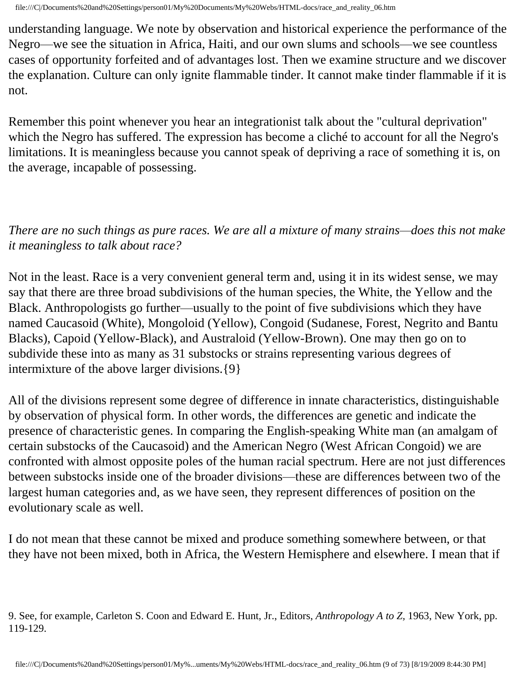understanding language. We note by observation and historical experience the performance of the Negro—we see the situation in Africa, Haiti, and our own slums and schools—we see countless cases of opportunity forfeited and of advantages lost. Then we examine structure and we discover the explanation. Culture can only ignite flammable tinder. It cannot make tinder flammable if it is not.

Remember this point whenever you hear an integrationist talk about the "cultural deprivation" which the Negro has suffered. The expression has become a cliché to account for all the Negro's limitations. It is meaningless because you cannot speak of depriving a race of something it is, on the average, incapable of possessing.

# *There are no such things as pure races. We are all a mixture of many strains—does this not make it meaningless to talk about race?*

Not in the least. Race is a very convenient general term and, using it in its widest sense, we may say that there are three broad subdivisions of the human species, the White, the Yellow and the Black. Anthropologists go further—usually to the point of five subdivisions which they have named Caucasoid (White), Mongoloid (Yellow), Congoid (Sudanese, Forest, Negrito and Bantu Blacks), Capoid (Yellow-Black), and Australoid (Yellow-Brown). One may then go on to subdivide these into as many as 31 substocks or strains representing various degrees of intermixture of the above larger divisions.{9}

All of the divisions represent some degree of difference in innate characteristics, distinguishable by observation of physical form. In other words, the differences are genetic and indicate the presence of characteristic genes. In comparing the English-speaking White man (an amalgam of certain substocks of the Caucasoid) and the American Negro (West African Congoid) we are confronted with almost opposite poles of the human racial spectrum. Here are not just differences between substocks inside one of the broader divisions—these are differences between two of the largest human categories and, as we have seen, they represent differences of position on the evolutionary scale as well.

I do not mean that these cannot be mixed and produce something somewhere between, or that they have not been mixed, both in Africa, the Western Hemisphere and elsewhere. I mean that if

<sup>9.</sup> See, for example, Carleton S. Coon and Edward E. Hunt, Jr., Editors, *Anthropology A to Z,* 1963, New York, pp. 119-129.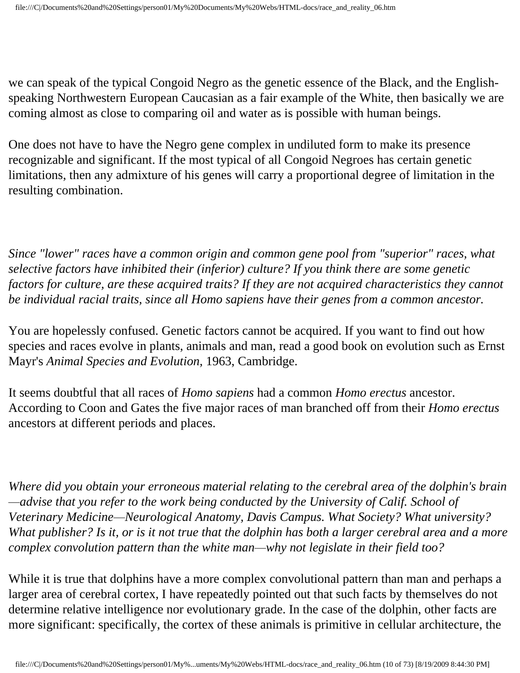we can speak of the typical Congoid Negro as the genetic essence of the Black, and the Englishspeaking Northwestern European Caucasian as a fair example of the White, then basically we are coming almost as close to comparing oil and water as is possible with human beings.

One does not have to have the Negro gene complex in undiluted form to make its presence recognizable and significant. If the most typical of all Congoid Negroes has certain genetic limitations, then any admixture of his genes will carry a proportional degree of limitation in the resulting combination.

*Since "lower" races have a common origin and common gene pool from "superior" races, what selective factors have inhibited their (inferior) culture? If you think there are some genetic factors for culture, are these acquired traits? If they are not acquired characteristics they cannot be individual racial traits, since all Homo sapiens have their genes from a common ancestor.* 

You are hopelessly confused. Genetic factors cannot be acquired. If you want to find out how species and races evolve in plants, animals and man, read a good book on evolution such as Ernst Mayr's *Animal Species and Evolution,* 1963, Cambridge.

It seems doubtful that all races of *Homo sapiens* had a common *Homo erectus* ancestor. According to Coon and Gates the five major races of man branched off from their *Homo erectus* ancestors at different periods and places.

*Where did you obtain your erroneous material relating to the cerebral area of the dolphin's brain —advise that you refer to the work being conducted by the University of Calif. School of Veterinary Medicine—Neurological Anatomy, Davis Campus. What Society? What university? What publisher? Is it, or is it not true that the dolphin has both a larger cerebral area and a more complex convolution pattern than the white man—why not legislate in their field too?* 

While it is true that dolphins have a more complex convolutional pattern than man and perhaps a larger area of cerebral cortex, I have repeatedly pointed out that such facts by themselves do not determine relative intelligence nor evolutionary grade. In the case of the dolphin, other facts are more significant: specifically, the cortex of these animals is primitive in cellular architecture, the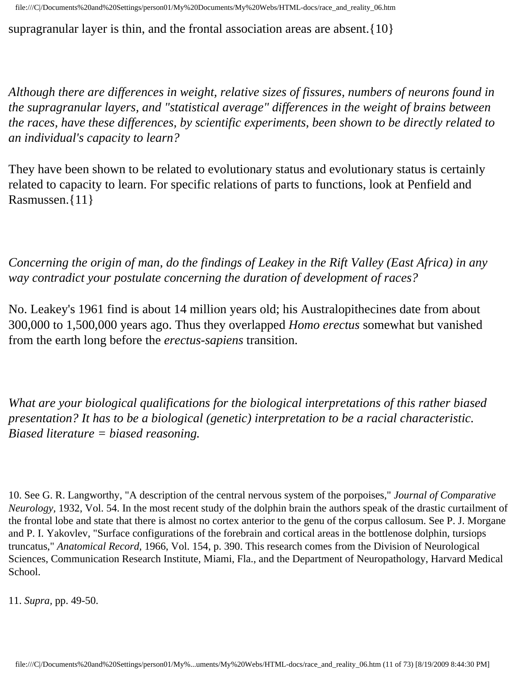supragranular layer is thin, and the frontal association areas are absent.{10}

*Although there are differences in weight, relative sizes of fissures, numbers of neurons found in the supragranular layers, and "statistical average" differences in the weight of brains between the races, have these differences, by scientific experiments, been shown to be directly related to an individual's capacity to learn?* 

They have been shown to be related to evolutionary status and evolutionary status is certainly related to capacity to learn. For specific relations of parts to functions, look at Penfield and Rasmussen.{11}

*Concerning the origin of man, do the findings of Leakey in the Rift Valley (East Africa) in any way contradict your postulate concerning the duration of development of races?* 

No. Leakey's 1961 find is about 14 million years old; his Australopithecines date from about 300,000 to 1,500,000 years ago. Thus they overlapped *Homo erectus* somewhat but vanished from the earth long before the *erectus-sapiens* transition.

*What are your biological qualifications for the biological interpretations of this rather biased presentation? It has to be a biological (genetic) interpretation to be a racial characteristic. Biased literature = biased reasoning.* 

10. See G. R. Langworthy, "A description of the central nervous system of the porpoises," *Journal of Comparative Neurology,* 1932, Vol. 54. In the most recent study of the dolphin brain the authors speak of the drastic curtailment of the frontal lobe and state that there is almost no cortex anterior to the genu of the corpus callosum. See P. J. Morgane and P. I. Yakovlev, "Surface configurations of the forebrain and cortical areas in the bottlenose dolphin, tursiops truncatus," *Anatomical Record,* 1966, Vol. 154, p. 390. This research comes from the Division of Neurological Sciences, Communication Research Institute, Miami, Fla., and the Department of Neuropathology, Harvard Medical School.

11. *Supra,* pp. 49-50.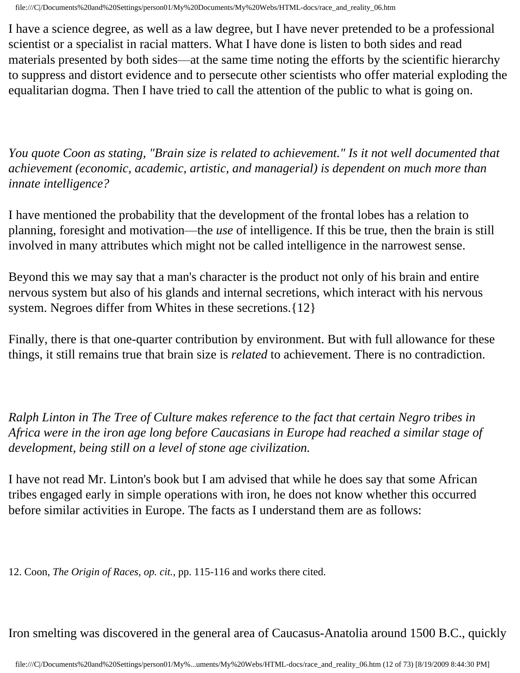I have a science degree, as well as a law degree, but I have never pretended to be a professional scientist or a specialist in racial matters. What I have done is listen to both sides and read materials presented by both sides—at the same time noting the efforts by the scientific hierarchy to suppress and distort evidence and to persecute other scientists who offer material exploding the equalitarian dogma. Then I have tried to call the attention of the public to what is going on.

*You quote Coon as stating, "Brain size is related to achievement." Is it not well documented that achievement (economic, academic, artistic, and managerial) is dependent on much more than innate intelligence?* 

I have mentioned the probability that the development of the frontal lobes has a relation to planning, foresight and motivation—the *use* of intelligence. If this be true, then the brain is still involved in many attributes which might not be called intelligence in the narrowest sense.

Beyond this we may say that a man's character is the product not only of his brain and entire nervous system but also of his glands and internal secretions, which interact with his nervous system. Negroes differ from Whites in these secretions.{12}

Finally, there is that one-quarter contribution by environment. But with full allowance for these things, it still remains true that brain size is *related* to achievement. There is no contradiction.

*Ralph Linton in The Tree of Culture makes reference to the fact that certain Negro tribes in Africa were in the iron age long before Caucasians in Europe had reached a similar stage of development, being still on a level of stone age civilization.* 

I have not read Mr. Linton's book but I am advised that while he does say that some African tribes engaged early in simple operations with iron, he does not know whether this occurred before similar activities in Europe. The facts as I understand them are as follows:

12. Coon, *The Origin of Races, op. cit.,* pp. 115-116 and works there cited.

Iron smelting was discovered in the general area of Caucasus-Anatolia around 1500 B.C., quickly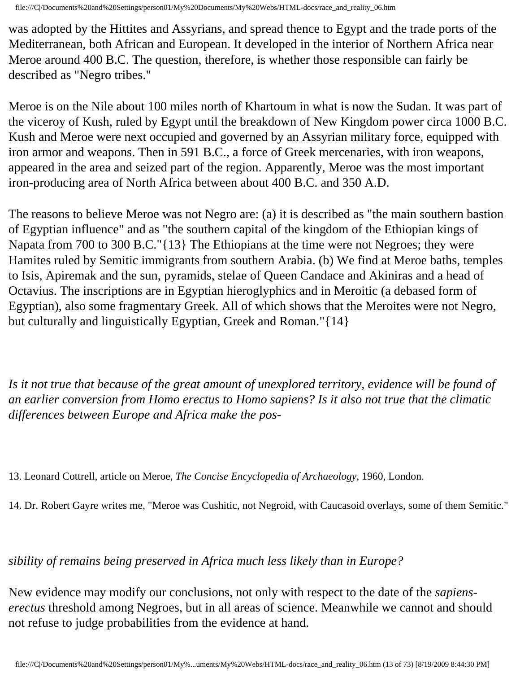was adopted by the Hittites and Assyrians, and spread thence to Egypt and the trade ports of the Mediterranean, both African and European. It developed in the interior of Northern Africa near Meroe around 400 B.C. The question, therefore, is whether those responsible can fairly be described as "Negro tribes."

Meroe is on the Nile about 100 miles north of Khartoum in what is now the Sudan. It was part of the viceroy of Kush, ruled by Egypt until the breakdown of New Kingdom power circa 1000 B.C. Kush and Meroe were next occupied and governed by an Assyrian military force, equipped with iron armor and weapons. Then in 591 B.C., a force of Greek mercenaries, with iron weapons, appeared in the area and seized part of the region. Apparently, Meroe was the most important iron-producing area of North Africa between about 400 B.C. and 350 A.D.

The reasons to believe Meroe was not Negro are: (a) it is described as "the main southern bastion of Egyptian influence" and as "the southern capital of the kingdom of the Ethiopian kings of Napata from 700 to 300 B.C."{13} The Ethiopians at the time were not Negroes; they were Hamites ruled by Semitic immigrants from southern Arabia. (b) We find at Meroe baths, temples to Isis, Apiremak and the sun, pyramids, stelae of Queen Candace and Akiniras and a head of Octavius. The inscriptions are in Egyptian hieroglyphics and in Meroitic (a debased form of Egyptian), also some fragmentary Greek. All of which shows that the Meroites were not Negro, but culturally and linguistically Egyptian, Greek and Roman."{14}

Is it not true that because of the great amount of unexplored territory, evidence will be found of *an earlier conversion from Homo erectus to Homo sapiens? Is it also not true that the climatic differences between Europe and Africa make the pos-*

13. Leonard Cottrell, article on Meroe, *The Concise Encyclopedia of Archaeology,* 1960, London.

14. Dr. Robert Gayre writes me, "Meroe was Cushitic, not Negroid, with Caucasoid overlays, some of them Semitic."

## *sibility of remains being preserved in Africa much less likely than in Europe?*

New evidence may modify our conclusions, not only with respect to the date of the *sapienserectus* threshold among Negroes, but in all areas of science. Meanwhile we cannot and should not refuse to judge probabilities from the evidence at hand.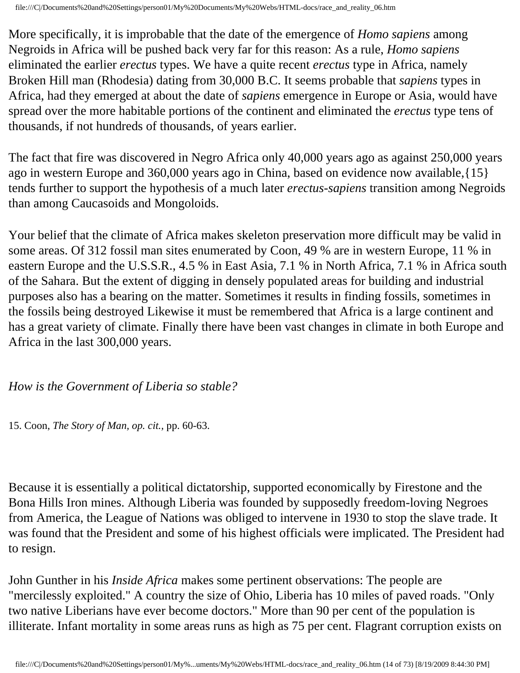More specifically, it is improbable that the date of the emergence of *Homo sapiens* among Negroids in Africa will be pushed back very far for this reason: As a rule, *Homo sapiens* eliminated the earlier *erectus* types. We have a quite recent *erectus* type in Africa, namely Broken Hill man (Rhodesia) dating from 30,000 B.C. It seems probable that *sapiens* types in Africa, had they emerged at about the date of *sapiens* emergence in Europe or Asia, would have spread over the more habitable portions of the continent and eliminated the *erectus* type tens of thousands, if not hundreds of thousands, of years earlier.

The fact that fire was discovered in Negro Africa only 40,000 years ago as against 250,000 years ago in western Europe and 360,000 years ago in China, based on evidence now available,{15} tends further to support the hypothesis of a much later *erectus-sapiens* transition among Negroids than among Caucasoids and Mongoloids.

Your belief that the climate of Africa makes skeleton preservation more difficult may be valid in some areas. Of 312 fossil man sites enumerated by Coon, 49 % are in western Europe, 11 % in eastern Europe and the U.S.S.R., 4.5 % in East Asia, 7.1 % in North Africa, 7.1 % in Africa south of the Sahara. But the extent of digging in densely populated areas for building and industrial purposes also has a bearing on the matter. Sometimes it results in finding fossils, sometimes in the fossils being destroyed Likewise it must be remembered that Africa is a large continent and has a great variety of climate. Finally there have been vast changes in climate in both Europe and Africa in the last 300,000 years.

## *How is the Government of Liberia so stable?*

15. Coon, *The Story of Man, op. cit.,* pp. 60-63.

Because it is essentially a political dictatorship, supported economically by Firestone and the Bona Hills Iron mines. Although Liberia was founded by supposedly freedom-loving Negroes from America, the League of Nations was obliged to intervene in 1930 to stop the slave trade. It was found that the President and some of his highest officials were implicated. The President had to resign.

John Gunther in his *Inside Africa* makes some pertinent observations: The people are "mercilessly exploited." A country the size of Ohio, Liberia has 10 miles of paved roads. "Only two native Liberians have ever become doctors." More than 90 per cent of the population is illiterate. Infant mortality in some areas runs as high as 75 per cent. Flagrant corruption exists on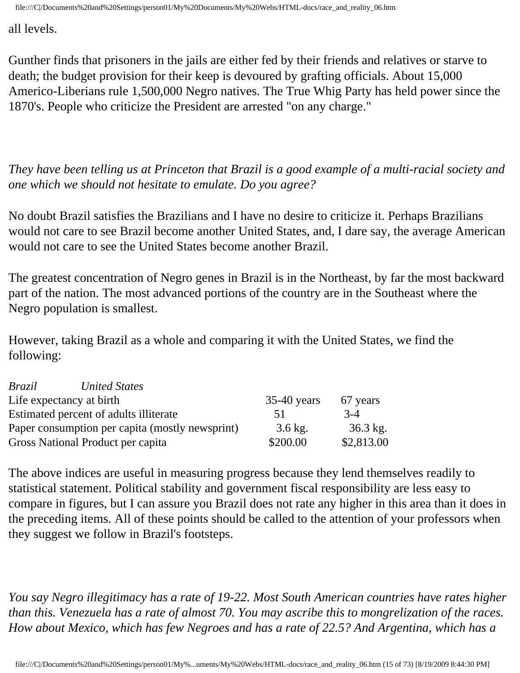all levels.

Gunther finds that prisoners in the jails are either fed by their friends and relatives or starve to death; the budget provision for their keep is devoured by grafting officials. About 15,000 Americo-Liberians rule 1,500,000 Negro natives. The True Whig Party has held power since the 1870's. People who criticize the President are arrested "on any charge."

*They have been telling us at Princeton that Brazil is a good example of a multi-racial society and one which we should not hesitate to emulate. Do you agree?* 

No doubt Brazil satisfies the Brazilians and I have no desire to criticize it. Perhaps Brazilians would not care to see Brazil become another United States, and, I dare say, the average American would not care to see the United States become another Brazil.

The greatest concentration of Negro genes in Brazil is in the Northeast, by far the most backward part of the nation. The most advanced portions of the country are in the Southeast where the Negro population is smallest.

However, taking Brazil as a whole and comparing it with the United States, we find the following:

| <i>Brazil</i><br><b>United States</b>           |               |                     |
|-------------------------------------------------|---------------|---------------------|
| Life expectancy at birth                        | $35-40$ years | 67 years            |
| Estimated percent of adults illiterate          | 51            | $3-4$               |
| Paper consumption per capita (mostly newsprint) | $3.6$ kg.     | $36.3 \text{ kg}$ . |
| Gross National Product per capita               | \$200.00      | \$2,813.00          |

The above indices are useful in measuring progress because they lend themselves readily to statistical statement. Political stability and government fiscal responsibility are less easy to compare in figures, but I can assure you Brazil does not rate any higher in this area than it does in the preceding items. All of these points should be called to the attention of your professors when they suggest we follow in Brazil's footsteps.

*You say Negro illegitimacy has a rate of 19-22. Most South American countries have rates higher than this. Venezuela has a rate of almost 70. You may ascribe this to mongrelization of the races. How about Mexico, which has few Negroes and has a rate of 22.5? And Argentina, which has a*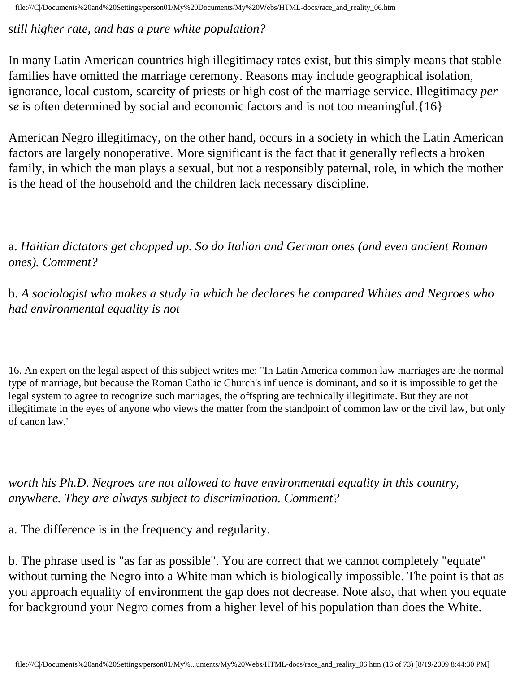## *still higher rate, and has a pure white population?*

In many Latin American countries high illegitimacy rates exist, but this simply means that stable families have omitted the marriage ceremony. Reasons may include geographical isolation, ignorance, local custom, scarcity of priests or high cost of the marriage service. Illegitimacy *per se* is often determined by social and economic factors and is not too meaningful. {16}

American Negro illegitimacy, on the other hand, occurs in a society in which the Latin American factors are largely nonoperative. More significant is the fact that it generally reflects a broken family, in which the man plays a sexual, but not a responsibly paternal, role, in which the mother is the head of the household and the children lack necessary discipline.

a. *Haitian dictators get chopped up. So do Italian and German ones (and even ancient Roman ones). Comment?* 

b. *A sociologist who makes a study in which he declares he compared Whites and Negroes who had environmental equality is not*

16. An expert on the legal aspect of this subject writes me: "In Latin America common law marriages are the normal type of marriage, but because the Roman Catholic Church's influence is dominant, and so it is impossible to get the legal system to agree to recognize such marriages, the offspring are technically illegitimate. But they are not illegitimate in the eyes of anyone who views the matter from the standpoint of common law or the civil law, but only of canon law."

*worth his Ph.D. Negroes are not allowed to have environmental equality in this country, anywhere. They are always subject to discrimination. Comment?* 

a. The difference is in the frequency and regularity.

b. The phrase used is "as far as possible". You are correct that we cannot completely "equate" without turning the Negro into a White man which is biologically impossible. The point is that as you approach equality of environment the gap does not decrease. Note also, that when you equate for background your Negro comes from a higher level of his population than does the White.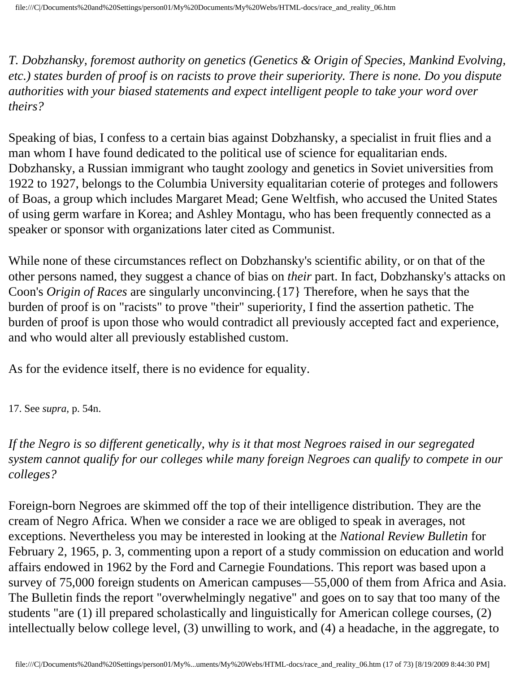*T. Dobzhansky, foremost authority on genetics (Genetics & Origin of Species, Mankind Evolving, etc.) states burden of proof is on racists to prove their superiority. There is none. Do you dispute authorities with your biased statements and expect intelligent people to take your word over theirs?* 

Speaking of bias, I confess to a certain bias against Dobzhansky, a specialist in fruit flies and a man whom I have found dedicated to the political use of science for equalitarian ends. Dobzhansky, a Russian immigrant who taught zoology and genetics in Soviet universities from 1922 to 1927, belongs to the Columbia University equalitarian coterie of proteges and followers of Boas, a group which includes Margaret Mead; Gene Weltfish, who accused the United States of using germ warfare in Korea; and Ashley Montagu, who has been frequently connected as a speaker or sponsor with organizations later cited as Communist.

While none of these circumstances reflect on Dobzhansky's scientific ability, or on that of the other persons named, they suggest a chance of bias on *their* part. In fact, Dobzhansky's attacks on Coon's *Origin of Races* are singularly unconvincing.{17} Therefore, when he says that the burden of proof is on "racists" to prove "their" superiority, I find the assertion pathetic. The burden of proof is upon those who would contradict all previously accepted fact and experience, and who would alter all previously established custom.

As for the evidence itself, there is no evidence for equality.

17. See *supra,* p. 54n.

*If the Negro is so different genetically, why is it that most Negroes raised in our segregated system cannot qualify for our colleges while many foreign Negroes can qualify to compete in our colleges?* 

Foreign-born Negroes are skimmed off the top of their intelligence distribution. They are the cream of Negro Africa. When we consider a race we are obliged to speak in averages, not exceptions. Nevertheless you may be interested in looking at the *National Review Bulletin* for February 2, 1965, p. 3, commenting upon a report of a study commission on education and world affairs endowed in 1962 by the Ford and Carnegie Foundations. This report was based upon a survey of 75,000 foreign students on American campuses—55,000 of them from Africa and Asia. The Bulletin finds the report "overwhelmingly negative" and goes on to say that too many of the students "are (1) ill prepared scholastically and linguistically for American college courses, (2) intellectually below college level, (3) unwilling to work, and (4) a headache, in the aggregate, to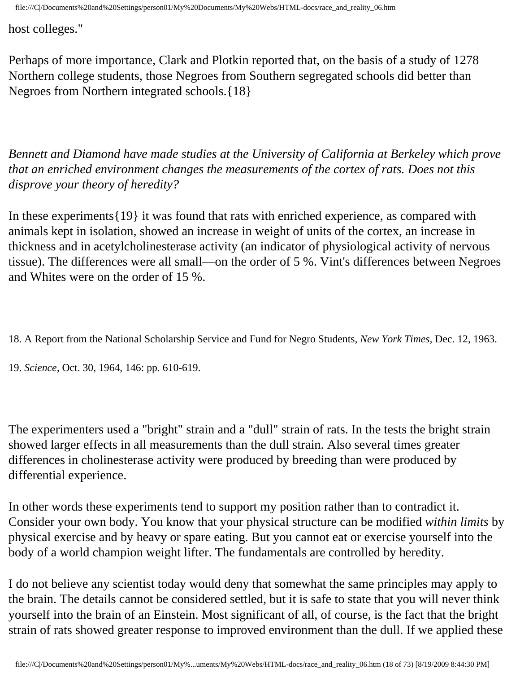host colleges."

Perhaps of more importance, Clark and Plotkin reported that, on the basis of a study of 1278 Northern college students, those Negroes from Southern segregated schools did better than Negroes from Northern integrated schools.{18}

*Bennett and Diamond have made studies at the University of California at Berkeley which prove that an enriched environment changes the measurements of the cortex of rats. Does not this disprove your theory of heredity?* 

In these experiments{19} it was found that rats with enriched experience, as compared with animals kept in isolation, showed an increase in weight of units of the cortex, an increase in thickness and in acetylcholinesterase activity (an indicator of physiological activity of nervous tissue). The differences were all small—on the order of 5 %. Vint's differences between Negroes and Whites were on the order of 15 %.

18. A Report from the National Scholarship Service and Fund for Negro Students, *New York Times,* Dec. 12, 1963.

19. *Science,* Oct. 30, 1964, 146: pp. 610-619.

The experimenters used a "bright" strain and a "dull" strain of rats. In the tests the bright strain showed larger effects in all measurements than the dull strain. Also several times greater differences in cholinesterase activity were produced by breeding than were produced by differential experience.

In other words these experiments tend to support my position rather than to contradict it. Consider your own body. You know that your physical structure can be modified *within limits* by physical exercise and by heavy or spare eating. But you cannot eat or exercise yourself into the body of a world champion weight lifter. The fundamentals are controlled by heredity.

I do not believe any scientist today would deny that somewhat the same principles may apply to the brain. The details cannot be considered settled, but it is safe to state that you will never think yourself into the brain of an Einstein. Most significant of all, of course, is the fact that the bright strain of rats showed greater response to improved environment than the dull. If we applied these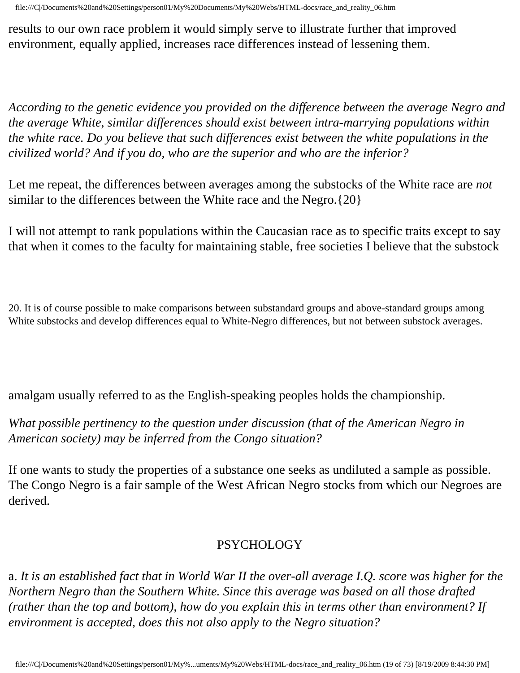results to our own race problem it would simply serve to illustrate further that improved environment, equally applied, increases race differences instead of lessening them.

*According to the genetic evidence you provided on the difference between the average Negro and the average White, similar differences should exist between intra-marrying populations within the white race. Do you believe that such differences exist between the white populations in the civilized world? And if you do, who are the superior and who are the inferior?* 

Let me repeat, the differences between averages among the substocks of the White race are *not* similar to the differences between the White race and the Negro.{20}

I will not attempt to rank populations within the Caucasian race as to specific traits except to say that when it comes to the faculty for maintaining stable, free societies I believe that the substock

20. It is of course possible to make comparisons between substandard groups and above-standard groups among White substocks and develop differences equal to White-Negro differences, but not between substock averages.

amalgam usually referred to as the English-speaking peoples holds the championship.

*What possible pertinency to the question under discussion (that of the American Negro in American society) may be inferred from the Congo situation?*

If one wants to study the properties of a substance one seeks as undiluted a sample as possible. The Congo Negro is a fair sample of the West African Negro stocks from which our Negroes are derived.

# PSYCHOLOGY

a. *It is an established fact that in World War II the over-all average I.Q. score was higher for the Northern Negro than the Southern White. Since this average was based on all those drafted (rather than the top and bottom), how do you explain this in terms other than environment? If environment is accepted, does this not also apply to the Negro situation?*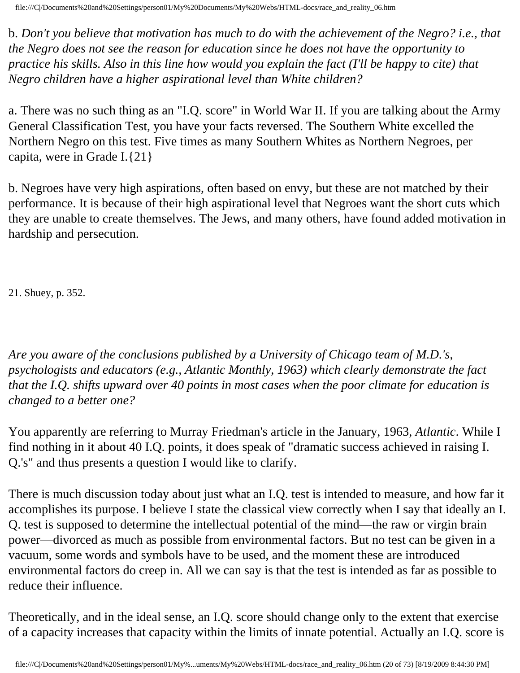b. *Don't you believe that motivation has much to do with the achievement of the Negro? i.e., that the Negro does not see the reason for education since he does not have the opportunity to practice his skills. Also in this line how would you explain the fact (I'll be happy to cite) that Negro children have a higher aspirational level than White children?* 

a. There was no such thing as an "I.Q. score" in World War II. If you are talking about the Army General Classification Test, you have your facts reversed. The Southern White excelled the Northern Negro on this test. Five times as many Southern Whites as Northern Negroes, per capita, were in Grade I.{21}

b. Negroes have very high aspirations, often based on envy, but these are not matched by their performance. It is because of their high aspirational level that Negroes want the short cuts which they are unable to create themselves. The Jews, and many others, have found added motivation in hardship and persecution.

21. Shuey, p. 352.

*Are you aware of the conclusions published by a University of Chicago team of M.D.'s, psychologists and educators (e.g., Atlantic Monthly, 1963) which clearly demonstrate the fact that the I.Q. shifts upward over 40 points in most cases when the poor climate for education is changed to a better one?* 

You apparently are referring to Murray Friedman's article in the January, 1963, *Atlantic*. While I find nothing in it about 40 I.Q. points, it does speak of "dramatic success achieved in raising I. Q.'s" and thus presents a question I would like to clarify.

There is much discussion today about just what an I.Q. test is intended to measure, and how far it accomplishes its purpose. I believe I state the classical view correctly when I say that ideally an I. Q. test is supposed to determine the intellectual potential of the mind—the raw or virgin brain power—divorced as much as possible from environmental factors. But no test can be given in a vacuum, some words and symbols have to be used, and the moment these are introduced environmental factors do creep in. All we can say is that the test is intended as far as possible to reduce their influence.

Theoretically, and in the ideal sense, an I.Q. score should change only to the extent that exercise of a capacity increases that capacity within the limits of innate potential. Actually an I.Q. score is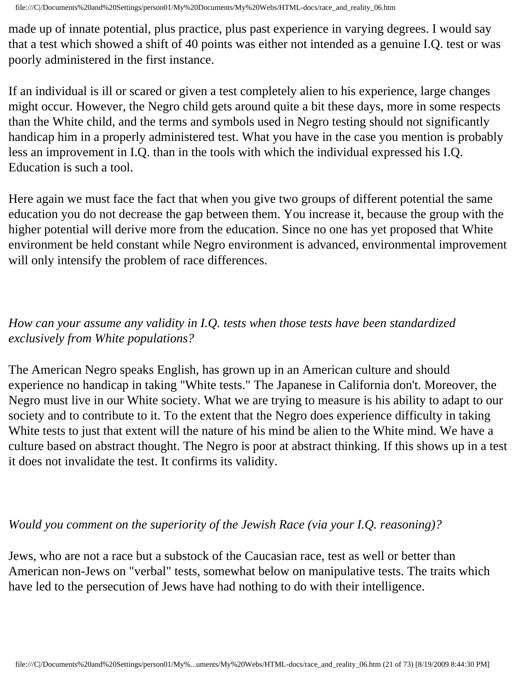made up of innate potential, plus practice, plus past experience in varying degrees. I would say that a test which showed a shift of 40 points was either not intended as a genuine I.Q. test or was poorly administered in the first instance.

If an individual is ill or scared or given a test completely alien to his experience, large changes might occur. However, the Negro child gets around quite a bit these days, more in some respects than the White child, and the terms and symbols used in Negro testing should not significantly handicap him in a properly administered test. What you have in the case you mention is probably less an improvement in I.Q. than in the tools with which the individual expressed his I.Q. Education is such a tool.

Here again we must face the fact that when you give two groups of different potential the same education you do not decrease the gap between them. You increase it, because the group with the higher potential will derive more from the education. Since no one has yet proposed that White environment be held constant while Negro environment is advanced, environmental improvement will only intensify the problem of race differences.

*How can your assume any validity in I.Q. tests when those tests have been standardized exclusively from White populations?* 

The American Negro speaks English, has grown up in an American culture and should experience no handicap in taking "White tests." The Japanese in California don't. Moreover, the Negro must live in our White society. What we are trying to measure is his ability to adapt to our society and to contribute to it. To the extent that the Negro does experience difficulty in taking White tests to just that extent will the nature of his mind be alien to the White mind. We have a culture based on abstract thought. The Negro is poor at abstract thinking. If this shows up in a test it does not invalidate the test. It confirms its validity.

*Would you comment on the superiority of the Jewish Race (via your I.Q. reasoning)?* 

Jews, who are not a race but a substock of the Caucasian race, test as well or better than American non-Jews on "verbal" tests, somewhat below on manipulative tests. The traits which have led to the persecution of Jews have had nothing to do with their intelligence.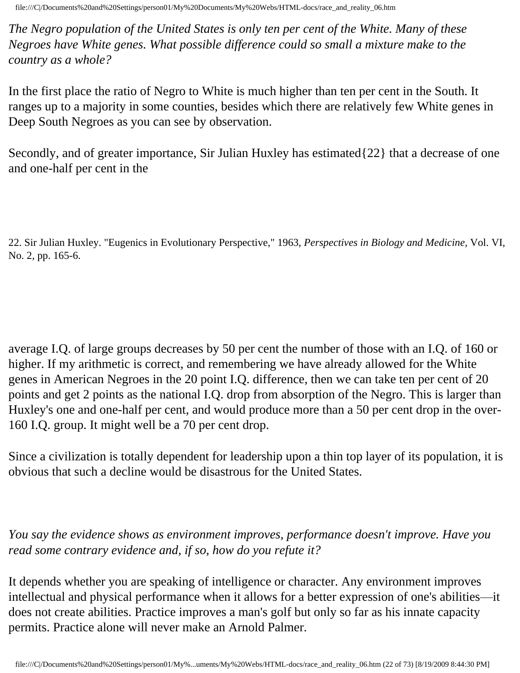*The Negro population of the United States is only ten per cent of the White. Many of these Negroes have White genes. What possible difference could so small a mixture make to the country as a whole?* 

In the first place the ratio of Negro to White is much higher than ten per cent in the South. It ranges up to a majority in some counties, besides which there are relatively few White genes in Deep South Negroes as you can see by observation.

Secondly, and of greater importance, Sir Julian Huxley has estimated {22} that a decrease of one and one-half per cent in the

22. Sir Julian Huxley. "Eugenics in Evolutionary Perspective," 1963, *Perspectives in Biology and Medicine,* Vol. VI, No. 2, pp. 165-6.

average I.Q. of large groups decreases by 50 per cent the number of those with an I.Q. of 160 or higher. If my arithmetic is correct, and remembering we have already allowed for the White genes in American Negroes in the 20 point I.Q. difference, then we can take ten per cent of 20 points and get 2 points as the national I.Q. drop from absorption of the Negro. This is larger than Huxley's one and one-half per cent, and would produce more than a 50 per cent drop in the over-160 I.Q. group. It might well be a 70 per cent drop.

Since a civilization is totally dependent for leadership upon a thin top layer of its population, it is obvious that such a decline would be disastrous for the United States.

*You say the evidence shows as environment improves, performance doesn't improve. Have you read some contrary evidence and, if so, how do you refute it?* 

It depends whether you are speaking of intelligence or character. Any environment improves intellectual and physical performance when it allows for a better expression of one's abilities—it does not create abilities. Practice improves a man's golf but only so far as his innate capacity permits. Practice alone will never make an Arnold Palmer.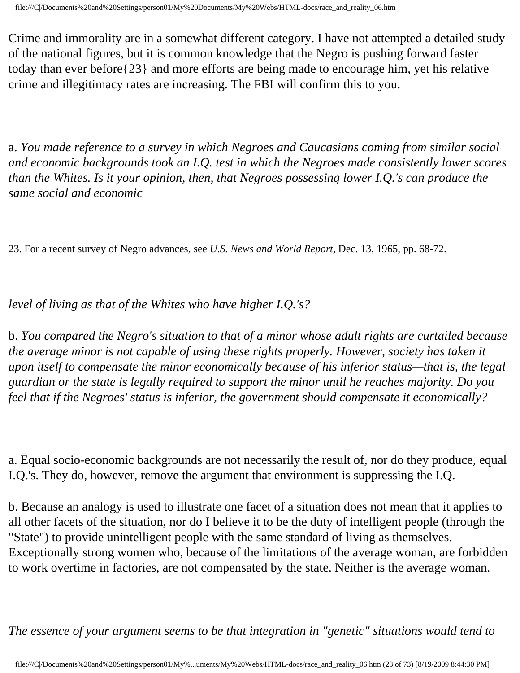Crime and immorality are in a somewhat different category. I have not attempted a detailed study of the national figures, but it is common knowledge that the Negro is pushing forward faster today than ever before{23} and more efforts are being made to encourage him, yet his relative crime and illegitimacy rates are increasing. The FBI will confirm this to you.

a. *You made reference to a survey in which Negroes and Caucasians coming from similar social and economic backgrounds took an I.Q. test in which the Negroes made consistently lower scores than the Whites. Is it your opinion, then, that Negroes possessing lower I.Q.'s can produce the same social and economic* 

23. For a recent survey of Negro advances, see *U.S. News and World Report,* Dec. 13, 1965, pp. 68-72.

*level of living as that of the Whites who have higher I.Q.'s?*

b. *You compared the Negro's situation to that of a minor whose adult rights are curtailed because the average minor is not capable of using these rights properly. However, society has taken it upon itself to compensate the minor economically because of his inferior status—that is, the legal guardian or the state is legally required to support the minor until he reaches majority. Do you feel that if the Negroes' status is inferior, the government should compensate it economically?* 

a. Equal socio-economic backgrounds are not necessarily the result of, nor do they produce, equal I.Q.'s. They do, however, remove the argument that environment is suppressing the I.Q.

b. Because an analogy is used to illustrate one facet of a situation does not mean that it applies to all other facets of the situation, nor do I believe it to be the duty of intelligent people (through the "State") to provide unintelligent people with the same standard of living as themselves. Exceptionally strong women who, because of the limitations of the average woman, are forbidden to work overtime in factories, are not compensated by the state. Neither is the average woman.

*The essence of your argument seems to be that integration in "genetic" situations would tend to*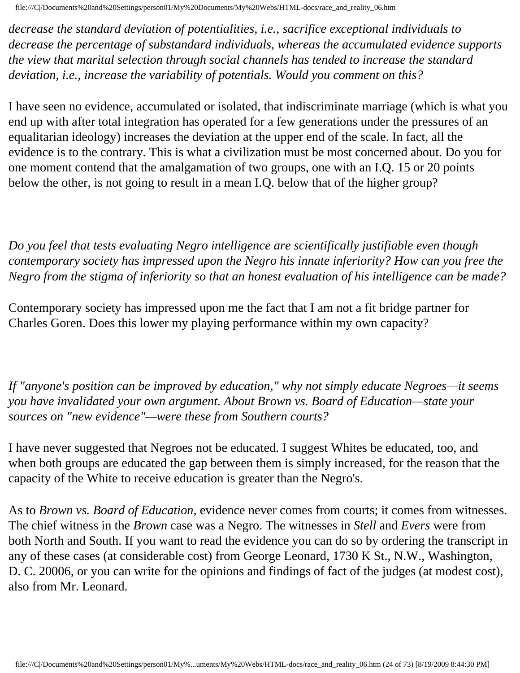*decrease the standard deviation of potentialities, i.e., sacrifice exceptional individuals to decrease the percentage of substandard individuals, whereas the accumulated evidence supports the view that marital selection through social channels has tended to increase the standard deviation, i.e., increase the variability of potentials. Would you comment on this?* 

I have seen no evidence, accumulated or isolated, that indiscriminate marriage (which is what you end up with after total integration has operated for a few generations under the pressures of an equalitarian ideology) increases the deviation at the upper end of the scale. In fact, all the evidence is to the contrary. This is what a civilization must be most concerned about. Do you for one moment contend that the amalgamation of two groups, one with an I.Q. 15 or 20 points below the other, is not going to result in a mean I.Q. below that of the higher group?

*Do you feel that tests evaluating Negro intelligence are scientifically justifiable even though contemporary society has impressed upon the Negro his innate inferiority? How can you free the Negro from the stigma of inferiority so that an honest evaluation of his intelligence can be made?*

Contemporary society has impressed upon me the fact that I am not a fit bridge partner for Charles Goren. Does this lower my playing performance within my own capacity?

*If "anyone's position can be improved by education," why not simply educate Negroes—it seems you have invalidated your own argument. About Brown vs. Board of Education—state your sources on "new evidence"—were these from Southern courts?*

I have never suggested that Negroes not be educated. I suggest Whites be educated, too, and when both groups are educated the gap between them is simply increased, for the reason that the capacity of the White to receive education is greater than the Negro's.

As to *Brown vs. Board of Education,* evidence never comes from courts; it comes from witnesses. The chief witness in the *Brown* case was a Negro. The witnesses in *Stell* and *Evers* were from both North and South. If you want to read the evidence you can do so by ordering the transcript in any of these cases (at considerable cost) from George Leonard, 1730 K St., N.W., Washington, D. C. 20006, or you can write for the opinions and findings of fact of the judges (at modest cost), also from Mr. Leonard.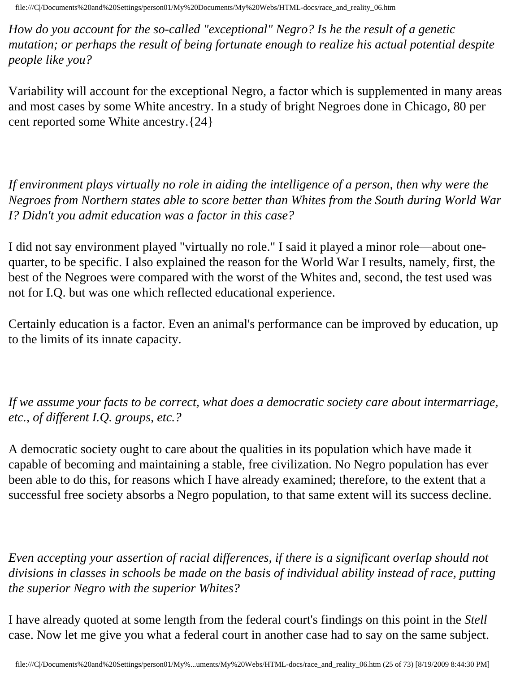*How do you account for the so-called "exceptional" Negro? Is he the result of a genetic mutation; or perhaps the result of being fortunate enough to realize his actual potential despite people like you?*

Variability will account for the exceptional Negro, a factor which is supplemented in many areas and most cases by some White ancestry. In a study of bright Negroes done in Chicago, 80 per cent reported some White ancestry.{24}

*If environment plays virtually no role in aiding the intelligence of a person, then why were the Negroes from Northern states able to score better than Whites from the South during World War I? Didn't you admit education was a factor in this case?*

I did not say environment played "virtually no role." I said it played a minor role—about onequarter, to be specific. I also explained the reason for the World War I results, namely, first, the best of the Negroes were compared with the worst of the Whites and, second, the test used was not for I.Q. but was one which reflected educational experience.

Certainly education is a factor. Even an animal's performance can be improved by education, up to the limits of its innate capacity.

*If we assume your facts to be correct, what does a democratic society care about intermarriage, etc., of different I.Q. groups, etc.?*

A democratic society ought to care about the qualities in its population which have made it capable of becoming and maintaining a stable, free civilization. No Negro population has ever been able to do this, for reasons which I have already examined; therefore, to the extent that a successful free society absorbs a Negro population, to that same extent will its success decline.

*Even accepting your assertion of racial differences, if there is a significant overlap should not divisions in classes in schools be made on the basis of individual ability instead of race, putting the superior Negro with the superior Whites?*

I have already quoted at some length from the federal court's findings on this point in the *Stell*  case. Now let me give you what a federal court in another case had to say on the same subject.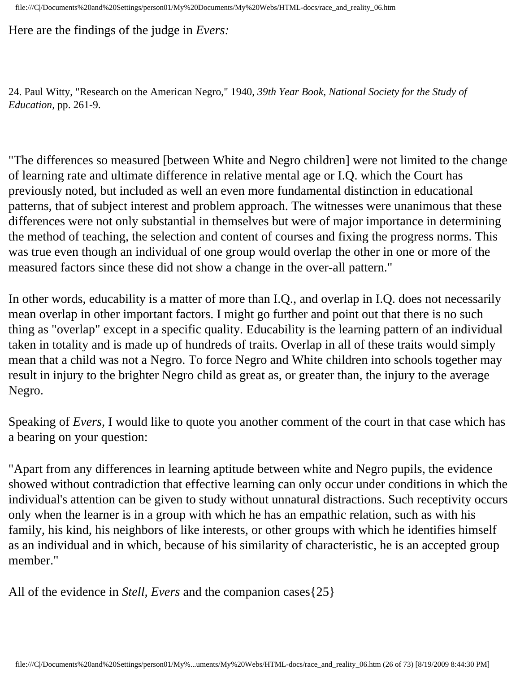Here are the findings of the judge in *Evers:*

24. Paul Witty, "Research on the American Negro," 1940, *39th Year Book, National Society for the Study of Education,* pp. 261-9.

"The differences so measured [between White and Negro children] were not limited to the change of learning rate and ultimate difference in relative mental age or I.Q. which the Court has previously noted, but included as well an even more fundamental distinction in educational patterns, that of subject interest and problem approach. The witnesses were unanimous that these differences were not only substantial in themselves but were of major importance in determining the method of teaching, the selection and content of courses and fixing the progress norms. This was true even though an individual of one group would overlap the other in one or more of the measured factors since these did not show a change in the over-all pattern."

In other words, educability is a matter of more than I.Q., and overlap in I.Q. does not necessarily mean overlap in other important factors. I might go further and point out that there is no such thing as "overlap" except in a specific quality. Educability is the learning pattern of an individual taken in totality and is made up of hundreds of traits. Overlap in all of these traits would simply mean that a child was not a Negro. To force Negro and White children into schools together may result in injury to the brighter Negro child as great as, or greater than, the injury to the average Negro.

Speaking of *Evers,* I would like to quote you another comment of the court in that case which has a bearing on your question:

"Apart from any differences in learning aptitude between white and Negro pupils, the evidence showed without contradiction that effective learning can only occur under conditions in which the individual's attention can be given to study without unnatural distractions. Such receptivity occurs only when the learner is in a group with which he has an empathic relation, such as with his family, his kind, his neighbors of like interests, or other groups with which he identifies himself as an individual and in which, because of his similarity of characteristic, he is an accepted group member."

All of the evidence in *Stell, Evers* and the companion cases{25}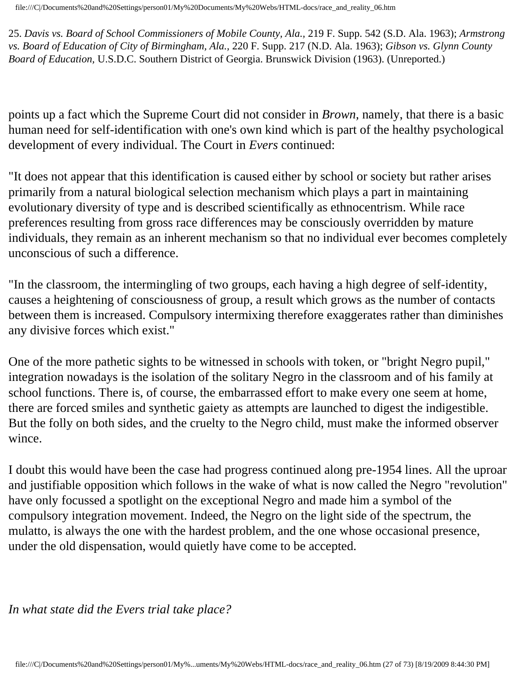25. *Davis vs. Board of School Commissioners of Mobile County, Ala.,* 219 F. Supp. 542 (S.D. Ala. 1963); *Armstrong vs. Board of Education of City of Birmingham, Ala.,* 220 F. Supp. 217 (N.D. Ala. 1963); *Gibson vs. Glynn County Board of Education,* U.S.D.C. Southern District of Georgia. Brunswick Division (1963). (Unreported.)

points up a fact which the Supreme Court did not consider in *Brown,* namely, that there is a basic human need for self-identification with one's own kind which is part of the healthy psychological development of every individual. The Court in *Evers* continued:

"It does not appear that this identification is caused either by school or society but rather arises primarily from a natural biological selection mechanism which plays a part in maintaining evolutionary diversity of type and is described scientifically as ethnocentrism. While race preferences resulting from gross race differences may be consciously overridden by mature individuals, they remain as an inherent mechanism so that no individual ever becomes completely unconscious of such a difference.

"In the classroom, the intermingling of two groups, each having a high degree of self-identity, causes a heightening of consciousness of group, a result which grows as the number of contacts between them is increased. Compulsory intermixing therefore exaggerates rather than diminishes any divisive forces which exist."

One of the more pathetic sights to be witnessed in schools with token, or "bright Negro pupil," integration nowadays is the isolation of the solitary Negro in the classroom and of his family at school functions. There is, of course, the embarrassed effort to make every one seem at home, there are forced smiles and synthetic gaiety as attempts are launched to digest the indigestible. But the folly on both sides, and the cruelty to the Negro child, must make the informed observer wince.

I doubt this would have been the case had progress continued along pre-1954 lines. All the uproar and justifiable opposition which follows in the wake of what is now called the Negro "revolution" have only focussed a spotlight on the exceptional Negro and made him a symbol of the compulsory integration movement. Indeed, the Negro on the light side of the spectrum, the mulatto, is always the one with the hardest problem, and the one whose occasional presence, under the old dispensation, would quietly have come to be accepted.

*In what state did the Evers trial take place?*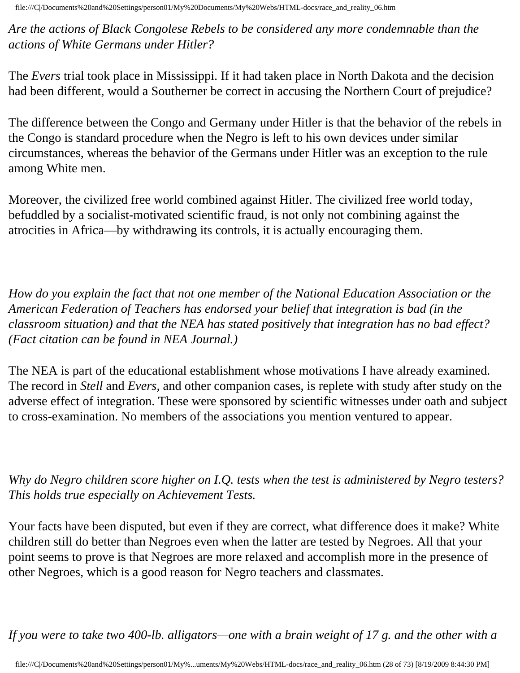*Are the actions of Black Congolese Rebels to be considered any more condemnable than the actions of White Germans under Hitler?*

The *Evers* trial took place in Mississippi. If it had taken place in North Dakota and the decision had been different, would a Southerner be correct in accusing the Northern Court of prejudice?

The difference between the Congo and Germany under Hitler is that the behavior of the rebels in the Congo is standard procedure when the Negro is left to his own devices under similar circumstances, whereas the behavior of the Germans under Hitler was an exception to the rule among White men.

Moreover, the civilized free world combined against Hitler. The civilized free world today, befuddled by a socialist-motivated scientific fraud, is not only not combining against the atrocities in Africa—by withdrawing its controls, it is actually encouraging them.

*How do you explain the fact that not one member of the National Education Association or the American Federation of Teachers has endorsed your belief that integration is bad (in the classroom situation) and that the NEA has stated positively that integration has no bad effect? (Fact citation can be found in NEA Journal.)*

The NEA is part of the educational establishment whose motivations I have already examined. The record in *Stell* and *Evers,* and other companion cases, is replete with study after study on the adverse effect of integration. These were sponsored by scientific witnesses under oath and subject to cross-examination. No members of the associations you mention ventured to appear.

*Why do Negro children score higher on I.Q. tests when the test is administered by Negro testers? This holds true especially on Achievement Tests.*

Your facts have been disputed, but even if they are correct, what difference does it make? White children still do better than Negroes even when the latter are tested by Negroes. All that your point seems to prove is that Negroes are more relaxed and accomplish more in the presence of other Negroes, which is a good reason for Negro teachers and classmates.

*If you were to take two 400-lb. alligators—one with a brain weight of 17 g. and the other with a*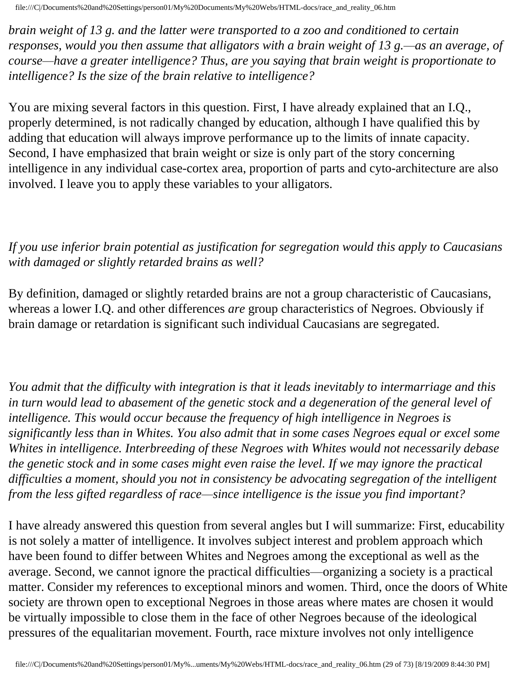*brain weight of 13 g. and the latter were transported to a zoo and conditioned to certain responses, would you then assume that alligators with a brain weight of 13 g.—as an average, of course—have a greater intelligence? Thus, are you saying that brain weight is proportionate to intelligence? Is the size of the brain relative to intelligence?*

You are mixing several factors in this question. First, I have already explained that an I.Q., properly determined, is not radically changed by education, although I have qualified this by adding that education will always improve performance up to the limits of innate capacity. Second, I have emphasized that brain weight or size is only part of the story concerning intelligence in any individual case-cortex area, proportion of parts and cyto-architecture are also involved. I leave you to apply these variables to your alligators.

*If you use inferior brain potential as justification for segregation would this apply to Caucasians with damaged or slightly retarded brains as well?*

By definition, damaged or slightly retarded brains are not a group characteristic of Caucasians, whereas a lower I.Q. and other differences *are* group characteristics of Negroes. Obviously if brain damage or retardation is significant such individual Caucasians are segregated.

*You admit that the difficulty with integration is that it leads inevitably to intermarriage and this*  in turn would lead to abasement of the genetic stock and a degeneration of the general level of *intelligence. This would occur because the frequency of high intelligence in Negroes is significantly less than in Whites. You also admit that in some cases Negroes equal or excel some Whites in intelligence. Interbreeding of these Negroes with Whites would not necessarily debase the genetic stock and in some cases might even raise the level. If we may ignore the practical difficulties a moment, should you not in consistency be advocating segregation of the intelligent from the less gifted regardless of race—since intelligence is the issue you find important?*

I have already answered this question from several angles but I will summarize: First, educability is not solely a matter of intelligence. It involves subject interest and problem approach which have been found to differ between Whites and Negroes among the exceptional as well as the average. Second, we cannot ignore the practical difficulties—organizing a society is a practical matter. Consider my references to exceptional minors and women. Third, once the doors of White society are thrown open to exceptional Negroes in those areas where mates are chosen it would be virtually impossible to close them in the face of other Negroes because of the ideological pressures of the equalitarian movement. Fourth, race mixture involves not only intelligence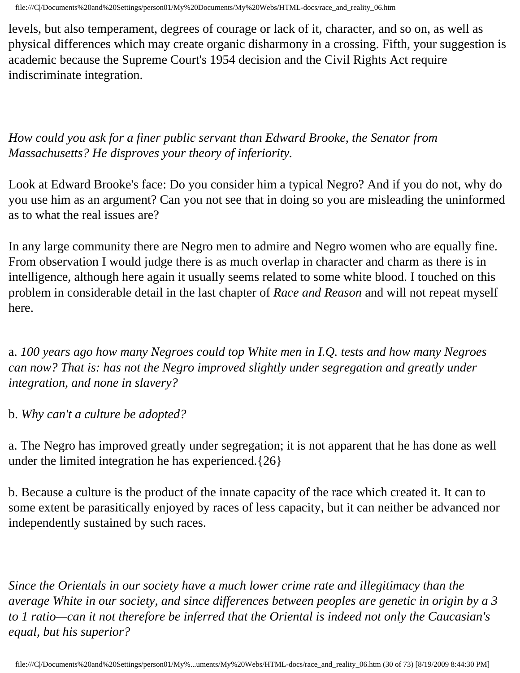levels, but also temperament, degrees of courage or lack of it, character, and so on, as well as physical differences which may create organic disharmony in a crossing. Fifth, your suggestion is academic because the Supreme Court's 1954 decision and the Civil Rights Act require indiscriminate integration.

*How could you ask for a finer public servant than Edward Brooke, the Senator from Massachusetts? He disproves your theory of inferiority.*

Look at Edward Brooke's face: Do you consider him a typical Negro? And if you do not, why do you use him as an argument? Can you not see that in doing so you are misleading the uninformed as to what the real issues are?

In any large community there are Negro men to admire and Negro women who are equally fine. From observation I would judge there is as much overlap in character and charm as there is in intelligence, although here again it usually seems related to some white blood. I touched on this problem in considerable detail in the last chapter of *Race and Reason* and will not repeat myself here.

a. *100 years ago how many Negroes could top White men in I.Q. tests and how many Negroes can now? That is: has not the Negro improved slightly under segregation and greatly under integration, and none in slavery?*

b. *Why can't a culture be adopted?*

a. The Negro has improved greatly under segregation; it is not apparent that he has done as well under the limited integration he has experienced.{26}

b. Because a culture is the product of the innate capacity of the race which created it. It can to some extent be parasitically enjoyed by races of less capacity, but it can neither be advanced nor independently sustained by such races.

*Since the Orientals in our society have a much lower crime rate and illegitimacy than the average White in our society, and since differences between peoples are genetic in origin by a 3 to 1 ratio—can it not therefore be inferred that the Oriental is indeed not only the Caucasian's equal, but his superior?*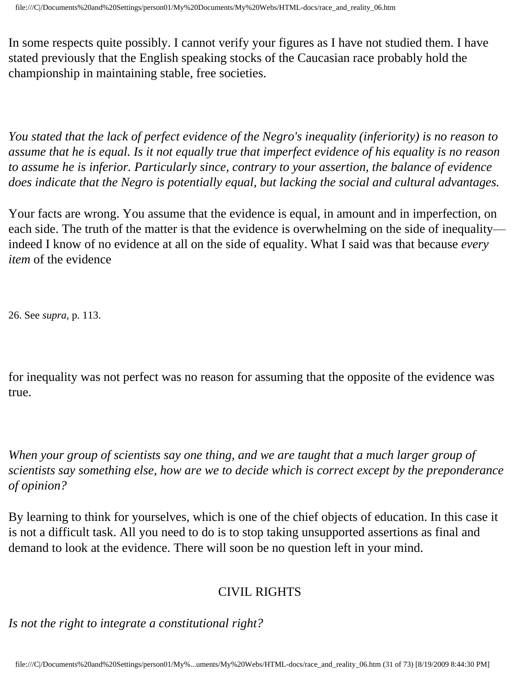In some respects quite possibly. I cannot verify your figures as I have not studied them. I have stated previously that the English speaking stocks of the Caucasian race probably hold the championship in maintaining stable, free societies.

*You stated that the lack of perfect evidence of the Negro's inequality (inferiority) is no reason to assume that he is equal. Is it not equally true that imperfect evidence of his equality is no reason to assume he is inferior. Particularly since, contrary to your assertion, the balance of evidence does indicate that the Negro is potentially equal, but lacking the social and cultural advantages.*

Your facts are wrong. You assume that the evidence is equal, in amount and in imperfection, on each side. The truth of the matter is that the evidence is overwhelming on the side of inequality indeed I know of no evidence at all on the side of equality. What I said was that because *every item* of the evidence

26. See *supra,* p. 113.

for inequality was not perfect was no reason for assuming that the opposite of the evidence was true.

*When your group of scientists say one thing, and we are taught that a much larger group of scientists say something else, how are we to decide which is correct except by the preponderance of opinion?*

By learning to think for yourselves, which is one of the chief objects of education. In this case it is not a difficult task. All you need to do is to stop taking unsupported assertions as final and demand to look at the evidence. There will soon be no question left in your mind.

## CIVIL RIGHTS

*Is not the right to integrate a constitutional right?*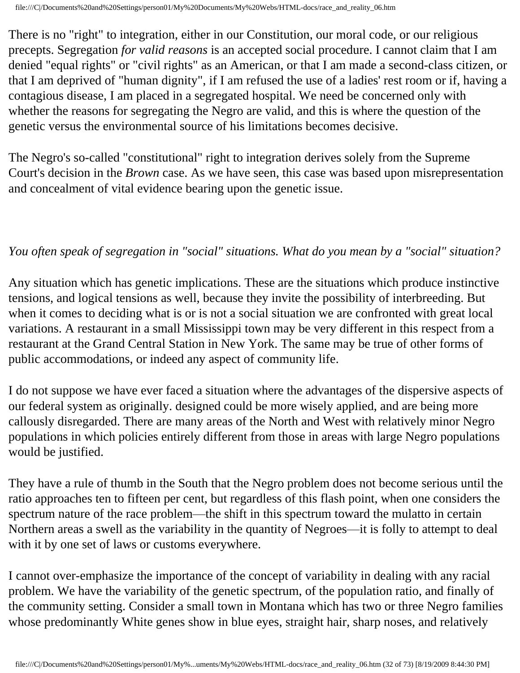There is no "right" to integration, either in our Constitution, our moral code, or our religious precepts. Segregation *for valid reasons* is an accepted social procedure. I cannot claim that I am denied "equal rights" or "civil rights" as an American, or that I am made a second-class citizen, or that I am deprived of "human dignity", if I am refused the use of a ladies' rest room or if, having a contagious disease, I am placed in a segregated hospital. We need be concerned only with whether the reasons for segregating the Negro are valid, and this is where the question of the genetic versus the environmental source of his limitations becomes decisive.

The Negro's so-called "constitutional" right to integration derives solely from the Supreme Court's decision in the *Brown* case. As we have seen, this case was based upon misrepresentation and concealment of vital evidence bearing upon the genetic issue.

## *You often speak of segregation in "social" situations. What do you mean by a "social" situation?*

Any situation which has genetic implications. These are the situations which produce instinctive tensions, and logical tensions as well, because they invite the possibility of interbreeding. But when it comes to deciding what is or is not a social situation we are confronted with great local variations. A restaurant in a small Mississippi town may be very different in this respect from a restaurant at the Grand Central Station in New York. The same may be true of other forms of public accommodations, or indeed any aspect of community life.

I do not suppose we have ever faced a situation where the advantages of the dispersive aspects of our federal system as originally. designed could be more wisely applied, and are being more callously disregarded. There are many areas of the North and West with relatively minor Negro populations in which policies entirely different from those in areas with large Negro populations would be justified.

They have a rule of thumb in the South that the Negro problem does not become serious until the ratio approaches ten to fifteen per cent, but regardless of this flash point, when one considers the spectrum nature of the race problem—the shift in this spectrum toward the mulatto in certain Northern areas a swell as the variability in the quantity of Negroes—it is folly to attempt to deal with it by one set of laws or customs everywhere.

I cannot over-emphasize the importance of the concept of variability in dealing with any racial problem. We have the variability of the genetic spectrum, of the population ratio, and finally of the community setting. Consider a small town in Montana which has two or three Negro families whose predominantly White genes show in blue eyes, straight hair, sharp noses, and relatively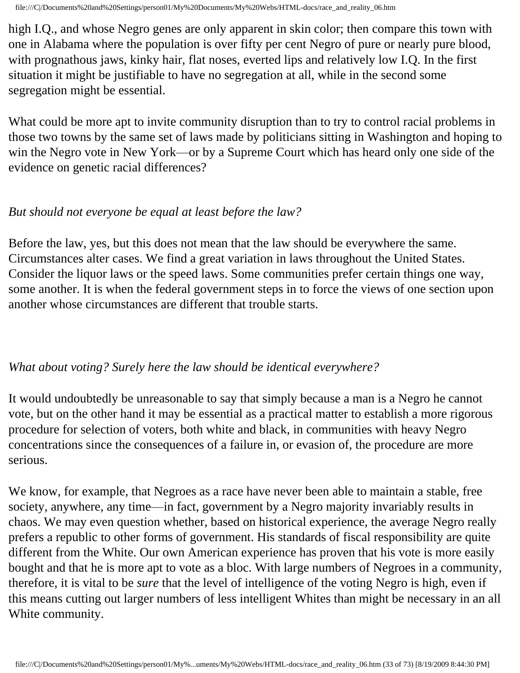high I.Q., and whose Negro genes are only apparent in skin color; then compare this town with one in Alabama where the population is over fifty per cent Negro of pure or nearly pure blood, with prognathous jaws, kinky hair, flat noses, everted lips and relatively low I.Q. In the first situation it might be justifiable to have no segregation at all, while in the second some segregation might be essential.

What could be more apt to invite community disruption than to try to control racial problems in those two towns by the same set of laws made by politicians sitting in Washington and hoping to win the Negro vote in New York—or by a Supreme Court which has heard only one side of the evidence on genetic racial differences?

# *But should not everyone be equal at least before the law?*

Before the law, yes, but this does not mean that the law should be everywhere the same. Circumstances alter cases. We find a great variation in laws throughout the United States. Consider the liquor laws or the speed laws. Some communities prefer certain things one way, some another. It is when the federal government steps in to force the views of one section upon another whose circumstances are different that trouble starts.

# *What about voting? Surely here the law should be identical everywhere?*

It would undoubtedly be unreasonable to say that simply because a man is a Negro he cannot vote, but on the other hand it may be essential as a practical matter to establish a more rigorous procedure for selection of voters, both white and black, in communities with heavy Negro concentrations since the consequences of a failure in, or evasion of, the procedure are more serious.

We know, for example, that Negroes as a race have never been able to maintain a stable, free society, anywhere, any time—in fact, government by a Negro majority invariably results in chaos. We may even question whether, based on historical experience, the average Negro really prefers a republic to other forms of government. His standards of fiscal responsibility are quite different from the White. Our own American experience has proven that his vote is more easily bought and that he is more apt to vote as a bloc. With large numbers of Negroes in a community, therefore, it is vital to be *sure* that the level of intelligence of the voting Negro is high, even if this means cutting out larger numbers of less intelligent Whites than might be necessary in an all White community.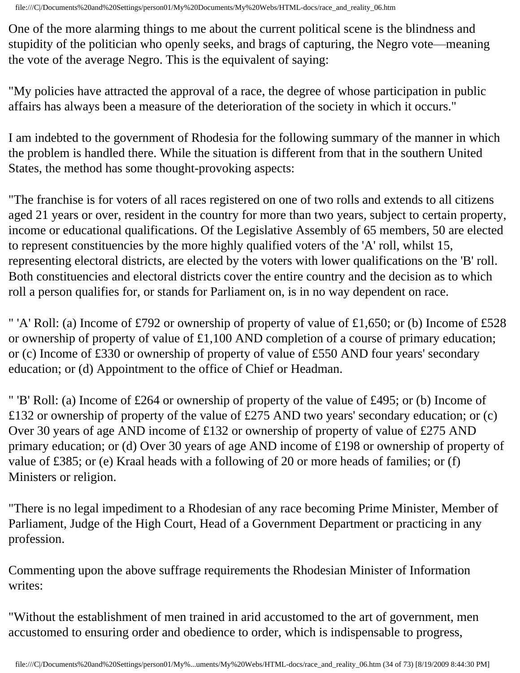One of the more alarming things to me about the current political scene is the blindness and stupidity of the politician who openly seeks, and brags of capturing, the Negro vote—meaning the vote of the average Negro. This is the equivalent of saying:

"My policies have attracted the approval of a race, the degree of whose participation in public affairs has always been a measure of the deterioration of the society in which it occurs."

I am indebted to the government of Rhodesia for the following summary of the manner in which the problem is handled there. While the situation is different from that in the southern United States, the method has some thought-provoking aspects:

"The franchise is for voters of all races registered on one of two rolls and extends to all citizens aged 21 years or over, resident in the country for more than two years, subject to certain property, income or educational qualifications. Of the Legislative Assembly of 65 members, 50 are elected to represent constituencies by the more highly qualified voters of the 'A' roll, whilst 15, representing electoral districts, are elected by the voters with lower qualifications on the 'B' roll. Both constituencies and electoral districts cover the entire country and the decision as to which roll a person qualifies for, or stands for Parliament on, is in no way dependent on race.

" 'A' Roll: (a) Income of £792 or ownership of property of value of £1,650; or (b) Income of £528 or ownership of property of value of £1,100 AND completion of a course of primary education; or (c) Income of £330 or ownership of property of value of £550 AND four years' secondary education; or (d) Appointment to the office of Chief or Headman.

" 'B' Roll: (a) Income of £264 or ownership of property of the value of £495; or (b) Income of £132 or ownership of property of the value of £275 AND two years' secondary education; or  $(c)$ Over 30 years of age AND income of £132 or ownership of property of value of £275 AND primary education; or (d) Over 30 years of age AND income of £198 or ownership of property of value of £385; or (e) Kraal heads with a following of 20 or more heads of families; or (f) Ministers or religion.

"There is no legal impediment to a Rhodesian of any race becoming Prime Minister, Member of Parliament, Judge of the High Court, Head of a Government Department or practicing in any profession.

Commenting upon the above suffrage requirements the Rhodesian Minister of Information writes:

"Without the establishment of men trained in arid accustomed to the art of government, men accustomed to ensuring order and obedience to order, which is indispensable to progress,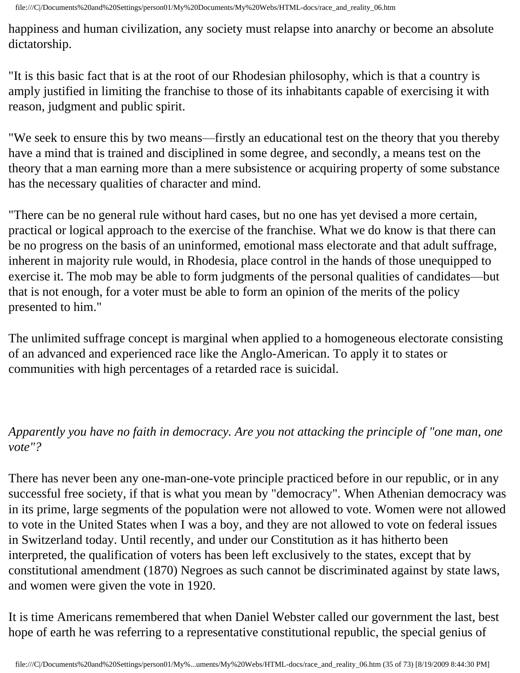happiness and human civilization, any society must relapse into anarchy or become an absolute dictatorship.

"It is this basic fact that is at the root of our Rhodesian philosophy, which is that a country is amply justified in limiting the franchise to those of its inhabitants capable of exercising it with reason, judgment and public spirit.

"We seek to ensure this by two means—firstly an educational test on the theory that you thereby have a mind that is trained and disciplined in some degree, and secondly, a means test on the theory that a man earning more than a mere subsistence or acquiring property of some substance has the necessary qualities of character and mind.

"There can be no general rule without hard cases, but no one has yet devised a more certain, practical or logical approach to the exercise of the franchise. What we do know is that there can be no progress on the basis of an uninformed, emotional mass electorate and that adult suffrage, inherent in majority rule would, in Rhodesia, place control in the hands of those unequipped to exercise it. The mob may be able to form judgments of the personal qualities of candidates—but that is not enough, for a voter must be able to form an opinion of the merits of the policy presented to him."

The unlimited suffrage concept is marginal when applied to a homogeneous electorate consisting of an advanced and experienced race like the Anglo-American. To apply it to states or communities with high percentages of a retarded race is suicidal.

*Apparently you have no faith in democracy. Are you not attacking the principle of "one man, one vote"?*

There has never been any one-man-one-vote principle practiced before in our republic, or in any successful free society, if that is what you mean by "democracy". When Athenian democracy was in its prime, large segments of the population were not allowed to vote. Women were not allowed to vote in the United States when I was a boy, and they are not allowed to vote on federal issues in Switzerland today. Until recently, and under our Constitution as it has hitherto been interpreted, the qualification of voters has been left exclusively to the states, except that by constitutional amendment (1870) Negroes as such cannot be discriminated against by state laws, and women were given the vote in 1920.

It is time Americans remembered that when Daniel Webster called our government the last, best hope of earth he was referring to a representative constitutional republic, the special genius of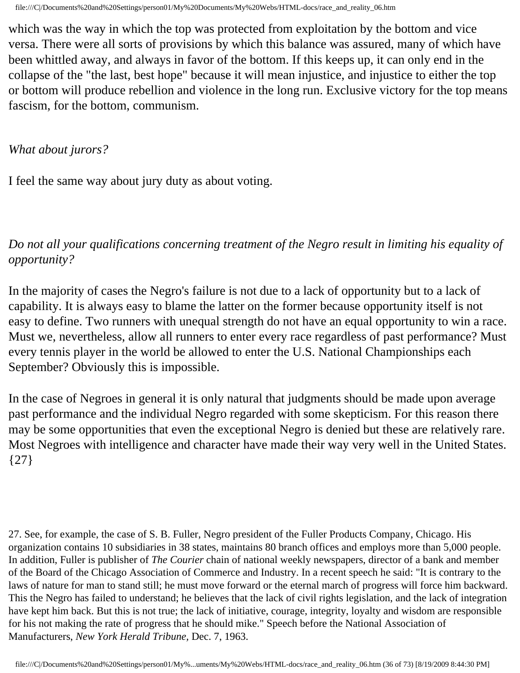which was the way in which the top was protected from exploitation by the bottom and vice versa. There were all sorts of provisions by which this balance was assured, many of which have been whittled away, and always in favor of the bottom. If this keeps up, it can only end in the collapse of the "the last, best hope" because it will mean injustice, and injustice to either the top or bottom will produce rebellion and violence in the long run. Exclusive victory for the top means fascism, for the bottom, communism.

#### *What about jurors?*

I feel the same way about jury duty as about voting.

*Do not all your qualifications concerning treatment of the Negro result in limiting his equality of opportunity?*

In the majority of cases the Negro's failure is not due to a lack of opportunity but to a lack of capability. It is always easy to blame the latter on the former because opportunity itself is not easy to define. Two runners with unequal strength do not have an equal opportunity to win a race. Must we, nevertheless, allow all runners to enter every race regardless of past performance? Must every tennis player in the world be allowed to enter the U.S. National Championships each September? Obviously this is impossible.

In the case of Negroes in general it is only natural that judgments should be made upon average past performance and the individual Negro regarded with some skepticism. For this reason there may be some opportunities that even the exceptional Negro is denied but these are relatively rare. Most Negroes with intelligence and character have made their way very well in the United States. {27}

27. See, for example, the case of S. B. Fuller, Negro president of the Fuller Products Company, Chicago. His organization contains 10 subsidiaries in 38 states, maintains 80 branch offices and employs more than 5,000 people. In addition, Fuller is publisher of *The Courier* chain of national weekly newspapers, director of a bank and member of the Board of the Chicago Association of Commerce and Industry. In a recent speech he said: "It is contrary to the laws of nature for man to stand still; he must move forward or the eternal march of progress will force him backward. This the Negro has failed to understand; he believes that the lack of civil rights legislation, and the lack of integration have kept him back. But this is not true; the lack of initiative, courage, integrity, loyalty and wisdom are responsible for his not making the rate of progress that he should mike." Speech before the National Association of Manufacturers, *New York Herald Tribune,* Dec. 7, 1963.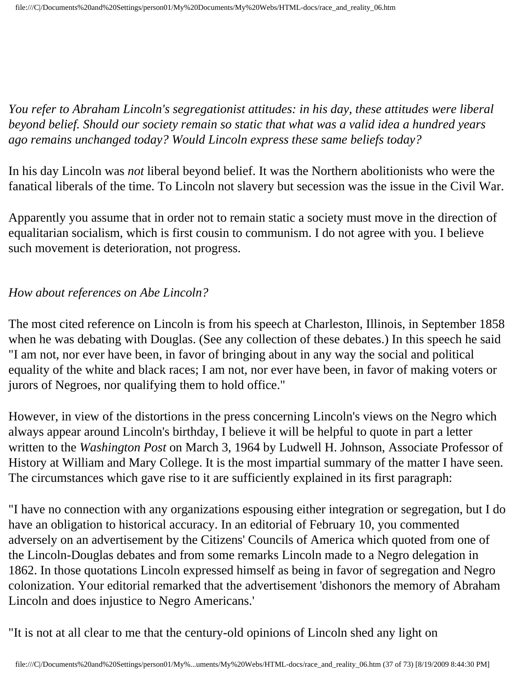*You refer to Abraham Lincoln's segregationist attitudes: in his day, these attitudes were liberal beyond belief. Should our society remain so static that what was a valid idea a hundred years ago remains unchanged today? Would Lincoln express these same beliefs today?*

In his day Lincoln was *not* liberal beyond belief. It was the Northern abolitionists who were the fanatical liberals of the time. To Lincoln not slavery but secession was the issue in the Civil War.

Apparently you assume that in order not to remain static a society must move in the direction of equalitarian socialism, which is first cousin to communism. I do not agree with you. I believe such movement is deterioration, not progress.

#### *How about references on Abe Lincoln?*

The most cited reference on Lincoln is from his speech at Charleston, Illinois, in September 1858 when he was debating with Douglas. (See any collection of these debates.) In this speech he said "I am not, nor ever have been, in favor of bringing about in any way the social and political equality of the white and black races; I am not, nor ever have been, in favor of making voters or jurors of Negroes, nor qualifying them to hold office."

However, in view of the distortions in the press concerning Lincoln's views on the Negro which always appear around Lincoln's birthday, I believe it will be helpful to quote in part a letter written to the *Washington Post* on March 3, 1964 by Ludwell H. Johnson, Associate Professor of History at William and Mary College. It is the most impartial summary of the matter I have seen. The circumstances which gave rise to it are sufficiently explained in its first paragraph:

"I have no connection with any organizations espousing either integration or segregation, but I do have an obligation to historical accuracy. In an editorial of February 10, you commented adversely on an advertisement by the Citizens' Councils of America which quoted from one of the Lincoln-Douglas debates and from some remarks Lincoln made to a Negro delegation in 1862. In those quotations Lincoln expressed himself as being in favor of segregation and Negro colonization. Your editorial remarked that the advertisement 'dishonors the memory of Abraham Lincoln and does injustice to Negro Americans.'

"It is not at all clear to me that the century-old opinions of Lincoln shed any light on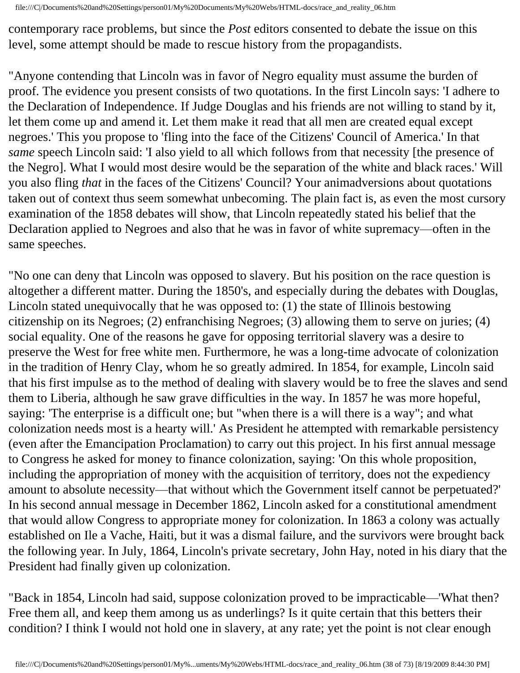contemporary race problems, but since the *Post* editors consented to debate the issue on this level, some attempt should be made to rescue history from the propagandists.

"Anyone contending that Lincoln was in favor of Negro equality must assume the burden of proof. The evidence you present consists of two quotations. In the first Lincoln says: 'I adhere to the Declaration of Independence. If Judge Douglas and his friends are not willing to stand by it, let them come up and amend it. Let them make it read that all men are created equal except negroes.' This you propose to 'fling into the face of the Citizens' Council of America.' In that *same* speech Lincoln said: 'I also yield to all which follows from that necessity [the presence of the Negro]. What I would most desire would be the separation of the white and black races.' Will you also fling *that* in the faces of the Citizens' Council? Your animadversions about quotations taken out of context thus seem somewhat unbecoming. The plain fact is, as even the most cursory examination of the 1858 debates will show, that Lincoln repeatedly stated his belief that the Declaration applied to Negroes and also that he was in favor of white supremacy—often in the same speeches.

"No one can deny that Lincoln was opposed to slavery. But his position on the race question is altogether a different matter. During the 1850's, and especially during the debates with Douglas, Lincoln stated unequivocally that he was opposed to: (1) the state of Illinois bestowing citizenship on its Negroes; (2) enfranchising Negroes; (3) allowing them to serve on juries; (4) social equality. One of the reasons he gave for opposing territorial slavery was a desire to preserve the West for free white men. Furthermore, he was a long-time advocate of colonization in the tradition of Henry Clay, whom he so greatly admired. In 1854, for example, Lincoln said that his first impulse as to the method of dealing with slavery would be to free the slaves and send them to Liberia, although he saw grave difficulties in the way. In 1857 he was more hopeful, saying: 'The enterprise is a difficult one; but "when there is a will there is a way"; and what colonization needs most is a hearty will.' As President he attempted with remarkable persistency (even after the Emancipation Proclamation) to carry out this project. In his first annual message to Congress he asked for money to finance colonization, saying: 'On this whole proposition, including the appropriation of money with the acquisition of territory, does not the expediency amount to absolute necessity—that without which the Government itself cannot be perpetuated?' In his second annual message in December 1862, Lincoln asked for a constitutional amendment that would allow Congress to appropriate money for colonization. In 1863 a colony was actually established on Ile a Vache, Haiti, but it was a dismal failure, and the survivors were brought back the following year. In July, 1864, Lincoln's private secretary, John Hay, noted in his diary that the President had finally given up colonization.

"Back in 1854, Lincoln had said, suppose colonization proved to be impracticable—'What then? Free them all, and keep them among us as underlings? Is it quite certain that this betters their condition? I think I would not hold one in slavery, at any rate; yet the point is not clear enough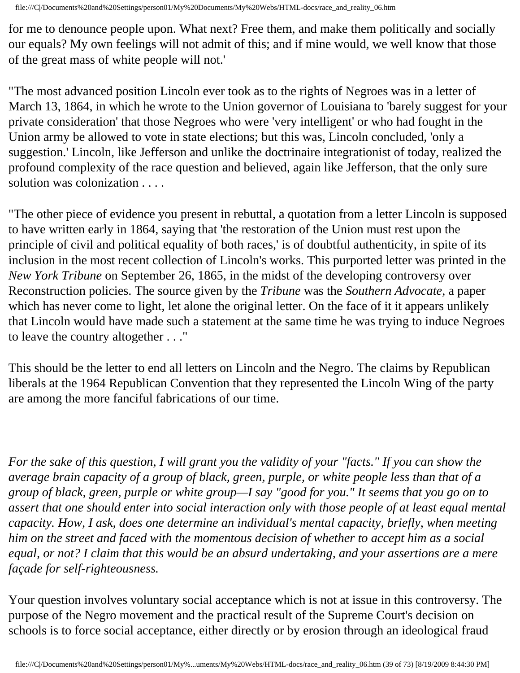for me to denounce people upon. What next? Free them, and make them politically and socially our equals? My own feelings will not admit of this; and if mine would, we well know that those of the great mass of white people will not.'

"The most advanced position Lincoln ever took as to the rights of Negroes was in a letter of March 13, 1864, in which he wrote to the Union governor of Louisiana to 'barely suggest for your private consideration' that those Negroes who were 'very intelligent' or who had fought in the Union army be allowed to vote in state elections; but this was, Lincoln concluded, 'only a suggestion.' Lincoln, like Jefferson and unlike the doctrinaire integrationist of today, realized the profound complexity of the race question and believed, again like Jefferson, that the only sure solution was colonization . . . .

"The other piece of evidence you present in rebuttal, a quotation from a letter Lincoln is supposed to have written early in 1864, saying that 'the restoration of the Union must rest upon the principle of civil and political equality of both races,' is of doubtful authenticity, in spite of its inclusion in the most recent collection of Lincoln's works. This purported letter was printed in the *New York Tribune* on September 26, 1865, in the midst of the developing controversy over Reconstruction policies. The source given by the *Tribune* was the *Southern Advocate,* a paper which has never come to light, let alone the original letter. On the face of it it appears unlikely that Lincoln would have made such a statement at the same time he was trying to induce Negroes to leave the country altogether . . ."

This should be the letter to end all letters on Lincoln and the Negro. The claims by Republican liberals at the 1964 Republican Convention that they represented the Lincoln Wing of the party are among the more fanciful fabrications of our time.

*For the sake of this question, I will grant you the validity of your "facts." If you can show the average brain capacity of a group of black, green, purple, or white people less than that of a group of black, green, purple or white group—I say "good for you." It seems that you go on to assert that one should enter into social interaction only with those people of at least equal mental capacity. How, I ask, does one determine an individual's mental capacity, briefly, when meeting him on the street and faced with the momentous decision of whether to accept him as a social equal, or not? I claim that this would be an absurd undertaking, and your assertions are a mere façade for self-righteousness.*

Your question involves voluntary social acceptance which is not at issue in this controversy. The purpose of the Negro movement and the practical result of the Supreme Court's decision on schools is to force social acceptance, either directly or by erosion through an ideological fraud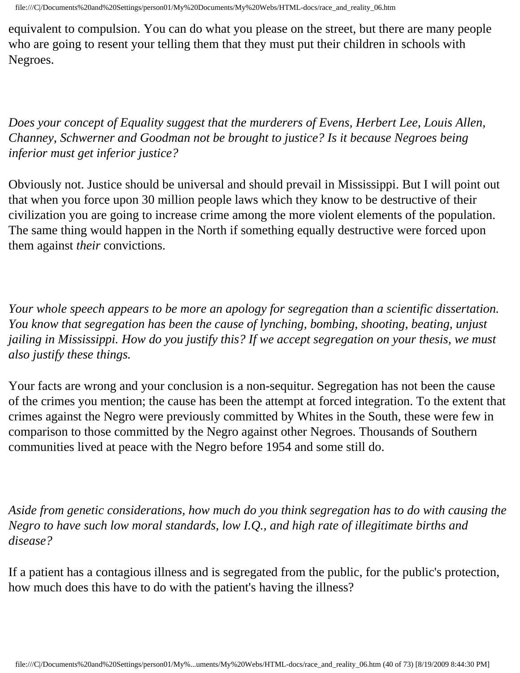equivalent to compulsion. You can do what you please on the street, but there are many people who are going to resent your telling them that they must put their children in schools with Negroes.

*Does your concept of Equality suggest that the murderers of Evens, Herbert Lee, Louis Allen, Channey, Schwerner and Goodman not be brought to justice? Is it because Negroes being inferior must get inferior justice?*

Obviously not. Justice should be universal and should prevail in Mississippi. But I will point out that when you force upon 30 million people laws which they know to be destructive of their civilization you are going to increase crime among the more violent elements of the population. The same thing would happen in the North if something equally destructive were forced upon them against *their* convictions.

*Your whole speech appears to be more an apology for segregation than a scientific dissertation. You know that segregation has been the cause of lynching, bombing, shooting, beating, unjust jailing in Mississippi. How do you justify this? If we accept segregation on your thesis, we must also justify these things.*

Your facts are wrong and your conclusion is a non-sequitur. Segregation has not been the cause of the crimes you mention; the cause has been the attempt at forced integration. To the extent that crimes against the Negro were previously committed by Whites in the South, these were few in comparison to those committed by the Negro against other Negroes. Thousands of Southern communities lived at peace with the Negro before 1954 and some still do.

*Aside from genetic considerations, how much do you think segregation has to do with causing the Negro to have such low moral standards, low I.Q., and high rate of illegitimate births and disease?*

If a patient has a contagious illness and is segregated from the public, for the public's protection, how much does this have to do with the patient's having the illness?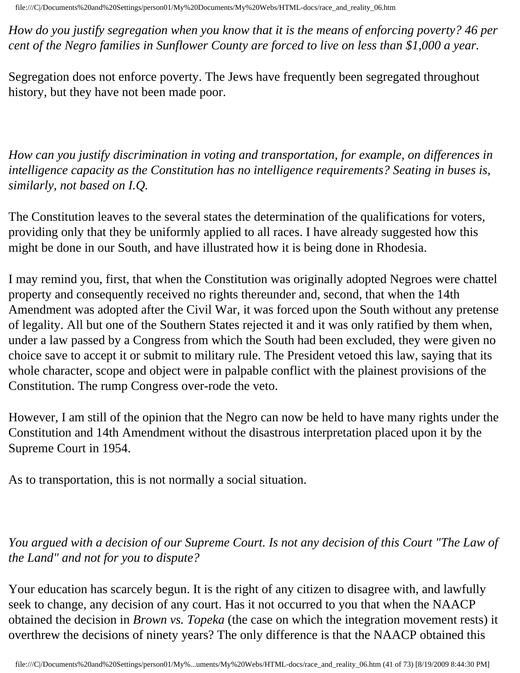*How do you justify segregation when you know that it is the means of enforcing poverty? 46 per cent of the Negro families in Sunflower County are forced to live on less than \$1,000 a year.*

Segregation does not enforce poverty. The Jews have frequently been segregated throughout history, but they have not been made poor.

*How can you justify discrimination in voting and transportation, for example, on differences in intelligence capacity as the Constitution has no intelligence requirements? Seating in buses is, similarly, not based on I.Q.*

The Constitution leaves to the several states the determination of the qualifications for voters, providing only that they be uniformly applied to all races. I have already suggested how this might be done in our South, and have illustrated how it is being done in Rhodesia.

I may remind you, first, that when the Constitution was originally adopted Negroes were chattel property and consequently received no rights thereunder and, second, that when the 14th Amendment was adopted after the Civil War, it was forced upon the South without any pretense of legality. All but one of the Southern States rejected it and it was only ratified by them when, under a law passed by a Congress from which the South had been excluded, they were given no choice save to accept it or submit to military rule. The President vetoed this law, saying that its whole character, scope and object were in palpable conflict with the plainest provisions of the Constitution. The rump Congress over-rode the veto.

However, I am still of the opinion that the Negro can now be held to have many rights under the Constitution and 14th Amendment without the disastrous interpretation placed upon it by the Supreme Court in 1954.

As to transportation, this is not normally a social situation.

*You argued with a decision of our Supreme Court. Is not any decision of this Court "The Law of the Land" and not for you to dispute?*

Your education has scarcely begun. It is the right of any citizen to disagree with, and lawfully seek to change, any decision of any court. Has it not occurred to you that when the NAACP obtained the decision in *Brown vs. Topeka* (the case on which the integration movement rests) it overthrew the decisions of ninety years? The only difference is that the NAACP obtained this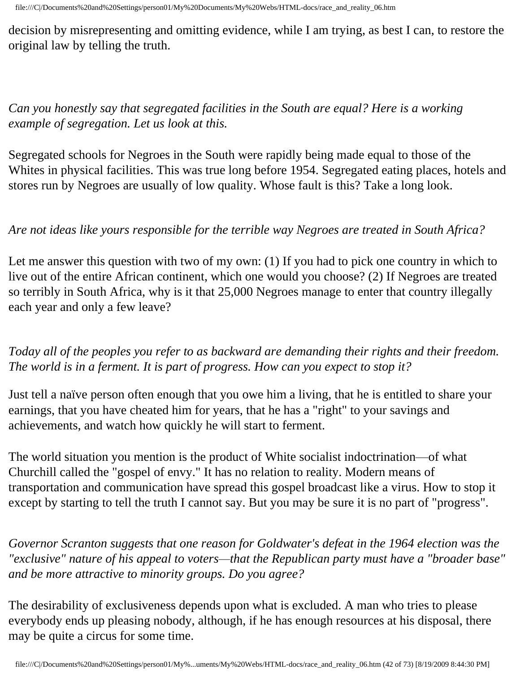decision by misrepresenting and omitting evidence, while I am trying, as best I can, to restore the original law by telling the truth.

*Can you honestly say that segregated facilities in the South are equal? Here is a working example of segregation. Let us look at this.*

Segregated schools for Negroes in the South were rapidly being made equal to those of the Whites in physical facilities. This was true long before 1954. Segregated eating places, hotels and stores run by Negroes are usually of low quality. Whose fault is this? Take a long look.

# *Are not ideas like yours responsible for the terrible way Negroes are treated in South Africa?*

Let me answer this question with two of my own: (1) If you had to pick one country in which to live out of the entire African continent, which one would you choose? (2) If Negroes are treated so terribly in South Africa, why is it that 25,000 Negroes manage to enter that country illegally each year and only a few leave?

*Today all of the peoples you refer to as backward are demanding their rights and their freedom. The world is in a ferment. It is part of progress. How can you expect to stop it?* 

Just tell a naïve person often enough that you owe him a living, that he is entitled to share your earnings, that you have cheated him for years, that he has a "right" to your savings and achievements, and watch how quickly he will start to ferment.

The world situation you mention is the product of White socialist indoctrination—of what Churchill called the "gospel of envy." It has no relation to reality. Modern means of transportation and communication have spread this gospel broadcast like a virus. How to stop it except by starting to tell the truth I cannot say. But you may be sure it is no part of "progress".

*Governor Scranton suggests that one reason for Goldwater's defeat in the 1964 election was the "exclusive" nature of his appeal to voters—that the Republican party must have a "broader base" and be more attractive to minority groups. Do you agree?*

The desirability of exclusiveness depends upon what is excluded. A man who tries to please everybody ends up pleasing nobody, although, if he has enough resources at his disposal, there may be quite a circus for some time.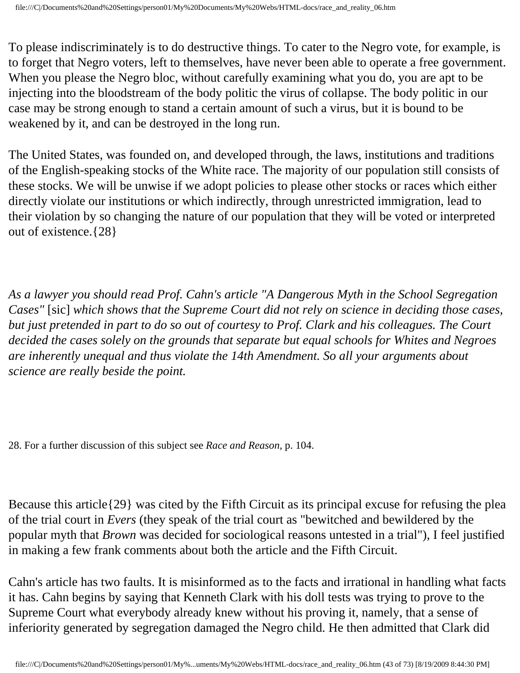To please indiscriminately is to do destructive things. To cater to the Negro vote, for example, is to forget that Negro voters, left to themselves, have never been able to operate a free government. When you please the Negro bloc, without carefully examining what you do, you are apt to be injecting into the bloodstream of the body politic the virus of collapse. The body politic in our case may be strong enough to stand a certain amount of such a virus, but it is bound to be weakened by it, and can be destroyed in the long run.

The United States, was founded on, and developed through, the laws, institutions and traditions of the English-speaking stocks of the White race. The majority of our population still consists of these stocks. We will be unwise if we adopt policies to please other stocks or races which either directly violate our institutions or which indirectly, through unrestricted immigration, lead to their violation by so changing the nature of our population that they will be voted or interpreted out of existence.{28}

*As a lawyer you should read Prof. Cahn's article "A Dangerous Myth in the School Segregation Cases"* [sic] *which shows that the Supreme Court did not rely on science in deciding those cases, but just pretended in part to do so out of courtesy to Prof. Clark and his colleagues. The Court decided the cases solely on the grounds that separate but equal schools for Whites and Negroes are inherently unequal and thus violate the 14th Amendment. So all your arguments about science are really beside the point.*

28. For a further discussion of this subject see *Race and Reason,* p. 104.

Because this article{29} was cited by the Fifth Circuit as its principal excuse for refusing the plea of the trial court in *Evers* (they speak of the trial court as "bewitched and bewildered by the popular myth that *Brown* was decided for sociological reasons untested in a trial"), I feel justified in making a few frank comments about both the article and the Fifth Circuit.

Cahn's article has two faults. It is misinformed as to the facts and irrational in handling what facts it has. Cahn begins by saying that Kenneth Clark with his doll tests was trying to prove to the Supreme Court what everybody already knew without his proving it, namely, that a sense of inferiority generated by segregation damaged the Negro child. He then admitted that Clark did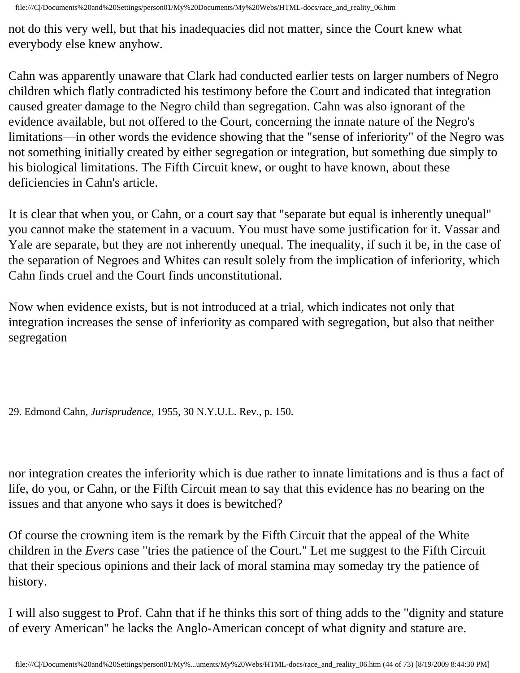not do this very well, but that his inadequacies did not matter, since the Court knew what everybody else knew anyhow.

Cahn was apparently unaware that Clark had conducted earlier tests on larger numbers of Negro children which flatly contradicted his testimony before the Court and indicated that integration caused greater damage to the Negro child than segregation. Cahn was also ignorant of the evidence available, but not offered to the Court, concerning the innate nature of the Negro's limitations—in other words the evidence showing that the "sense of inferiority" of the Negro was not something initially created by either segregation or integration, but something due simply to his biological limitations. The Fifth Circuit knew, or ought to have known, about these deficiencies in Cahn's article.

It is clear that when you, or Cahn, or a court say that "separate but equal is inherently unequal" you cannot make the statement in a vacuum. You must have some justification for it. Vassar and Yale are separate, but they are not inherently unequal. The inequality, if such it be, in the case of the separation of Negroes and Whites can result solely from the implication of inferiority, which Cahn finds cruel and the Court finds unconstitutional.

Now when evidence exists, but is not introduced at a trial, which indicates not only that integration increases the sense of inferiority as compared with segregation, but also that neither segregation

29. Edmond Cahn, *Jurisprudence,* 1955, 30 N.Y.U.L. Rev., p. 150.

nor integration creates the inferiority which is due rather to innate limitations and is thus a fact of life, do you, or Cahn, or the Fifth Circuit mean to say that this evidence has no bearing on the issues and that anyone who says it does is bewitched?

Of course the crowning item is the remark by the Fifth Circuit that the appeal of the White children in the *Evers* case "tries the patience of the Court." Let me suggest to the Fifth Circuit that their specious opinions and their lack of moral stamina may someday try the patience of history.

I will also suggest to Prof. Cahn that if he thinks this sort of thing adds to the "dignity and stature of every American" he lacks the Anglo-American concept of what dignity and stature are.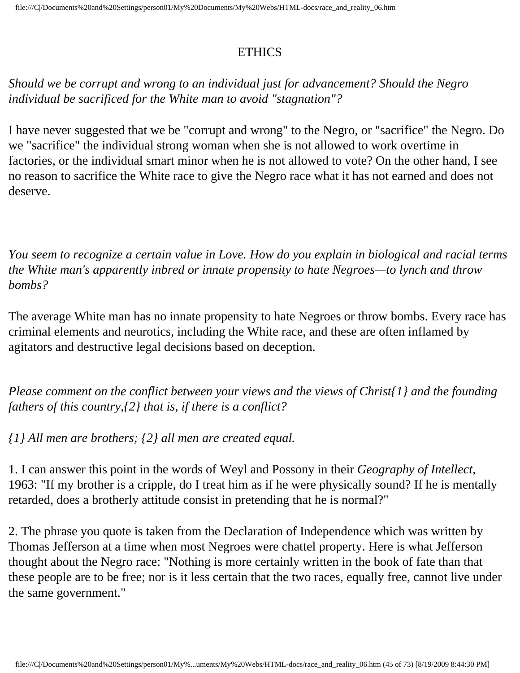#### ETHICS

*Should we be corrupt and wrong to an individual just for advancement? Should the Negro individual be sacrificed for the White man to avoid "stagnation"?*

I have never suggested that we be "corrupt and wrong" to the Negro, or "sacrifice" the Negro. Do we "sacrifice" the individual strong woman when she is not allowed to work overtime in factories, or the individual smart minor when he is not allowed to vote? On the other hand, I see no reason to sacrifice the White race to give the Negro race what it has not earned and does not deserve.

*You seem to recognize a certain value in Love. How do you explain in biological and racial terms the White man's apparently inbred or innate propensity to hate Negroes—to lynch and throw bombs?*

The average White man has no innate propensity to hate Negroes or throw bombs. Every race has criminal elements and neurotics, including the White race, and these are often inflamed by agitators and destructive legal decisions based on deception.

*Please comment on the conflict between your views and the views of Christ{1} and the founding fathers of this country,{2} that is, if there is a conflict?*

*{1} All men are brothers; {2} all men are created equal.*

1. I can answer this point in the words of Weyl and Possony in their *Geography of Intellect,*  1963: "If my brother is a cripple, do I treat him as if he were physically sound? If he is mentally retarded, does a brotherly attitude consist in pretending that he is normal?"

2. The phrase you quote is taken from the Declaration of Independence which was written by Thomas Jefferson at a time when most Negroes were chattel property. Here is what Jefferson thought about the Negro race: "Nothing is more certainly written in the book of fate than that these people are to be free; nor is it less certain that the two races, equally free, cannot live under the same government."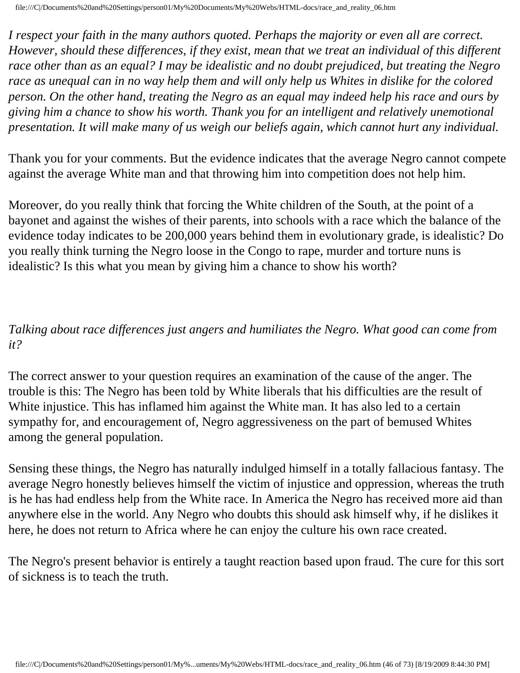*I respect your faith in the many authors quoted. Perhaps the majority or even all are correct. However, should these differences, if they exist, mean that we treat an individual of this different race other than as an equal? I may be idealistic and no doubt prejudiced, but treating the Negro race as unequal can in no way help them and will only help us Whites in dislike for the colored person. On the other hand, treating the Negro as an equal may indeed help his race and ours by giving him a chance to show his worth. Thank you for an intelligent and relatively unemotional presentation. It will make many of us weigh our beliefs again, which cannot hurt any individual.*

Thank you for your comments. But the evidence indicates that the average Negro cannot compete against the average White man and that throwing him into competition does not help him.

Moreover, do you really think that forcing the White children of the South, at the point of a bayonet and against the wishes of their parents, into schools with a race which the balance of the evidence today indicates to be 200,000 years behind them in evolutionary grade, is idealistic? Do you really think turning the Negro loose in the Congo to rape, murder and torture nuns is idealistic? Is this what you mean by giving him a chance to show his worth?

## *Talking about race differences just angers and humiliates the Negro. What good can come from it?*

The correct answer to your question requires an examination of the cause of the anger. The trouble is this: The Negro has been told by White liberals that his difficulties are the result of White injustice. This has inflamed him against the White man. It has also led to a certain sympathy for, and encouragement of, Negro aggressiveness on the part of bemused Whites among the general population.

Sensing these things, the Negro has naturally indulged himself in a totally fallacious fantasy. The average Negro honestly believes himself the victim of injustice and oppression, whereas the truth is he has had endless help from the White race. In America the Negro has received more aid than anywhere else in the world. Any Negro who doubts this should ask himself why, if he dislikes it here, he does not return to Africa where he can enjoy the culture his own race created.

The Negro's present behavior is entirely a taught reaction based upon fraud. The cure for this sort of sickness is to teach the truth.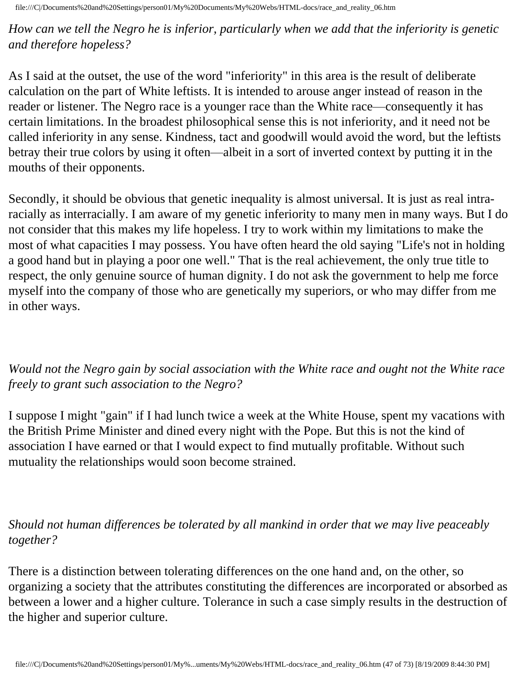*How can we tell the Negro he is inferior, particularly when we add that the inferiority is genetic and therefore hopeless?*

As I said at the outset, the use of the word "inferiority" in this area is the result of deliberate calculation on the part of White leftists. It is intended to arouse anger instead of reason in the reader or listener. The Negro race is a younger race than the White race—consequently it has certain limitations. In the broadest philosophical sense this is not inferiority, and it need not be called inferiority in any sense. Kindness, tact and goodwill would avoid the word, but the leftists betray their true colors by using it often—albeit in a sort of inverted context by putting it in the mouths of their opponents.

Secondly, it should be obvious that genetic inequality is almost universal. It is just as real intraracially as interracially. I am aware of my genetic inferiority to many men in many ways. But I do not consider that this makes my life hopeless. I try to work within my limitations to make the most of what capacities I may possess. You have often heard the old saying "Life's not in holding a good hand but in playing a poor one well." That is the real achievement, the only true title to respect, the only genuine source of human dignity. I do not ask the government to help me force myself into the company of those who are genetically my superiors, or who may differ from me in other ways.

*Would not the Negro gain by social association with the White race and ought not the White race freely to grant such association to the Negro?*

I suppose I might "gain" if I had lunch twice a week at the White House, spent my vacations with the British Prime Minister and dined every night with the Pope. But this is not the kind of association I have earned or that I would expect to find mutually profitable. Without such mutuality the relationships would soon become strained.

#### *Should not human differences be tolerated by all mankind in order that we may live peaceably together?*

There is a distinction between tolerating differences on the one hand and, on the other, so organizing a society that the attributes constituting the differences are incorporated or absorbed as between a lower and a higher culture. Tolerance in such a case simply results in the destruction of the higher and superior culture.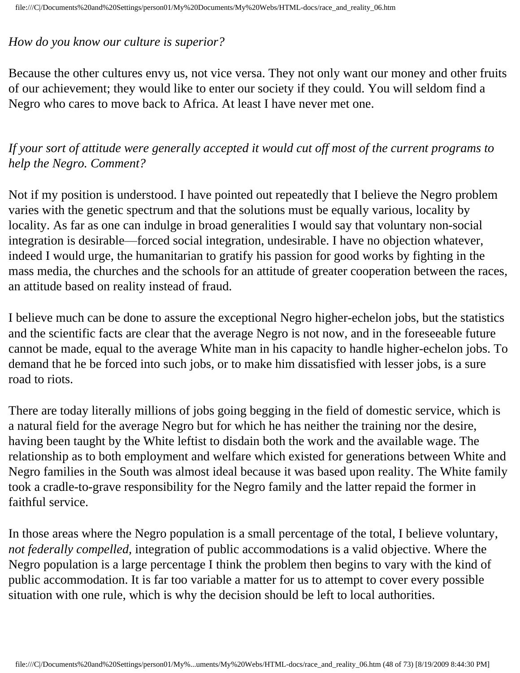#### *How do you know our culture is superior?*

Because the other cultures envy us, not vice versa. They not only want our money and other fruits of our achievement; they would like to enter our society if they could. You will seldom find a Negro who cares to move back to Africa. At least I have never met one.

#### *If your sort of attitude were generally accepted it would cut off most of the current programs to help the Negro. Comment?*

Not if my position is understood. I have pointed out repeatedly that I believe the Negro problem varies with the genetic spectrum and that the solutions must be equally various, locality by locality. As far as one can indulge in broad generalities I would say that voluntary non-social integration is desirable—forced social integration, undesirable. I have no objection whatever, indeed I would urge, the humanitarian to gratify his passion for good works by fighting in the mass media, the churches and the schools for an attitude of greater cooperation between the races, an attitude based on reality instead of fraud.

I believe much can be done to assure the exceptional Negro higher-echelon jobs, but the statistics and the scientific facts are clear that the average Negro is not now, and in the foreseeable future cannot be made, equal to the average White man in his capacity to handle higher-echelon jobs. To demand that he be forced into such jobs, or to make him dissatisfied with lesser jobs, is a sure road to riots.

There are today literally millions of jobs going begging in the field of domestic service, which is a natural field for the average Negro but for which he has neither the training nor the desire, having been taught by the White leftist to disdain both the work and the available wage. The relationship as to both employment and welfare which existed for generations between White and Negro families in the South was almost ideal because it was based upon reality. The White family took a cradle-to-grave responsibility for the Negro family and the latter repaid the former in faithful service.

In those areas where the Negro population is a small percentage of the total, I believe voluntary, *not federally compelled,* integration of public accommodations is a valid objective. Where the Negro population is a large percentage I think the problem then begins to vary with the kind of public accommodation. It is far too variable a matter for us to attempt to cover every possible situation with one rule, which is why the decision should be left to local authorities.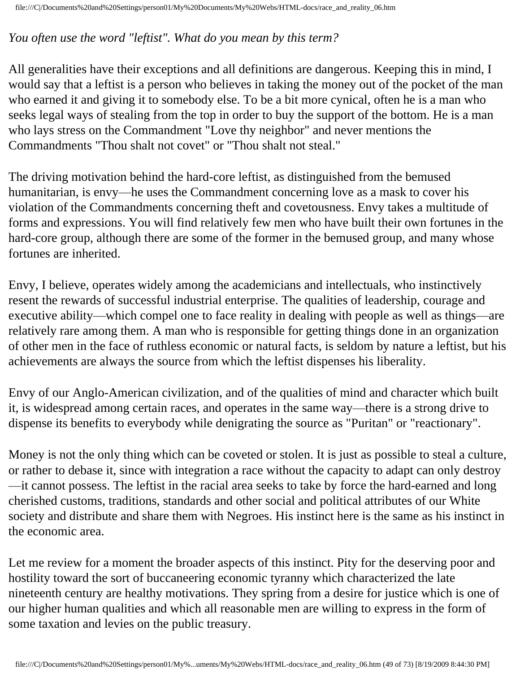*You often use the word "leftist". What do you mean by this term?* 

All generalities have their exceptions and all definitions are dangerous. Keeping this in mind, I would say that a leftist is a person who believes in taking the money out of the pocket of the man who earned it and giving it to somebody else. To be a bit more cynical, often he is a man who seeks legal ways of stealing from the top in order to buy the support of the bottom. He is a man who lays stress on the Commandment "Love thy neighbor" and never mentions the Commandments "Thou shalt not covet" or "Thou shalt not steal."

The driving motivation behind the hard-core leftist, as distinguished from the bemused humanitarian, is envy—he uses the Commandment concerning love as a mask to cover his violation of the Commandments concerning theft and covetousness. Envy takes a multitude of forms and expressions. You will find relatively few men who have built their own fortunes in the hard-core group, although there are some of the former in the bemused group, and many whose fortunes are inherited.

Envy, I believe, operates widely among the academicians and intellectuals, who instinctively resent the rewards of successful industrial enterprise. The qualities of leadership, courage and executive ability—which compel one to face reality in dealing with people as well as things—are relatively rare among them. A man who is responsible for getting things done in an organization of other men in the face of ruthless economic or natural facts, is seldom by nature a leftist, but his achievements are always the source from which the leftist dispenses his liberality.

Envy of our Anglo-American civilization, and of the qualities of mind and character which built it, is widespread among certain races, and operates in the same way—there is a strong drive to dispense its benefits to everybody while denigrating the source as "Puritan" or "reactionary".

Money is not the only thing which can be coveted or stolen. It is just as possible to steal a culture, or rather to debase it, since with integration a race without the capacity to adapt can only destroy —it cannot possess. The leftist in the racial area seeks to take by force the hard-earned and long cherished customs, traditions, standards and other social and political attributes of our White society and distribute and share them with Negroes. His instinct here is the same as his instinct in the economic area.

Let me review for a moment the broader aspects of this instinct. Pity for the deserving poor and hostility toward the sort of buccaneering economic tyranny which characterized the late nineteenth century are healthy motivations. They spring from a desire for justice which is one of our higher human qualities and which all reasonable men are willing to express in the form of some taxation and levies on the public treasury.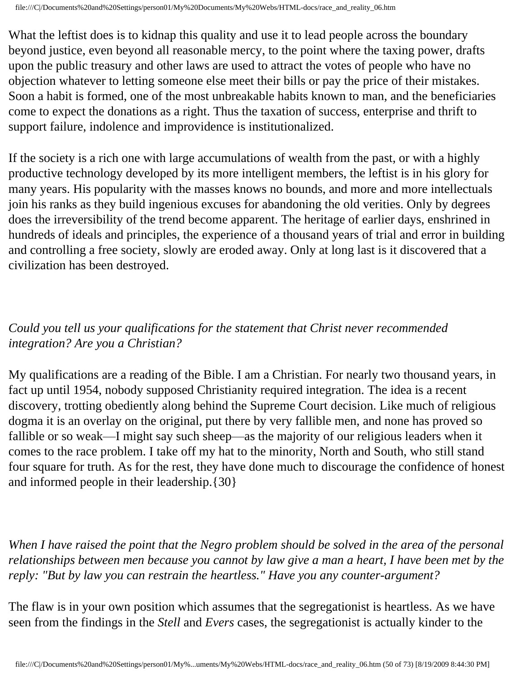What the leftist does is to kidnap this quality and use it to lead people across the boundary beyond justice, even beyond all reasonable mercy, to the point where the taxing power, drafts upon the public treasury and other laws are used to attract the votes of people who have no objection whatever to letting someone else meet their bills or pay the price of their mistakes. Soon a habit is formed, one of the most unbreakable habits known to man, and the beneficiaries come to expect the donations as a right. Thus the taxation of success, enterprise and thrift to support failure, indolence and improvidence is institutionalized.

If the society is a rich one with large accumulations of wealth from the past, or with a highly productive technology developed by its more intelligent members, the leftist is in his glory for many years. His popularity with the masses knows no bounds, and more and more intellectuals join his ranks as they build ingenious excuses for abandoning the old verities. Only by degrees does the irreversibility of the trend become apparent. The heritage of earlier days, enshrined in hundreds of ideals and principles, the experience of a thousand years of trial and error in building and controlling a free society, slowly are eroded away. Only at long last is it discovered that a civilization has been destroyed.

# *Could you tell us your qualifications for the statement that Christ never recommended integration? Are you a Christian?*

My qualifications are a reading of the Bible. I am a Christian. For nearly two thousand years, in fact up until 1954, nobody supposed Christianity required integration. The idea is a recent discovery, trotting obediently along behind the Supreme Court decision. Like much of religious dogma it is an overlay on the original, put there by very fallible men, and none has proved so fallible or so weak—I might say such sheep—as the majority of our religious leaders when it comes to the race problem. I take off my hat to the minority, North and South, who still stand four square for truth. As for the rest, they have done much to discourage the confidence of honest and informed people in their leadership.{30}

*When I have raised the point that the Negro problem should be solved in the area of the personal relationships between men because you cannot by law give a man a heart, I have been met by the reply: "But by law you can restrain the heartless." Have you any counter-argument?* 

The flaw is in your own position which assumes that the segregationist is heartless. As we have seen from the findings in the *Stell* and *Evers* cases, the segregationist is actually kinder to the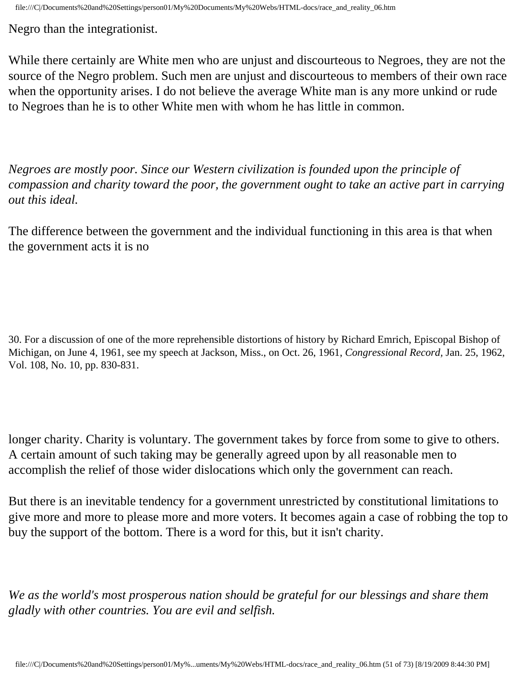Negro than the integrationist.

While there certainly are White men who are unjust and discourteous to Negroes, they are not the source of the Negro problem. Such men are unjust and discourteous to members of their own race when the opportunity arises. I do not believe the average White man is any more unkind or rude to Negroes than he is to other White men with whom he has little in common.

*Negroes are mostly poor. Since our Western civilization is founded upon the principle of compassion and charity toward the poor, the government ought to take an active part in carrying out this ideal.* 

The difference between the government and the individual functioning in this area is that when the government acts it is no

30. For a discussion of one of the more reprehensible distortions of history by Richard Emrich, Episcopal Bishop of Michigan, on June 4, 1961, see my speech at Jackson, Miss., on Oct. 26, 1961, *Congressional Record,* Jan. 25, 1962, Vol. 108, No. 10, pp. 830-831.

longer charity. Charity is voluntary. The government takes by force from some to give to others. A certain amount of such taking may be generally agreed upon by all reasonable men to accomplish the relief of those wider dislocations which only the government can reach.

But there is an inevitable tendency for a government unrestricted by constitutional limitations to give more and more to please more and more voters. It becomes again a case of robbing the top to buy the support of the bottom. There is a word for this, but it isn't charity.

*We as the world's most prosperous nation should be grateful for our blessings and share them gladly with other countries. You are evil and selfish.*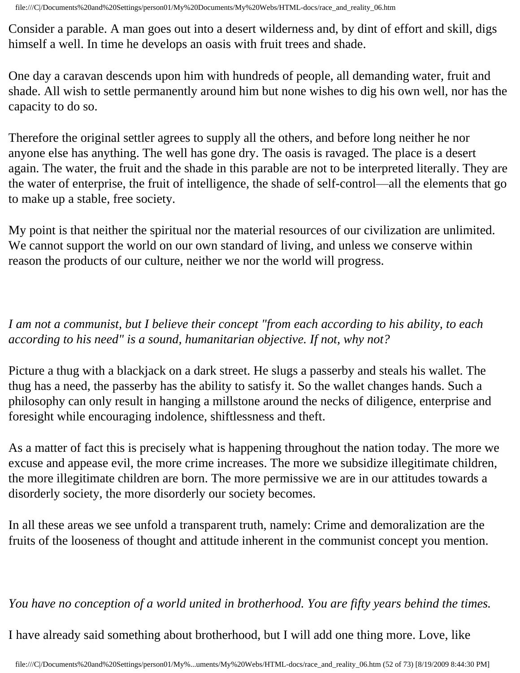Consider a parable. A man goes out into a desert wilderness and, by dint of effort and skill, digs himself a well. In time he develops an oasis with fruit trees and shade.

One day a caravan descends upon him with hundreds of people, all demanding water, fruit and shade. All wish to settle permanently around him but none wishes to dig his own well, nor has the capacity to do so.

Therefore the original settler agrees to supply all the others, and before long neither he nor anyone else has anything. The well has gone dry. The oasis is ravaged. The place is a desert again. The water, the fruit and the shade in this parable are not to be interpreted literally. They are the water of enterprise, the fruit of intelligence, the shade of self-control—all the elements that go to make up a stable, free society.

My point is that neither the spiritual nor the material resources of our civilization are unlimited. We cannot support the world on our own standard of living, and unless we conserve within reason the products of our culture, neither we nor the world will progress.

*I am not a communist, but I believe their concept "from each according to his ability, to each according to his need" is a sound, humanitarian objective. If not, why not?* 

Picture a thug with a blackjack on a dark street. He slugs a passerby and steals his wallet. The thug has a need, the passerby has the ability to satisfy it. So the wallet changes hands. Such a philosophy can only result in hanging a millstone around the necks of diligence, enterprise and foresight while encouraging indolence, shiftlessness and theft.

As a matter of fact this is precisely what is happening throughout the nation today. The more we excuse and appease evil, the more crime increases. The more we subsidize illegitimate children, the more illegitimate children are born. The more permissive we are in our attitudes towards a disorderly society, the more disorderly our society becomes.

In all these areas we see unfold a transparent truth, namely: Crime and demoralization are the fruits of the looseness of thought and attitude inherent in the communist concept you mention.

*You have no conception of a world united in brotherhood. You are fifty years behind the times.* 

I have already said something about brotherhood, but I will add one thing more. Love, like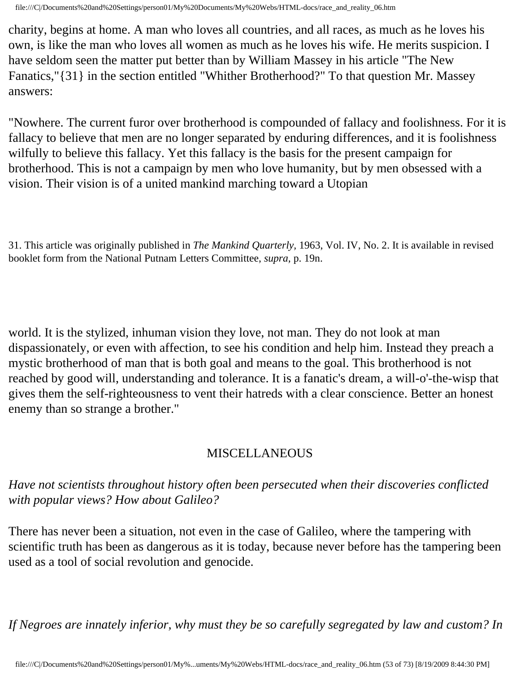charity, begins at home. A man who loves all countries, and all races, as much as he loves his own, is like the man who loves all women as much as he loves his wife. He merits suspicion. I have seldom seen the matter put better than by William Massey in his article "The New Fanatics,"{31} in the section entitled "Whither Brotherhood?" To that question Mr. Massey answers:

"Nowhere. The current furor over brotherhood is compounded of fallacy and foolishness. For it is fallacy to believe that men are no longer separated by enduring differences, and it is foolishness wilfully to believe this fallacy. Yet this fallacy is the basis for the present campaign for brotherhood. This is not a campaign by men who love humanity, but by men obsessed with a vision. Their vision is of a united mankind marching toward a Utopian

31. This article was originally published in *The Mankind Quarterly,* 1963, Vol. IV, No. 2. It is available in revised booklet form from the National Putnam Letters Committee, *supra,* p. 19n.

world. It is the stylized, inhuman vision they love, not man. They do not look at man dispassionately, or even with affection, to see his condition and help him. Instead they preach a mystic brotherhood of man that is both goal and means to the goal. This brotherhood is not reached by good will, understanding and tolerance. It is a fanatic's dream, a will-o'-the-wisp that gives them the self-righteousness to vent their hatreds with a clear conscience. Better an honest enemy than so strange a brother."

## **MISCELLANEOUS**

*Have not scientists throughout history often been persecuted when their discoveries conflicted with popular views? How about Galileo?* 

There has never been a situation, not even in the case of Galileo, where the tampering with scientific truth has been as dangerous as it is today, because never before has the tampering been used as a tool of social revolution and genocide.

*If Negroes are innately inferior, why must they be so carefully segregated by law and custom? In*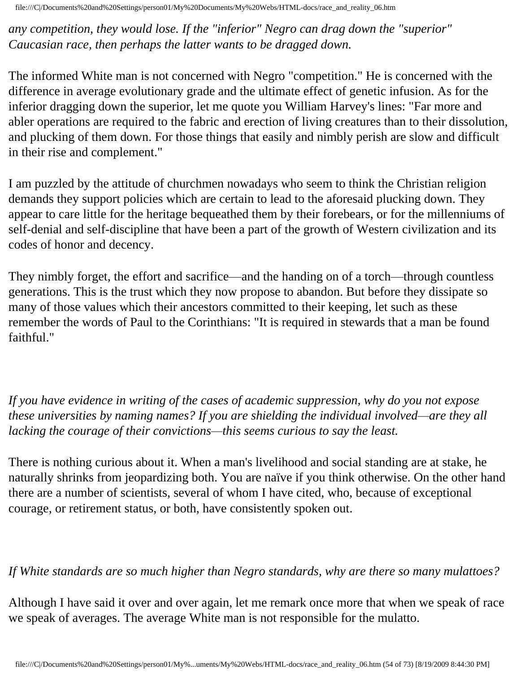*any competition, they would lose. If the "inferior" Negro can drag down the "superior" Caucasian race, then perhaps the latter wants to be dragged down.* 

The informed White man is not concerned with Negro "competition." He is concerned with the difference in average evolutionary grade and the ultimate effect of genetic infusion. As for the inferior dragging down the superior, let me quote you William Harvey's lines: "Far more and abler operations are required to the fabric and erection of living creatures than to their dissolution, and plucking of them down. For those things that easily and nimbly perish are slow and difficult in their rise and complement."

I am puzzled by the attitude of churchmen nowadays who seem to think the Christian religion demands they support policies which are certain to lead to the aforesaid plucking down. They appear to care little for the heritage bequeathed them by their forebears, or for the millenniums of self-denial and self-discipline that have been a part of the growth of Western civilization and its codes of honor and decency.

They nimbly forget, the effort and sacrifice—and the handing on of a torch—through countless generations. This is the trust which they now propose to abandon. But before they dissipate so many of those values which their ancestors committed to their keeping, let such as these remember the words of Paul to the Corinthians: "It is required in stewards that a man be found faithful."

*If you have evidence in writing of the cases of academic suppression, why do you not expose these universities by naming names? If you are shielding the individual involved—are they all lacking the courage of their convictions—this seems curious to say the least.* 

There is nothing curious about it. When a man's livelihood and social standing are at stake, he naturally shrinks from jeopardizing both. You are naïve if you think otherwise. On the other hand there are a number of scientists, several of whom I have cited, who, because of exceptional courage, or retirement status, or both, have consistently spoken out.

#### *If White standards are so much higher than Negro standards, why are there so many mulattoes?*

Although I have said it over and over again, let me remark once more that when we speak of race we speak of averages. The average White man is not responsible for the mulatto.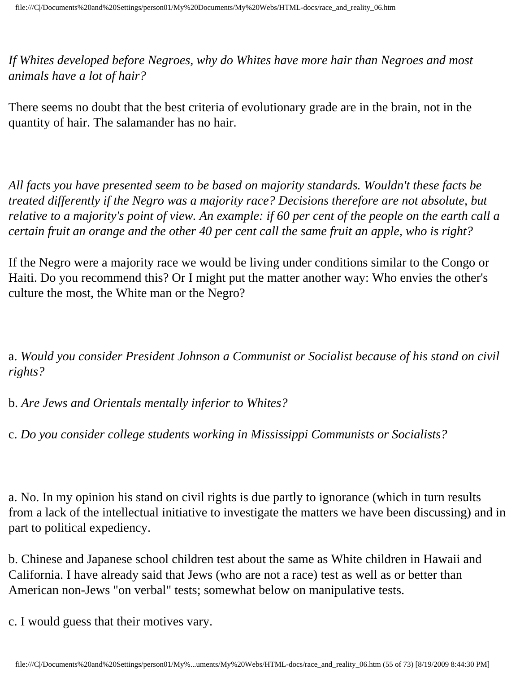*If Whites developed before Negroes, why do Whites have more hair than Negroes and most animals have a lot of hair?* 

There seems no doubt that the best criteria of evolutionary grade are in the brain, not in the quantity of hair. The salamander has no hair.

*All facts you have presented seem to be based on majority standards. Wouldn't these facts be treated differently if the Negro was a majority race? Decisions therefore are not absolute, but relative to a majority's point of view. An example: if 60 per cent of the people on the earth call a certain fruit an orange and the other 40 per cent call the same fruit an apple, who is right?*

If the Negro were a majority race we would be living under conditions similar to the Congo or Haiti. Do you recommend this? Or I might put the matter another way: Who envies the other's culture the most, the White man or the Negro?

a. *Would you consider President Johnson a Communist or Socialist because of his stand on civil rights?* 

b. *Are Jews and Orientals mentally inferior to Whites?*

c. *Do you consider college students working in Mississippi Communists or Socialists?* 

a. No. In my opinion his stand on civil rights is due partly to ignorance (which in turn results from a lack of the intellectual initiative to investigate the matters we have been discussing) and in part to political expediency.

b. Chinese and Japanese school children test about the same as White children in Hawaii and California. I have already said that Jews (who are not a race) test as well as or better than American non-Jews "on verbal" tests; somewhat below on manipulative tests.

c. I would guess that their motives vary.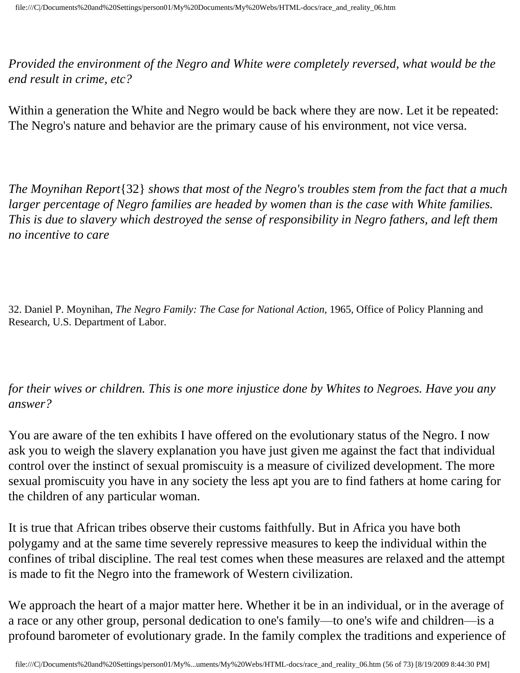*Provided the environment of the Negro and White were completely reversed, what would be the end result in crime, etc?* 

Within a generation the White and Negro would be back where they are now. Let it be repeated: The Negro's nature and behavior are the primary cause of his environment, not vice versa.

*The Moynihan Report*{32} *shows that most of the Negro's troubles stem from the fact that a much larger percentage of Negro families are headed by women than is the case with White families. This is due to slavery which destroyed the sense of responsibility in Negro fathers, and left them no incentive to care* 

32. Daniel P. Moynihan, *The Negro Family: The Case for National Action,* 1965, Office of Policy Planning and Research, U.S. Department of Labor.

## *for their wives or children. This is one more injustice done by Whites to Negroes. Have you any answer?*

You are aware of the ten exhibits I have offered on the evolutionary status of the Negro. I now ask you to weigh the slavery explanation you have just given me against the fact that individual control over the instinct of sexual promiscuity is a measure of civilized development. The more sexual promiscuity you have in any society the less apt you are to find fathers at home caring for the children of any particular woman.

It is true that African tribes observe their customs faithfully. But in Africa you have both polygamy and at the same time severely repressive measures to keep the individual within the confines of tribal discipline. The real test comes when these measures are relaxed and the attempt is made to fit the Negro into the framework of Western civilization.

We approach the heart of a major matter here. Whether it be in an individual, or in the average of a race or any other group, personal dedication to one's family—to one's wife and children—is a profound barometer of evolutionary grade. In the family complex the traditions and experience of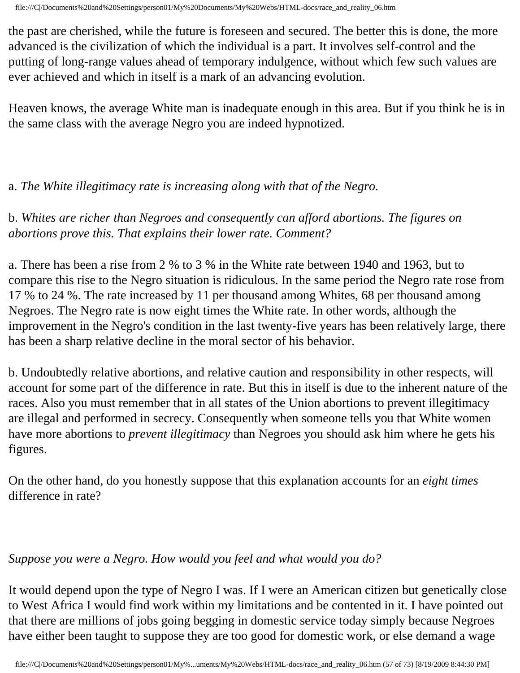the past are cherished, while the future is foreseen and secured. The better this is done, the more advanced is the civilization of which the individual is a part. It involves self-control and the putting of long-range values ahead of temporary indulgence, without which few such values are ever achieved and which in itself is a mark of an advancing evolution.

Heaven knows, the average White man is inadequate enough in this area. But if you think he is in the same class with the average Negro you are indeed hypnotized.

## a. *The White illegitimacy rate is increasing along with that of the Negro.*

b. *Whites are richer than Negroes and consequently can afford abortions. The figures on abortions prove this. That explains their lower rate. Comment?* 

a. There has been a rise from 2 % to 3 % in the White rate between 1940 and 1963, but to compare this rise to the Negro situation is ridiculous. In the same period the Negro rate rose from 17 % to 24 %. The rate increased by 11 per thousand among Whites, 68 per thousand among Negroes. The Negro rate is now eight times the White rate. In other words, although the improvement in the Negro's condition in the last twenty-five years has been relatively large, there has been a sharp relative decline in the moral sector of his behavior.

b. Undoubtedly relative abortions, and relative caution and responsibility in other respects, will account for some part of the difference in rate. But this in itself is due to the inherent nature of the races. Also you must remember that in all states of the Union abortions to prevent illegitimacy are illegal and performed in secrecy. Consequently when someone tells you that White women have more abortions to *prevent illegitimacy* than Negroes you should ask him where he gets his figures.

On the other hand, do you honestly suppose that this explanation accounts for an *eight times* difference in rate?

#### *Suppose you were a Negro. How would you feel and what would you do?*

It would depend upon the type of Negro I was. If I were an American citizen but genetically close to West Africa I would find work within my limitations and be contented in it. I have pointed out that there are millions of jobs going begging in domestic service today simply because Negroes have either been taught to suppose they are too good for domestic work, or else demand a wage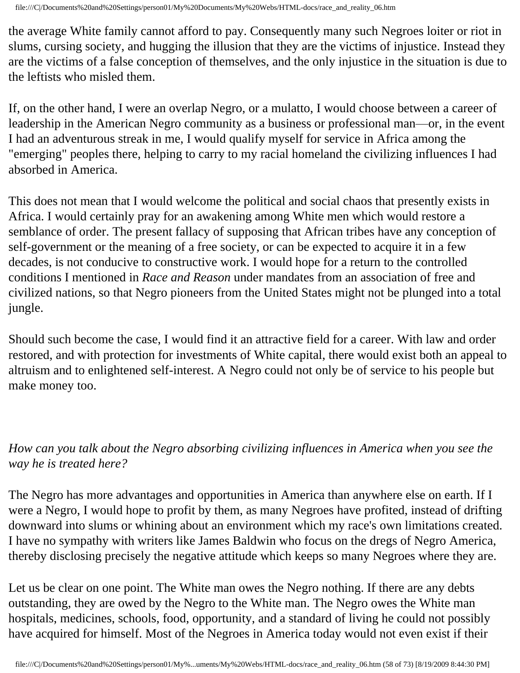the average White family cannot afford to pay. Consequently many such Negroes loiter or riot in slums, cursing society, and hugging the illusion that they are the victims of injustice. Instead they are the victims of a false conception of themselves, and the only injustice in the situation is due to the leftists who misled them.

If, on the other hand, I were an overlap Negro, or a mulatto, I would choose between a career of leadership in the American Negro community as a business or professional man—or, in the event I had an adventurous streak in me, I would qualify myself for service in Africa among the "emerging" peoples there, helping to carry to my racial homeland the civilizing influences I had absorbed in America.

This does not mean that I would welcome the political and social chaos that presently exists in Africa. I would certainly pray for an awakening among White men which would restore a semblance of order. The present fallacy of supposing that African tribes have any conception of self-government or the meaning of a free society, or can be expected to acquire it in a few decades, is not conducive to constructive work. I would hope for a return to the controlled conditions I mentioned in *Race and Reason* under mandates from an association of free and civilized nations, so that Negro pioneers from the United States might not be plunged into a total jungle.

Should such become the case, I would find it an attractive field for a career. With law and order restored, and with protection for investments of White capital, there would exist both an appeal to altruism and to enlightened self-interest. A Negro could not only be of service to his people but make money too.

*How can you talk about the Negro absorbing civilizing influences in America when you see the way he is treated here?* 

The Negro has more advantages and opportunities in America than anywhere else on earth. If I were a Negro, I would hope to profit by them, as many Negroes have profited, instead of drifting downward into slums or whining about an environment which my race's own limitations created. I have no sympathy with writers like James Baldwin who focus on the dregs of Negro America, thereby disclosing precisely the negative attitude which keeps so many Negroes where they are.

Let us be clear on one point. The White man owes the Negro nothing. If there are any debts outstanding, they are owed by the Negro to the White man. The Negro owes the White man hospitals, medicines, schools, food, opportunity, and a standard of living he could not possibly have acquired for himself. Most of the Negroes in America today would not even exist if their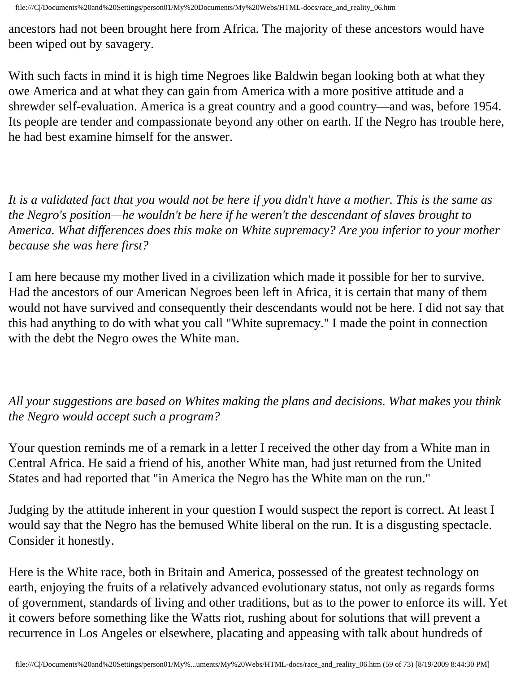ancestors had not been brought here from Africa. The majority of these ancestors would have been wiped out by savagery.

With such facts in mind it is high time Negroes like Baldwin began looking both at what they owe America and at what they can gain from America with a more positive attitude and a shrewder self-evaluation. America is a great country and a good country—and was, before 1954. Its people are tender and compassionate beyond any other on earth. If the Negro has trouble here, he had best examine himself for the answer.

*It is a validated fact that you would not be here if you didn't have a mother. This is the same as the Negro's position—he wouldn't be here if he weren't the descendant of slaves brought to America. What differences does this make on White supremacy? Are you inferior to your mother because she was here first?*

I am here because my mother lived in a civilization which made it possible for her to survive. Had the ancestors of our American Negroes been left in Africa, it is certain that many of them would not have survived and consequently their descendants would not be here. I did not say that this had anything to do with what you call "White supremacy." I made the point in connection with the debt the Negro owes the White man.

# *All your suggestions are based on Whites making the plans and decisions. What makes you think the Negro would accept such a program?*

Your question reminds me of a remark in a letter I received the other day from a White man in Central Africa. He said a friend of his, another White man, had just returned from the United States and had reported that "in America the Negro has the White man on the run."

Judging by the attitude inherent in your question I would suspect the report is correct. At least I would say that the Negro has the bemused White liberal on the run. It is a disgusting spectacle. Consider it honestly.

Here is the White race, both in Britain and America, possessed of the greatest technology on earth, enjoying the fruits of a relatively advanced evolutionary status, not only as regards forms of government, standards of living and other traditions, but as to the power to enforce its will. Yet it cowers before something like the Watts riot, rushing about for solutions that will prevent a recurrence in Los Angeles or elsewhere, placating and appeasing with talk about hundreds of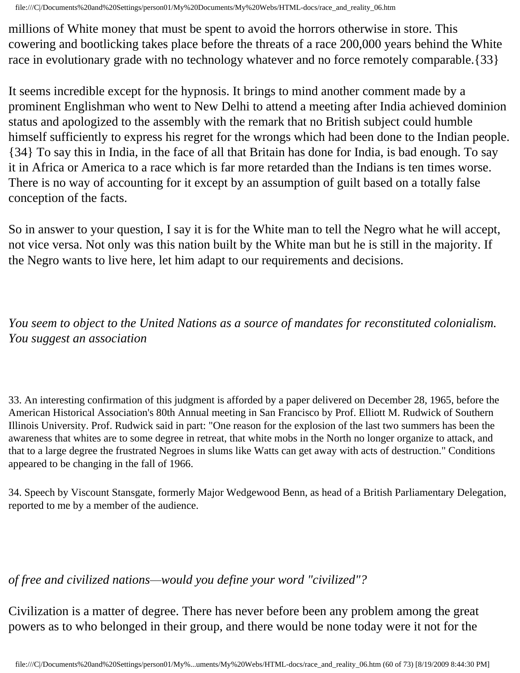millions of White money that must be spent to avoid the horrors otherwise in store. This cowering and bootlicking takes place before the threats of a race 200,000 years behind the White race in evolutionary grade with no technology whatever and no force remotely comparable.{33}

It seems incredible except for the hypnosis. It brings to mind another comment made by a prominent Englishman who went to New Delhi to attend a meeting after India achieved dominion status and apologized to the assembly with the remark that no British subject could humble himself sufficiently to express his regret for the wrongs which had been done to the Indian people. {34} To say this in India, in the face of all that Britain has done for India, is bad enough. To say it in Africa or America to a race which is far more retarded than the Indians is ten times worse. There is no way of accounting for it except by an assumption of guilt based on a totally false conception of the facts.

So in answer to your question, I say it is for the White man to tell the Negro what he will accept, not vice versa. Not only was this nation built by the White man but he is still in the majority. If the Negro wants to live here, let him adapt to our requirements and decisions.

*You seem to object to the United Nations as a source of mandates for reconstituted colonialism. You suggest an association* 

33. An interesting confirmation of this judgment is afforded by a paper delivered on December 28, 1965, before the American Historical Association's 80th Annual meeting in San Francisco by Prof. Elliott M. Rudwick of Southern Illinois University. Prof. Rudwick said in part: "One reason for the explosion of the last two summers has been the awareness that whites are to some degree in retreat, that white mobs in the North no longer organize to attack, and that to a large degree the frustrated Negroes in slums like Watts can get away with acts of destruction." Conditions appeared to be changing in the fall of 1966.

34. Speech by Viscount Stansgate, formerly Major Wedgewood Benn, as head of a British Parliamentary Delegation, reported to me by a member of the audience.

#### *of free and civilized nations—would you define your word "civilized"?*

Civilization is a matter of degree. There has never before been any problem among the great powers as to who belonged in their group, and there would be none today were it not for the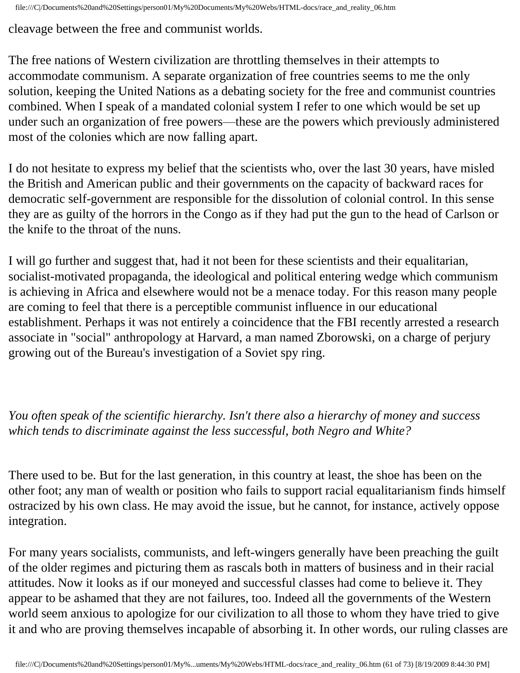cleavage between the free and communist worlds.

The free nations of Western civilization are throttling themselves in their attempts to accommodate communism. A separate organization of free countries seems to me the only solution, keeping the United Nations as a debating society for the free and communist countries combined. When I speak of a mandated colonial system I refer to one which would be set up under such an organization of free powers—these are the powers which previously administered most of the colonies which are now falling apart.

I do not hesitate to express my belief that the scientists who, over the last 30 years, have misled the British and American public and their governments on the capacity of backward races for democratic self-government are responsible for the dissolution of colonial control. In this sense they are as guilty of the horrors in the Congo as if they had put the gun to the head of Carlson or the knife to the throat of the nuns.

I will go further and suggest that, had it not been for these scientists and their equalitarian, socialist-motivated propaganda, the ideological and political entering wedge which communism is achieving in Africa and elsewhere would not be a menace today. For this reason many people are coming to feel that there is a perceptible communist influence in our educational establishment. Perhaps it was not entirely a coincidence that the FBI recently arrested a research associate in "social" anthropology at Harvard, a man named Zborowski, on a charge of perjury growing out of the Bureau's investigation of a Soviet spy ring.

*You often speak of the scientific hierarchy. Isn't there also a hierarchy of money and success which tends to discriminate against the less successful, both Negro and White?* 

There used to be. But for the last generation, in this country at least, the shoe has been on the other foot; any man of wealth or position who fails to support racial equalitarianism finds himself ostracized by his own class. He may avoid the issue, but he cannot, for instance, actively oppose integration.

For many years socialists, communists, and left-wingers generally have been preaching the guilt of the older regimes and picturing them as rascals both in matters of business and in their racial attitudes. Now it looks as if our moneyed and successful classes had come to believe it. They appear to be ashamed that they are not failures, too. Indeed all the governments of the Western world seem anxious to apologize for our civilization to all those to whom they have tried to give it and who are proving themselves incapable of absorbing it. In other words, our ruling classes are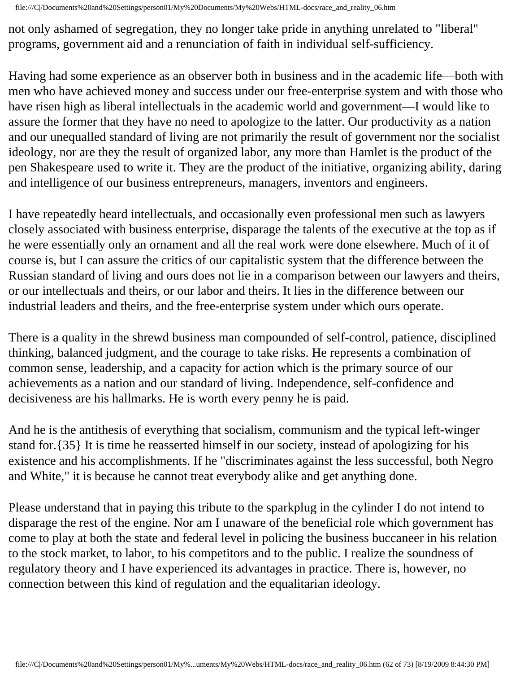not only ashamed of segregation, they no longer take pride in anything unrelated to "liberal" programs, government aid and a renunciation of faith in individual self-sufficiency.

Having had some experience as an observer both in business and in the academic life—both with men who have achieved money and success under our free-enterprise system and with those who have risen high as liberal intellectuals in the academic world and government—I would like to assure the former that they have no need to apologize to the latter. Our productivity as a nation and our unequalled standard of living are not primarily the result of government nor the socialist ideology, nor are they the result of organized labor, any more than Hamlet is the product of the pen Shakespeare used to write it. They are the product of the initiative, organizing ability, daring and intelligence of our business entrepreneurs, managers, inventors and engineers.

I have repeatedly heard intellectuals, and occasionally even professional men such as lawyers closely associated with business enterprise, disparage the talents of the executive at the top as if he were essentially only an ornament and all the real work were done elsewhere. Much of it of course is, but I can assure the critics of our capitalistic system that the difference between the Russian standard of living and ours does not lie in a comparison between our lawyers and theirs, or our intellectuals and theirs, or our labor and theirs. It lies in the difference between our industrial leaders and theirs, and the free-enterprise system under which ours operate.

There is a quality in the shrewd business man compounded of self-control, patience, disciplined thinking, balanced judgment, and the courage to take risks. He represents a combination of common sense, leadership, and a capacity for action which is the primary source of our achievements as a nation and our standard of living. Independence, self-confidence and decisiveness are his hallmarks. He is worth every penny he is paid.

And he is the antithesis of everything that socialism, communism and the typical left-winger stand for.{35} It is time he reasserted himself in our society, instead of apologizing for his existence and his accomplishments. If he "discriminates against the less successful, both Negro and White," it is because he cannot treat everybody alike and get anything done.

Please understand that in paying this tribute to the sparkplug in the cylinder I do not intend to disparage the rest of the engine. Nor am I unaware of the beneficial role which government has come to play at both the state and federal level in policing the business buccaneer in his relation to the stock market, to labor, to his competitors and to the public. I realize the soundness of regulatory theory and I have experienced its advantages in practice. There is, however, no connection between this kind of regulation and the equalitarian ideology.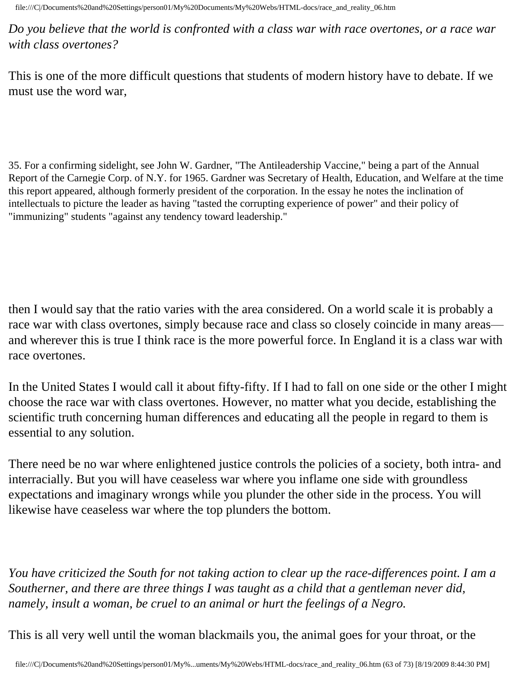*Do you believe that the world is confronted with a class war with race overtones, or a race war with class overtones?* 

This is one of the more difficult questions that students of modern history have to debate. If we must use the word war,

35. For a confirming sidelight, see John W. Gardner, "The Antileadership Vaccine," being a part of the Annual Report of the Carnegie Corp. of N.Y. for 1965. Gardner was Secretary of Health, Education, and Welfare at the time this report appeared, although formerly president of the corporation. In the essay he notes the inclination of intellectuals to picture the leader as having "tasted the corrupting experience of power" and their policy of "immunizing" students "against any tendency toward leadership."

then I would say that the ratio varies with the area considered. On a world scale it is probably a race war with class overtones, simply because race and class so closely coincide in many areas and wherever this is true I think race is the more powerful force. In England it is a class war with race overtones.

In the United States I would call it about fifty-fifty. If I had to fall on one side or the other I might choose the race war with class overtones. However, no matter what you decide, establishing the scientific truth concerning human differences and educating all the people in regard to them is essential to any solution.

There need be no war where enlightened justice controls the policies of a society, both intra- and interracially. But you will have ceaseless war where you inflame one side with groundless expectations and imaginary wrongs while you plunder the other side in the process. You will likewise have ceaseless war where the top plunders the bottom.

*You have criticized the South for not taking action to clear up the race-differences point. I am a Southerner, and there are three things I was taught as a child that a gentleman never did, namely, insult a woman, be cruel to an animal or hurt the feelings of a Negro.* 

This is all very well until the woman blackmails you, the animal goes for your throat, or the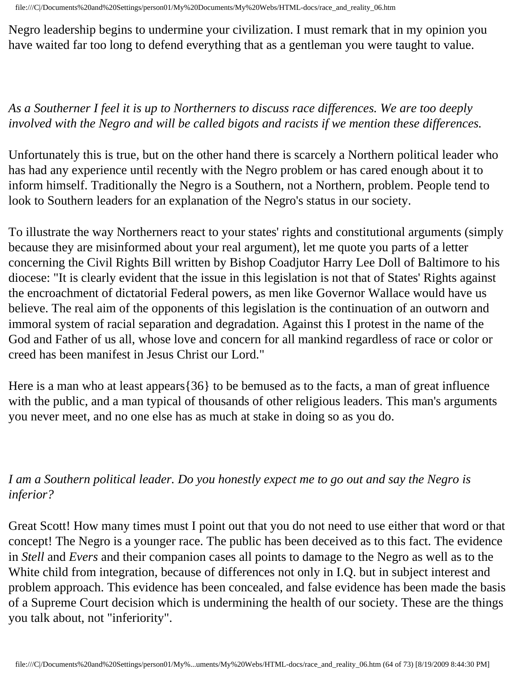Negro leadership begins to undermine your civilization. I must remark that in my opinion you have waited far too long to defend everything that as a gentleman you were taught to value.

# *As a Southerner I feel it is up to Northerners to discuss race differences. We are too deeply involved with the Negro and will be called bigots and racists if we mention these differences.*

Unfortunately this is true, but on the other hand there is scarcely a Northern political leader who has had any experience until recently with the Negro problem or has cared enough about it to inform himself. Traditionally the Negro is a Southern, not a Northern, problem. People tend to look to Southern leaders for an explanation of the Negro's status in our society.

To illustrate the way Northerners react to your states' rights and constitutional arguments (simply because they are misinformed about your real argument), let me quote you parts of a letter concerning the Civil Rights Bill written by Bishop Coadjutor Harry Lee Doll of Baltimore to his diocese: "It is clearly evident that the issue in this legislation is not that of States' Rights against the encroachment of dictatorial Federal powers, as men like Governor Wallace would have us believe. The real aim of the opponents of this legislation is the continuation of an outworn and immoral system of racial separation and degradation. Against this I protest in the name of the God and Father of us all, whose love and concern for all mankind regardless of race or color or creed has been manifest in Jesus Christ our Lord."

Here is a man who at least appears{36} to be bemused as to the facts, a man of great influence with the public, and a man typical of thousands of other religious leaders. This man's arguments you never meet, and no one else has as much at stake in doing so as you do.

## *I am a Southern political leader. Do you honestly expect me to go out and say the Negro is inferior?*

Great Scott! How many times must I point out that you do not need to use either that word or that concept! The Negro is a younger race. The public has been deceived as to this fact. The evidence in *Stell* and *Evers* and their companion cases all points to damage to the Negro as well as to the White child from integration, because of differences not only in I.Q. but in subject interest and problem approach. This evidence has been concealed, and false evidence has been made the basis of a Supreme Court decision which is undermining the health of our society. These are the things you talk about, not "inferiority".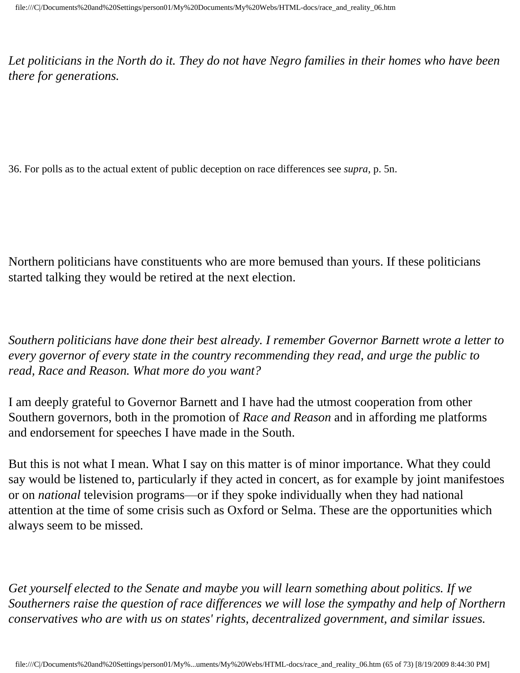*Let politicians in the North do it. They do not have Negro families in their homes who have been there for generations.* 

36. For polls as to the actual extent of public deception on race differences see *supra,* p. 5n.

Northern politicians have constituents who are more bemused than yours. If these politicians started talking they would be retired at the next election.

*Southern politicians have done their best already. I remember Governor Barnett wrote a letter to every governor of every state in the country recommending they read, and urge the public to read, Race and Reason. What more do you want?* 

I am deeply grateful to Governor Barnett and I have had the utmost cooperation from other Southern governors, both in the promotion of *Race and Reason* and in affording me platforms and endorsement for speeches I have made in the South.

But this is not what I mean. What I say on this matter is of minor importance. What they could say would be listened to, particularly if they acted in concert, as for example by joint manifestoes or on *national* television programs—or if they spoke individually when they had national attention at the time of some crisis such as Oxford or Selma. These are the opportunities which always seem to be missed.

*Get yourself elected to the Senate and maybe you will learn something about politics. If we Southerners raise the question of race differences we will lose the sympathy and help of Northern conservatives who are with us on states' rights, decentralized government, and similar issues.*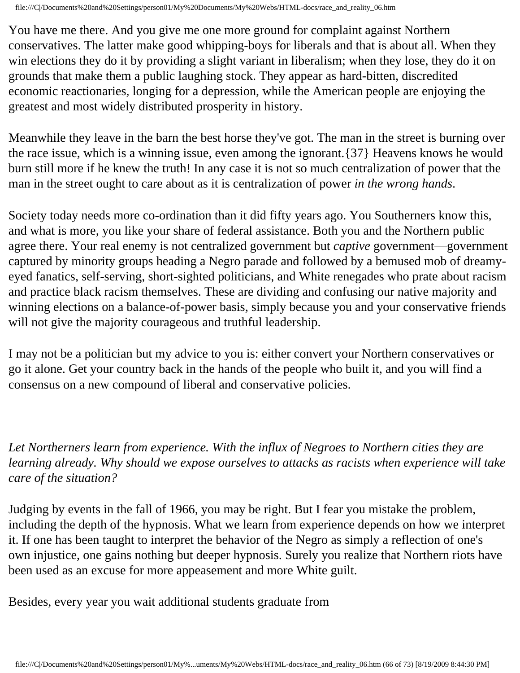You have me there. And you give me one more ground for complaint against Northern conservatives. The latter make good whipping-boys for liberals and that is about all. When they win elections they do it by providing a slight variant in liberalism; when they lose, they do it on grounds that make them a public laughing stock. They appear as hard-bitten, discredited economic reactionaries, longing for a depression, while the American people are enjoying the greatest and most widely distributed prosperity in history.

Meanwhile they leave in the barn the best horse they've got. The man in the street is burning over the race issue, which is a winning issue, even among the ignorant.{37} Heavens knows he would burn still more if he knew the truth! In any case it is not so much centralization of power that the man in the street ought to care about as it is centralization of power *in the wrong hands*.

Society today needs more co-ordination than it did fifty years ago. You Southerners know this, and what is more, you like your share of federal assistance. Both you and the Northern public agree there. Your real enemy is not centralized government but *captive* government—government captured by minority groups heading a Negro parade and followed by a bemused mob of dreamyeyed fanatics, self-serving, short-sighted politicians, and White renegades who prate about racism and practice black racism themselves. These are dividing and confusing our native majority and winning elections on a balance-of-power basis, simply because you and your conservative friends will not give the majority courageous and truthful leadership.

I may not be a politician but my advice to you is: either convert your Northern conservatives or go it alone. Get your country back in the hands of the people who built it, and you will find a consensus on a new compound of liberal and conservative policies.

*Let Northerners learn from experience. With the influx of Negroes to Northern cities they are learning already. Why should we expose ourselves to attacks as racists when experience will take care of the situation?* 

Judging by events in the fall of 1966, you may be right. But I fear you mistake the problem, including the depth of the hypnosis. What we learn from experience depends on how we interpret it. If one has been taught to interpret the behavior of the Negro as simply a reflection of one's own injustice, one gains nothing but deeper hypnosis. Surely you realize that Northern riots have been used as an excuse for more appeasement and more White guilt.

Besides, every year you wait additional students graduate from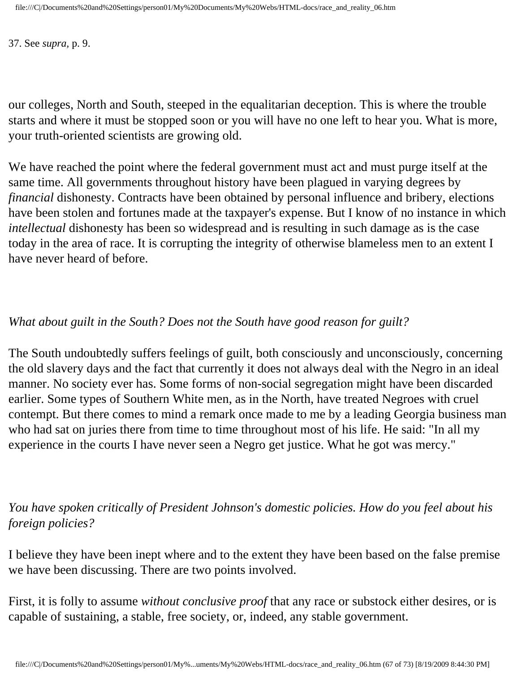37. See *supra,* p. 9.

our colleges, North and South, steeped in the equalitarian deception. This is where the trouble starts and where it must be stopped soon or you will have no one left to hear you. What is more, your truth-oriented scientists are growing old.

We have reached the point where the federal government must act and must purge itself at the same time. All governments throughout history have been plagued in varying degrees by *financial* dishonesty. Contracts have been obtained by personal influence and bribery, elections have been stolen and fortunes made at the taxpayer's expense. But I know of no instance in which *intellectual* dishonesty has been so widespread and is resulting in such damage as is the case today in the area of race. It is corrupting the integrity of otherwise blameless men to an extent I have never heard of before.

#### *What about guilt in the South? Does not the South have good reason for guilt?*

The South undoubtedly suffers feelings of guilt, both consciously and unconsciously, concerning the old slavery days and the fact that currently it does not always deal with the Negro in an ideal manner. No society ever has. Some forms of non-social segregation might have been discarded earlier. Some types of Southern White men, as in the North, have treated Negroes with cruel contempt. But there comes to mind a remark once made to me by a leading Georgia business man who had sat on juries there from time to time throughout most of his life. He said: "In all my experience in the courts I have never seen a Negro get justice. What he got was mercy."

## *You have spoken critically of President Johnson's domestic policies. How do you feel about his foreign policies?*

I believe they have been inept where and to the extent they have been based on the false premise we have been discussing. There are two points involved.

First, it is folly to assume *without conclusive proof* that any race or substock either desires, or is capable of sustaining, a stable, free society, or, indeed, any stable government.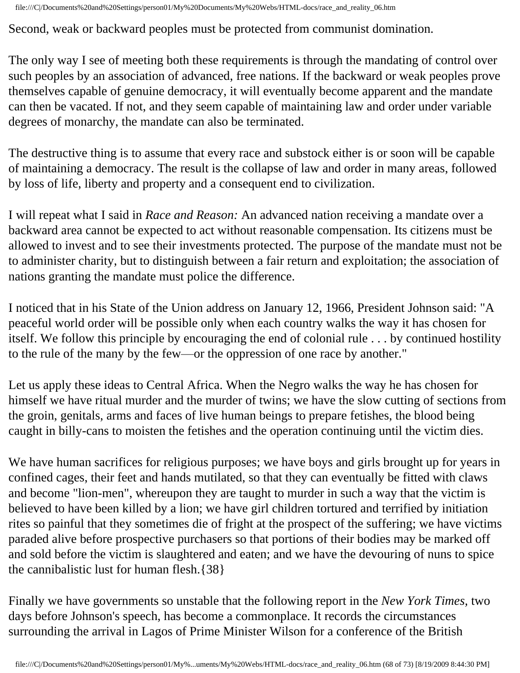Second, weak or backward peoples must be protected from communist domination.

The only way I see of meeting both these requirements is through the mandating of control over such peoples by an association of advanced, free nations. If the backward or weak peoples prove themselves capable of genuine democracy, it will eventually become apparent and the mandate can then be vacated. If not, and they seem capable of maintaining law and order under variable degrees of monarchy, the mandate can also be terminated.

The destructive thing is to assume that every race and substock either is or soon will be capable of maintaining a democracy. The result is the collapse of law and order in many areas, followed by loss of life, liberty and property and a consequent end to civilization.

I will repeat what I said in *Race and Reason:* An advanced nation receiving a mandate over a backward area cannot be expected to act without reasonable compensation. Its citizens must be allowed to invest and to see their investments protected. The purpose of the mandate must not be to administer charity, but to distinguish between a fair return and exploitation; the association of nations granting the mandate must police the difference.

I noticed that in his State of the Union address on January 12, 1966, President Johnson said: "A peaceful world order will be possible only when each country walks the way it has chosen for itself. We follow this principle by encouraging the end of colonial rule . . . by continued hostility to the rule of the many by the few—or the oppression of one race by another."

Let us apply these ideas to Central Africa. When the Negro walks the way he has chosen for himself we have ritual murder and the murder of twins; we have the slow cutting of sections from the groin, genitals, arms and faces of live human beings to prepare fetishes, the blood being caught in billy-cans to moisten the fetishes and the operation continuing until the victim dies.

We have human sacrifices for religious purposes; we have boys and girls brought up for years in confined cages, their feet and hands mutilated, so that they can eventually be fitted with claws and become "lion-men", whereupon they are taught to murder in such a way that the victim is believed to have been killed by a lion; we have girl children tortured and terrified by initiation rites so painful that they sometimes die of fright at the prospect of the suffering; we have victims paraded alive before prospective purchasers so that portions of their bodies may be marked off and sold before the victim is slaughtered and eaten; and we have the devouring of nuns to spice the cannibalistic lust for human flesh.{38}

Finally we have governments so unstable that the following report in the *New York Times,* two days before Johnson's speech, has become a commonplace. It records the circumstances surrounding the arrival in Lagos of Prime Minister Wilson for a conference of the British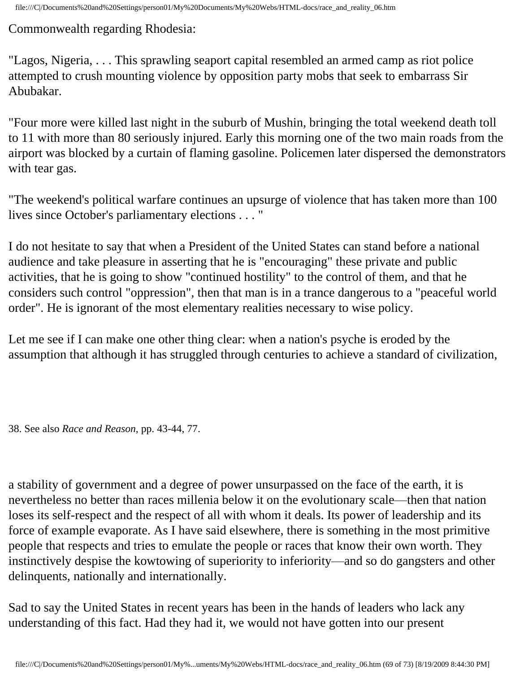Commonwealth regarding Rhodesia:

"Lagos, Nigeria, . . . This sprawling seaport capital resembled an armed camp as riot police attempted to crush mounting violence by opposition party mobs that seek to embarrass Sir Abubakar.

"Four more were killed last night in the suburb of Mushin, bringing the total weekend death toll to 11 with more than 80 seriously injured. Early this morning one of the two main roads from the airport was blocked by a curtain of flaming gasoline. Policemen later dispersed the demonstrators with tear gas.

"The weekend's political warfare continues an upsurge of violence that has taken more than 100 lives since October's parliamentary elections . . . "

I do not hesitate to say that when a President of the United States can stand before a national audience and take pleasure in asserting that he is "encouraging" these private and public activities, that he is going to show "continued hostility" to the control of them, and that he considers such control "oppression", then that man is in a trance dangerous to a "peaceful world order". He is ignorant of the most elementary realities necessary to wise policy.

Let me see if I can make one other thing clear: when a nation's psyche is eroded by the assumption that although it has struggled through centuries to achieve a standard of civilization,

38. See also *Race and Reason,* pp. 43-44, 77.

a stability of government and a degree of power unsurpassed on the face of the earth, it is nevertheless no better than races millenia below it on the evolutionary scale—then that nation loses its self-respect and the respect of all with whom it deals. Its power of leadership and its force of example evaporate. As I have said elsewhere, there is something in the most primitive people that respects and tries to emulate the people or races that know their own worth. They instinctively despise the kowtowing of superiority to inferiority—and so do gangsters and other delinquents, nationally and internationally.

Sad to say the United States in recent years has been in the hands of leaders who lack any understanding of this fact. Had they had it, we would not have gotten into our present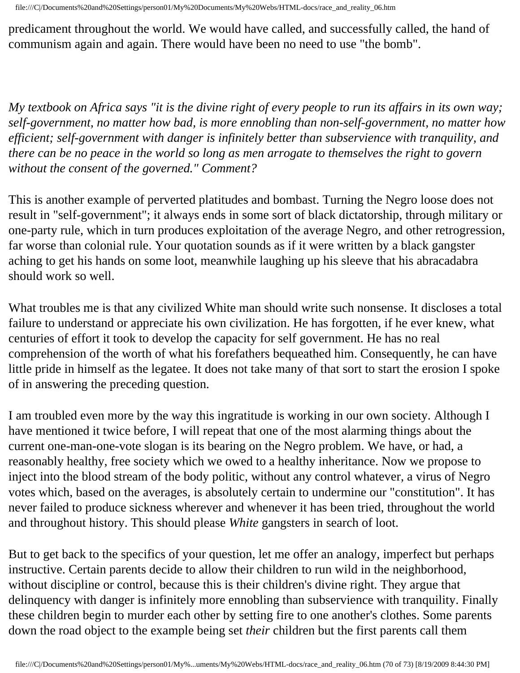predicament throughout the world. We would have called, and successfully called, the hand of communism again and again. There would have been no need to use "the bomb".

*My textbook on Africa says "it is the divine right of every people to run its affairs in its own way; self-government, no matter how bad, is more ennobling than non-self-government, no matter how efficient; self-government with danger is infinitely better than subservience with tranquility, and there can be no peace in the world so long as men arrogate to themselves the right to govern without the consent of the governed." Comment?* 

This is another example of perverted platitudes and bombast. Turning the Negro loose does not result in "self-government"; it always ends in some sort of black dictatorship, through military or one-party rule, which in turn produces exploitation of the average Negro, and other retrogression, far worse than colonial rule. Your quotation sounds as if it were written by a black gangster aching to get his hands on some loot, meanwhile laughing up his sleeve that his abracadabra should work so well.

What troubles me is that any civilized White man should write such nonsense. It discloses a total failure to understand or appreciate his own civilization. He has forgotten, if he ever knew, what centuries of effort it took to develop the capacity for self government. He has no real comprehension of the worth of what his forefathers bequeathed him. Consequently, he can have little pride in himself as the legatee. It does not take many of that sort to start the erosion I spoke of in answering the preceding question.

I am troubled even more by the way this ingratitude is working in our own society. Although I have mentioned it twice before, I will repeat that one of the most alarming things about the current one-man-one-vote slogan is its bearing on the Negro problem. We have, or had, a reasonably healthy, free society which we owed to a healthy inheritance. Now we propose to inject into the blood stream of the body politic, without any control whatever, a virus of Negro votes which, based on the averages, is absolutely certain to undermine our "constitution". It has never failed to produce sickness wherever and whenever it has been tried, throughout the world and throughout history. This should please *White* gangsters in search of loot.

But to get back to the specifics of your question, let me offer an analogy, imperfect but perhaps instructive. Certain parents decide to allow their children to run wild in the neighborhood, without discipline or control, because this is their children's divine right. They argue that delinquency with danger is infinitely more ennobling than subservience with tranquility. Finally these children begin to murder each other by setting fire to one another's clothes. Some parents down the road object to the example being set *their* children but the first parents call them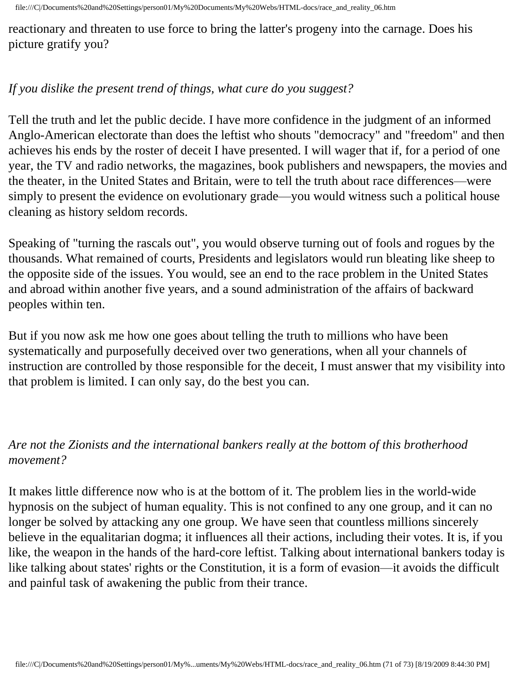reactionary and threaten to use force to bring the latter's progeny into the carnage. Does his picture gratify you?

# *If you dislike the present trend of things, what cure do you suggest?*

Tell the truth and let the public decide. I have more confidence in the judgment of an informed Anglo-American electorate than does the leftist who shouts "democracy" and "freedom" and then achieves his ends by the roster of deceit I have presented. I will wager that if, for a period of one year, the TV and radio networks, the magazines, book publishers and newspapers, the movies and the theater, in the United States and Britain, were to tell the truth about race differences—were simply to present the evidence on evolutionary grade—you would witness such a political house cleaning as history seldom records.

Speaking of "turning the rascals out", you would observe turning out of fools and rogues by the thousands. What remained of courts, Presidents and legislators would run bleating like sheep to the opposite side of the issues. You would, see an end to the race problem in the United States and abroad within another five years, and a sound administration of the affairs of backward peoples within ten.

But if you now ask me how one goes about telling the truth to millions who have been systematically and purposefully deceived over two generations, when all your channels of instruction are controlled by those responsible for the deceit, I must answer that my visibility into that problem is limited. I can only say, do the best you can.

# *Are not the Zionists and the international bankers really at the bottom of this brotherhood movement?*

It makes little difference now who is at the bottom of it. The problem lies in the world-wide hypnosis on the subject of human equality. This is not confined to any one group, and it can no longer be solved by attacking any one group. We have seen that countless millions sincerely believe in the equalitarian dogma; it influences all their actions, including their votes. It is, if you like, the weapon in the hands of the hard-core leftist. Talking about international bankers today is like talking about states' rights or the Constitution, it is a form of evasion—it avoids the difficult and painful task of awakening the public from their trance.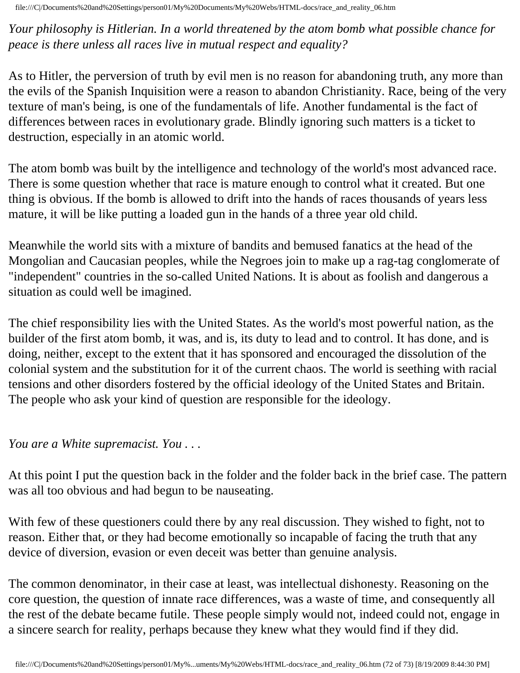*Your philosophy is Hitlerian. In a world threatened by the atom bomb what possible chance for peace is there unless all races live in mutual respect and equality?* 

As to Hitler, the perversion of truth by evil men is no reason for abandoning truth, any more than the evils of the Spanish Inquisition were a reason to abandon Christianity. Race, being of the very texture of man's being, is one of the fundamentals of life. Another fundamental is the fact of differences between races in evolutionary grade. Blindly ignoring such matters is a ticket to destruction, especially in an atomic world.

The atom bomb was built by the intelligence and technology of the world's most advanced race. There is some question whether that race is mature enough to control what it created. But one thing is obvious. If the bomb is allowed to drift into the hands of races thousands of years less mature, it will be like putting a loaded gun in the hands of a three year old child.

Meanwhile the world sits with a mixture of bandits and bemused fanatics at the head of the Mongolian and Caucasian peoples, while the Negroes join to make up a rag-tag conglomerate of "independent" countries in the so-called United Nations. It is about as foolish and dangerous a situation as could well be imagined.

The chief responsibility lies with the United States. As the world's most powerful nation, as the builder of the first atom bomb, it was, and is, its duty to lead and to control. It has done, and is doing, neither, except to the extent that it has sponsored and encouraged the dissolution of the colonial system and the substitution for it of the current chaos. The world is seething with racial tensions and other disorders fostered by the official ideology of the United States and Britain. The people who ask your kind of question are responsible for the ideology.

## *You are a White supremacist. You . . .*

At this point I put the question back in the folder and the folder back in the brief case. The pattern was all too obvious and had begun to be nauseating.

With few of these questioners could there by any real discussion. They wished to fight, not to reason. Either that, or they had become emotionally so incapable of facing the truth that any device of diversion, evasion or even deceit was better than genuine analysis.

The common denominator, in their case at least, was intellectual dishonesty. Reasoning on the core question, the question of innate race differences, was a waste of time, and consequently all the rest of the debate became futile. These people simply would not, indeed could not, engage in a sincere search for reality, perhaps because they knew what they would find if they did.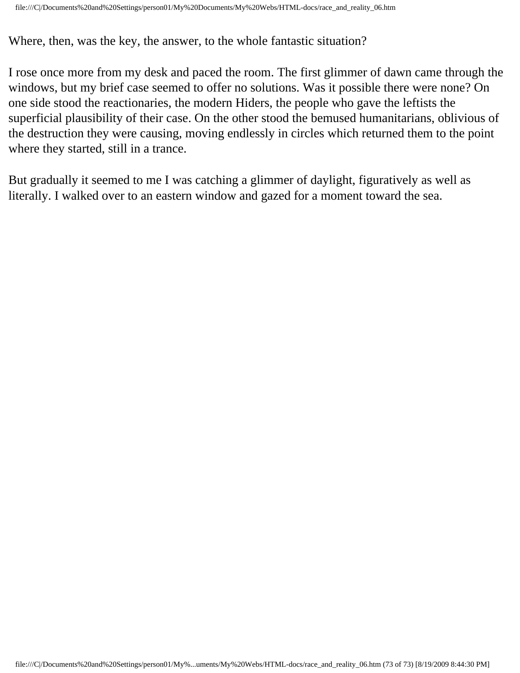Where, then, was the key, the answer, to the whole fantastic situation?

I rose once more from my desk and paced the room. The first glimmer of dawn came through the windows, but my brief case seemed to offer no solutions. Was it possible there were none? On one side stood the reactionaries, the modern Hiders, the people who gave the leftists the superficial plausibility of their case. On the other stood the bemused humanitarians, oblivious of the destruction they were causing, moving endlessly in circles which returned them to the point where they started, still in a trance.

But gradually it seemed to me I was catching a glimmer of daylight, figuratively as well as literally. I walked over to an eastern window and gazed for a moment toward the sea.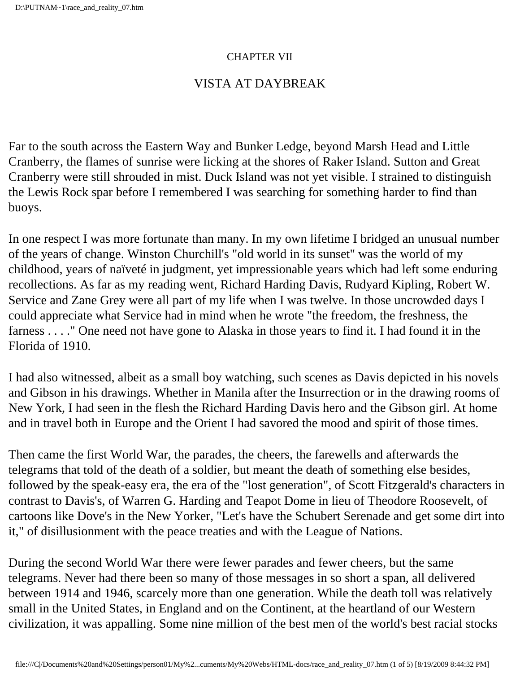#### CHAPTER VII

## VISTA AT DAYBREAK

Far to the south across the Eastern Way and Bunker Ledge, beyond Marsh Head and Little Cranberry, the flames of sunrise were licking at the shores of Raker Island. Sutton and Great Cranberry were still shrouded in mist. Duck Island was not yet visible. I strained to distinguish the Lewis Rock spar before I remembered I was searching for something harder to find than buoys.

In one respect I was more fortunate than many. In my own lifetime I bridged an unusual number of the years of change. Winston Churchill's "old world in its sunset" was the world of my childhood, years of naïveté in judgment, yet impressionable years which had left some enduring recollections. As far as my reading went, Richard Harding Davis, Rudyard Kipling, Robert W. Service and Zane Grey were all part of my life when I was twelve. In those uncrowded days I could appreciate what Service had in mind when he wrote "the freedom, the freshness, the farness . . . ." One need not have gone to Alaska in those years to find it. I had found it in the Florida of 1910.

I had also witnessed, albeit as a small boy watching, such scenes as Davis depicted in his novels and Gibson in his drawings. Whether in Manila after the Insurrection or in the drawing rooms of New York, I had seen in the flesh the Richard Harding Davis hero and the Gibson girl. At home and in travel both in Europe and the Orient I had savored the mood and spirit of those times.

Then came the first World War, the parades, the cheers, the farewells and afterwards the telegrams that told of the death of a soldier, but meant the death of something else besides, followed by the speak-easy era, the era of the "lost generation", of Scott Fitzgerald's characters in contrast to Davis's, of Warren G. Harding and Teapot Dome in lieu of Theodore Roosevelt, of cartoons like Dove's in the New Yorker, "Let's have the Schubert Serenade and get some dirt into it," of disillusionment with the peace treaties and with the League of Nations.

During the second World War there were fewer parades and fewer cheers, but the same telegrams. Never had there been so many of those messages in so short a span, all delivered between 1914 and 1946, scarcely more than one generation. While the death toll was relatively small in the United States, in England and on the Continent, at the heartland of our Western civilization, it was appalling. Some nine million of the best men of the world's best racial stocks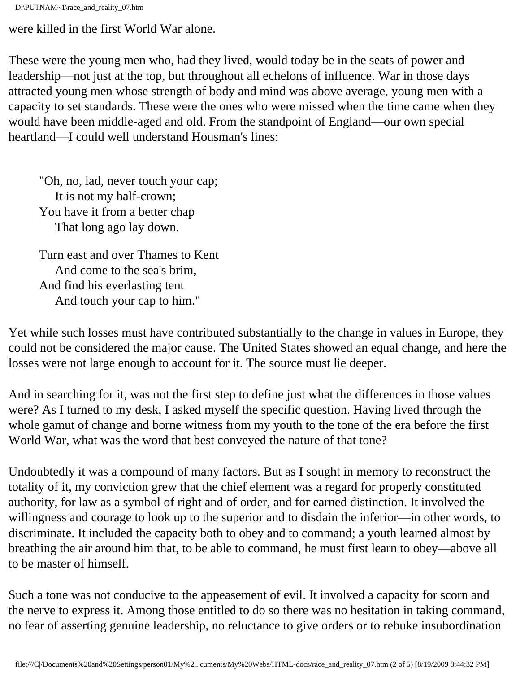D:\PUTNAM~1\race\_and\_reality\_07.htm

were killed in the first World War alone.

These were the young men who, had they lived, would today be in the seats of power and leadership—not just at the top, but throughout all echelons of influence. War in those days attracted young men whose strength of body and mind was above average, young men with a capacity to set standards. These were the ones who were missed when the time came when they would have been middle-aged and old. From the standpoint of England—our own special heartland—I could well understand Housman's lines:

"Oh, no, lad, never touch your cap; It is not my half-crown; You have it from a better chap That long ago lay down.

Turn east and over Thames to Kent And come to the sea's brim, And find his everlasting tent And touch your cap to him."

Yet while such losses must have contributed substantially to the change in values in Europe, they could not be considered the major cause. The United States showed an equal change, and here the losses were not large enough to account for it. The source must lie deeper.

And in searching for it, was not the first step to define just what the differences in those values were? As I turned to my desk, I asked myself the specific question. Having lived through the whole gamut of change and borne witness from my youth to the tone of the era before the first World War, what was the word that best conveyed the nature of that tone?

Undoubtedly it was a compound of many factors. But as I sought in memory to reconstruct the totality of it, my conviction grew that the chief element was a regard for properly constituted authority, for law as a symbol of right and of order, and for earned distinction. It involved the willingness and courage to look up to the superior and to disdain the inferior—in other words, to discriminate. It included the capacity both to obey and to command; a youth learned almost by breathing the air around him that, to be able to command, he must first learn to obey—above all to be master of himself.

Such a tone was not conducive to the appeasement of evil. It involved a capacity for scorn and the nerve to express it. Among those entitled to do so there was no hesitation in taking command, no fear of asserting genuine leadership, no reluctance to give orders or to rebuke insubordination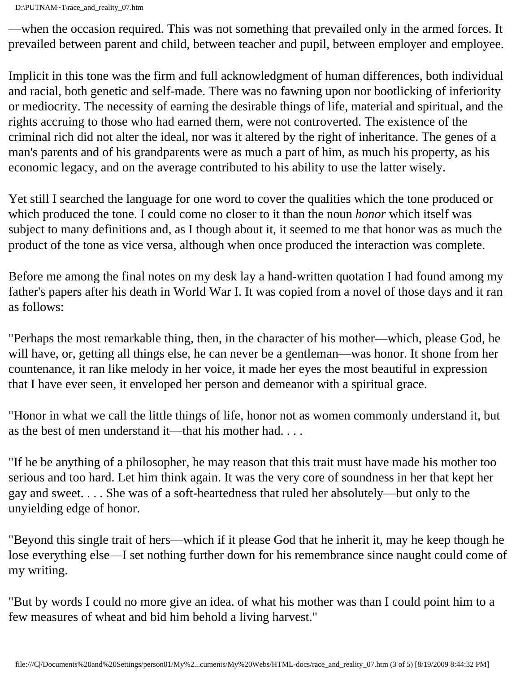D:\PUTNAM~1\race\_and\_reality\_07.htm

—when the occasion required. This was not something that prevailed only in the armed forces. It prevailed between parent and child, between teacher and pupil, between employer and employee.

Implicit in this tone was the firm and full acknowledgment of human differences, both individual and racial, both genetic and self-made. There was no fawning upon nor bootlicking of inferiority or mediocrity. The necessity of earning the desirable things of life, material and spiritual, and the rights accruing to those who had earned them, were not controverted. The existence of the criminal rich did not alter the ideal, nor was it altered by the right of inheritance. The genes of a man's parents and of his grandparents were as much a part of him, as much his property, as his economic legacy, and on the average contributed to his ability to use the latter wisely.

Yet still I searched the language for one word to cover the qualities which the tone produced or which produced the tone. I could come no closer to it than the noun *honor* which itself was subject to many definitions and, as I though about it, it seemed to me that honor was as much the product of the tone as vice versa, although when once produced the interaction was complete.

Before me among the final notes on my desk lay a hand-written quotation I had found among my father's papers after his death in World War I. It was copied from a novel of those days and it ran as follows:

"Perhaps the most remarkable thing, then, in the character of his mother—which, please God, he will have, or, getting all things else, he can never be a gentleman—was honor. It shone from her countenance, it ran like melody in her voice, it made her eyes the most beautiful in expression that I have ever seen, it enveloped her person and demeanor with a spiritual grace.

"Honor in what we call the little things of life, honor not as women commonly understand it, but as the best of men understand it—that his mother had. . . .

"If he be anything of a philosopher, he may reason that this trait must have made his mother too serious and too hard. Let him think again. It was the very core of soundness in her that kept her gay and sweet. . . . She was of a soft-heartedness that ruled her absolutely—but only to the unyielding edge of honor.

"Beyond this single trait of hers—which if it please God that he inherit it, may he keep though he lose everything else—I set nothing further down for his remembrance since naught could come of my writing.

"But by words I could no more give an idea. of what his mother was than I could point him to a few measures of wheat and bid him behold a living harvest."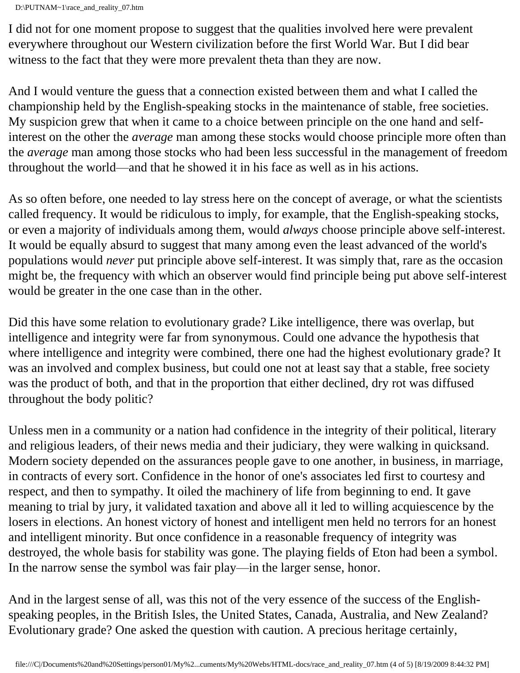D:\PUTNAM~1\race\_and\_reality\_07.htm

I did not for one moment propose to suggest that the qualities involved here were prevalent everywhere throughout our Western civilization before the first World War. But I did bear witness to the fact that they were more prevalent theta than they are now.

And I would venture the guess that a connection existed between them and what I called the championship held by the English-speaking stocks in the maintenance of stable, free societies. My suspicion grew that when it came to a choice between principle on the one hand and selfinterest on the other the *average* man among these stocks would choose principle more often than the *average* man among those stocks who had been less successful in the management of freedom throughout the world—and that he showed it in his face as well as in his actions.

As so often before, one needed to lay stress here on the concept of average, or what the scientists called frequency. It would be ridiculous to imply, for example, that the English-speaking stocks, or even a majority of individuals among them, would *always* choose principle above self-interest. It would be equally absurd to suggest that many among even the least advanced of the world's populations would *never* put principle above self-interest. It was simply that, rare as the occasion might be, the frequency with which an observer would find principle being put above self-interest would be greater in the one case than in the other.

Did this have some relation to evolutionary grade? Like intelligence, there was overlap, but intelligence and integrity were far from synonymous. Could one advance the hypothesis that where intelligence and integrity were combined, there one had the highest evolutionary grade? It was an involved and complex business, but could one not at least say that a stable, free society was the product of both, and that in the proportion that either declined, dry rot was diffused throughout the body politic?

Unless men in a community or a nation had confidence in the integrity of their political, literary and religious leaders, of their news media and their judiciary, they were walking in quicksand. Modern society depended on the assurances people gave to one another, in business, in marriage, in contracts of every sort. Confidence in the honor of one's associates led first to courtesy and respect, and then to sympathy. It oiled the machinery of life from beginning to end. It gave meaning to trial by jury, it validated taxation and above all it led to willing acquiescence by the losers in elections. An honest victory of honest and intelligent men held no terrors for an honest and intelligent minority. But once confidence in a reasonable frequency of integrity was destroyed, the whole basis for stability was gone. The playing fields of Eton had been a symbol. In the narrow sense the symbol was fair play—in the larger sense, honor.

And in the largest sense of all, was this not of the very essence of the success of the Englishspeaking peoples, in the British Isles, the United States, Canada, Australia, and New Zealand? Evolutionary grade? One asked the question with caution. A precious heritage certainly,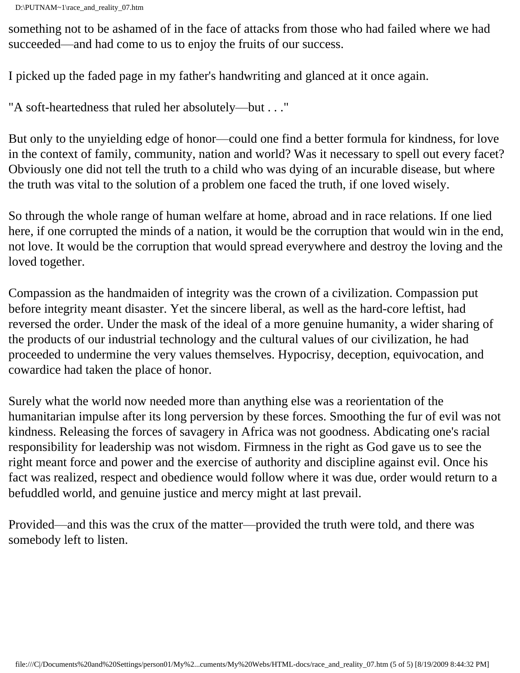something not to be ashamed of in the face of attacks from those who had failed where we had succeeded—and had come to us to enjoy the fruits of our success.

I picked up the faded page in my father's handwriting and glanced at it once again.

"A soft-heartedness that ruled her absolutely—but . . ."

But only to the unyielding edge of honor—could one find a better formula for kindness, for love in the context of family, community, nation and world? Was it necessary to spell out every facet? Obviously one did not tell the truth to a child who was dying of an incurable disease, but where the truth was vital to the solution of a problem one faced the truth, if one loved wisely.

So through the whole range of human welfare at home, abroad and in race relations. If one lied here, if one corrupted the minds of a nation, it would be the corruption that would win in the end, not love. It would be the corruption that would spread everywhere and destroy the loving and the loved together.

Compassion as the handmaiden of integrity was the crown of a civilization. Compassion put before integrity meant disaster. Yet the sincere liberal, as well as the hard-core leftist, had reversed the order. Under the mask of the ideal of a more genuine humanity, a wider sharing of the products of our industrial technology and the cultural values of our civilization, he had proceeded to undermine the very values themselves. Hypocrisy, deception, equivocation, and cowardice had taken the place of honor.

Surely what the world now needed more than anything else was a reorientation of the humanitarian impulse after its long perversion by these forces. Smoothing the fur of evil was not kindness. Releasing the forces of savagery in Africa was not goodness. Abdicating one's racial responsibility for leadership was not wisdom. Firmness in the right as God gave us to see the right meant force and power and the exercise of authority and discipline against evil. Once his fact was realized, respect and obedience would follow where it was due, order would return to a befuddled world, and genuine justice and mercy might at last prevail.

Provided—and this was the crux of the matter—provided the truth were told, and there was somebody left to listen.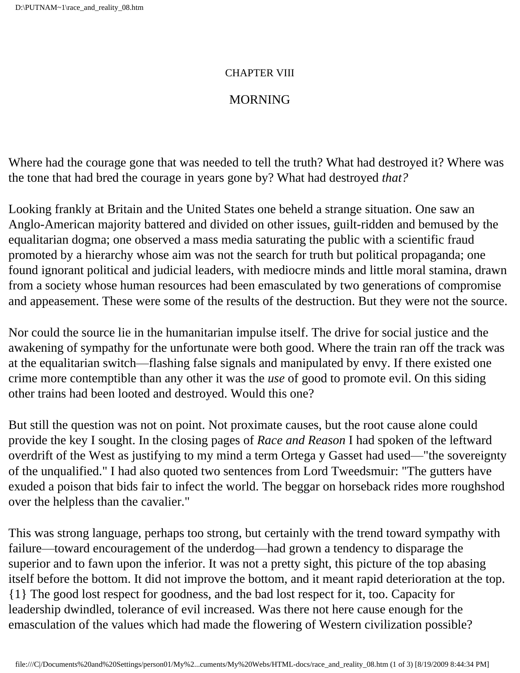#### CHAPTER VIII

#### MORNING

Where had the courage gone that was needed to tell the truth? What had destroyed it? Where was the tone that had bred the courage in years gone by? What had destroyed *that?*

Looking frankly at Britain and the United States one beheld a strange situation. One saw an Anglo-American majority battered and divided on other issues, guilt-ridden and bemused by the equalitarian dogma; one observed a mass media saturating the public with a scientific fraud promoted by a hierarchy whose aim was not the search for truth but political propaganda; one found ignorant political and judicial leaders, with mediocre minds and little moral stamina, drawn from a society whose human resources had been emasculated by two generations of compromise and appeasement. These were some of the results of the destruction. But they were not the source.

Nor could the source lie in the humanitarian impulse itself. The drive for social justice and the awakening of sympathy for the unfortunate were both good. Where the train ran off the track was at the equalitarian switch—flashing false signals and manipulated by envy. If there existed one crime more contemptible than any other it was the *use* of good to promote evil. On this siding other trains had been looted and destroyed. Would this one?

But still the question was not on point. Not proximate causes, but the root cause alone could provide the key I sought. In the closing pages of *Race and Reason* I had spoken of the leftward overdrift of the West as justifying to my mind a term Ortega y Gasset had used—"the sovereignty of the unqualified." I had also quoted two sentences from Lord Tweedsmuir: "The gutters have exuded a poison that bids fair to infect the world. The beggar on horseback rides more roughshod over the helpless than the cavalier."

This was strong language, perhaps too strong, but certainly with the trend toward sympathy with failure—toward encouragement of the underdog—had grown a tendency to disparage the superior and to fawn upon the inferior. It was not a pretty sight, this picture of the top abasing itself before the bottom. It did not improve the bottom, and it meant rapid deterioration at the top. {1} The good lost respect for goodness, and the bad lost respect for it, too. Capacity for leadership dwindled, tolerance of evil increased. Was there not here cause enough for the emasculation of the values which had made the flowering of Western civilization possible?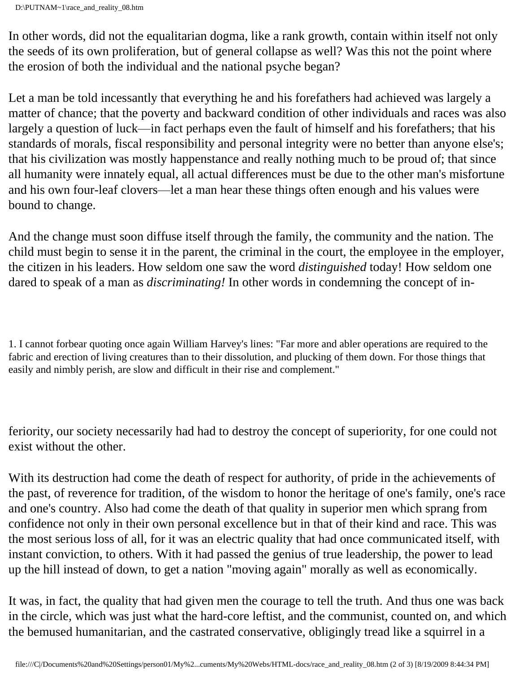D:\PUTNAM~1\race\_and\_reality\_08.htm

In other words, did not the equalitarian dogma, like a rank growth, contain within itself not only the seeds of its own proliferation, but of general collapse as well? Was this not the point where the erosion of both the individual and the national psyche began?

Let a man be told incessantly that everything he and his forefathers had achieved was largely a matter of chance; that the poverty and backward condition of other individuals and races was also largely a question of luck—in fact perhaps even the fault of himself and his forefathers; that his standards of morals, fiscal responsibility and personal integrity were no better than anyone else's; that his civilization was mostly happenstance and really nothing much to be proud of; that since all humanity were innately equal, all actual differences must be due to the other man's misfortune and his own four-leaf clovers—let a man hear these things often enough and his values were bound to change.

And the change must soon diffuse itself through the family, the community and the nation. The child must begin to sense it in the parent, the criminal in the court, the employee in the employer, the citizen in his leaders. How seldom one saw the word *distinguished* today! How seldom one dared to speak of a man as *discriminating!* In other words in condemning the concept of in-

1. I cannot forbear quoting once again William Harvey's lines: "Far more and abler operations are required to the fabric and erection of living creatures than to their dissolution, and plucking of them down. For those things that easily and nimbly perish, are slow and difficult in their rise and complement."

feriority, our society necessarily had had to destroy the concept of superiority, for one could not exist without the other.

With its destruction had come the death of respect for authority, of pride in the achievements of the past, of reverence for tradition, of the wisdom to honor the heritage of one's family, one's race and one's country. Also had come the death of that quality in superior men which sprang from confidence not only in their own personal excellence but in that of their kind and race. This was the most serious loss of all, for it was an electric quality that had once communicated itself, with instant conviction, to others. With it had passed the genius of true leadership, the power to lead up the hill instead of down, to get a nation "moving again" morally as well as economically.

It was, in fact, the quality that had given men the courage to tell the truth. And thus one was back in the circle, which was just what the hard-core leftist, and the communist, counted on, and which the bemused humanitarian, and the castrated conservative, obligingly tread like a squirrel in a